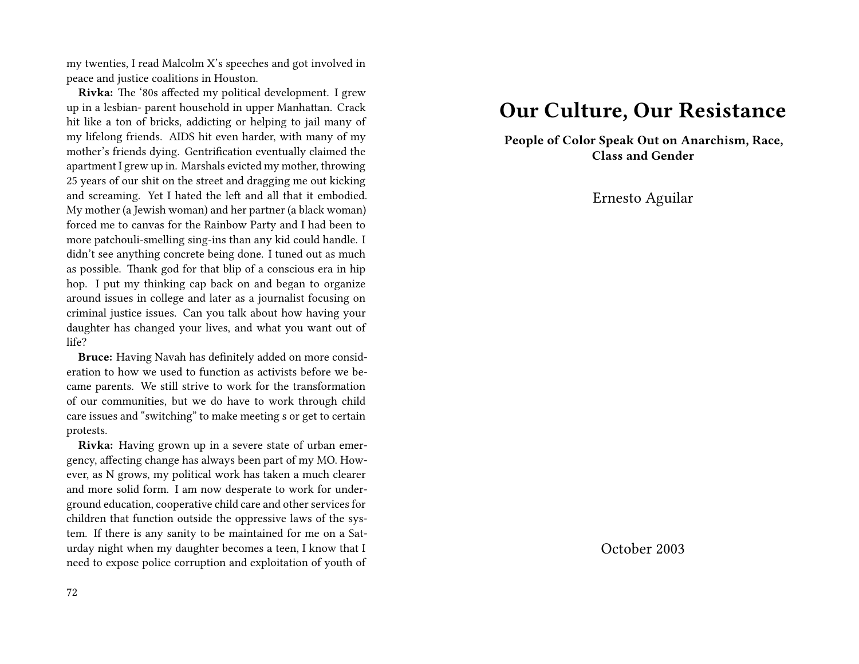my twenties, I read Malcolm X's speeches and got involved in peace and justice coalitions in Houston.

**Rivka:** The '80s affected my political development. I grew up in a lesbian- parent household in upper Manhattan. Crack hit like a ton of bricks, addicting or helping to jail many of my lifelong friends. AIDS hit even harder, with many of my mother's friends dying. Gentrification eventually claimed the apartment I grew up in. Marshals evicted my mother, throwing 25 years of our shit on the street and dragging me out kicking and screaming. Yet I hated the left and all that it embodied. My mother (a Jewish woman) and her partner (a black woman) forced me to canvas for the Rainbow Party and I had been to more patchouli-smelling sing-ins than any kid could handle. I didn't see anything concrete being done. I tuned out as much as possible. Thank god for that blip of a conscious era in hip hop. I put my thinking cap back on and began to organize around issues in college and later as a journalist focusing on criminal justice issues. Can you talk about how having your daughter has changed your lives, and what you want out of life?

**Bruce:** Having Navah has definitely added on more consideration to how we used to function as activists before we became parents. We still strive to work for the transformation of our communities, but we do have to work through child care issues and "switching" to make meeting s or get to certain protests.

**Rivka:** Having grown up in a severe state of urban emergency, affecting change has always been part of my MO. However, as N grows, my political work has taken a much clearer and more solid form. I am now desperate to work for underground education, cooperative child care and other services for children that function outside the oppressive laws of the system. If there is any sanity to be maintained for me on a Saturday night when my daughter becomes a teen, I know that I need to expose police corruption and exploitation of youth of

#### 72

### **Our Culture, Our Resistance**

**People of Color Speak Out on Anarchism, Race, Class and Gender**

Ernesto Aguilar

October 2003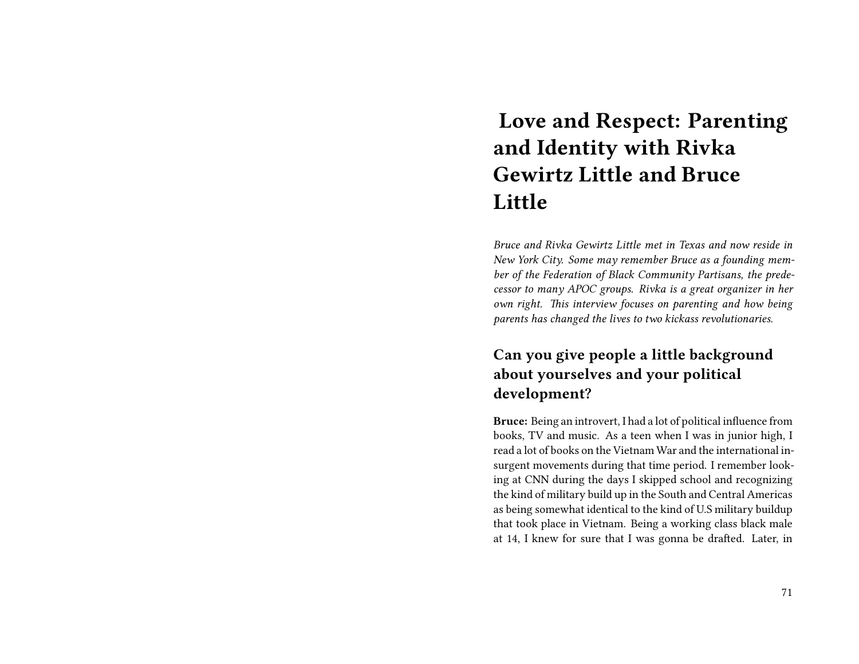# **Love and Respect: Parenting and Identity with Rivka Gewirtz Little and Bruce Little**

*Bruce and Rivka Gewirtz Little met in Texas and now reside in New York City. Some may remember Bruce as a founding member of the Federation of Black Community Partisans, the predecessor to many APOC groups. Rivka is a great organizer in her own right. This interview focuses on parenting and how being parents has changed the lives to two kickass revolutionaries.*

### **Can you give people a little background about yourselves and your political development?**

**Bruce:** Being an introvert, I had a lot of political influence from books, TV and music. As a teen when I was in junior high, I read a lot of books on the Vietnam War and the international insurgent movements during that time period. I remember looking at CNN during the days I skipped school and recognizing the kind of military build up in the South and Central Americas as being somewhat identical to the kind of U.S military buildup that took place in Vietnam. Being a working class black male at 14, I knew for sure that I was gonna be drafted. Later, in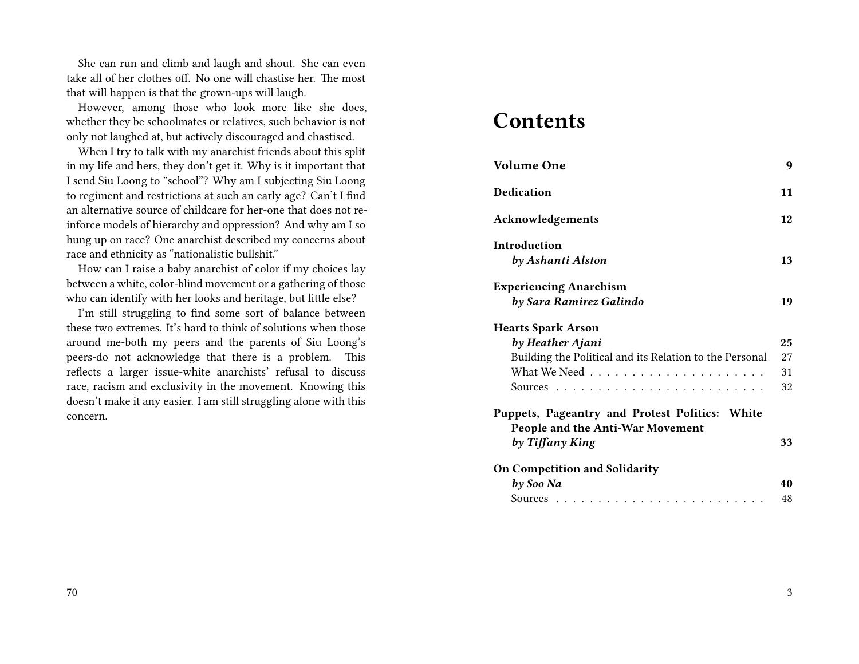She can run and climb and laugh and shout. She can even take all of her clothes off. No one will chastise her. The most that will happen is that the grown-ups will laugh.

However, among those who look more like she does, whether they be schoolmates or relatives, such behavior is not only not laughed at, but actively discouraged and chastised.

When I try to talk with my anarchist friends about this split in my life and hers, they don't get it. Why is it important that I send Siu Loong to "school"? Why am I subjecting Siu Loong to regiment and restrictions at such an early age? Can't I find an alternative source of childcare for her-one that does not reinforce models of hierarchy and oppression? And why am I so hung up on race? One anarchist described my concerns about race and ethnicity as "nationalistic bullshit."

How can I raise a baby anarchist of color if my choices lay between a white, color-blind movement or a gathering of those who can identify with her looks and heritage, but little else?

I'm still struggling to find some sort of balance between these two extremes. It's hard to think of solutions when those around me-both my peers and the parents of Siu Loong's peers-do not acknowledge that there is a problem. This reflects a larger issue-white anarchists' refusal to discuss race, racism and exclusivity in the movement. Knowing this doesn't make it any easier. I am still struggling alone with this concern.

## **Contents**

| <b>Volume One</b>                                                                  | 9  |
|------------------------------------------------------------------------------------|----|
| Dedication                                                                         | 11 |
| Acknowledgements                                                                   | 12 |
| Introduction<br>by Ashanti Alston                                                  | 13 |
| <b>Experiencing Anarchism</b><br>by Sara Ramirez Galindo                           | 19 |
| <b>Hearts Spark Arson</b>                                                          |    |
| by Heather Ajani                                                                   | 25 |
| Building the Political and its Relation to the Personal                            | 27 |
|                                                                                    | 31 |
|                                                                                    | 32 |
| Puppets, Pageantry and Protest Politics: White<br>People and the Anti-War Movement |    |
| by Tiffany King                                                                    | 33 |
| <b>On Competition and Solidarity</b>                                               |    |
| by Soo Na                                                                          | 40 |
|                                                                                    | 48 |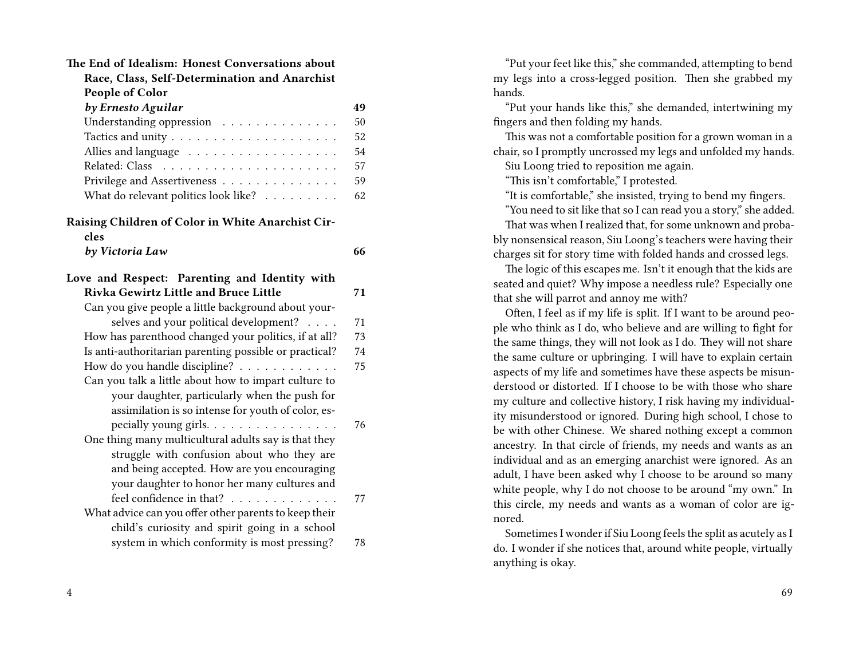| The End of Idealism: Honest Conversations about        |    |
|--------------------------------------------------------|----|
| Race, Class, Self-Determination and Anarchist          |    |
| People of Color                                        |    |
| by Ernesto Aguilar                                     | 49 |
| Understanding oppression                               | 50 |
|                                                        | 52 |
|                                                        | 54 |
|                                                        | 57 |
| Privilege and Assertiveness                            | 59 |
| What do relevant politics look like?                   | 62 |
| Raising Children of Color in White Anarchist Cir-      |    |
| cles                                                   |    |
| by Victoria Law                                        | 66 |
| Love and Respect: Parenting and Identity with          |    |
| Rivka Gewirtz Little and Bruce Little                  | 71 |
| Can you give people a little background about your-    |    |
| selves and your political development?                 | 71 |
| How has parenthood changed your politics, if at all?   | 73 |
| Is anti-authoritarian parenting possible or practical? | 74 |
| How do you handle discipline?                          | 75 |
| Can you talk a little about how to impart culture to   |    |
| your daughter, particularly when the push for          |    |
| assimilation is so intense for youth of color, es-     |    |
| pecially young girls.                                  | 76 |
| One thing many multicultural adults say is that they   |    |
| struggle with confusion about who they are             |    |
| and being accepted. How are you encouraging            |    |
| your daughter to honor her many cultures and           |    |
| feel confidence in that?                               | 77 |
| What advice can you offer other parents to keep their  |    |
| child's curiosity and spirit going in a school         |    |
| system in which conformity is most pressing?           | 78 |
|                                                        |    |

"Put your feet like this," she commanded, attempting to bend my legs into a cross-legged position. Then she grabbed my hands.

"Put your hands like this," she demanded, intertwining my fingers and then folding my hands.

This was not a comfortable position for a grown woman in a chair, so I promptly uncrossed my legs and unfolded my hands.

Siu Loong tried to reposition me again.

"This isn't comfortable," I protested.

"It is comfortable," she insisted, trying to bend my fingers.

"You need to sit like that so I can read you a story," she added. That was when I realized that, for some unknown and proba-

bly nonsensical reason, Siu Loong's teachers were having their charges sit for story time with folded hands and crossed legs.

The logic of this escapes me. Isn't it enough that the kids are seated and quiet? Why impose a needless rule? Especially one that she will parrot and annoy me with?

Often, I feel as if my life is split. If I want to be around people who think as I do, who believe and are willing to fight for the same things, they will not look as I do. They will not share the same culture or upbringing. I will have to explain certain aspects of my life and sometimes have these aspects be misunderstood or distorted. If I choose to be with those who share my culture and collective history, I risk having my individuality misunderstood or ignored. During high school, I chose to be with other Chinese. We shared nothing except a common ancestry. In that circle of friends, my needs and wants as an individual and as an emerging anarchist were ignored. As an adult, I have been asked why I choose to be around so many white people, why I do not choose to be around "my own." In this circle, my needs and wants as a woman of color are ignored.

Sometimes I wonder if Siu Loong feels the split as acutely as I do. I wonder if she notices that, around white people, virtually anything is okay.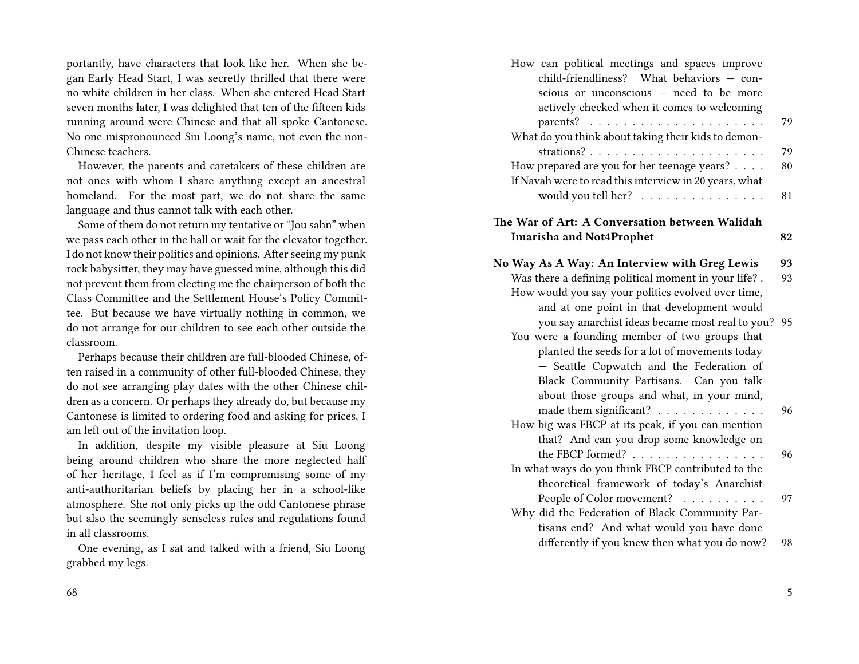portantly, have characters that look like her. When she began Early Head Start, I was secretly thrilled that there were no white children in her class. When she entered Head Start seven months later, I was delighted that ten of the fifteen kids running around were Chinese and that all spoke Cantonese. No one mispronounced Siu Loong's name, not even the non-Chinese teachers.

However, the parents and caretakers of these children are not ones with whom I share anything except an ancestral homeland. For the most part, we do not share the same language and thus cannot talk with each other.

Some of them do not return my tentative or "Jou sahn" when we pass each other in the hall or wait for the elevator together. I do not know their politics and opinions. After seeing my punk rock babysitter, they may have guessed mine, although this did not prevent them from electing me the chairperson of both the Class Committee and the Settlement House's Policy Committee. But because we have virtually nothing in common, we do not arrange for our children to see each other outside the classroom.

Perhaps because their children are full-blooded Chinese, often raised in a community of other full-blooded Chinese, they do not see arranging play dates with the other Chinese children as a concern. Or perhaps they already do, but because my Cantonese is limited to ordering food and asking for prices, I am left out of the invitation loop.

In addition, despite my visible pleasure at Siu Loong being around children who share the more neglected half of her heritage, I feel as if I'm compromising some of my anti-authoritarian beliefs by placing her in a school-like atmosphere. She not only picks up the odd Cantonese phrase but also the seemingly senseless rules and regulations found in all classrooms.

One evening, as I sat and talked with a friend, Siu Loong grabbed my legs.

| How can political meetings and spaces improve<br>child-friendliness? What behaviors - con-<br>scious or unconscious - need to be more<br>actively checked when it comes to welcoming |    |
|--------------------------------------------------------------------------------------------------------------------------------------------------------------------------------------|----|
|                                                                                                                                                                                      | 79 |
| What do you think about taking their kids to demon-                                                                                                                                  |    |
|                                                                                                                                                                                      | 79 |
| How prepared are you for her teenage years?                                                                                                                                          | 80 |
| If Navah were to read this interview in 20 years, what                                                                                                                               |    |
| would you tell her?                                                                                                                                                                  | 81 |
|                                                                                                                                                                                      |    |
| The War of Art: A Conversation between Walidah                                                                                                                                       |    |
| <b>Imarisha and Not4Prophet</b>                                                                                                                                                      | 82 |
|                                                                                                                                                                                      |    |
| No Way As A Way: An Interview with Greg Lewis                                                                                                                                        | 93 |
| Was there a defining political moment in your life? .                                                                                                                                | 93 |
| How would you say your politics evolved over time,                                                                                                                                   |    |
| and at one point in that development would                                                                                                                                           |    |
| you say anarchist ideas became most real to you?                                                                                                                                     | 95 |
| You were a founding member of two groups that                                                                                                                                        |    |
| planted the seeds for a lot of movements today                                                                                                                                       |    |
| - Seattle Copwatch and the Federation of                                                                                                                                             |    |
| Black Community Partisans. Can you talk                                                                                                                                              |    |
| about those groups and what, in your mind,                                                                                                                                           |    |
| made them significant?                                                                                                                                                               | 96 |
| How big was FBCP at its peak, if you can mention                                                                                                                                     |    |
| that? And can you drop some knowledge on                                                                                                                                             |    |
| the FBCP formed? $\ldots$                                                                                                                                                            | 96 |
| In what ways do you think FBCP contributed to the                                                                                                                                    |    |
| theoretical framework of today's Anarchist                                                                                                                                           |    |
| People of Color movement?                                                                                                                                                            | 97 |
| Why did the Federation of Black Community Par-                                                                                                                                       |    |
| tisans end? And what would you have done                                                                                                                                             |    |
| differently if you knew then what you do now?                                                                                                                                        | 98 |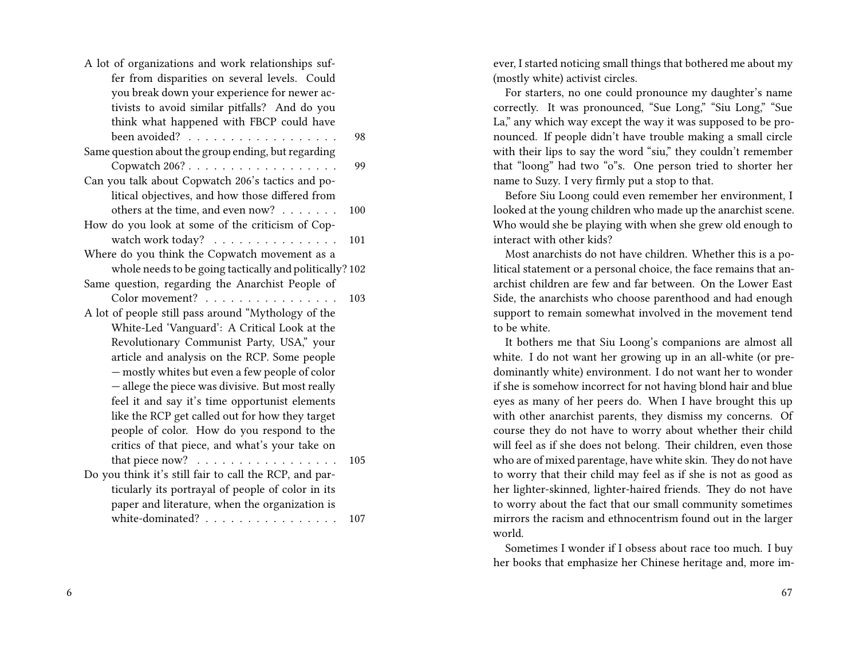| fer from disparities on several levels. Could<br>you break down your experience for newer ac-<br>tivists to avoid similar pitfalls? And do you<br>think what happened with FBCP could have<br>been avoided?<br>Same question about the group ending, but regarding<br>Copwatch $206? \ldots \ldots \ldots \ldots \ldots$<br>Can you talk about Copwatch 206's tactics and po-<br>litical objectives, and how those differed from<br>others at the time, and even now?<br>How do you look at some of the criticism of Cop-<br>watch work today?<br>Where do you think the Copwatch movement as a<br>whole needs to be going tactically and politically? 102<br>Same question, regarding the Anarchist People of<br>Color movement?<br>A lot of people still pass around "Mythology of the<br>White-Led 'Vanguard': A Critical Look at the<br>Revolutionary Communist Party, USA," your<br>article and analysis on the RCP. Some people<br>- mostly whites but even a few people of color<br>- allege the piece was divisive. But most really<br>feel it and say it's time opportunist elements<br>like the RCP get called out for how they target<br>people of color. How do you respond to the<br>critics of that piece, and what's your take on<br>that piece now?<br>.<br>Do you think it's still fair to call the RCP, and par-<br>ticularly its portrayal of people of color in its<br>paper and literature, when the organization is | A lot of organizations and work relationships suf- |     |
|-------------------------------------------------------------------------------------------------------------------------------------------------------------------------------------------------------------------------------------------------------------------------------------------------------------------------------------------------------------------------------------------------------------------------------------------------------------------------------------------------------------------------------------------------------------------------------------------------------------------------------------------------------------------------------------------------------------------------------------------------------------------------------------------------------------------------------------------------------------------------------------------------------------------------------------------------------------------------------------------------------------------------------------------------------------------------------------------------------------------------------------------------------------------------------------------------------------------------------------------------------------------------------------------------------------------------------------------------------------------------------------------------------------------------------------------|----------------------------------------------------|-----|
|                                                                                                                                                                                                                                                                                                                                                                                                                                                                                                                                                                                                                                                                                                                                                                                                                                                                                                                                                                                                                                                                                                                                                                                                                                                                                                                                                                                                                                           |                                                    |     |
|                                                                                                                                                                                                                                                                                                                                                                                                                                                                                                                                                                                                                                                                                                                                                                                                                                                                                                                                                                                                                                                                                                                                                                                                                                                                                                                                                                                                                                           |                                                    |     |
|                                                                                                                                                                                                                                                                                                                                                                                                                                                                                                                                                                                                                                                                                                                                                                                                                                                                                                                                                                                                                                                                                                                                                                                                                                                                                                                                                                                                                                           |                                                    |     |
|                                                                                                                                                                                                                                                                                                                                                                                                                                                                                                                                                                                                                                                                                                                                                                                                                                                                                                                                                                                                                                                                                                                                                                                                                                                                                                                                                                                                                                           |                                                    |     |
|                                                                                                                                                                                                                                                                                                                                                                                                                                                                                                                                                                                                                                                                                                                                                                                                                                                                                                                                                                                                                                                                                                                                                                                                                                                                                                                                                                                                                                           |                                                    | 98  |
|                                                                                                                                                                                                                                                                                                                                                                                                                                                                                                                                                                                                                                                                                                                                                                                                                                                                                                                                                                                                                                                                                                                                                                                                                                                                                                                                                                                                                                           |                                                    |     |
|                                                                                                                                                                                                                                                                                                                                                                                                                                                                                                                                                                                                                                                                                                                                                                                                                                                                                                                                                                                                                                                                                                                                                                                                                                                                                                                                                                                                                                           |                                                    | 99  |
|                                                                                                                                                                                                                                                                                                                                                                                                                                                                                                                                                                                                                                                                                                                                                                                                                                                                                                                                                                                                                                                                                                                                                                                                                                                                                                                                                                                                                                           |                                                    |     |
|                                                                                                                                                                                                                                                                                                                                                                                                                                                                                                                                                                                                                                                                                                                                                                                                                                                                                                                                                                                                                                                                                                                                                                                                                                                                                                                                                                                                                                           |                                                    |     |
|                                                                                                                                                                                                                                                                                                                                                                                                                                                                                                                                                                                                                                                                                                                                                                                                                                                                                                                                                                                                                                                                                                                                                                                                                                                                                                                                                                                                                                           |                                                    | 100 |
|                                                                                                                                                                                                                                                                                                                                                                                                                                                                                                                                                                                                                                                                                                                                                                                                                                                                                                                                                                                                                                                                                                                                                                                                                                                                                                                                                                                                                                           |                                                    |     |
|                                                                                                                                                                                                                                                                                                                                                                                                                                                                                                                                                                                                                                                                                                                                                                                                                                                                                                                                                                                                                                                                                                                                                                                                                                                                                                                                                                                                                                           |                                                    | 101 |
|                                                                                                                                                                                                                                                                                                                                                                                                                                                                                                                                                                                                                                                                                                                                                                                                                                                                                                                                                                                                                                                                                                                                                                                                                                                                                                                                                                                                                                           |                                                    |     |
|                                                                                                                                                                                                                                                                                                                                                                                                                                                                                                                                                                                                                                                                                                                                                                                                                                                                                                                                                                                                                                                                                                                                                                                                                                                                                                                                                                                                                                           |                                                    |     |
|                                                                                                                                                                                                                                                                                                                                                                                                                                                                                                                                                                                                                                                                                                                                                                                                                                                                                                                                                                                                                                                                                                                                                                                                                                                                                                                                                                                                                                           |                                                    |     |
|                                                                                                                                                                                                                                                                                                                                                                                                                                                                                                                                                                                                                                                                                                                                                                                                                                                                                                                                                                                                                                                                                                                                                                                                                                                                                                                                                                                                                                           |                                                    | 103 |
|                                                                                                                                                                                                                                                                                                                                                                                                                                                                                                                                                                                                                                                                                                                                                                                                                                                                                                                                                                                                                                                                                                                                                                                                                                                                                                                                                                                                                                           |                                                    |     |
|                                                                                                                                                                                                                                                                                                                                                                                                                                                                                                                                                                                                                                                                                                                                                                                                                                                                                                                                                                                                                                                                                                                                                                                                                                                                                                                                                                                                                                           |                                                    |     |
|                                                                                                                                                                                                                                                                                                                                                                                                                                                                                                                                                                                                                                                                                                                                                                                                                                                                                                                                                                                                                                                                                                                                                                                                                                                                                                                                                                                                                                           |                                                    |     |
|                                                                                                                                                                                                                                                                                                                                                                                                                                                                                                                                                                                                                                                                                                                                                                                                                                                                                                                                                                                                                                                                                                                                                                                                                                                                                                                                                                                                                                           |                                                    |     |
|                                                                                                                                                                                                                                                                                                                                                                                                                                                                                                                                                                                                                                                                                                                                                                                                                                                                                                                                                                                                                                                                                                                                                                                                                                                                                                                                                                                                                                           |                                                    |     |
|                                                                                                                                                                                                                                                                                                                                                                                                                                                                                                                                                                                                                                                                                                                                                                                                                                                                                                                                                                                                                                                                                                                                                                                                                                                                                                                                                                                                                                           |                                                    |     |
|                                                                                                                                                                                                                                                                                                                                                                                                                                                                                                                                                                                                                                                                                                                                                                                                                                                                                                                                                                                                                                                                                                                                                                                                                                                                                                                                                                                                                                           |                                                    |     |
|                                                                                                                                                                                                                                                                                                                                                                                                                                                                                                                                                                                                                                                                                                                                                                                                                                                                                                                                                                                                                                                                                                                                                                                                                                                                                                                                                                                                                                           |                                                    |     |
|                                                                                                                                                                                                                                                                                                                                                                                                                                                                                                                                                                                                                                                                                                                                                                                                                                                                                                                                                                                                                                                                                                                                                                                                                                                                                                                                                                                                                                           |                                                    |     |
|                                                                                                                                                                                                                                                                                                                                                                                                                                                                                                                                                                                                                                                                                                                                                                                                                                                                                                                                                                                                                                                                                                                                                                                                                                                                                                                                                                                                                                           |                                                    |     |
|                                                                                                                                                                                                                                                                                                                                                                                                                                                                                                                                                                                                                                                                                                                                                                                                                                                                                                                                                                                                                                                                                                                                                                                                                                                                                                                                                                                                                                           |                                                    | 105 |
|                                                                                                                                                                                                                                                                                                                                                                                                                                                                                                                                                                                                                                                                                                                                                                                                                                                                                                                                                                                                                                                                                                                                                                                                                                                                                                                                                                                                                                           |                                                    |     |
|                                                                                                                                                                                                                                                                                                                                                                                                                                                                                                                                                                                                                                                                                                                                                                                                                                                                                                                                                                                                                                                                                                                                                                                                                                                                                                                                                                                                                                           |                                                    |     |
|                                                                                                                                                                                                                                                                                                                                                                                                                                                                                                                                                                                                                                                                                                                                                                                                                                                                                                                                                                                                                                                                                                                                                                                                                                                                                                                                                                                                                                           |                                                    |     |
|                                                                                                                                                                                                                                                                                                                                                                                                                                                                                                                                                                                                                                                                                                                                                                                                                                                                                                                                                                                                                                                                                                                                                                                                                                                                                                                                                                                                                                           | white-dominated?                                   | 107 |

ever, I started noticing small things that bothered me about my (mostly white) activist circles.

For starters, no one could pronounce my daughter's name correctly. It was pronounced, "Sue Long," "Siu Long," "Sue La," any which way except the way it was supposed to be pronounced. If people didn't have trouble making a small circle with their lips to say the word "siu," they couldn't remember that "loong" had two "o"s. One person tried to shorter her name to Suzy. I very firmly put a stop to that.

Before Siu Loong could even remember her environment, I looked at the young children who made up the anarchist scene. Who would she be playing with when she grew old enough to interact with other kids?

Most anarchists do not have children. Whether this is a political statement or a personal choice, the face remains that anarchist children are few and far between. On the Lower East Side, the anarchists who choose parenthood and had enough support to remain somewhat involved in the movement tend to be white.

It bothers me that Siu Loong's companions are almost all white. I do not want her growing up in an all-white (or predominantly white) environment. I do not want her to wonder if she is somehow incorrect for not having blond hair and blue eyes as many of her peers do. When I have brought this up with other anarchist parents, they dismiss my concerns. Of course they do not have to worry about whether their child will feel as if she does not belong. Their children, even those who are of mixed parentage, have white skin. They do not have to worry that their child may feel as if she is not as good as her lighter-skinned, lighter-haired friends. They do not have to worry about the fact that our small community sometimes mirrors the racism and ethnocentrism found out in the larger world.

Sometimes I wonder if I obsess about race too much. I buy her books that emphasize her Chinese heritage and, more im-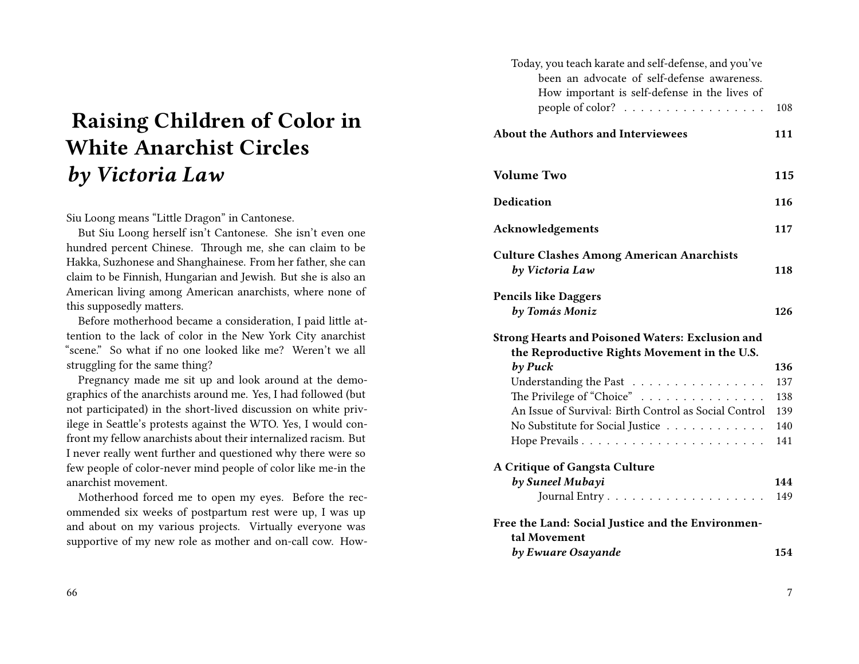# **Raising Children of Color in White Anarchist Circles** *by Victoria Law*

#### Siu Loong means "Little Dragon" in Cantonese.

But Siu Loong herself isn't Cantonese. She isn't even one hundred percent Chinese. Through me, she can claim to be Hakka, Suzhonese and Shanghainese. From her father, she can claim to be Finnish, Hungarian and Jewish. But she is also an American living among American anarchists, where none of this supposedly matters.

Before motherhood became a consideration, I paid little attention to the lack of color in the New York City anarchist "scene." So what if no one looked like me? Weren't we all struggling for the same thing?

Pregnancy made me sit up and look around at the demographics of the anarchists around me. Yes, I had followed (but not participated) in the short-lived discussion on white privilege in Seattle's protests against the WTO. Yes, I would confront my fellow anarchists about their internalized racism. But I never really went further and questioned why there were so few people of color-never mind people of color like me-in the anarchist movement.

Motherhood forced me to open my eyes. Before the recommended six weeks of postpartum rest were up, I was up and about on my various projects. Virtually everyone was supportive of my new role as mother and on-call cow. How-

| Today, you teach karate and self-defense, and you've<br>been an advocate of self-defense awareness.     |     |
|---------------------------------------------------------------------------------------------------------|-----|
| How important is self-defense in the lives of<br>people of color? $\ldots \ldots \ldots \ldots \ldots$  | 108 |
| <b>About the Authors and Interviewees</b>                                                               | 111 |
| <b>Volume Two</b>                                                                                       | 115 |
| <b>Dedication</b>                                                                                       | 116 |
| <b>Acknowledgements</b>                                                                                 | 117 |
| <b>Culture Clashes Among American Anarchists</b><br>by Victoria Law                                     | 118 |
| <b>Pencils like Daggers</b><br>by Tomás Moniz                                                           | 126 |
| <b>Strong Hearts and Poisoned Waters: Exclusion and</b><br>the Reproductive Rights Movement in the U.S. |     |
| by Puck                                                                                                 | 136 |
| Understanding the Past                                                                                  | 137 |
| The Privilege of "Choice"                                                                               | 138 |
| An Issue of Survival: Birth Control as Social Control                                                   | 139 |
| No Substitute for Social Justice                                                                        | 140 |
|                                                                                                         | 141 |
| A Critique of Gangsta Culture                                                                           |     |
| by Suneel Mubayi                                                                                        | 144 |
|                                                                                                         | 149 |
| Free the Land: Social Justice and the Environmen-                                                       |     |
| tal Movement<br>by Ewuare Osayande                                                                      | 154 |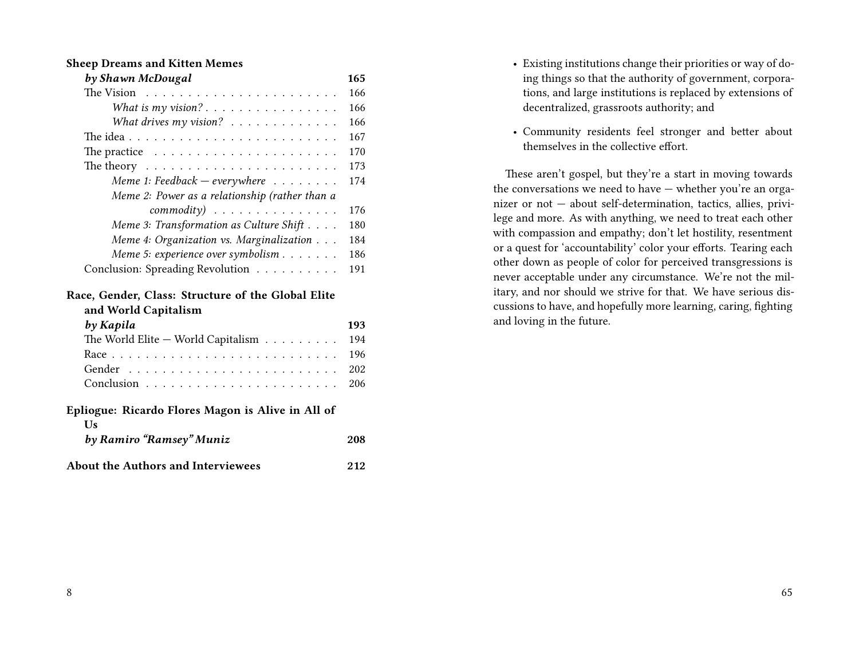#### **Sheep Dreams and Kitten Memes**

| by Shawn McDougal                                               | 165 |
|-----------------------------------------------------------------|-----|
|                                                                 | 166 |
| What is $my$ vision?                                            | 166 |
| What drives $my$ vision?                                        | 166 |
|                                                                 | 167 |
| The practice $\ldots \ldots \ldots \ldots \ldots \ldots \ldots$ | 170 |
| The theory $\dots \dots \dots \dots \dots \dots \dots \dots$    | 173 |
| Meme 1: Feedback $-$ everywhere $\dots \dots$                   | 174 |
| Meme 2: Power as a relationship (rather than a                  |     |
| $commonity)$                                                    | 176 |
| Meme 3: Transformation as Culture Shift                         | 180 |
| Meme 4: Organization vs. Marginalization                        | 184 |
| Meme 5: experience over symbolism                               | 186 |
| Conclusion: Spreading Revolution                                | 191 |
| Race, Gender, Class: Structure of the Global Elite              |     |
| and World Capitalism                                            |     |

| by Kapila                                               | 193 |
|---------------------------------------------------------|-----|
| The World Elite $-$ World Capitalism $ \t$              | 194 |
|                                                         | 196 |
|                                                         | 202 |
|                                                         | 206 |
| Epliogue: Ricardo Flores Magon is Alive in All of<br>Us |     |
| by Ramiro "Ramsey" Muniz                                | 208 |

**About the Authors and Interviewees 212**

- Existing institutions change their priorities or way of doing things so that the authority of government, corporations, and large institutions is replaced by extensions of decentralized, grassroots authority; and
- Community residents feel stronger and better about themselves in the collective effort.

These aren't gospel, but they're a start in moving towards the conversations we need to have — whether you're an organizer or not — about self-determination, tactics, allies, privilege and more. As with anything, we need to treat each other with compassion and empathy; don't let hostility, resentment or a quest for 'accountability' color your efforts. Tearing each other down as people of color for perceived transgressions is never acceptable under any circumstance. We're not the military, and nor should we strive for that. We have serious discussions to have, and hopefully more learning, caring, fighting and loving in the future.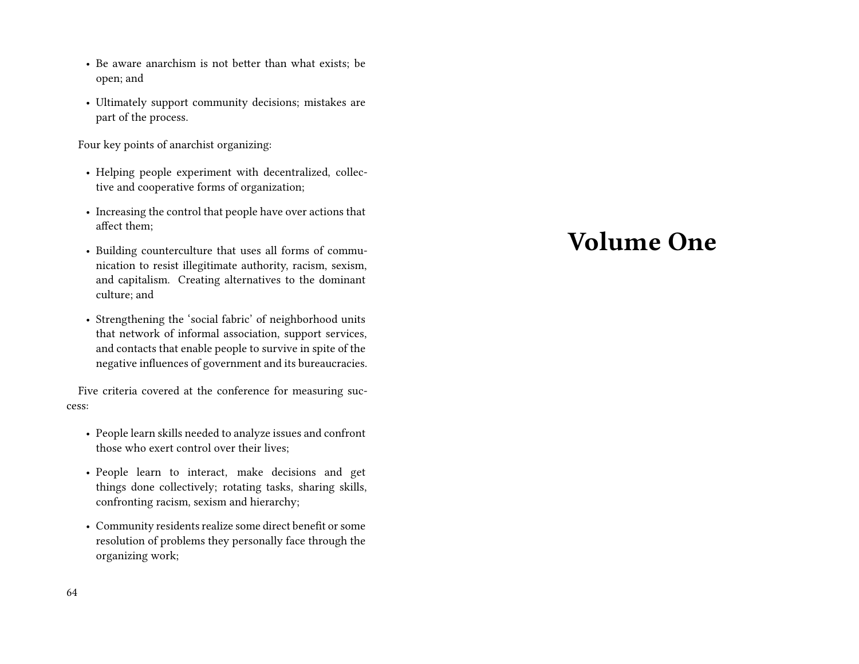- Be aware anarchism is not better than what exists; be open; and
- Ultimately support community decisions; mistakes are part of the process.

Four key points of anarchist organizing:

- Helping people experiment with decentralized, collective and cooperative forms of organization;
- Increasing the control that people have over actions that affect them;
- Building counterculture that uses all forms of communication to resist illegitimate authority, racism, sexism, and capitalism. Creating alternatives to the dominant culture; and
- Strengthening the 'social fabric' of neighborhood units that network of informal association, support services, and contacts that enable people to survive in spite of the negative influences of government and its bureaucracies.

Five criteria covered at the conference for measuring success:

- People learn skills needed to analyze issues and confront those who exert control over their lives;
- People learn to interact, make decisions and get things done collectively; rotating tasks, sharing skills, confronting racism, sexism and hierarchy;
- Community residents realize some direct benefit or some resolution of problems they personally face through the organizing work;

# **Volume One**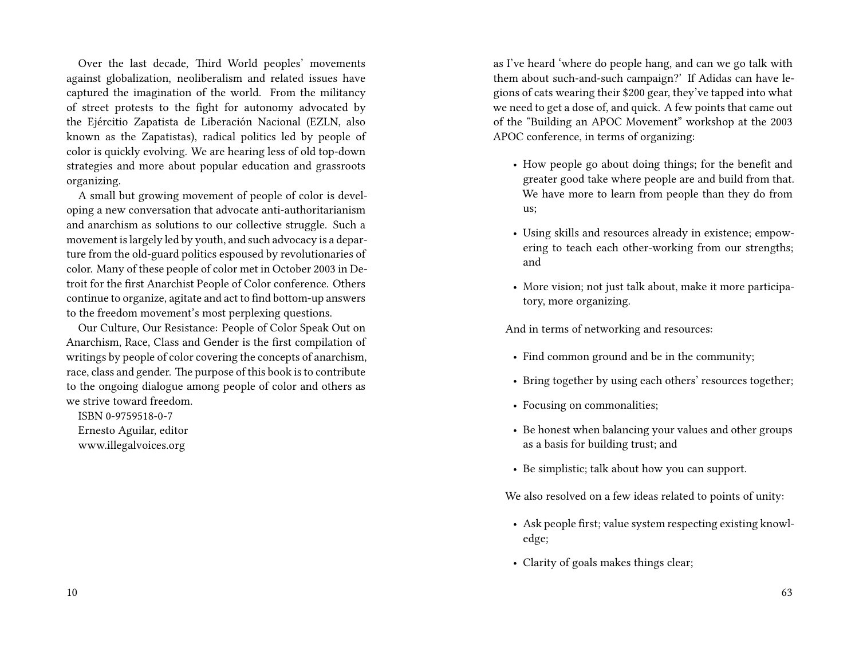Over the last decade, Third World peoples' movements against globalization, neoliberalism and related issues have captured the imagination of the world. From the militancy of street protests to the fight for autonomy advocated by the Ejércitio Zapatista de Liberación Nacional (EZLN, also known as the Zapatistas), radical politics led by people of color is quickly evolving. We are hearing less of old top-down strategies and more about popular education and grassroots organizing.

A small but growing movement of people of color is developing a new conversation that advocate anti-authoritarianism and anarchism as solutions to our collective struggle. Such a movement is largely led by youth, and such advocacy is a departure from the old-guard politics espoused by revolutionaries of color. Many of these people of color met in October 2003 in Detroit for the first Anarchist People of Color conference. Others continue to organize, agitate and act to find bottom-up answers to the freedom movement's most perplexing questions.

Our Culture, Our Resistance: People of Color Speak Out on Anarchism, Race, Class and Gender is the first compilation of writings by people of color covering the concepts of anarchism, race, class and gender. The purpose of this book is to contribute to the ongoing dialogue among people of color and others as we strive toward freedom.

ISBN 0-9759518-0-7 Ernesto Aguilar, editor www.illegalvoices.org

as I've heard 'where do people hang, and can we go talk with them about such-and-such campaign?' If Adidas can have legions of cats wearing their \$200 gear, they've tapped into what we need to get a dose of, and quick. A few points that came out of the "Building an APOC Movement" workshop at the 2003 APOC conference, in terms of organizing:

- How people go about doing things; for the benefit and greater good take where people are and build from that. We have more to learn from people than they do from us;
- Using skills and resources already in existence; empowering to teach each other-working from our strengths; and
- More vision; not just talk about, make it more participatory, more organizing.

And in terms of networking and resources:

- Find common ground and be in the community;
- Bring together by using each others' resources together;
- Focusing on commonalities;
- Be honest when balancing your values and other groups as a basis for building trust; and
- Be simplistic; talk about how you can support.

We also resolved on a few ideas related to points of unity:

- Ask people first; value system respecting existing knowledge;
- Clarity of goals makes things clear;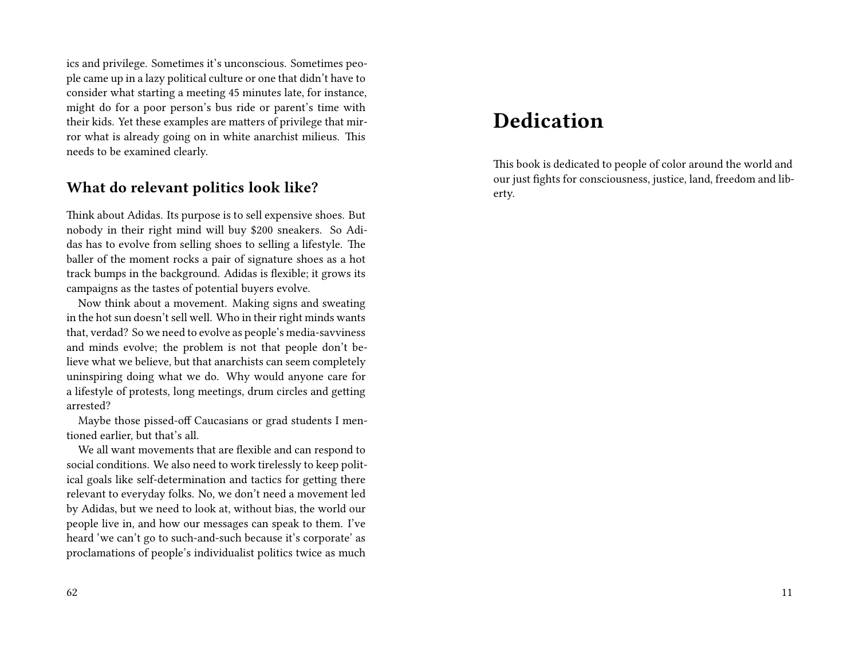ics and privilege. Sometimes it's unconscious. Sometimes people came up in a lazy political culture or one that didn't have to consider what starting a meeting 45 minutes late, for instance, might do for a poor person's bus ride or parent's time with their kids. Yet these examples are matters of privilege that mirror what is already going on in white anarchist milieus. This needs to be examined clearly.

### **What do relevant politics look like?**

Think about Adidas. Its purpose is to sell expensive shoes. But nobody in their right mind will buy \$200 sneakers. So Adidas has to evolve from selling shoes to selling a lifestyle. The baller of the moment rocks a pair of signature shoes as a hot track bumps in the background. Adidas is flexible; it grows its campaigns as the tastes of potential buyers evolve.

Now think about a movement. Making signs and sweating in the hot sun doesn't sell well. Who in their right minds wants that, verdad? So we need to evolve as people's media-savviness and minds evolve; the problem is not that people don't believe what we believe, but that anarchists can seem completely uninspiring doing what we do. Why would anyone care for a lifestyle of protests, long meetings, drum circles and getting arrested?

Maybe those pissed-off Caucasians or grad students I mentioned earlier, but that's all.

We all want movements that are flexible and can respond to social conditions. We also need to work tirelessly to keep political goals like self-determination and tactics for getting there relevant to everyday folks. No, we don't need a movement led by Adidas, but we need to look at, without bias, the world our people live in, and how our messages can speak to them. I've heard 'we can't go to such-and-such because it's corporate' as proclamations of people's individualist politics twice as much

## **Dedication**

This book is dedicated to people of color around the world and our just fights for consciousness, justice, land, freedom and liberty.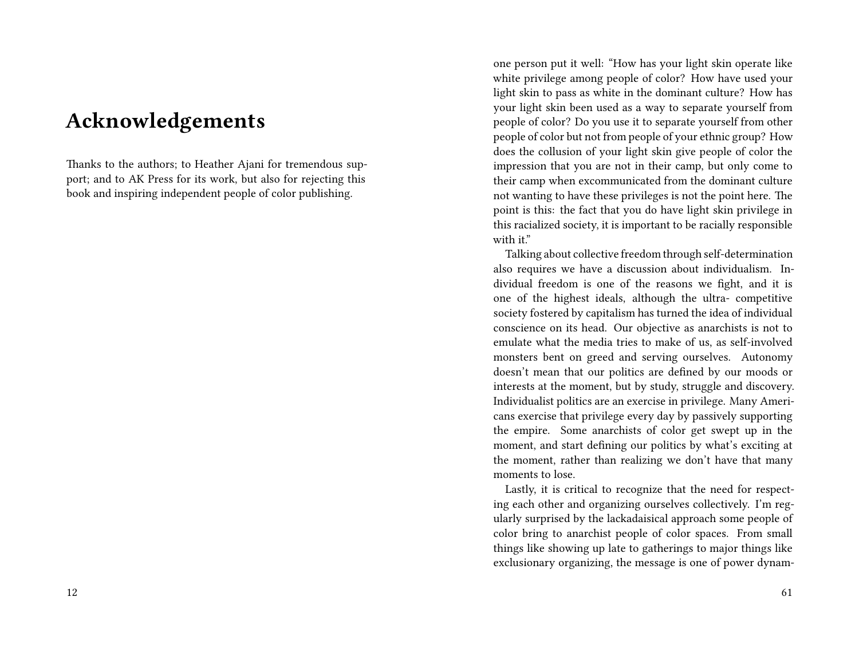## **Acknowledgements**

Thanks to the authors; to Heather Ajani for tremendous support; and to AK Press for its work, but also for rejecting this book and inspiring independent people of color publishing.

one person put it well: "How has your light skin operate like white privilege among people of color? How have used your light skin to pass as white in the dominant culture? How has your light skin been used as a way to separate yourself from people of color? Do you use it to separate yourself from other people of color but not from people of your ethnic group? How does the collusion of your light skin give people of color the impression that you are not in their camp, but only come to their camp when excommunicated from the dominant culture not wanting to have these privileges is not the point here. The point is this: the fact that you do have light skin privilege in this racialized society, it is important to be racially responsible with it."

Talking about collective freedom through self-determination also requires we have a discussion about individualism. Individual freedom is one of the reasons we fight, and it is one of the highest ideals, although the ultra- competitive society fostered by capitalism has turned the idea of individual conscience on its head. Our objective as anarchists is not to emulate what the media tries to make of us, as self-involved monsters bent on greed and serving ourselves. Autonomy doesn't mean that our politics are defined by our moods or interests at the moment, but by study, struggle and discovery. Individualist politics are an exercise in privilege. Many Americans exercise that privilege every day by passively supporting the empire. Some anarchists of color get swept up in the moment, and start defining our politics by what's exciting at the moment, rather than realizing we don't have that many moments to lose.

Lastly, it is critical to recognize that the need for respecting each other and organizing ourselves collectively. I'm regularly surprised by the lackadaisical approach some people of color bring to anarchist people of color spaces. From small things like showing up late to gatherings to major things like exclusionary organizing, the message is one of power dynam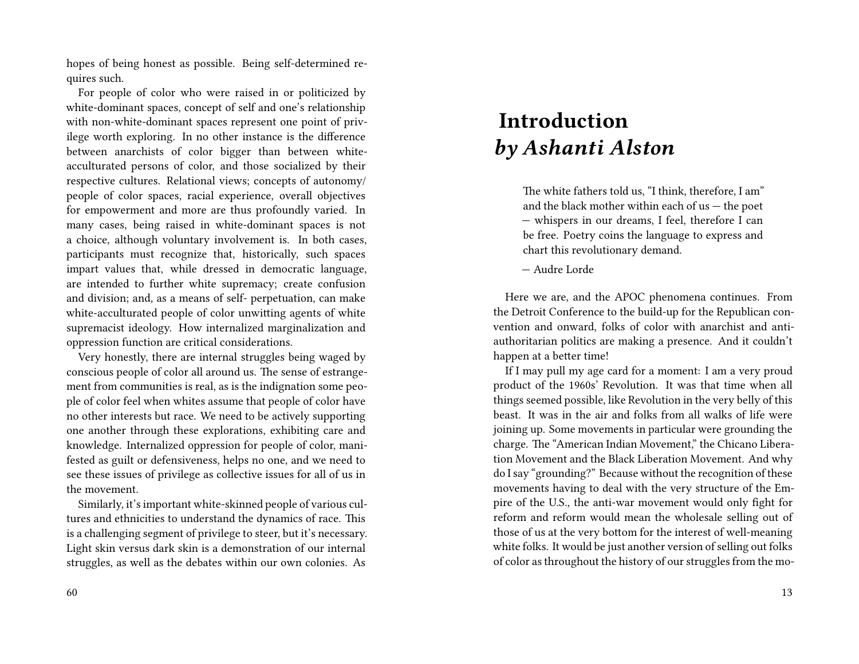hopes of being honest as possible. Being self-determined requires such.

For people of color who were raised in or politicized by white-dominant spaces, concept of self and one's relationship with non-white-dominant spaces represent one point of privilege worth exploring. In no other instance is the difference between anarchists of color bigger than between whiteacculturated persons of color, and those socialized by their respective cultures. Relational views; concepts of autonomy/ people of color spaces, racial experience, overall objectives for empowerment and more are thus profoundly varied. In many cases, being raised in white-dominant spaces is not a choice, although voluntary involvement is. In both cases, participants must recognize that, historically, such spaces impart values that, while dressed in democratic language, are intended to further white supremacy; create confusion and division; and, as a means of self- perpetuation, can make white-acculturated people of color unwitting agents of white supremacist ideology. How internalized marginalization and oppression function are critical considerations.

Very honestly, there are internal struggles being waged by conscious people of color all around us. The sense of estrangement from communities is real, as is the indignation some people of color feel when whites assume that people of color have no other interests but race. We need to be actively supporting one another through these explorations, exhibiting care and knowledge. Internalized oppression for people of color, manifested as guilt or defensiveness, helps no one, and we need to see these issues of privilege as collective issues for all of us in the movement.

Similarly, it's important white-skinned people of various cultures and ethnicities to understand the dynamics of race. This is a challenging segment of privilege to steer, but it's necessary. Light skin versus dark skin is a demonstration of our internal struggles, as well as the debates within our own colonies. As

# **Introduction** *by Ashanti Alston*

The white fathers told us, "I think, therefore, I am" and the black mother within each of  $us$  – the poet — whispers in our dreams, I feel, therefore I can be free. Poetry coins the language to express and chart this revolutionary demand.

— Audre Lorde

Here we are, and the APOC phenomena continues. From the Detroit Conference to the build-up for the Republican convention and onward, folks of color with anarchist and antiauthoritarian politics are making a presence. And it couldn't happen at a better time!

If I may pull my age card for a moment: I am a very proud product of the 1960s' Revolution. It was that time when all things seemed possible, like Revolution in the very belly of this beast. It was in the air and folks from all walks of life were joining up. Some movements in particular were grounding the charge. The "American Indian Movement," the Chicano Liberation Movement and the Black Liberation Movement. And why do I say "grounding?" Because without the recognition of these movements having to deal with the very structure of the Empire of the U.S., the anti-war movement would only fight for reform and reform would mean the wholesale selling out of those of us at the very bottom for the interest of well-meaning white folks. It would be just another version of selling out folks of color as throughout the history of our struggles from the mo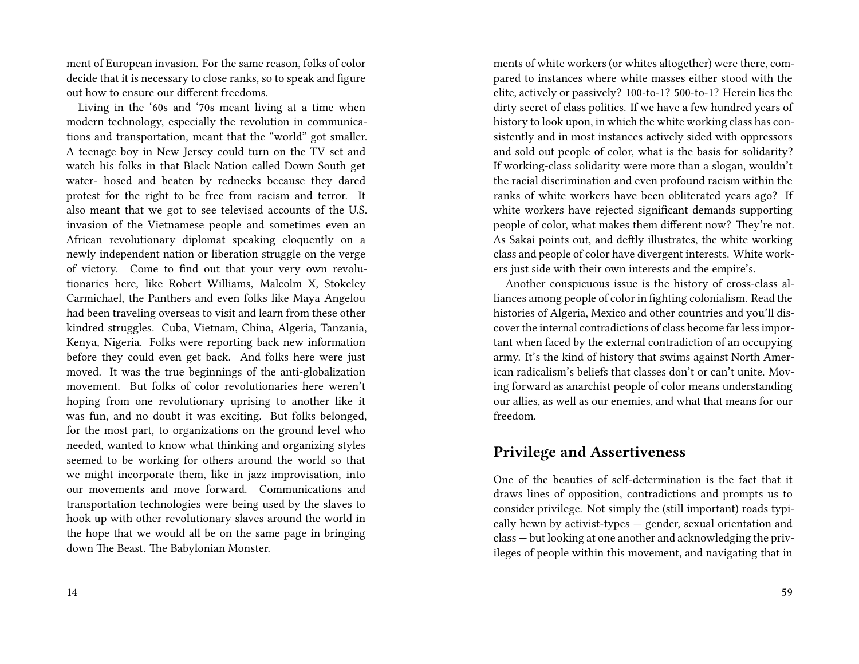ment of European invasion. For the same reason, folks of color decide that it is necessary to close ranks, so to speak and figure out how to ensure our different freedoms.

Living in the '60s and '70s meant living at a time when modern technology, especially the revolution in communications and transportation, meant that the "world" got smaller. A teenage boy in New Jersey could turn on the TV set and watch his folks in that Black Nation called Down South get water- hosed and beaten by rednecks because they dared protest for the right to be free from racism and terror. It also meant that we got to see televised accounts of the U.S. invasion of the Vietnamese people and sometimes even an African revolutionary diplomat speaking eloquently on a newly independent nation or liberation struggle on the verge of victory. Come to find out that your very own revolutionaries here, like Robert Williams, Malcolm X, Stokeley Carmichael, the Panthers and even folks like Maya Angelou had been traveling overseas to visit and learn from these other kindred struggles. Cuba, Vietnam, China, Algeria, Tanzania, Kenya, Nigeria. Folks were reporting back new information before they could even get back. And folks here were just moved. It was the true beginnings of the anti-globalization movement. But folks of color revolutionaries here weren't hoping from one revolutionary uprising to another like it was fun, and no doubt it was exciting. But folks belonged, for the most part, to organizations on the ground level who needed, wanted to know what thinking and organizing styles seemed to be working for others around the world so that we might incorporate them, like in jazz improvisation, into our movements and move forward. Communications and transportation technologies were being used by the slaves to hook up with other revolutionary slaves around the world in the hope that we would all be on the same page in bringing down The Beast. The Babylonian Monster.

ments of white workers (or whites altogether) were there, compared to instances where white masses either stood with the elite, actively or passively? 100-to-1? 500-to-1? Herein lies the dirty secret of class politics. If we have a few hundred years of history to look upon, in which the white working class has consistently and in most instances actively sided with oppressors and sold out people of color, what is the basis for solidarity? If working-class solidarity were more than a slogan, wouldn't the racial discrimination and even profound racism within the ranks of white workers have been obliterated years ago? If white workers have rejected significant demands supporting people of color, what makes them different now? They're not. As Sakai points out, and deftly illustrates, the white working class and people of color have divergent interests. White workers just side with their own interests and the empire's.

Another conspicuous issue is the history of cross-class alliances among people of color in fighting colonialism. Read the histories of Algeria, Mexico and other countries and you'll discover the internal contradictions of class become far less important when faced by the external contradiction of an occupying army. It's the kind of history that swims against North American radicalism's beliefs that classes don't or can't unite. Moving forward as anarchist people of color means understanding our allies, as well as our enemies, and what that means for our freedom.

### **Privilege and Assertiveness**

One of the beauties of self-determination is the fact that it draws lines of opposition, contradictions and prompts us to consider privilege. Not simply the (still important) roads typically hewn by activist-types — gender, sexual orientation and class — but looking at one another and acknowledging the privileges of people within this movement, and navigating that in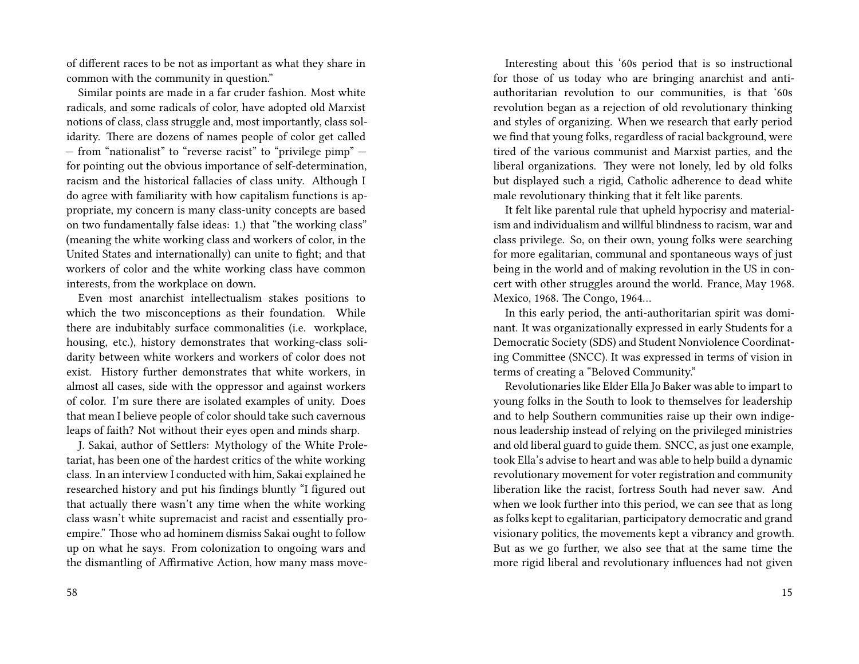of different races to be not as important as what they share in common with the community in question."

Similar points are made in a far cruder fashion. Most white radicals, and some radicals of color, have adopted old Marxist notions of class, class struggle and, most importantly, class solidarity. There are dozens of names people of color get called — from "nationalist" to "reverse racist" to "privilege pimp" for pointing out the obvious importance of self-determination, racism and the historical fallacies of class unity. Although I do agree with familiarity with how capitalism functions is appropriate, my concern is many class-unity concepts are based on two fundamentally false ideas: 1.) that "the working class" (meaning the white working class and workers of color, in the United States and internationally) can unite to fight; and that workers of color and the white working class have common interests, from the workplace on down.

Even most anarchist intellectualism stakes positions to which the two misconceptions as their foundation. While there are indubitably surface commonalities (i.e. workplace, housing, etc.), history demonstrates that working-class solidarity between white workers and workers of color does not exist. History further demonstrates that white workers, in almost all cases, side with the oppressor and against workers of color. I'm sure there are isolated examples of unity. Does that mean I believe people of color should take such cavernous leaps of faith? Not without their eyes open and minds sharp.

J. Sakai, author of Settlers: Mythology of the White Proletariat, has been one of the hardest critics of the white working class. In an interview I conducted with him, Sakai explained he researched history and put his findings bluntly "I figured out that actually there wasn't any time when the white working class wasn't white supremacist and racist and essentially proempire." Those who ad hominem dismiss Sakai ought to follow up on what he says. From colonization to ongoing wars and the dismantling of Affirmative Action, how many mass move-

Interesting about this '60s period that is so instructional for those of us today who are bringing anarchist and antiauthoritarian revolution to our communities, is that '60s revolution began as a rejection of old revolutionary thinking and styles of organizing. When we research that early period we find that young folks, regardless of racial background, were tired of the various communist and Marxist parties, and the liberal organizations. They were not lonely, led by old folks but displayed such a rigid, Catholic adherence to dead white male revolutionary thinking that it felt like parents.

It felt like parental rule that upheld hypocrisy and materialism and individualism and willful blindness to racism, war and class privilege. So, on their own, young folks were searching for more egalitarian, communal and spontaneous ways of just being in the world and of making revolution in the US in concert with other struggles around the world. France, May 1968. Mexico, 1968. The Congo, 1964…

In this early period, the anti-authoritarian spirit was dominant. It was organizationally expressed in early Students for a Democratic Society (SDS) and Student Nonviolence Coordinating Committee (SNCC). It was expressed in terms of vision in terms of creating a "Beloved Community."

Revolutionaries like Elder Ella Jo Baker was able to impart to young folks in the South to look to themselves for leadership and to help Southern communities raise up their own indigenous leadership instead of relying on the privileged ministries and old liberal guard to guide them. SNCC, as just one example, took Ella's advise to heart and was able to help build a dynamic revolutionary movement for voter registration and community liberation like the racist, fortress South had never saw. And when we look further into this period, we can see that as long as folks kept to egalitarian, participatory democratic and grand visionary politics, the movements kept a vibrancy and growth. But as we go further, we also see that at the same time the more rigid liberal and revolutionary influences had not given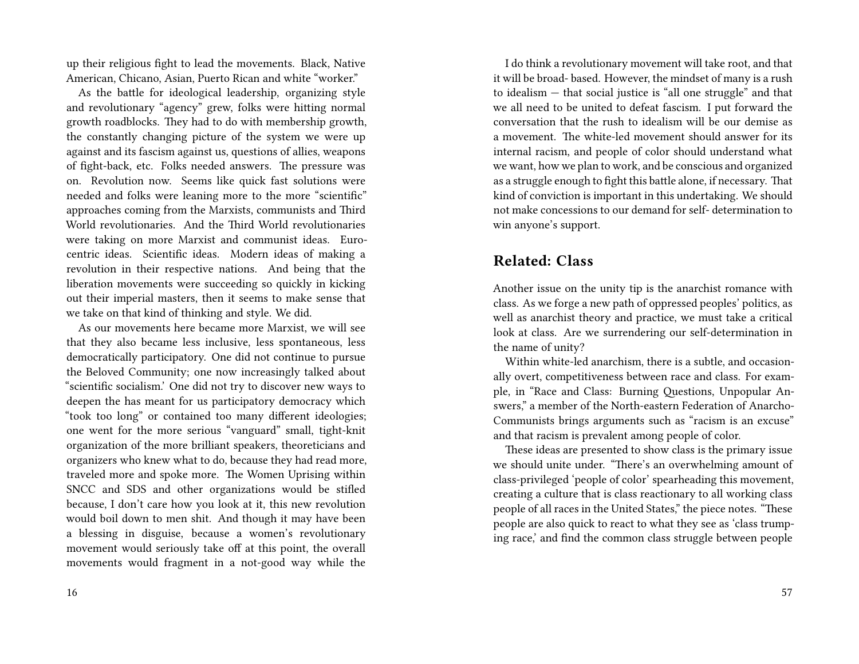up their religious fight to lead the movements. Black, Native American, Chicano, Asian, Puerto Rican and white "worker."

As the battle for ideological leadership, organizing style and revolutionary "agency" grew, folks were hitting normal growth roadblocks. They had to do with membership growth, the constantly changing picture of the system we were up against and its fascism against us, questions of allies, weapons of fight-back, etc. Folks needed answers. The pressure was on. Revolution now. Seems like quick fast solutions were needed and folks were leaning more to the more "scientific" approaches coming from the Marxists, communists and Third World revolutionaries. And the Third World revolutionaries were taking on more Marxist and communist ideas. Eurocentric ideas. Scientific ideas. Modern ideas of making a revolution in their respective nations. And being that the liberation movements were succeeding so quickly in kicking out their imperial masters, then it seems to make sense that we take on that kind of thinking and style. We did.

As our movements here became more Marxist, we will see that they also became less inclusive, less spontaneous, less democratically participatory. One did not continue to pursue the Beloved Community; one now increasingly talked about "scientific socialism.' One did not try to discover new ways to deepen the has meant for us participatory democracy which "took too long" or contained too many different ideologies; one went for the more serious "vanguard" small, tight-knit organization of the more brilliant speakers, theoreticians and organizers who knew what to do, because they had read more, traveled more and spoke more. The Women Uprising within SNCC and SDS and other organizations would be stifled because, I don't care how you look at it, this new revolution would boil down to men shit. And though it may have been a blessing in disguise, because a women's revolutionary movement would seriously take off at this point, the overall movements would fragment in a not-good way while the

I do think a revolutionary movement will take root, and that it will be broad- based. However, the mindset of many is a rush to idealism — that social justice is "all one struggle" and that we all need to be united to defeat fascism. I put forward the conversation that the rush to idealism will be our demise as a movement. The white-led movement should answer for its internal racism, and people of color should understand what we want, how we plan to work, and be conscious and organized as a struggle enough to fight this battle alone, if necessary. That kind of conviction is important in this undertaking. We should not make concessions to our demand for self- determination to win anyone's support.

### **Related: Class**

Another issue on the unity tip is the anarchist romance with class. As we forge a new path of oppressed peoples' politics, as well as anarchist theory and practice, we must take a critical look at class. Are we surrendering our self-determination in the name of unity?

Within white-led anarchism, there is a subtle, and occasionally overt, competitiveness between race and class. For example, in "Race and Class: Burning Questions, Unpopular Answers," a member of the North-eastern Federation of Anarcho-Communists brings arguments such as "racism is an excuse" and that racism is prevalent among people of color.

These ideas are presented to show class is the primary issue we should unite under. "There's an overwhelming amount of class-privileged 'people of color' spearheading this movement, creating a culture that is class reactionary to all working class people of all races in the United States," the piece notes. "These people are also quick to react to what they see as 'class trumping race,' and find the common class struggle between people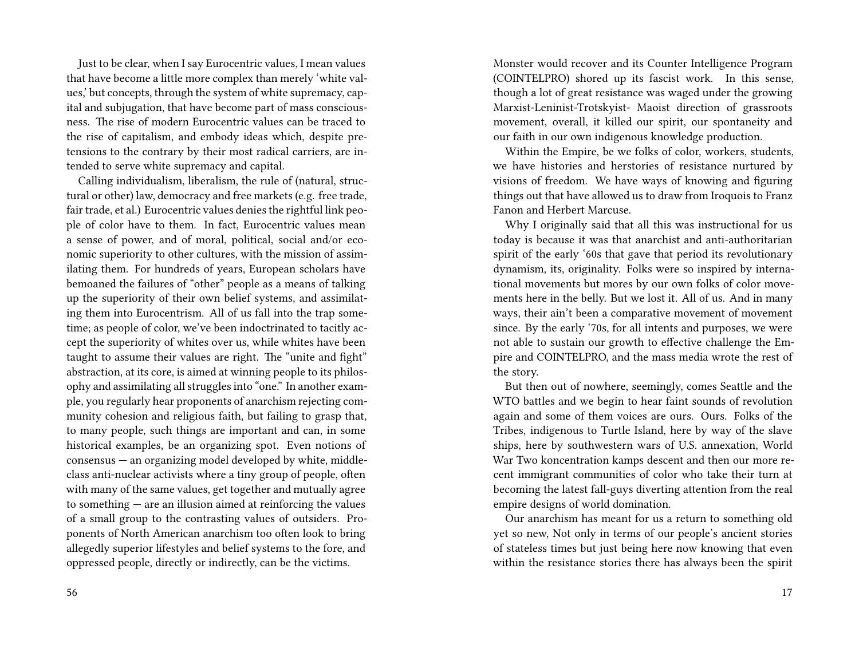Just to be clear, when I say Eurocentric values, I mean values that have become a little more complex than merely 'white values,' but concepts, through the system of white supremacy, capital and subjugation, that have become part of mass consciousness. The rise of modern Eurocentric values can be traced to the rise of capitalism, and embody ideas which, despite pretensions to the contrary by their most radical carriers, are intended to serve white supremacy and capital.

Calling individualism, liberalism, the rule of (natural, structural or other) law, democracy and free markets (e.g. free trade, fair trade, et al.) Eurocentric values denies the rightful link people of color have to them. In fact, Eurocentric values mean a sense of power, and of moral, political, social and/or economic superiority to other cultures, with the mission of assimilating them. For hundreds of years, European scholars have bemoaned the failures of "other" people as a means of talking up the superiority of their own belief systems, and assimilating them into Eurocentrism. All of us fall into the trap sometime; as people of color, we've been indoctrinated to tacitly accept the superiority of whites over us, while whites have been taught to assume their values are right. The "unite and fight" abstraction, at its core, is aimed at winning people to its philosophy and assimilating all struggles into "one." In another example, you regularly hear proponents of anarchism rejecting community cohesion and religious faith, but failing to grasp that, to many people, such things are important and can, in some historical examples, be an organizing spot. Even notions of consensus — an organizing model developed by white, middleclass anti-nuclear activists where a tiny group of people, often with many of the same values, get together and mutually agree to something — are an illusion aimed at reinforcing the values of a small group to the contrasting values of outsiders. Proponents of North American anarchism too often look to bring allegedly superior lifestyles and belief systems to the fore, and oppressed people, directly or indirectly, can be the victims.

Monster would recover and its Counter Intelligence Program (COINTELPRO) shored up its fascist work. In this sense, though a lot of great resistance was waged under the growing Marxist-Leninist-Trotskyist- Maoist direction of grassroots movement, overall, it killed our spirit, our spontaneity and our faith in our own indigenous knowledge production.

Within the Empire, be we folks of color, workers, students, we have histories and herstories of resistance nurtured by visions of freedom. We have ways of knowing and figuring things out that have allowed us to draw from Iroquois to Franz Fanon and Herbert Marcuse.

Why I originally said that all this was instructional for us today is because it was that anarchist and anti-authoritarian spirit of the early '60s that gave that period its revolutionary dynamism, its, originality. Folks were so inspired by international movements but mores by our own folks of color movements here in the belly. But we lost it. All of us. And in many ways, their ain't been a comparative movement of movement since. By the early '70s, for all intents and purposes, we were not able to sustain our growth to effective challenge the Empire and COINTELPRO, and the mass media wrote the rest of the story.

But then out of nowhere, seemingly, comes Seattle and the WTO battles and we begin to hear faint sounds of revolution again and some of them voices are ours. Ours. Folks of the Tribes, indigenous to Turtle Island, here by way of the slave ships, here by southwestern wars of U.S. annexation, World War Two koncentration kamps descent and then our more recent immigrant communities of color who take their turn at becoming the latest fall-guys diverting attention from the real empire designs of world domination.

Our anarchism has meant for us a return to something old yet so new, Not only in terms of our people's ancient stories of stateless times but just being here now knowing that even within the resistance stories there has always been the spirit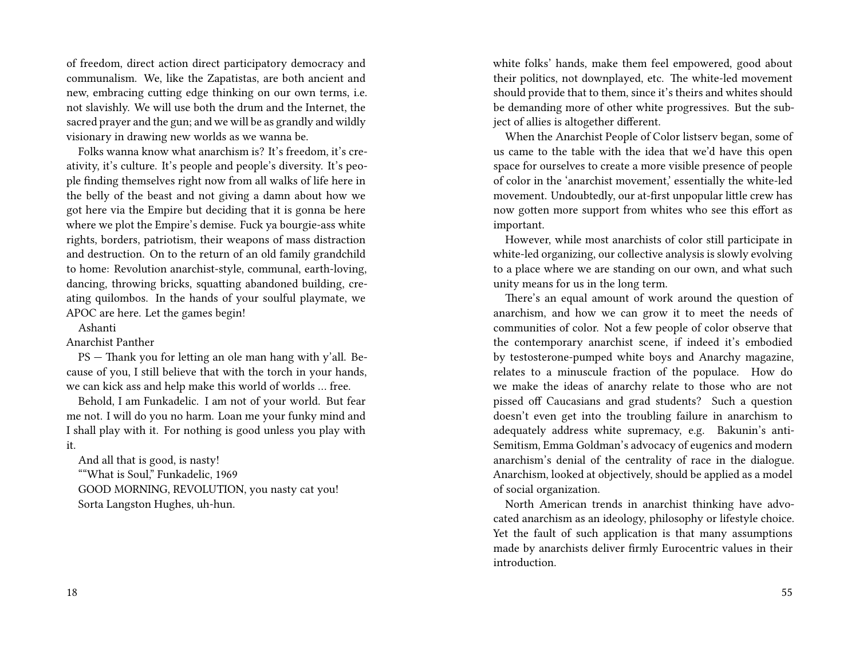of freedom, direct action direct participatory democracy and communalism. We, like the Zapatistas, are both ancient and new, embracing cutting edge thinking on our own terms, i.e. not slavishly. We will use both the drum and the Internet, the sacred prayer and the gun; and we will be as grandly and wildly visionary in drawing new worlds as we wanna be.

Folks wanna know what anarchism is? It's freedom, it's creativity, it's culture. It's people and people's diversity. It's people finding themselves right now from all walks of life here in the belly of the beast and not giving a damn about how we got here via the Empire but deciding that it is gonna be here where we plot the Empire's demise. Fuck ya bourgie-ass white rights, borders, patriotism, their weapons of mass distraction and destruction. On to the return of an old family grandchild to home: Revolution anarchist-style, communal, earth-loving, dancing, throwing bricks, squatting abandoned building, creating quilombos. In the hands of your soulful playmate, we APOC are here. Let the games begin!

Ashanti

Anarchist Panther

PS — Thank you for letting an ole man hang with y'all. Because of you, I still believe that with the torch in your hands, we can kick ass and help make this world of worlds … free.

Behold, I am Funkadelic. I am not of your world. But fear me not. I will do you no harm. Loan me your funky mind and I shall play with it. For nothing is good unless you play with it.

And all that is good, is nasty! ""What is Soul," Funkadelic, 1969 GOOD MORNING, REVOLUTION, you nasty cat you! Sorta Langston Hughes, uh-hun.

white folks' hands, make them feel empowered, good about their politics, not downplayed, etc. The white-led movement should provide that to them, since it's theirs and whites should be demanding more of other white progressives. But the subject of allies is altogether different.

When the Anarchist People of Color listserv began, some of us came to the table with the idea that we'd have this open space for ourselves to create a more visible presence of people of color in the 'anarchist movement,' essentially the white-led movement. Undoubtedly, our at-first unpopular little crew has now gotten more support from whites who see this effort as important.

However, while most anarchists of color still participate in white-led organizing, our collective analysis is slowly evolving to a place where we are standing on our own, and what such unity means for us in the long term.

There's an equal amount of work around the question of anarchism, and how we can grow it to meet the needs of communities of color. Not a few people of color observe that the contemporary anarchist scene, if indeed it's embodied by testosterone-pumped white boys and Anarchy magazine, relates to a minuscule fraction of the populace. How do we make the ideas of anarchy relate to those who are not pissed off Caucasians and grad students? Such a question doesn't even get into the troubling failure in anarchism to adequately address white supremacy, e.g. Bakunin's anti-Semitism, Emma Goldman's advocacy of eugenics and modern anarchism's denial of the centrality of race in the dialogue. Anarchism, looked at objectively, should be applied as a model of social organization.

North American trends in anarchist thinking have advocated anarchism as an ideology, philosophy or lifestyle choice. Yet the fault of such application is that many assumptions made by anarchists deliver firmly Eurocentric values in their introduction.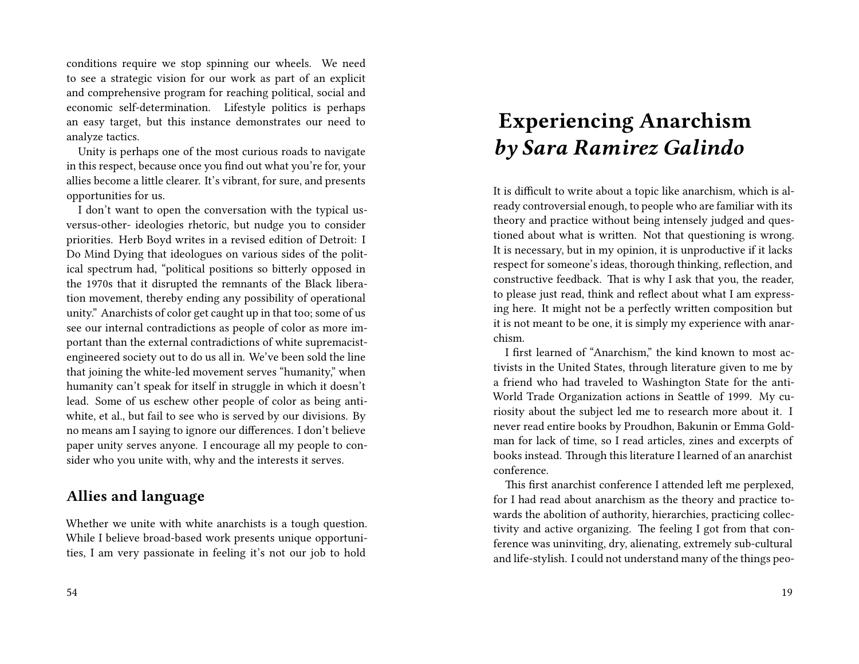conditions require we stop spinning our wheels. We need to see a strategic vision for our work as part of an explicit and comprehensive program for reaching political, social and economic self-determination. Lifestyle politics is perhaps an easy target, but this instance demonstrates our need to analyze tactics.

Unity is perhaps one of the most curious roads to navigate in this respect, because once you find out what you're for, your allies become a little clearer. It's vibrant, for sure, and presents opportunities for us.

I don't want to open the conversation with the typical usversus-other- ideologies rhetoric, but nudge you to consider priorities. Herb Boyd writes in a revised edition of Detroit: I Do Mind Dying that ideologues on various sides of the political spectrum had, "political positions so bitterly opposed in the 1970s that it disrupted the remnants of the Black liberation movement, thereby ending any possibility of operational unity." Anarchists of color get caught up in that too; some of us see our internal contradictions as people of color as more important than the external contradictions of white supremacistengineered society out to do us all in. We've been sold the line that joining the white-led movement serves "humanity," when humanity can't speak for itself in struggle in which it doesn't lead. Some of us eschew other people of color as being antiwhite, et al., but fail to see who is served by our divisions. By no means am I saying to ignore our differences. I don't believe paper unity serves anyone. I encourage all my people to consider who you unite with, why and the interests it serves.

### **Allies and language**

Whether we unite with white anarchists is a tough question. While I believe broad-based work presents unique opportunities, I am very passionate in feeling it's not our job to hold

# **Experiencing Anarchism** *by Sara Ramirez Galindo*

It is difficult to write about a topic like anarchism, which is already controversial enough, to people who are familiar with its theory and practice without being intensely judged and questioned about what is written. Not that questioning is wrong. It is necessary, but in my opinion, it is unproductive if it lacks respect for someone's ideas, thorough thinking, reflection, and constructive feedback. That is why I ask that you, the reader, to please just read, think and reflect about what I am expressing here. It might not be a perfectly written composition but it is not meant to be one, it is simply my experience with anarchism.

I first learned of "Anarchism," the kind known to most activists in the United States, through literature given to me by a friend who had traveled to Washington State for the anti-World Trade Organization actions in Seattle of 1999. My curiosity about the subject led me to research more about it. I never read entire books by Proudhon, Bakunin or Emma Goldman for lack of time, so I read articles, zines and excerpts of books instead. Through this literature I learned of an anarchist conference.

This first anarchist conference I attended left me perplexed, for I had read about anarchism as the theory and practice towards the abolition of authority, hierarchies, practicing collectivity and active organizing. The feeling I got from that conference was uninviting, dry, alienating, extremely sub-cultural and life-stylish. I could not understand many of the things peo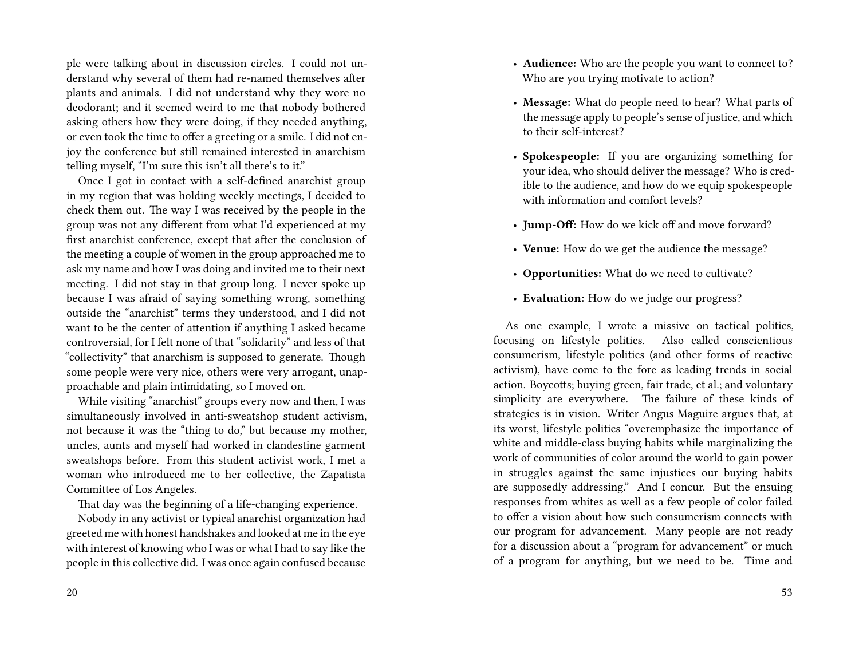ple were talking about in discussion circles. I could not understand why several of them had re-named themselves after plants and animals. I did not understand why they wore no deodorant; and it seemed weird to me that nobody bothered asking others how they were doing, if they needed anything, or even took the time to offer a greeting or a smile. I did not enjoy the conference but still remained interested in anarchism telling myself, "I'm sure this isn't all there's to it."

Once I got in contact with a self-defined anarchist group in my region that was holding weekly meetings, I decided to check them out. The way I was received by the people in the group was not any different from what I'd experienced at my first anarchist conference, except that after the conclusion of the meeting a couple of women in the group approached me to ask my name and how I was doing and invited me to their next meeting. I did not stay in that group long. I never spoke up because I was afraid of saying something wrong, something outside the "anarchist" terms they understood, and I did not want to be the center of attention if anything I asked became controversial, for I felt none of that "solidarity" and less of that "collectivity" that anarchism is supposed to generate. Though some people were very nice, others were very arrogant, unapproachable and plain intimidating, so I moved on.

While visiting "anarchist" groups every now and then, I was simultaneously involved in anti-sweatshop student activism, not because it was the "thing to do," but because my mother, uncles, aunts and myself had worked in clandestine garment sweatshops before. From this student activist work, I met a woman who introduced me to her collective, the Zapatista Committee of Los Angeles.

That day was the beginning of a life-changing experience.

Nobody in any activist or typical anarchist organization had greeted me with honest handshakes and looked at me in the eye with interest of knowing who I was or what I had to say like the people in this collective did. I was once again confused because

- **Audience:** Who are the people you want to connect to? Who are you trying motivate to action?
- **Message:** What do people need to hear? What parts of the message apply to people's sense of justice, and which to their self-interest?
- **Spokespeople:** If you are organizing something for your idea, who should deliver the message? Who is credible to the audience, and how do we equip spokespeople with information and comfort levels?
- **Jump-Off:** How do we kick off and move forward?
- **Venue:** How do we get the audience the message?
- **Opportunities:** What do we need to cultivate?
- **Evaluation:** How do we judge our progress?

As one example, I wrote a missive on tactical politics, focusing on lifestyle politics. Also called conscientious consumerism, lifestyle politics (and other forms of reactive activism), have come to the fore as leading trends in social action. Boycotts; buying green, fair trade, et al.; and voluntary simplicity are everywhere. The failure of these kinds of strategies is in vision. Writer Angus Maguire argues that, at its worst, lifestyle politics "overemphasize the importance of white and middle-class buying habits while marginalizing the work of communities of color around the world to gain power in struggles against the same injustices our buying habits are supposedly addressing." And I concur. But the ensuing responses from whites as well as a few people of color failed to offer a vision about how such consumerism connects with our program for advancement. Many people are not ready for a discussion about a "program for advancement" or much of a program for anything, but we need to be. Time and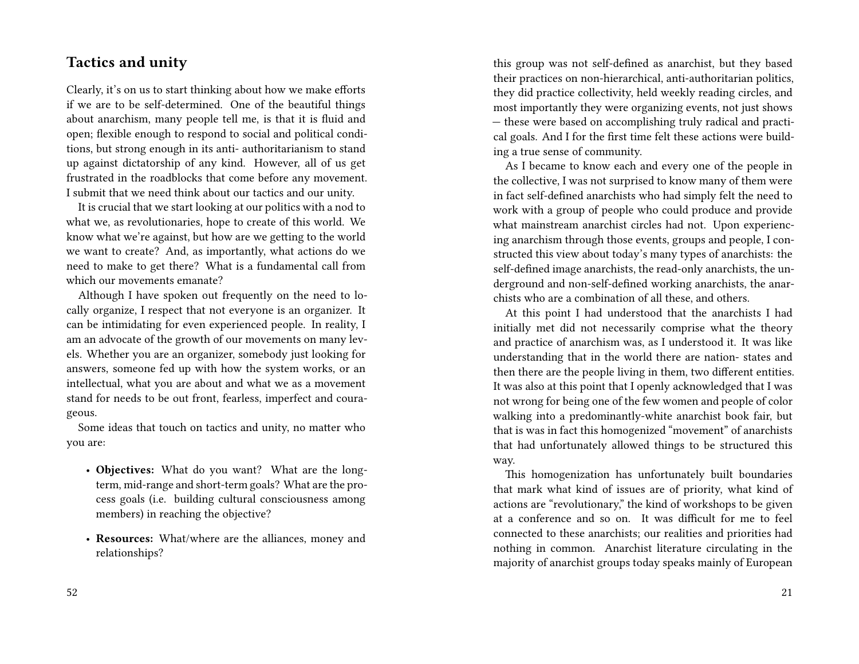### **Tactics and unity**

Clearly, it's on us to start thinking about how we make efforts if we are to be self-determined. One of the beautiful things about anarchism, many people tell me, is that it is fluid and open; flexible enough to respond to social and political conditions, but strong enough in its anti- authoritarianism to stand up against dictatorship of any kind. However, all of us get frustrated in the roadblocks that come before any movement. I submit that we need think about our tactics and our unity.

It is crucial that we start looking at our politics with a nod to what we, as revolutionaries, hope to create of this world. We know what we're against, but how are we getting to the world we want to create? And, as importantly, what actions do we need to make to get there? What is a fundamental call from which our movements emanate?

Although I have spoken out frequently on the need to locally organize, I respect that not everyone is an organizer. It can be intimidating for even experienced people. In reality, I am an advocate of the growth of our movements on many levels. Whether you are an organizer, somebody just looking for answers, someone fed up with how the system works, or an intellectual, what you are about and what we as a movement stand for needs to be out front, fearless, imperfect and courageous.

Some ideas that touch on tactics and unity, no matter who you are:

- **Objectives:** What do you want? What are the longterm, mid-range and short-term goals? What are the process goals (i.e. building cultural consciousness among members) in reaching the objective?
- **Resources:** What/where are the alliances, money and relationships?

this group was not self-defined as anarchist, but they based their practices on non-hierarchical, anti-authoritarian politics, they did practice collectivity, held weekly reading circles, and most importantly they were organizing events, not just shows — these were based on accomplishing truly radical and practical goals. And I for the first time felt these actions were building a true sense of community.

As I became to know each and every one of the people in the collective, I was not surprised to know many of them were in fact self-defined anarchists who had simply felt the need to work with a group of people who could produce and provide what mainstream anarchist circles had not. Upon experiencing anarchism through those events, groups and people, I constructed this view about today's many types of anarchists: the self-defined image anarchists, the read-only anarchists, the underground and non-self-defined working anarchists, the anarchists who are a combination of all these, and others.

At this point I had understood that the anarchists I had initially met did not necessarily comprise what the theory and practice of anarchism was, as I understood it. It was like understanding that in the world there are nation- states and then there are the people living in them, two different entities. It was also at this point that I openly acknowledged that I was not wrong for being one of the few women and people of color walking into a predominantly-white anarchist book fair, but that is was in fact this homogenized "movement" of anarchists that had unfortunately allowed things to be structured this way.

This homogenization has unfortunately built boundaries that mark what kind of issues are of priority, what kind of actions are "revolutionary," the kind of workshops to be given at a conference and so on. It was difficult for me to feel connected to these anarchists; our realities and priorities had nothing in common. Anarchist literature circulating in the majority of anarchist groups today speaks mainly of European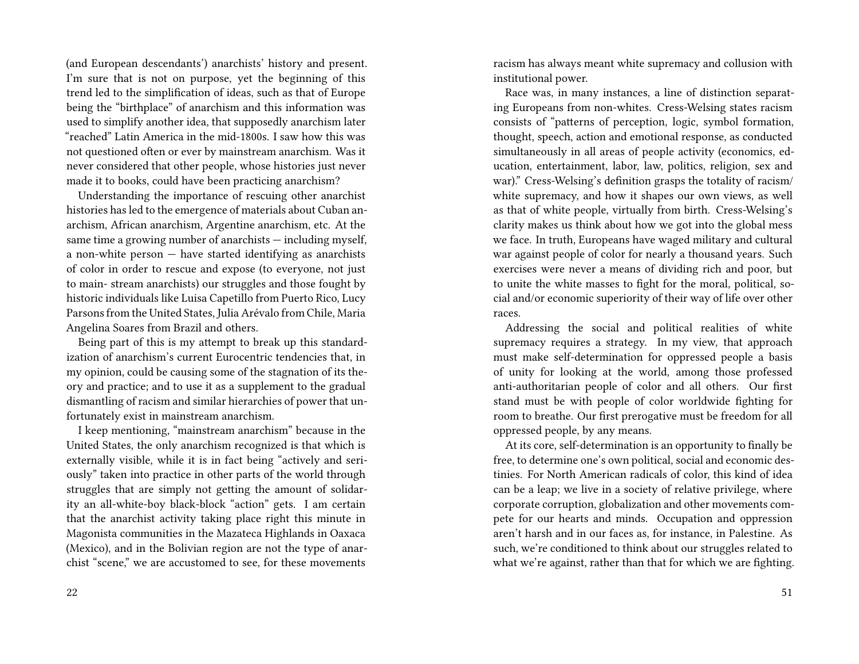(and European descendants') anarchists' history and present. I'm sure that is not on purpose, yet the beginning of this trend led to the simplification of ideas, such as that of Europe being the "birthplace" of anarchism and this information was used to simplify another idea, that supposedly anarchism later "reached" Latin America in the mid-1800s. I saw how this was not questioned often or ever by mainstream anarchism. Was it never considered that other people, whose histories just never made it to books, could have been practicing anarchism?

Understanding the importance of rescuing other anarchist histories has led to the emergence of materials about Cuban anarchism, African anarchism, Argentine anarchism, etc. At the same time a growing number of anarchists — including myself, a non-white person — have started identifying as anarchists of color in order to rescue and expose (to everyone, not just to main- stream anarchists) our struggles and those fought by historic individuals like Luisa Capetillo from Puerto Rico, Lucy Parsons from the United States, Julia Arévalo from Chile, Maria Angelina Soares from Brazil and others.

Being part of this is my attempt to break up this standardization of anarchism's current Eurocentric tendencies that, in my opinion, could be causing some of the stagnation of its theory and practice; and to use it as a supplement to the gradual dismantling of racism and similar hierarchies of power that unfortunately exist in mainstream anarchism.

I keep mentioning, "mainstream anarchism" because in the United States, the only anarchism recognized is that which is externally visible, while it is in fact being "actively and seriously" taken into practice in other parts of the world through struggles that are simply not getting the amount of solidarity an all-white-boy black-block "action" gets. I am certain that the anarchist activity taking place right this minute in Magonista communities in the Mazateca Highlands in Oaxaca (Mexico), and in the Bolivian region are not the type of anarchist "scene," we are accustomed to see, for these movements

racism has always meant white supremacy and collusion with institutional power.

Race was, in many instances, a line of distinction separating Europeans from non-whites. Cress-Welsing states racism consists of "patterns of perception, logic, symbol formation, thought, speech, action and emotional response, as conducted simultaneously in all areas of people activity (economics, education, entertainment, labor, law, politics, religion, sex and war)." Cress-Welsing's definition grasps the totality of racism/ white supremacy, and how it shapes our own views, as well as that of white people, virtually from birth. Cress-Welsing's clarity makes us think about how we got into the global mess we face. In truth, Europeans have waged military and cultural war against people of color for nearly a thousand years. Such exercises were never a means of dividing rich and poor, but to unite the white masses to fight for the moral, political, social and/or economic superiority of their way of life over other races.

Addressing the social and political realities of white supremacy requires a strategy. In my view, that approach must make self-determination for oppressed people a basis of unity for looking at the world, among those professed anti-authoritarian people of color and all others. Our first stand must be with people of color worldwide fighting for room to breathe. Our first prerogative must be freedom for all oppressed people, by any means.

At its core, self-determination is an opportunity to finally be free, to determine one's own political, social and economic destinies. For North American radicals of color, this kind of idea can be a leap; we live in a society of relative privilege, where corporate corruption, globalization and other movements compete for our hearts and minds. Occupation and oppression aren't harsh and in our faces as, for instance, in Palestine. As such, we're conditioned to think about our struggles related to what we're against, rather than that for which we are fighting.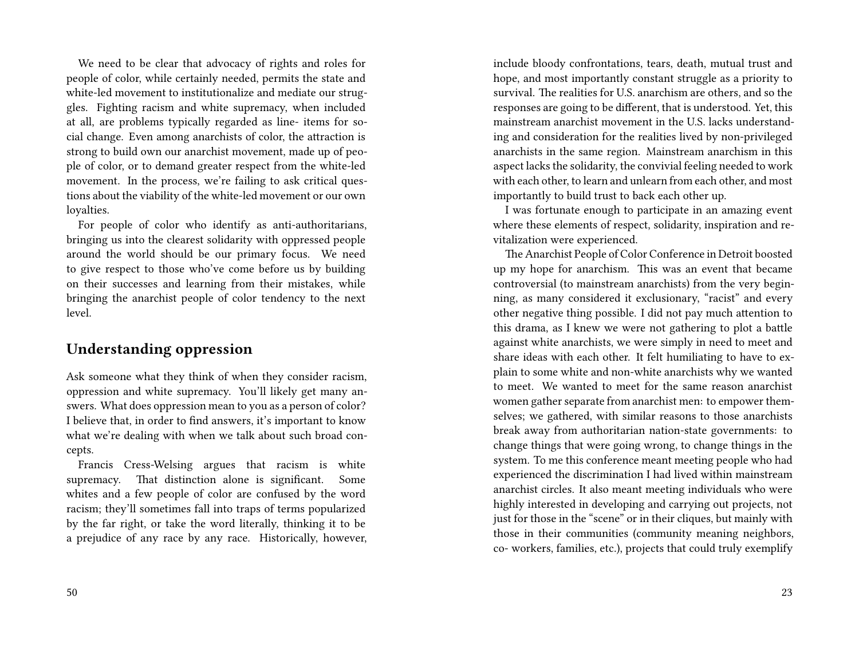We need to be clear that advocacy of rights and roles for people of color, while certainly needed, permits the state and white-led movement to institutionalize and mediate our struggles. Fighting racism and white supremacy, when included at all, are problems typically regarded as line- items for social change. Even among anarchists of color, the attraction is strong to build own our anarchist movement, made up of people of color, or to demand greater respect from the white-led movement. In the process, we're failing to ask critical questions about the viability of the white-led movement or our own loyalties.

For people of color who identify as anti-authoritarians, bringing us into the clearest solidarity with oppressed people around the world should be our primary focus. We need to give respect to those who've come before us by building on their successes and learning from their mistakes, while bringing the anarchist people of color tendency to the next level.

### **Understanding oppression**

Ask someone what they think of when they consider racism, oppression and white supremacy. You'll likely get many answers. What does oppression mean to you as a person of color? I believe that, in order to find answers, it's important to know what we're dealing with when we talk about such broad concepts.

Francis Cress-Welsing argues that racism is white supremacy. That distinction alone is significant. Some whites and a few people of color are confused by the word racism; they'll sometimes fall into traps of terms popularized by the far right, or take the word literally, thinking it to be a prejudice of any race by any race. Historically, however, include bloody confrontations, tears, death, mutual trust and hope, and most importantly constant struggle as a priority to survival. The realities for U.S. anarchism are others, and so the responses are going to be different, that is understood. Yet, this mainstream anarchist movement in the U.S. lacks understanding and consideration for the realities lived by non-privileged anarchists in the same region. Mainstream anarchism in this aspect lacks the solidarity, the convivial feeling needed to work with each other, to learn and unlearn from each other, and most importantly to build trust to back each other up.

I was fortunate enough to participate in an amazing event where these elements of respect, solidarity, inspiration and revitalization were experienced.

The Anarchist People of Color Conference in Detroit boosted up my hope for anarchism. This was an event that became controversial (to mainstream anarchists) from the very beginning, as many considered it exclusionary, "racist" and every other negative thing possible. I did not pay much attention to this drama, as I knew we were not gathering to plot a battle against white anarchists, we were simply in need to meet and share ideas with each other. It felt humiliating to have to explain to some white and non-white anarchists why we wanted to meet. We wanted to meet for the same reason anarchist women gather separate from anarchist men: to empower themselves; we gathered, with similar reasons to those anarchists break away from authoritarian nation-state governments: to change things that were going wrong, to change things in the system. To me this conference meant meeting people who had experienced the discrimination I had lived within mainstream anarchist circles. It also meant meeting individuals who were highly interested in developing and carrying out projects, not just for those in the "scene" or in their cliques, but mainly with those in their communities (community meaning neighbors, co- workers, families, etc.), projects that could truly exemplify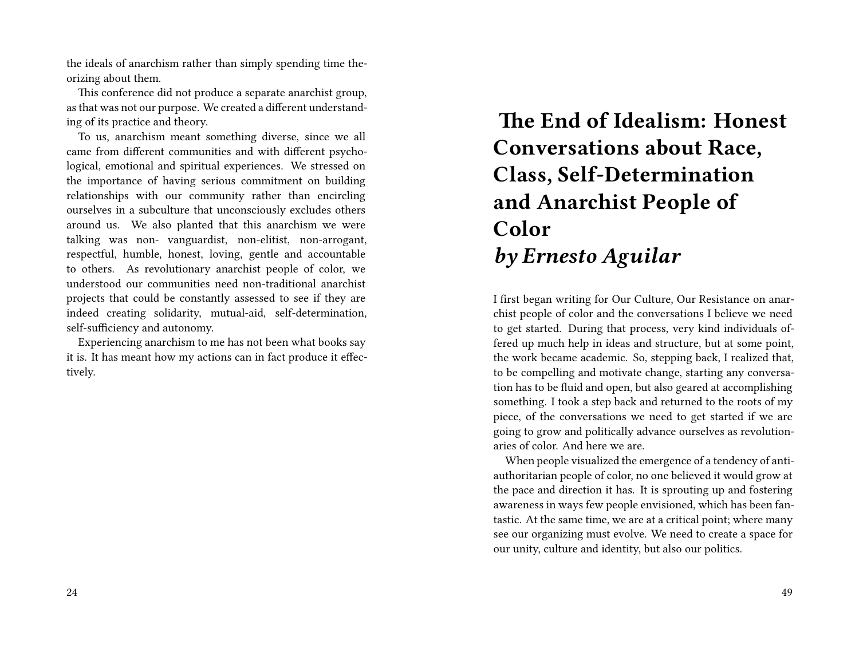the ideals of anarchism rather than simply spending time theorizing about them.

This conference did not produce a separate anarchist group, as that was not our purpose. We created a different understanding of its practice and theory.

To us, anarchism meant something diverse, since we all came from different communities and with different psychological, emotional and spiritual experiences. We stressed on the importance of having serious commitment on building relationships with our community rather than encircling ourselves in a subculture that unconsciously excludes others around us. We also planted that this anarchism we were talking was non- vanguardist, non-elitist, non-arrogant, respectful, humble, honest, loving, gentle and accountable to others. As revolutionary anarchist people of color, we understood our communities need non-traditional anarchist projects that could be constantly assessed to see if they are indeed creating solidarity, mutual-aid, self-determination, self-sufficiency and autonomy.

Experiencing anarchism to me has not been what books say it is. It has meant how my actions can in fact produce it effectively.

# **The End of Idealism: Honest Conversations about Race, Class, Self-Determination and Anarchist People of Color** *by Ernesto Aguilar*

I first began writing for Our Culture, Our Resistance on anarchist people of color and the conversations I believe we need to get started. During that process, very kind individuals offered up much help in ideas and structure, but at some point, the work became academic. So, stepping back, I realized that, to be compelling and motivate change, starting any conversation has to be fluid and open, but also geared at accomplishing something. I took a step back and returned to the roots of my piece, of the conversations we need to get started if we are going to grow and politically advance ourselves as revolutionaries of color. And here we are.

When people visualized the emergence of a tendency of antiauthoritarian people of color, no one believed it would grow at the pace and direction it has. It is sprouting up and fostering awareness in ways few people envisioned, which has been fantastic. At the same time, we are at a critical point; where many see our organizing must evolve. We need to create a space for our unity, culture and identity, but also our politics.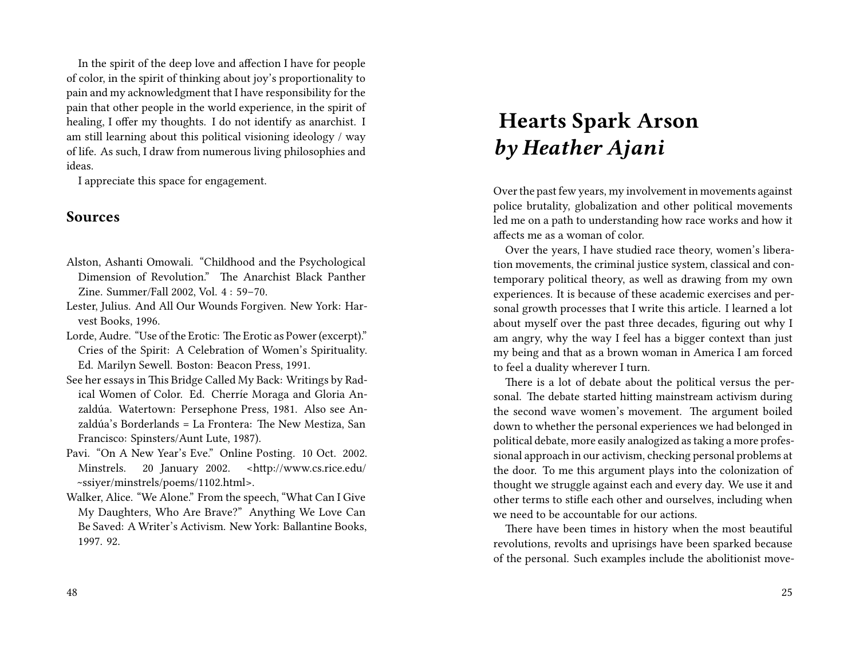In the spirit of the deep love and affection I have for people of color, in the spirit of thinking about joy's proportionality to pain and my acknowledgment that I have responsibility for the pain that other people in the world experience, in the spirit of healing, I offer my thoughts. I do not identify as anarchist. I am still learning about this political visioning ideology / way of life. As such, I draw from numerous living philosophies and ideas.

I appreciate this space for engagement.

### **Sources**

- Alston, Ashanti Omowali. "Childhood and the Psychological Dimension of Revolution." The Anarchist Black Panther Zine. Summer/Fall 2002, Vol. 4 : 59–70.
- Lester, Julius. And All Our Wounds Forgiven. New York: Harvest Books, 1996.
- Lorde, Audre. "Use of the Erotic: The Erotic as Power (excerpt)." Cries of the Spirit: A Celebration of Women's Spirituality. Ed. Marilyn Sewell. Boston: Beacon Press, 1991.
- See her essays in This Bridge Called My Back: Writings by Radical Women of Color. Ed. Cherríe Moraga and Gloria Anzaldúa. Watertown: Persephone Press, 1981. Also see Anzaldúa's Borderlands = La Frontera: The New Mestiza, San Francisco: Spinsters/Aunt Lute, 1987).
- Pavi. "On A New Year's Eve." Online Posting. 10 Oct. 2002. Minstrels. 20 January 2002. <http://www.cs.rice.edu/ ~ssiyer/minstrels/poems/1102.html>.
- Walker, Alice. "We Alone." From the speech, "What Can I Give My Daughters, Who Are Brave?" Anything We Love Can Be Saved: A Writer's Activism. New York: Ballantine Books, 1997. 92.

# **Hearts Spark Arson** *by Heather Ajani*

Over the past few years, my involvement in movements against police brutality, globalization and other political movements led me on a path to understanding how race works and how it affects me as a woman of color.

Over the years, I have studied race theory, women's liberation movements, the criminal justice system, classical and contemporary political theory, as well as drawing from my own experiences. It is because of these academic exercises and personal growth processes that I write this article. I learned a lot about myself over the past three decades, figuring out why I am angry, why the way I feel has a bigger context than just my being and that as a brown woman in America I am forced to feel a duality wherever I turn.

There is a lot of debate about the political versus the personal. The debate started hitting mainstream activism during the second wave women's movement. The argument boiled down to whether the personal experiences we had belonged in political debate, more easily analogized as taking a more professional approach in our activism, checking personal problems at the door. To me this argument plays into the colonization of thought we struggle against each and every day. We use it and other terms to stifle each other and ourselves, including when we need to be accountable for our actions.

There have been times in history when the most beautiful revolutions, revolts and uprisings have been sparked because of the personal. Such examples include the abolitionist move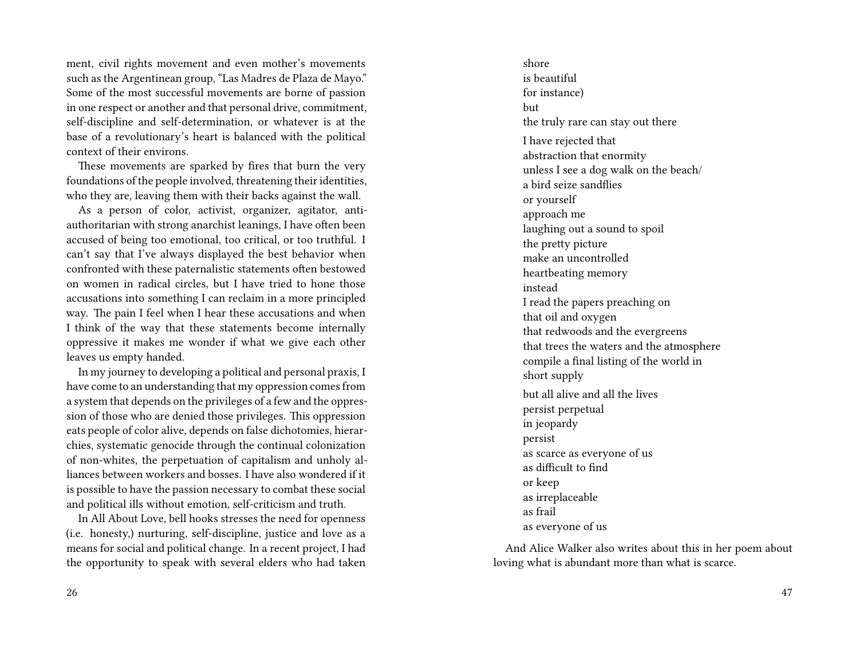ment, civil rights movement and even mother's movements such as the Argentinean group, "Las Madres de Plaza de Mayo." Some of the most successful movements are borne of passion in one respect or another and that personal drive, commitment, self-discipline and self-determination, or whatever is at the base of a revolutionary's heart is balanced with the political context of their environs.

These movements are sparked by fires that burn the very foundations of the people involved, threatening their identities, who they are, leaving them with their backs against the wall.

As a person of color, activist, organizer, agitator, antiauthoritarian with strong anarchist leanings, I have often been accused of being too emotional, too critical, or too truthful. I can't say that I've always displayed the best behavior when confronted with these paternalistic statements often bestowed on women in radical circles, but I have tried to hone those accusations into something I can reclaim in a more principled way. The pain I feel when I hear these accusations and when I think of the way that these statements become internally oppressive it makes me wonder if what we give each other leaves us empty handed.

In my journey to developing a political and personal praxis, I have come to an understanding that my oppression comes from a system that depends on the privileges of a few and the oppression of those who are denied those privileges. This oppression eats people of color alive, depends on false dichotomies, hierarchies, systematic genocide through the continual colonization of non-whites, the perpetuation of capitalism and unholy alliances between workers and bosses. I have also wondered if it is possible to have the passion necessary to combat these social and political ills without emotion, self-criticism and truth.

In All About Love, bell hooks stresses the need for openness (i.e. honesty,) nurturing, self-discipline, justice and love as a means for social and political change. In a recent project, I had the opportunity to speak with several elders who had taken

shore is beautiful for instance) but the truly rare can stay out there I have rejected that abstraction that enormity unless I see a dog walk on the beach/ a bird seize sandflies or yourself approach me laughing out a sound to spoil the pretty picture make an uncontrolled heartbeating memory instead I read the papers preaching on that oil and oxygen that redwoods and the evergreens that trees the waters and the atmosphere compile a final listing of the world in short supply but all alive and all the lives persist perpetual in jeopardy persist as scarce as everyone of us as difficult to find or keep as irreplaceable as frail as everyone of us

And Alice Walker also writes about this in her poem about loving what is abundant more than what is scarce.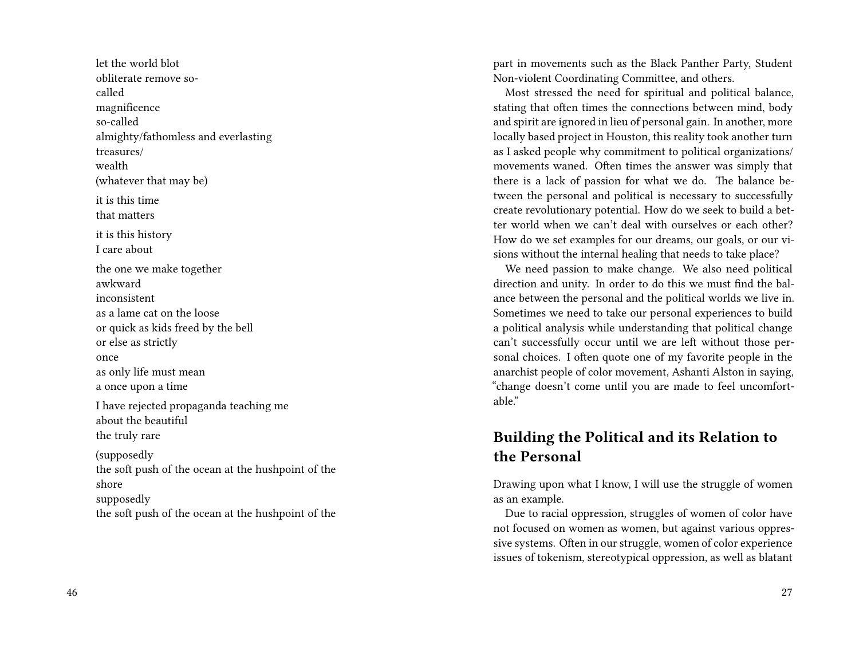let the world blot obliterate remove socalled magnificence so-called almighty/fathomless and everlasting treasures/ wealth (whatever that may be) it is this time that matters it is this history I care about the one we make together awkward inconsistent as a lame cat on the loose or quick as kids freed by the bell or else as strictly once as only life must mean a once upon a time I have rejected propaganda teaching me about the beautiful the truly rare (supposedly the soft push of the ocean at the hushpoint of the shore supposedly the soft push of the ocean at the hushpoint of the part in movements such as the Black Panther Party, Student Non-violent Coordinating Committee, and others.

Most stressed the need for spiritual and political balance, stating that often times the connections between mind, body and spirit are ignored in lieu of personal gain. In another, more locally based project in Houston, this reality took another turn as I asked people why commitment to political organizations/ movements waned. Often times the answer was simply that there is a lack of passion for what we do. The balance between the personal and political is necessary to successfully create revolutionary potential. How do we seek to build a better world when we can't deal with ourselves or each other? How do we set examples for our dreams, our goals, or our visions without the internal healing that needs to take place?

We need passion to make change. We also need political direction and unity. In order to do this we must find the balance between the personal and the political worlds we live in. Sometimes we need to take our personal experiences to build a political analysis while understanding that political change can't successfully occur until we are left without those personal choices. I often quote one of my favorite people in the anarchist people of color movement, Ashanti Alston in saying, "change doesn't come until you are made to feel uncomfortable."

### **Building the Political and its Relation to the Personal**

Drawing upon what I know, I will use the struggle of women as an example.

Due to racial oppression, struggles of women of color have not focused on women as women, but against various oppressive systems. Often in our struggle, women of color experience issues of tokenism, stereotypical oppression, as well as blatant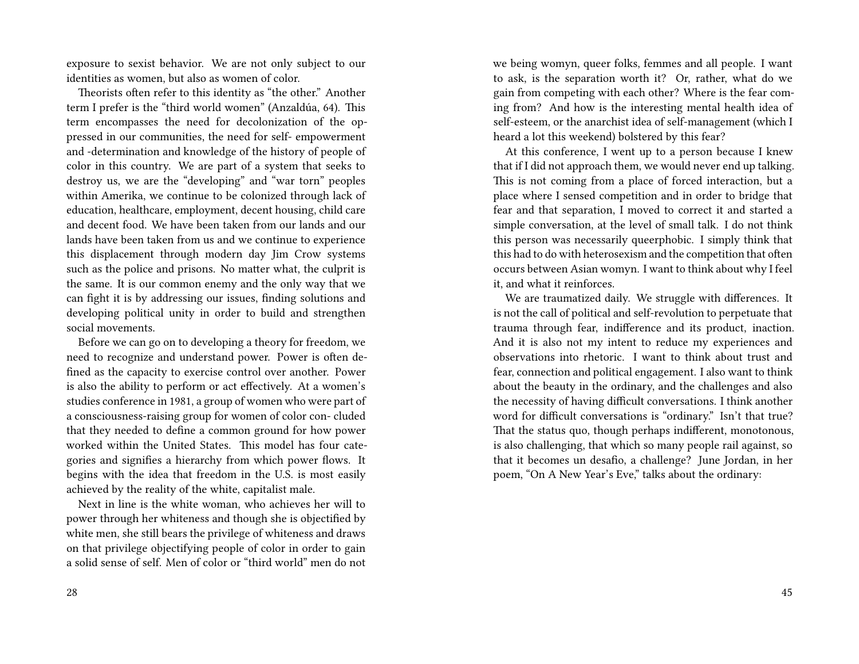exposure to sexist behavior. We are not only subject to our identities as women, but also as women of color.

Theorists often refer to this identity as "the other." Another term I prefer is the "third world women" (Anzaldúa, 64). This term encompasses the need for decolonization of the oppressed in our communities, the need for self- empowerment and -determination and knowledge of the history of people of color in this country. We are part of a system that seeks to destroy us, we are the "developing" and "war torn" peoples within Amerika, we continue to be colonized through lack of education, healthcare, employment, decent housing, child care and decent food. We have been taken from our lands and our lands have been taken from us and we continue to experience this displacement through modern day Jim Crow systems such as the police and prisons. No matter what, the culprit is the same. It is our common enemy and the only way that we can fight it is by addressing our issues, finding solutions and developing political unity in order to build and strengthen social movements.

Before we can go on to developing a theory for freedom, we need to recognize and understand power. Power is often defined as the capacity to exercise control over another. Power is also the ability to perform or act effectively. At a women's studies conference in 1981, a group of women who were part of a consciousness-raising group for women of color con- cluded that they needed to define a common ground for how power worked within the United States. This model has four categories and signifies a hierarchy from which power flows. It begins with the idea that freedom in the U.S. is most easily achieved by the reality of the white, capitalist male.

Next in line is the white woman, who achieves her will to power through her whiteness and though she is objectified by white men, she still bears the privilege of whiteness and draws on that privilege objectifying people of color in order to gain a solid sense of self. Men of color or "third world" men do not we being womyn, queer folks, femmes and all people. I want to ask, is the separation worth it? Or, rather, what do we gain from competing with each other? Where is the fear coming from? And how is the interesting mental health idea of self-esteem, or the anarchist idea of self-management (which I heard a lot this weekend) bolstered by this fear?

At this conference, I went up to a person because I knew that if I did not approach them, we would never end up talking. This is not coming from a place of forced interaction, but a place where I sensed competition and in order to bridge that fear and that separation, I moved to correct it and started a simple conversation, at the level of small talk. I do not think this person was necessarily queerphobic. I simply think that this had to do with heterosexism and the competition that often occurs between Asian womyn. I want to think about why I feel it, and what it reinforces.

We are traumatized daily. We struggle with differences. It is not the call of political and self-revolution to perpetuate that trauma through fear, indifference and its product, inaction. And it is also not my intent to reduce my experiences and observations into rhetoric. I want to think about trust and fear, connection and political engagement. I also want to think about the beauty in the ordinary, and the challenges and also the necessity of having difficult conversations. I think another word for difficult conversations is "ordinary." Isn't that true? That the status quo, though perhaps indifferent, monotonous, is also challenging, that which so many people rail against, so that it becomes un desafio, a challenge? June Jordan, in her poem, "On A New Year's Eve," talks about the ordinary: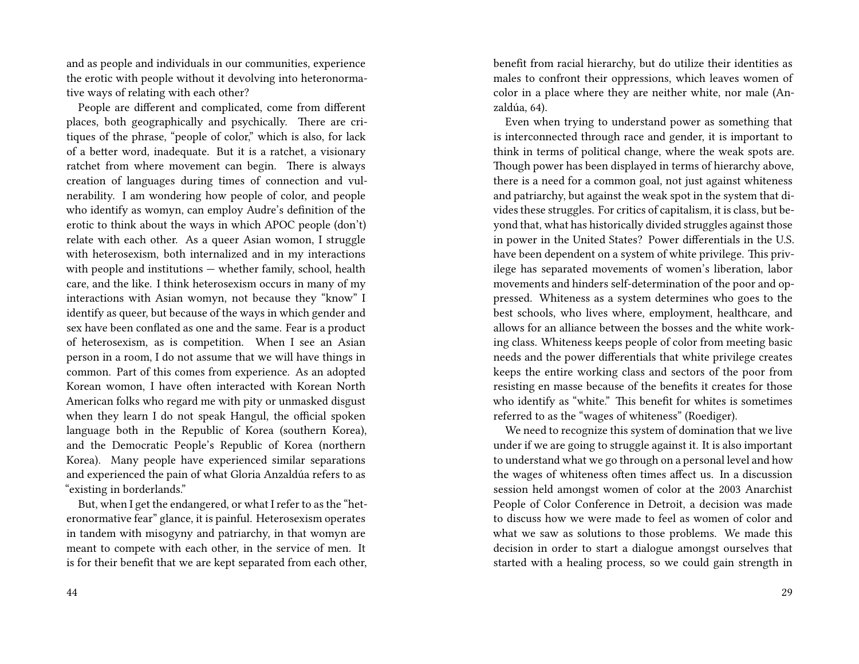and as people and individuals in our communities, experience the erotic with people without it devolving into heteronormative ways of relating with each other?

People are different and complicated, come from different places, both geographically and psychically. There are critiques of the phrase, "people of color," which is also, for lack of a better word, inadequate. But it is a ratchet, a visionary ratchet from where movement can begin. There is always creation of languages during times of connection and vulnerability. I am wondering how people of color, and people who identify as womyn, can employ Audre's definition of the erotic to think about the ways in which APOC people (don't) relate with each other. As a queer Asian womon, I struggle with heterosexism, both internalized and in my interactions with people and institutions — whether family, school, health care, and the like. I think heterosexism occurs in many of my interactions with Asian womyn, not because they "know" I identify as queer, but because of the ways in which gender and sex have been conflated as one and the same. Fear is a product of heterosexism, as is competition. When I see an Asian person in a room, I do not assume that we will have things in common. Part of this comes from experience. As an adopted Korean womon, I have often interacted with Korean North American folks who regard me with pity or unmasked disgust when they learn I do not speak Hangul, the official spoken language both in the Republic of Korea (southern Korea), and the Democratic People's Republic of Korea (northern Korea). Many people have experienced similar separations and experienced the pain of what Gloria Anzaldúa refers to as "existing in borderlands."

But, when I get the endangered, or what I refer to as the "heteronormative fear" glance, it is painful. Heterosexism operates in tandem with misogyny and patriarchy, in that womyn are meant to compete with each other, in the service of men. It is for their benefit that we are kept separated from each other, benefit from racial hierarchy, but do utilize their identities as males to confront their oppressions, which leaves women of color in a place where they are neither white, nor male (Anzaldúa, 64).

Even when trying to understand power as something that is interconnected through race and gender, it is important to think in terms of political change, where the weak spots are. Though power has been displayed in terms of hierarchy above, there is a need for a common goal, not just against whiteness and patriarchy, but against the weak spot in the system that divides these struggles. For critics of capitalism, it is class, but beyond that, what has historically divided struggles against those in power in the United States? Power differentials in the U.S. have been dependent on a system of white privilege. This privilege has separated movements of women's liberation, labor movements and hinders self-determination of the poor and oppressed. Whiteness as a system determines who goes to the best schools, who lives where, employment, healthcare, and allows for an alliance between the bosses and the white working class. Whiteness keeps people of color from meeting basic needs and the power differentials that white privilege creates keeps the entire working class and sectors of the poor from resisting en masse because of the benefits it creates for those who identify as "white." This benefit for whites is sometimes referred to as the "wages of whiteness" (Roediger).

We need to recognize this system of domination that we live under if we are going to struggle against it. It is also important to understand what we go through on a personal level and how the wages of whiteness often times affect us. In a discussion session held amongst women of color at the 2003 Anarchist People of Color Conference in Detroit, a decision was made to discuss how we were made to feel as women of color and what we saw as solutions to those problems. We made this decision in order to start a dialogue amongst ourselves that started with a healing process, so we could gain strength in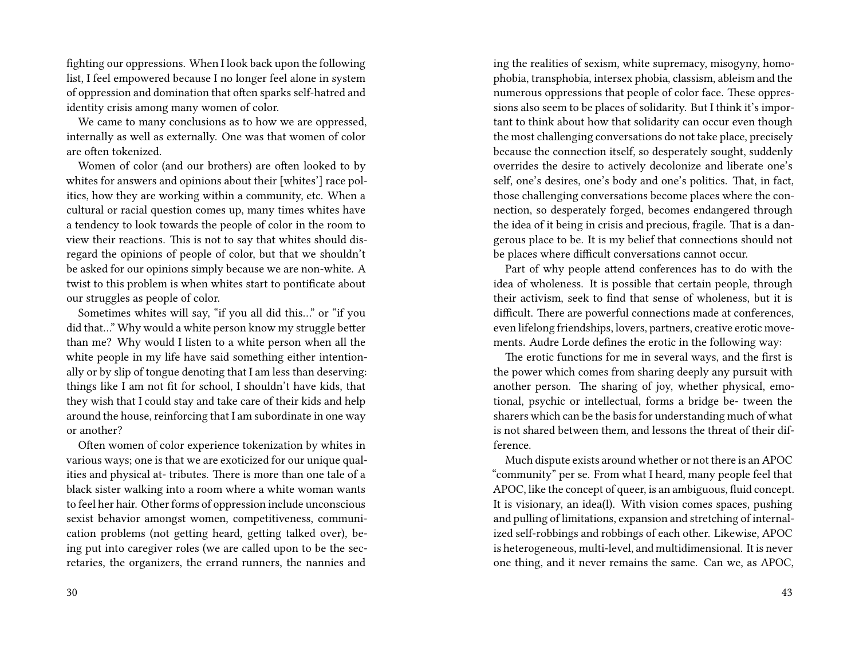fighting our oppressions. When I look back upon the following list, I feel empowered because I no longer feel alone in system of oppression and domination that often sparks self-hatred and identity crisis among many women of color.

We came to many conclusions as to how we are oppressed, internally as well as externally. One was that women of color are often tokenized.

Women of color (and our brothers) are often looked to by whites for answers and opinions about their [whites'] race politics, how they are working within a community, etc. When a cultural or racial question comes up, many times whites have a tendency to look towards the people of color in the room to view their reactions. This is not to say that whites should disregard the opinions of people of color, but that we shouldn't be asked for our opinions simply because we are non-white. A twist to this problem is when whites start to pontificate about our struggles as people of color.

Sometimes whites will say, "if you all did this…" or "if you did that…" Why would a white person know my struggle better than me? Why would I listen to a white person when all the white people in my life have said something either intentionally or by slip of tongue denoting that I am less than deserving: things like I am not fit for school, I shouldn't have kids, that they wish that I could stay and take care of their kids and help around the house, reinforcing that I am subordinate in one way or another?

Often women of color experience tokenization by whites in various ways; one is that we are exoticized for our unique qualities and physical at- tributes. There is more than one tale of a black sister walking into a room where a white woman wants to feel her hair. Other forms of oppression include unconscious sexist behavior amongst women, competitiveness, communication problems (not getting heard, getting talked over), being put into caregiver roles (we are called upon to be the secretaries, the organizers, the errand runners, the nannies and

ing the realities of sexism, white supremacy, misogyny, homophobia, transphobia, intersex phobia, classism, ableism and the numerous oppressions that people of color face. These oppressions also seem to be places of solidarity. But I think it's important to think about how that solidarity can occur even though the most challenging conversations do not take place, precisely because the connection itself, so desperately sought, suddenly overrides the desire to actively decolonize and liberate one's self, one's desires, one's body and one's politics. That, in fact, those challenging conversations become places where the connection, so desperately forged, becomes endangered through the idea of it being in crisis and precious, fragile. That is a dangerous place to be. It is my belief that connections should not be places where difficult conversations cannot occur.

Part of why people attend conferences has to do with the idea of wholeness. It is possible that certain people, through their activism, seek to find that sense of wholeness, but it is difficult. There are powerful connections made at conferences, even lifelong friendships, lovers, partners, creative erotic movements. Audre Lorde defines the erotic in the following way:

The erotic functions for me in several ways, and the first is the power which comes from sharing deeply any pursuit with another person. The sharing of joy, whether physical, emotional, psychic or intellectual, forms a bridge be- tween the sharers which can be the basis for understanding much of what is not shared between them, and lessons the threat of their difference.

Much dispute exists around whether or not there is an APOC "community" per se. From what I heard, many people feel that APOC, like the concept of queer, is an ambiguous, fluid concept. It is visionary, an idea(l). With vision comes spaces, pushing and pulling of limitations, expansion and stretching of internalized self-robbings and robbings of each other. Likewise, APOC is heterogeneous, multi-level, and multidimensional. It is never one thing, and it never remains the same. Can we, as APOC,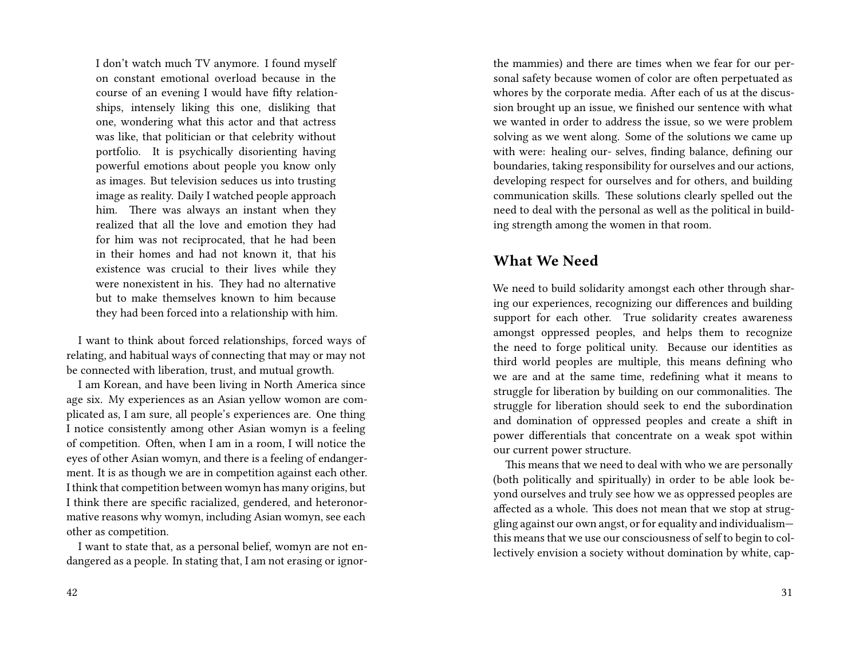I don't watch much TV anymore. I found myself on constant emotional overload because in the course of an evening I would have fifty relationships, intensely liking this one, disliking that one, wondering what this actor and that actress was like, that politician or that celebrity without portfolio. It is psychically disorienting having powerful emotions about people you know only as images. But television seduces us into trusting image as reality. Daily I watched people approach him. There was always an instant when they realized that all the love and emotion they had for him was not reciprocated, that he had been in their homes and had not known it, that his existence was crucial to their lives while they were nonexistent in his. They had no alternative but to make themselves known to him because they had been forced into a relationship with him.

I want to think about forced relationships, forced ways of relating, and habitual ways of connecting that may or may not be connected with liberation, trust, and mutual growth.

I am Korean, and have been living in North America since age six. My experiences as an Asian yellow womon are complicated as, I am sure, all people's experiences are. One thing I notice consistently among other Asian womyn is a feeling of competition. Often, when I am in a room, I will notice the eyes of other Asian womyn, and there is a feeling of endangerment. It is as though we are in competition against each other. I think that competition between womyn has many origins, but I think there are specific racialized, gendered, and heteronormative reasons why womyn, including Asian womyn, see each other as competition.

I want to state that, as a personal belief, womyn are not endangered as a people. In stating that, I am not erasing or ignorthe mammies) and there are times when we fear for our personal safety because women of color are often perpetuated as whores by the corporate media. After each of us at the discussion brought up an issue, we finished our sentence with what we wanted in order to address the issue, so we were problem solving as we went along. Some of the solutions we came up with were: healing our- selves, finding balance, defining our boundaries, taking responsibility for ourselves and our actions, developing respect for ourselves and for others, and building communication skills. These solutions clearly spelled out the need to deal with the personal as well as the political in building strength among the women in that room.

### **What We Need**

We need to build solidarity amongst each other through sharing our experiences, recognizing our differences and building support for each other. True solidarity creates awareness amongst oppressed peoples, and helps them to recognize the need to forge political unity. Because our identities as third world peoples are multiple, this means defining who we are and at the same time, redefining what it means to struggle for liberation by building on our commonalities. The struggle for liberation should seek to end the subordination and domination of oppressed peoples and create a shift in power differentials that concentrate on a weak spot within our current power structure.

This means that we need to deal with who we are personally (both politically and spiritually) in order to be able look beyond ourselves and truly see how we as oppressed peoples are affected as a whole. This does not mean that we stop at struggling against our own angst, or for equality and individualism this means that we use our consciousness of self to begin to collectively envision a society without domination by white, cap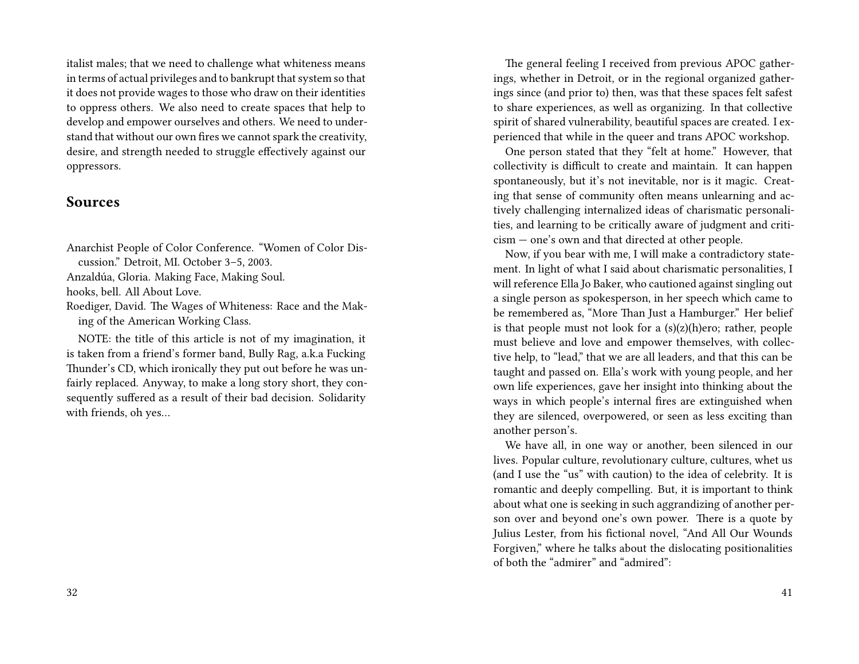italist males; that we need to challenge what whiteness means in terms of actual privileges and to bankrupt that system so that it does not provide wages to those who draw on their identities to oppress others. We also need to create spaces that help to develop and empower ourselves and others. We need to understand that without our own fires we cannot spark the creativity, desire, and strength needed to struggle effectively against our oppressors.

### **Sources**

Anarchist People of Color Conference. "Women of Color Discussion." Detroit, MI. October 3–5, 2003.

Anzaldúa, Gloria. Making Face, Making Soul.

hooks, bell. All About Love.

Roediger, David. The Wages of Whiteness: Race and the Making of the American Working Class.

NOTE: the title of this article is not of my imagination, it is taken from a friend's former band, Bully Rag, a.k.a Fucking Thunder's CD, which ironically they put out before he was unfairly replaced. Anyway, to make a long story short, they consequently suffered as a result of their bad decision. Solidarity with friends, oh yes…

The general feeling I received from previous APOC gatherings, whether in Detroit, or in the regional organized gatherings since (and prior to) then, was that these spaces felt safest to share experiences, as well as organizing. In that collective spirit of shared vulnerability, beautiful spaces are created. I experienced that while in the queer and trans APOC workshop.

One person stated that they "felt at home." However, that collectivity is difficult to create and maintain. It can happen spontaneously, but it's not inevitable, nor is it magic. Creating that sense of community often means unlearning and actively challenging internalized ideas of charismatic personalities, and learning to be critically aware of judgment and criticism — one's own and that directed at other people.

Now, if you bear with me, I will make a contradictory statement. In light of what I said about charismatic personalities, I will reference Ella Jo Baker, who cautioned against singling out a single person as spokesperson, in her speech which came to be remembered as, "More Than Just a Hamburger." Her belief is that people must not look for a  $(s)(z)(h)$ ero; rather, people must believe and love and empower themselves, with collective help, to "lead," that we are all leaders, and that this can be taught and passed on. Ella's work with young people, and her own life experiences, gave her insight into thinking about the ways in which people's internal fires are extinguished when they are silenced, overpowered, or seen as less exciting than another person's.

We have all, in one way or another, been silenced in our lives. Popular culture, revolutionary culture, cultures, whet us (and I use the "us" with caution) to the idea of celebrity. It is romantic and deeply compelling. But, it is important to think about what one is seeking in such aggrandizing of another person over and beyond one's own power. There is a quote by Julius Lester, from his fictional novel, "And All Our Wounds Forgiven," where he talks about the dislocating positionalities of both the "admirer" and "admired":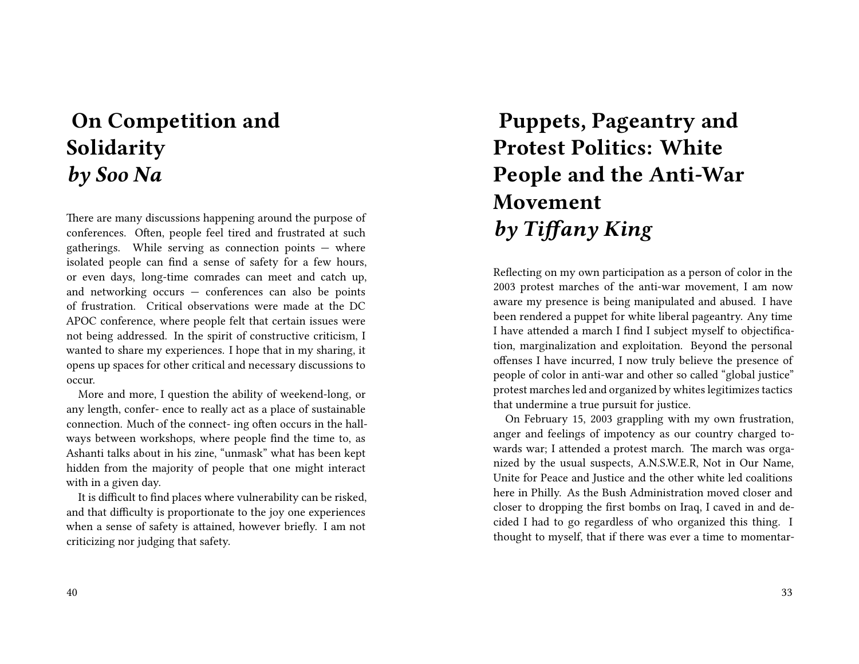# **On Competition and Solidarity** *by Soo Na*

There are many discussions happening around the purpose of conferences. Often, people feel tired and frustrated at such gatherings. While serving as connection points  $-$  where isolated people can find a sense of safety for a few hours, or even days, long-time comrades can meet and catch up, and networking occurs — conferences can also be points of frustration. Critical observations were made at the DC APOC conference, where people felt that certain issues were not being addressed. In the spirit of constructive criticism, I wanted to share my experiences. I hope that in my sharing, it opens up spaces for other critical and necessary discussions to occur.

More and more, I question the ability of weekend-long, or any length, confer- ence to really act as a place of sustainable connection. Much of the connect- ing often occurs in the hallways between workshops, where people find the time to, as Ashanti talks about in his zine, "unmask" what has been kept hidden from the majority of people that one might interact with in a given day.

It is difficult to find places where vulnerability can be risked, and that difficulty is proportionate to the joy one experiences when a sense of safety is attained, however briefly. I am not criticizing nor judging that safety.

#### 40

# **Puppets, Pageantry and Protest Politics: White People and the Anti-War Movement** *by Tiffany King*

Reflecting on my own participation as a person of color in the 2003 protest marches of the anti-war movement, I am now aware my presence is being manipulated and abused. I have been rendered a puppet for white liberal pageantry. Any time I have attended a march I find I subject myself to objectification, marginalization and exploitation. Beyond the personal offenses I have incurred, I now truly believe the presence of people of color in anti-war and other so called "global justice" protest marches led and organized by whites legitimizes tactics that undermine a true pursuit for justice.

On February 15, 2003 grappling with my own frustration, anger and feelings of impotency as our country charged towards war; I attended a protest march. The march was organized by the usual suspects, A.N.S.W.E.R, Not in Our Name, Unite for Peace and Justice and the other white led coalitions here in Philly. As the Bush Administration moved closer and closer to dropping the first bombs on Iraq, I caved in and decided I had to go regardless of who organized this thing. I thought to myself, that if there was ever a time to momentar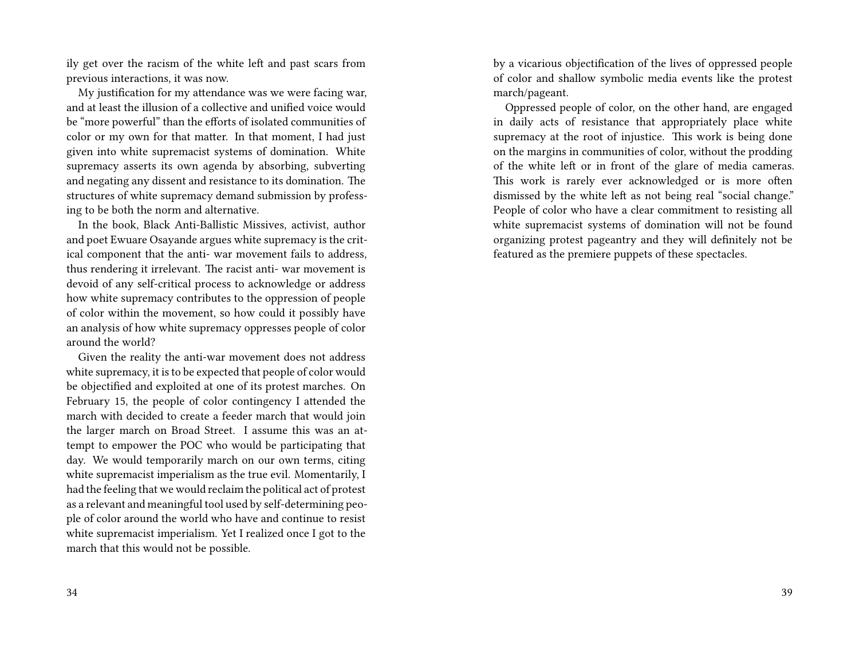ily get over the racism of the white left and past scars from previous interactions, it was now.

My justification for my attendance was we were facing war, and at least the illusion of a collective and unified voice would be "more powerful" than the efforts of isolated communities of color or my own for that matter. In that moment, I had just given into white supremacist systems of domination. White supremacy asserts its own agenda by absorbing, subverting and negating any dissent and resistance to its domination. The structures of white supremacy demand submission by professing to be both the norm and alternative.

In the book, Black Anti-Ballistic Missives, activist, author and poet Ewuare Osayande argues white supremacy is the critical component that the anti- war movement fails to address, thus rendering it irrelevant. The racist anti- war movement is devoid of any self-critical process to acknowledge or address how white supremacy contributes to the oppression of people of color within the movement, so how could it possibly have an analysis of how white supremacy oppresses people of color around the world?

Given the reality the anti-war movement does not address white supremacy, it is to be expected that people of color would be objectified and exploited at one of its protest marches. On February 15, the people of color contingency I attended the march with decided to create a feeder march that would join the larger march on Broad Street. I assume this was an attempt to empower the POC who would be participating that day. We would temporarily march on our own terms, citing white supremacist imperialism as the true evil. Momentarily, I had the feeling that we would reclaim the political act of protest as a relevant and meaningful tool used by self-determining people of color around the world who have and continue to resist white supremacist imperialism. Yet I realized once I got to the march that this would not be possible.

by a vicarious objectification of the lives of oppressed people of color and shallow symbolic media events like the protest march/pageant.

Oppressed people of color, on the other hand, are engaged in daily acts of resistance that appropriately place white supremacy at the root of injustice. This work is being done on the margins in communities of color, without the prodding of the white left or in front of the glare of media cameras. This work is rarely ever acknowledged or is more often dismissed by the white left as not being real "social change." People of color who have a clear commitment to resisting all white supremacist systems of domination will not be found organizing protest pageantry and they will definitely not be featured as the premiere puppets of these spectacles.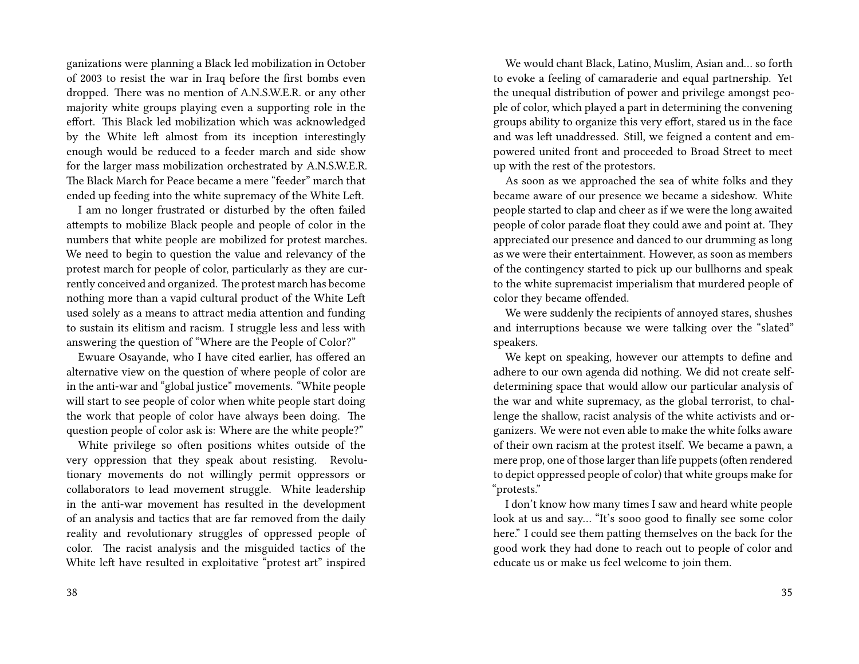ganizations were planning a Black led mobilization in October of 2003 to resist the war in Iraq before the first bombs even dropped. There was no mention of A.N.S.W.E.R. or any other majority white groups playing even a supporting role in the effort. This Black led mobilization which was acknowledged by the White left almost from its inception interestingly enough would be reduced to a feeder march and side show for the larger mass mobilization orchestrated by A.N.S.W.E.R. The Black March for Peace became a mere "feeder" march that ended up feeding into the white supremacy of the White Left.

I am no longer frustrated or disturbed by the often failed attempts to mobilize Black people and people of color in the numbers that white people are mobilized for protest marches. We need to begin to question the value and relevancy of the protest march for people of color, particularly as they are currently conceived and organized. The protest march has become nothing more than a vapid cultural product of the White Left used solely as a means to attract media attention and funding to sustain its elitism and racism. I struggle less and less with answering the question of "Where are the People of Color?"

Ewuare Osayande, who I have cited earlier, has offered an alternative view on the question of where people of color are in the anti-war and "global justice" movements. "White people will start to see people of color when white people start doing the work that people of color have always been doing. The question people of color ask is: Where are the white people?"

White privilege so often positions whites outside of the very oppression that they speak about resisting. Revolutionary movements do not willingly permit oppressors or collaborators to lead movement struggle. White leadership in the anti-war movement has resulted in the development of an analysis and tactics that are far removed from the daily reality and revolutionary struggles of oppressed people of color. The racist analysis and the misguided tactics of the White left have resulted in exploitative "protest art" inspired

We would chant Black, Latino, Muslim, Asian and… so forth to evoke a feeling of camaraderie and equal partnership. Yet the unequal distribution of power and privilege amongst people of color, which played a part in determining the convening groups ability to organize this very effort, stared us in the face and was left unaddressed. Still, we feigned a content and empowered united front and proceeded to Broad Street to meet up with the rest of the protestors.

As soon as we approached the sea of white folks and they became aware of our presence we became a sideshow. White people started to clap and cheer as if we were the long awaited people of color parade float they could awe and point at. They appreciated our presence and danced to our drumming as long as we were their entertainment. However, as soon as members of the contingency started to pick up our bullhorns and speak to the white supremacist imperialism that murdered people of color they became offended.

We were suddenly the recipients of annoyed stares, shushes and interruptions because we were talking over the "slated" speakers.

We kept on speaking, however our attempts to define and adhere to our own agenda did nothing. We did not create selfdetermining space that would allow our particular analysis of the war and white supremacy, as the global terrorist, to challenge the shallow, racist analysis of the white activists and organizers. We were not even able to make the white folks aware of their own racism at the protest itself. We became a pawn, a mere prop, one of those larger than life puppets (often rendered to depict oppressed people of color) that white groups make for "protests."

I don't know how many times I saw and heard white people look at us and say… "It's sooo good to finally see some color here." I could see them patting themselves on the back for the good work they had done to reach out to people of color and educate us or make us feel welcome to join them.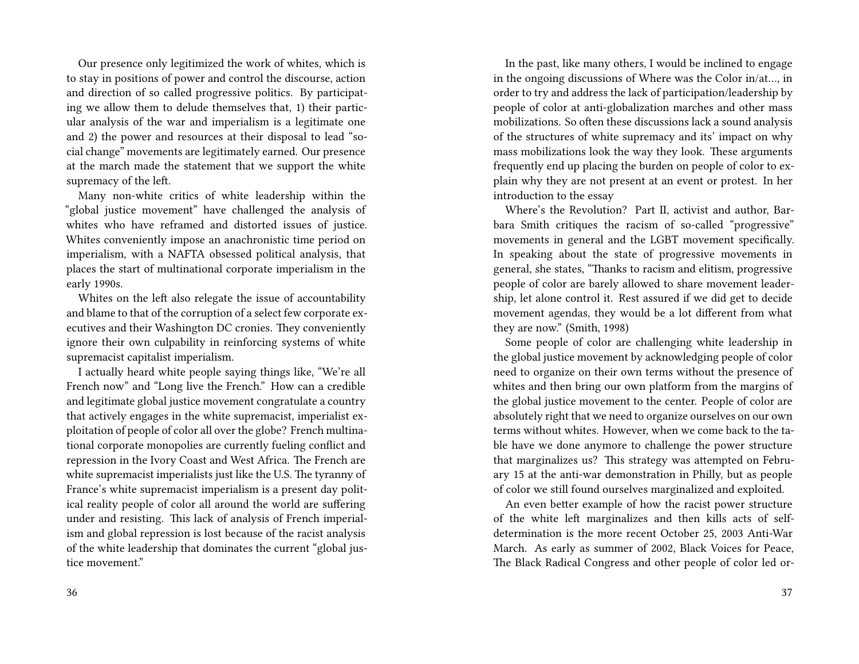Our presence only legitimized the work of whites, which is to stay in positions of power and control the discourse, action and direction of so called progressive politics. By participating we allow them to delude themselves that, 1) their particular analysis of the war and imperialism is a legitimate one and 2) the power and resources at their disposal to lead "social change" movements are legitimately earned. Our presence at the march made the statement that we support the white supremacy of the left.

Many non-white critics of white leadership within the "global justice movement" have challenged the analysis of whites who have reframed and distorted issues of justice. Whites conveniently impose an anachronistic time period on imperialism, with a NAFTA obsessed political analysis, that places the start of multinational corporate imperialism in the early 1990s.

Whites on the left also relegate the issue of accountability and blame to that of the corruption of a select few corporate executives and their Washington DC cronies. They conveniently ignore their own culpability in reinforcing systems of white supremacist capitalist imperialism.

I actually heard white people saying things like, "We're all French now" and "Long live the French." How can a credible and legitimate global justice movement congratulate a country that actively engages in the white supremacist, imperialist exploitation of people of color all over the globe? French multinational corporate monopolies are currently fueling conflict and repression in the Ivory Coast and West Africa. The French are white supremacist imperialists just like the U.S. The tyranny of France's white supremacist imperialism is a present day political reality people of color all around the world are suffering under and resisting. This lack of analysis of French imperialism and global repression is lost because of the racist analysis of the white leadership that dominates the current "global justice movement."

In the past, like many others, I would be inclined to engage in the ongoing discussions of Where was the Color in/at…, in order to try and address the lack of participation/leadership by people of color at anti-globalization marches and other mass mobilizations. So often these discussions lack a sound analysis of the structures of white supremacy and its' impact on why mass mobilizations look the way they look. These arguments frequently end up placing the burden on people of color to explain why they are not present at an event or protest. In her introduction to the essay

Where's the Revolution? Part II, activist and author, Barbara Smith critiques the racism of so-called "progressive" movements in general and the LGBT movement specifically. In speaking about the state of progressive movements in general, she states, "Thanks to racism and elitism, progressive people of color are barely allowed to share movement leadership, let alone control it. Rest assured if we did get to decide movement agendas, they would be a lot different from what they are now." (Smith, 1998)

Some people of color are challenging white leadership in the global justice movement by acknowledging people of color need to organize on their own terms without the presence of whites and then bring our own platform from the margins of the global justice movement to the center. People of color are absolutely right that we need to organize ourselves on our own terms without whites. However, when we come back to the table have we done anymore to challenge the power structure that marginalizes us? This strategy was attempted on February 15 at the anti-war demonstration in Philly, but as people of color we still found ourselves marginalized and exploited.

An even better example of how the racist power structure of the white left marginalizes and then kills acts of selfdetermination is the more recent October 25, 2003 Anti-War March. As early as summer of 2002, Black Voices for Peace, The Black Radical Congress and other people of color led or-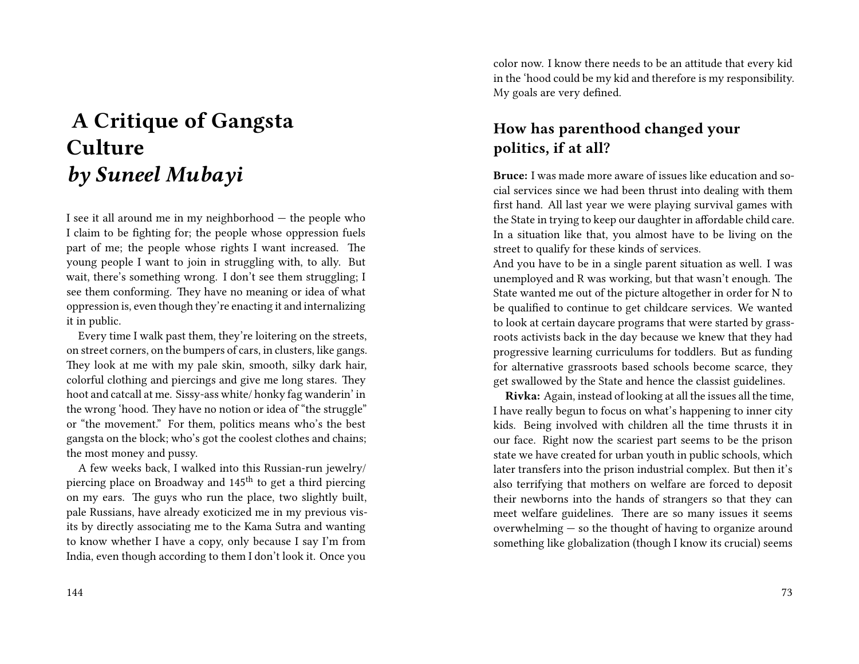# **A Critique of Gangsta Culture** *by Suneel Mubayi*

I see it all around me in my neighborhood — the people who I claim to be fighting for; the people whose oppression fuels part of me; the people whose rights I want increased. The young people I want to join in struggling with, to ally. But wait, there's something wrong. I don't see them struggling; I see them conforming. They have no meaning or idea of what oppression is, even though they're enacting it and internalizing it in public.

Every time I walk past them, they're loitering on the streets, on street corners, on the bumpers of cars, in clusters, like gangs. They look at me with my pale skin, smooth, silky dark hair, colorful clothing and piercings and give me long stares. They hoot and catcall at me. Sissy-ass white/ honky fag wanderin' in the wrong 'hood. They have no notion or idea of "the struggle" or "the movement." For them, politics means who's the best gangsta on the block; who's got the coolest clothes and chains; the most money and pussy.

A few weeks back, I walked into this Russian-run jewelry/ piercing place on Broadway and 145<sup>th</sup> to get a third piercing on my ears. The guys who run the place, two slightly built, pale Russians, have already exoticized me in my previous visits by directly associating me to the Kama Sutra and wanting to know whether I have a copy, only because I say I'm from India, even though according to them I don't look it. Once you

color now. I know there needs to be an attitude that every kid in the 'hood could be my kid and therefore is my responsibility. My goals are very defined.

# **How has parenthood changed your politics, if at all?**

**Bruce:** I was made more aware of issues like education and social services since we had been thrust into dealing with them first hand. All last year we were playing survival games with the State in trying to keep our daughter in affordable child care. In a situation like that, you almost have to be living on the street to qualify for these kinds of services.

And you have to be in a single parent situation as well. I was unemployed and R was working, but that wasn't enough. The State wanted me out of the picture altogether in order for N to be qualified to continue to get childcare services. We wanted to look at certain daycare programs that were started by grassroots activists back in the day because we knew that they had progressive learning curriculums for toddlers. But as funding for alternative grassroots based schools become scarce, they get swallowed by the State and hence the classist guidelines.

**Rivka:** Again, instead of looking at all the issues all the time, I have really begun to focus on what's happening to inner city kids. Being involved with children all the time thrusts it in our face. Right now the scariest part seems to be the prison state we have created for urban youth in public schools, which later transfers into the prison industrial complex. But then it's also terrifying that mothers on welfare are forced to deposit their newborns into the hands of strangers so that they can meet welfare guidelines. There are so many issues it seems overwhelming — so the thought of having to organize around something like globalization (though I know its crucial) seems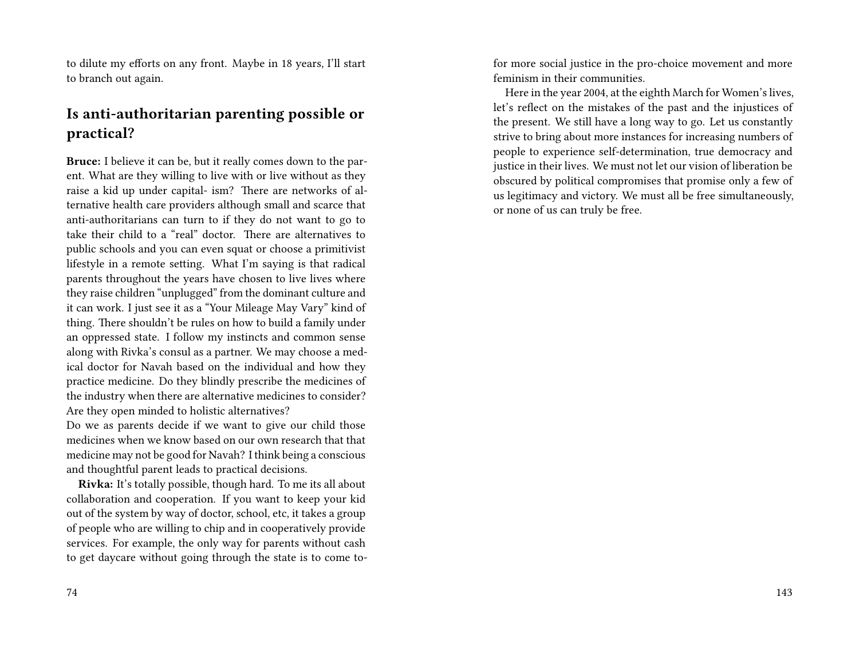to dilute my efforts on any front. Maybe in 18 years, I'll start to branch out again.

### **Is anti-authoritarian parenting possible or practical?**

**Bruce:** I believe it can be, but it really comes down to the parent. What are they willing to live with or live without as they raise a kid up under capital- ism? There are networks of alternative health care providers although small and scarce that anti-authoritarians can turn to if they do not want to go to take their child to a "real" doctor. There are alternatives to public schools and you can even squat or choose a primitivist lifestyle in a remote setting. What I'm saying is that radical parents throughout the years have chosen to live lives where they raise children "unplugged" from the dominant culture and it can work. I just see it as a "Your Mileage May Vary" kind of thing. There shouldn't be rules on how to build a family under an oppressed state. I follow my instincts and common sense along with Rivka's consul as a partner. We may choose a medical doctor for Navah based on the individual and how they practice medicine. Do they blindly prescribe the medicines of the industry when there are alternative medicines to consider? Are they open minded to holistic alternatives?

Do we as parents decide if we want to give our child those medicines when we know based on our own research that that medicine may not be good for Navah? I think being a conscious and thoughtful parent leads to practical decisions.

**Rivka:** It's totally possible, though hard. To me its all about collaboration and cooperation. If you want to keep your kid out of the system by way of doctor, school, etc, it takes a group of people who are willing to chip and in cooperatively provide services. For example, the only way for parents without cash to get daycare without going through the state is to come to-

74

for more social justice in the pro-choice movement and more feminism in their communities.

Here in the year 2004, at the eighth March for Women's lives, let's reflect on the mistakes of the past and the injustices of the present. We still have a long way to go. Let us constantly strive to bring about more instances for increasing numbers of people to experience self-determination, true democracy and justice in their lives. We must not let our vision of liberation be obscured by political compromises that promise only a few of us legitimacy and victory. We must all be free simultaneously, or none of us can truly be free.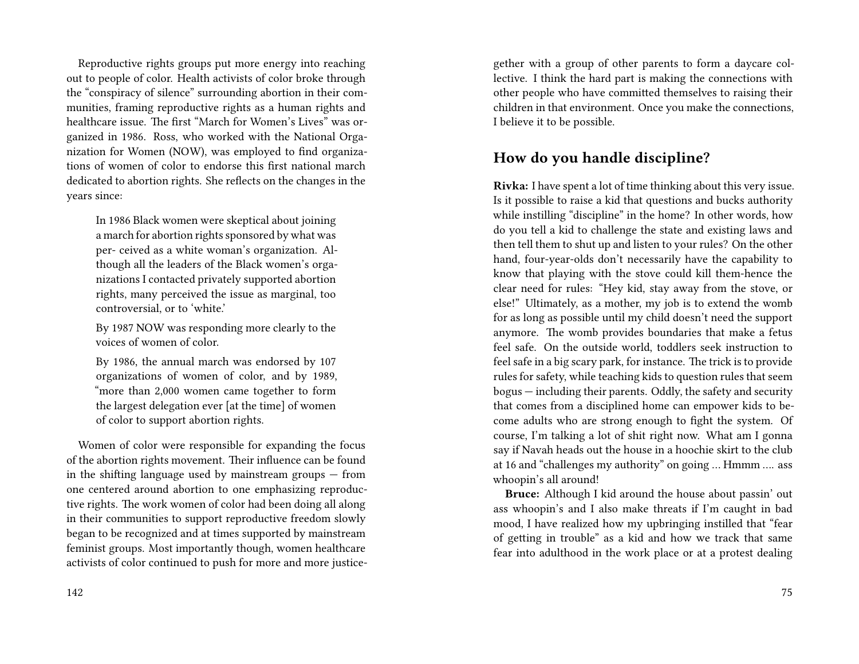Reproductive rights groups put more energy into reaching out to people of color. Health activists of color broke through the "conspiracy of silence" surrounding abortion in their communities, framing reproductive rights as a human rights and healthcare issue. The first "March for Women's Lives" was organized in 1986. Ross, who worked with the National Organization for Women (NOW), was employed to find organizations of women of color to endorse this first national march dedicated to abortion rights. She reflects on the changes in the years since:

In 1986 Black women were skeptical about joining a march for abortion rights sponsored by what was per- ceived as a white woman's organization. Although all the leaders of the Black women's organizations I contacted privately supported abortion rights, many perceived the issue as marginal, too controversial, or to 'white.'

By 1987 NOW was responding more clearly to the voices of women of color.

By 1986, the annual march was endorsed by 107 organizations of women of color, and by 1989, "more than 2,000 women came together to form the largest delegation ever [at the time] of women of color to support abortion rights.

Women of color were responsible for expanding the focus of the abortion rights movement. Their influence can be found in the shifting language used by mainstream groups — from one centered around abortion to one emphasizing reproductive rights. The work women of color had been doing all along in their communities to support reproductive freedom slowly began to be recognized and at times supported by mainstream feminist groups. Most importantly though, women healthcare activists of color continued to push for more and more justicegether with a group of other parents to form a daycare collective. I think the hard part is making the connections with other people who have committed themselves to raising their children in that environment. Once you make the connections, I believe it to be possible.

#### **How do you handle discipline?**

**Rivka:** I have spent a lot of time thinking about this very issue. Is it possible to raise a kid that questions and bucks authority while instilling "discipline" in the home? In other words, how do you tell a kid to challenge the state and existing laws and then tell them to shut up and listen to your rules? On the other hand, four-year-olds don't necessarily have the capability to know that playing with the stove could kill them-hence the clear need for rules: "Hey kid, stay away from the stove, or else!" Ultimately, as a mother, my job is to extend the womb for as long as possible until my child doesn't need the support anymore. The womb provides boundaries that make a fetus feel safe. On the outside world, toddlers seek instruction to feel safe in a big scary park, for instance. The trick is to provide rules for safety, while teaching kids to question rules that seem bogus — including their parents. Oddly, the safety and security that comes from a disciplined home can empower kids to become adults who are strong enough to fight the system. Of course, I'm talking a lot of shit right now. What am I gonna say if Navah heads out the house in a hoochie skirt to the club at 16 and "challenges my authority" on going … Hmmm …. ass whoopin's all around!

**Bruce:** Although I kid around the house about passin' out ass whoopin's and I also make threats if I'm caught in bad mood, I have realized how my upbringing instilled that "fear of getting in trouble" as a kid and how we track that same fear into adulthood in the work place or at a protest dealing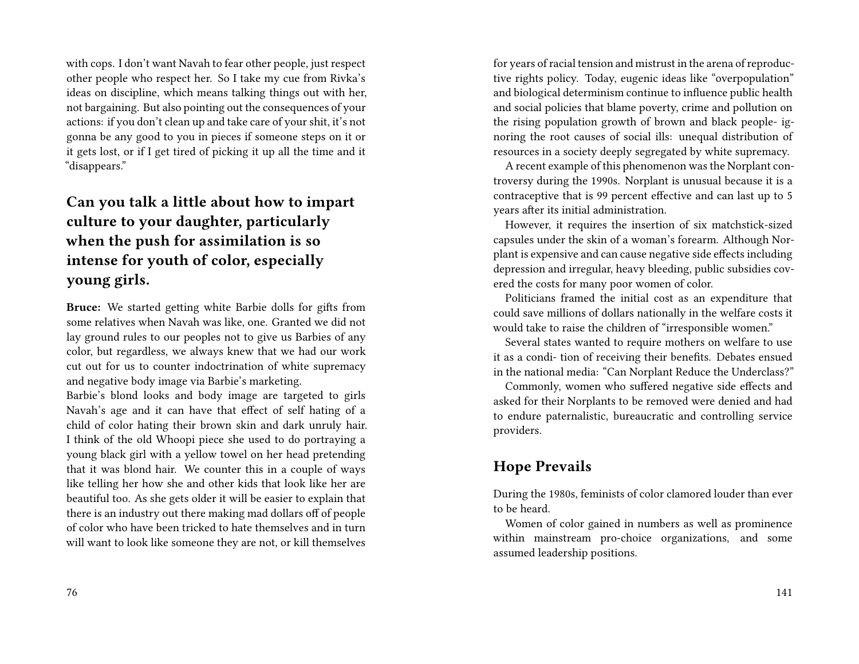with cops. I don't want Navah to fear other people, just respect other people who respect her. So I take my cue from Rivka's ideas on discipline, which means talking things out with her, not bargaining. But also pointing out the consequences of your actions: if you don't clean up and take care of your shit, it's not gonna be any good to you in pieces if someone steps on it or it gets lost, or if I get tired of picking it up all the time and it "disappears."

# **Can you talk a little about how to impart culture to your daughter, particularly when the push for assimilation is so intense for youth of color, especially young girls.**

**Bruce:** We started getting white Barbie dolls for gifts from some relatives when Navah was like, one. Granted we did not lay ground rules to our peoples not to give us Barbies of any color, but regardless, we always knew that we had our work cut out for us to counter indoctrination of white supremacy and negative body image via Barbie's marketing.

Barbie's blond looks and body image are targeted to girls Navah's age and it can have that effect of self hating of a child of color hating their brown skin and dark unruly hair. I think of the old Whoopi piece she used to do portraying a young black girl with a yellow towel on her head pretending that it was blond hair. We counter this in a couple of ways like telling her how she and other kids that look like her are beautiful too. As she gets older it will be easier to explain that there is an industry out there making mad dollars off of people of color who have been tricked to hate themselves and in turn will want to look like someone they are not, or kill themselves

for years of racial tension and mistrust in the arena of reproductive rights policy. Today, eugenic ideas like "overpopulation" and biological determinism continue to influence public health and social policies that blame poverty, crime and pollution on the rising population growth of brown and black people- ignoring the root causes of social ills: unequal distribution of resources in a society deeply segregated by white supremacy.

A recent example of this phenomenon was the Norplant controversy during the 1990s. Norplant is unusual because it is a contraceptive that is 99 percent effective and can last up to 5 years after its initial administration.

However, it requires the insertion of six matchstick-sized capsules under the skin of a woman's forearm. Although Norplant is expensive and can cause negative side effects including depression and irregular, heavy bleeding, public subsidies covered the costs for many poor women of color.

Politicians framed the initial cost as an expenditure that could save millions of dollars nationally in the welfare costs it would take to raise the children of "irresponsible women."

Several states wanted to require mothers on welfare to use it as a condi- tion of receiving their benefits. Debates ensued in the national media: "Can Norplant Reduce the Underclass?"

Commonly, women who suffered negative side effects and asked for their Norplants to be removed were denied and had to endure paternalistic, bureaucratic and controlling service providers.

## **Hope Prevails**

During the 1980s, feminists of color clamored louder than ever to be heard.

Women of color gained in numbers as well as prominence within mainstream pro-choice organizations, and some assumed leadership positions.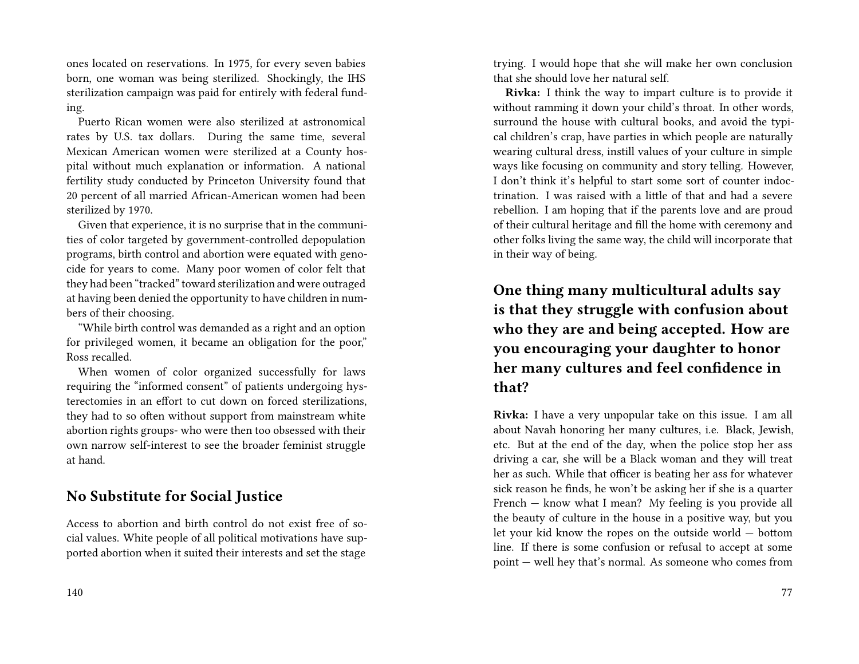ones located on reservations. In 1975, for every seven babies born, one woman was being sterilized. Shockingly, the IHS sterilization campaign was paid for entirely with federal funding.

Puerto Rican women were also sterilized at astronomical rates by U.S. tax dollars. During the same time, several Mexican American women were sterilized at a County hospital without much explanation or information. A national fertility study conducted by Princeton University found that 20 percent of all married African-American women had been sterilized by 1970.

Given that experience, it is no surprise that in the communities of color targeted by government-controlled depopulation programs, birth control and abortion were equated with genocide for years to come. Many poor women of color felt that they had been "tracked" toward sterilization and were outraged at having been denied the opportunity to have children in numbers of their choosing.

"While birth control was demanded as a right and an option for privileged women, it became an obligation for the poor," Ross recalled.

When women of color organized successfully for laws requiring the "informed consent" of patients undergoing hysterectomies in an effort to cut down on forced sterilizations, they had to so often without support from mainstream white abortion rights groups- who were then too obsessed with their own narrow self-interest to see the broader feminist struggle at hand.

### **No Substitute for Social Justice**

Access to abortion and birth control do not exist free of social values. White people of all political motivations have supported abortion when it suited their interests and set the stage

trying. I would hope that she will make her own conclusion that she should love her natural self.

**Rivka:** I think the way to impart culture is to provide it without ramming it down your child's throat. In other words, surround the house with cultural books, and avoid the typical children's crap, have parties in which people are naturally wearing cultural dress, instill values of your culture in simple ways like focusing on community and story telling. However, I don't think it's helpful to start some sort of counter indoctrination. I was raised with a little of that and had a severe rebellion. I am hoping that if the parents love and are proud of their cultural heritage and fill the home with ceremony and other folks living the same way, the child will incorporate that in their way of being.

# **One thing many multicultural adults say is that they struggle with confusion about who they are and being accepted. How are you encouraging your daughter to honor her many cultures and feel confidence in that?**

**Rivka:** I have a very unpopular take on this issue. I am all about Navah honoring her many cultures, i.e. Black, Jewish, etc. But at the end of the day, when the police stop her ass driving a car, she will be a Black woman and they will treat her as such. While that officer is beating her ass for whatever sick reason he finds, he won't be asking her if she is a quarter French — know what I mean? My feeling is you provide all the beauty of culture in the house in a positive way, but you let your kid know the ropes on the outside world — bottom line. If there is some confusion or refusal to accept at some point — well hey that's normal. As someone who comes from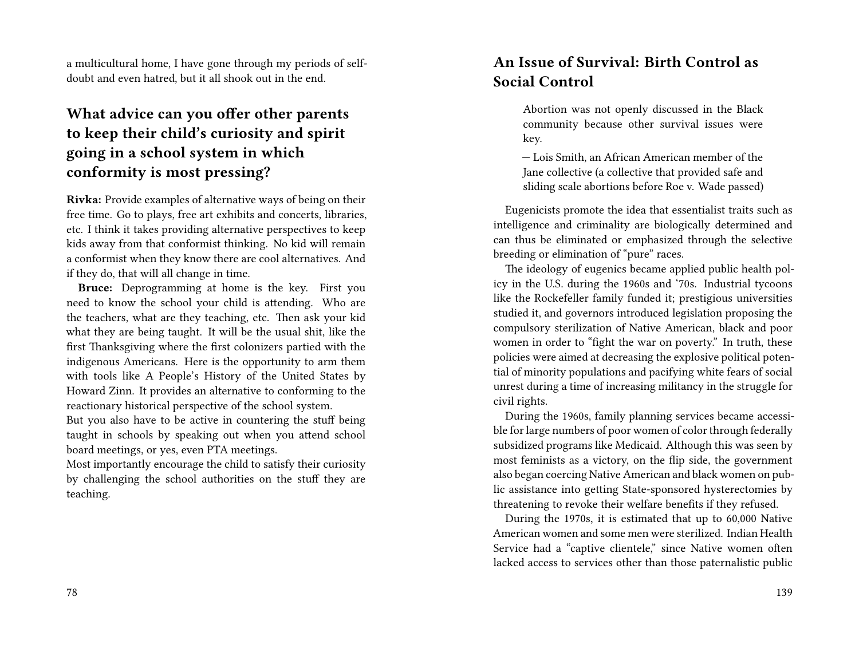a multicultural home, I have gone through my periods of selfdoubt and even hatred, but it all shook out in the end.

# **What advice can you offer other parents to keep their child's curiosity and spirit going in a school system in which conformity is most pressing?**

**Rivka:** Provide examples of alternative ways of being on their free time. Go to plays, free art exhibits and concerts, libraries, etc. I think it takes providing alternative perspectives to keep kids away from that conformist thinking. No kid will remain a conformist when they know there are cool alternatives. And if they do, that will all change in time.

**Bruce:** Deprogramming at home is the key. First you need to know the school your child is attending. Who are the teachers, what are they teaching, etc. Then ask your kid what they are being taught. It will be the usual shit, like the first Thanksgiving where the first colonizers partied with the indigenous Americans. Here is the opportunity to arm them with tools like A People's History of the United States by Howard Zinn. It provides an alternative to conforming to the reactionary historical perspective of the school system.

But you also have to be active in countering the stuff being taught in schools by speaking out when you attend school board meetings, or yes, even PTA meetings.

Most importantly encourage the child to satisfy their curiosity by challenging the school authorities on the stuff they are teaching.

# **An Issue of Survival: Birth Control as Social Control**

Abortion was not openly discussed in the Black community because other survival issues were key.

— Lois Smith, an African American member of the Jane collective (a collective that provided safe and sliding scale abortions before Roe v. Wade passed)

Eugenicists promote the idea that essentialist traits such as intelligence and criminality are biologically determined and can thus be eliminated or emphasized through the selective breeding or elimination of "pure" races.

The ideology of eugenics became applied public health policy in the U.S. during the 1960s and '70s. Industrial tycoons like the Rockefeller family funded it; prestigious universities studied it, and governors introduced legislation proposing the compulsory sterilization of Native American, black and poor women in order to "fight the war on poverty." In truth, these policies were aimed at decreasing the explosive political potential of minority populations and pacifying white fears of social unrest during a time of increasing militancy in the struggle for civil rights.

During the 1960s, family planning services became accessible for large numbers of poor women of color through federally subsidized programs like Medicaid. Although this was seen by most feminists as a victory, on the flip side, the government also began coercing Native American and black women on public assistance into getting State-sponsored hysterectomies by threatening to revoke their welfare benefits if they refused.

During the 1970s, it is estimated that up to 60,000 Native American women and some men were sterilized. Indian Health Service had a "captive clientele," since Native women often lacked access to services other than those paternalistic public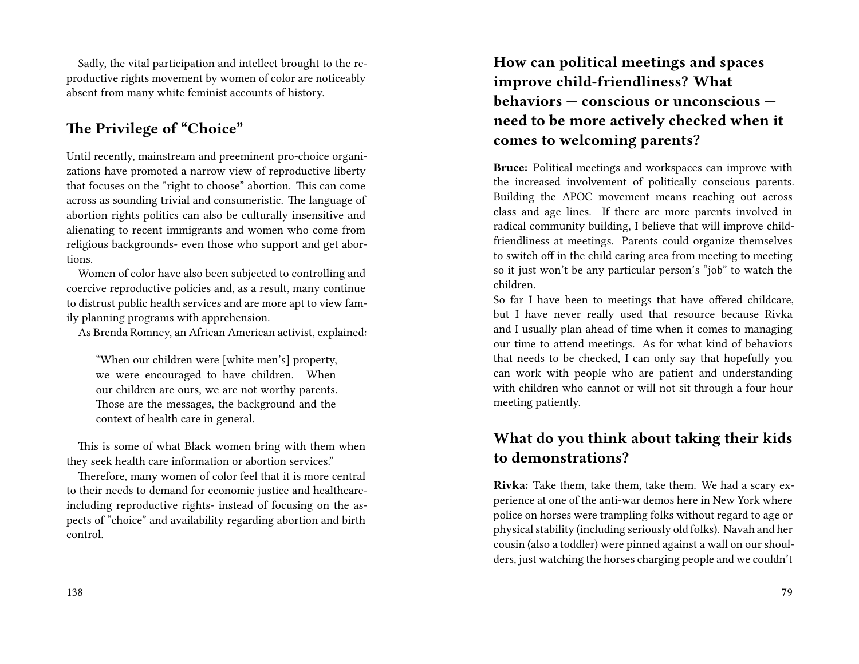Sadly, the vital participation and intellect brought to the reproductive rights movement by women of color are noticeably absent from many white feminist accounts of history.

### **The Privilege of "Choice"**

Until recently, mainstream and preeminent pro-choice organizations have promoted a narrow view of reproductive liberty that focuses on the "right to choose" abortion. This can come across as sounding trivial and consumeristic. The language of abortion rights politics can also be culturally insensitive and alienating to recent immigrants and women who come from religious backgrounds- even those who support and get abortions.

Women of color have also been subjected to controlling and coercive reproductive policies and, as a result, many continue to distrust public health services and are more apt to view family planning programs with apprehension.

As Brenda Romney, an African American activist, explained:

"When our children were [white men's] property, we were encouraged to have children. When our children are ours, we are not worthy parents. Those are the messages, the background and the context of health care in general.

This is some of what Black women bring with them when they seek health care information or abortion services."

Therefore, many women of color feel that it is more central to their needs to demand for economic justice and healthcareincluding reproductive rights- instead of focusing on the aspects of "choice" and availability regarding abortion and birth control.

**How can political meetings and spaces improve child-friendliness? What behaviors — conscious or unconscious need to be more actively checked when it comes to welcoming parents?**

**Bruce:** Political meetings and workspaces can improve with the increased involvement of politically conscious parents. Building the APOC movement means reaching out across class and age lines. If there are more parents involved in radical community building, I believe that will improve childfriendliness at meetings. Parents could organize themselves to switch off in the child caring area from meeting to meeting so it just won't be any particular person's "job" to watch the children.

So far I have been to meetings that have offered childcare, but I have never really used that resource because Rivka and I usually plan ahead of time when it comes to managing our time to attend meetings. As for what kind of behaviors that needs to be checked, I can only say that hopefully you can work with people who are patient and understanding with children who cannot or will not sit through a four hour meeting patiently.

### **What do you think about taking their kids to demonstrations?**

**Rivka:** Take them, take them, take them. We had a scary experience at one of the anti-war demos here in New York where police on horses were trampling folks without regard to age or physical stability (including seriously old folks). Navah and her cousin (also a toddler) were pinned against a wall on our shoulders, just watching the horses charging people and we couldn't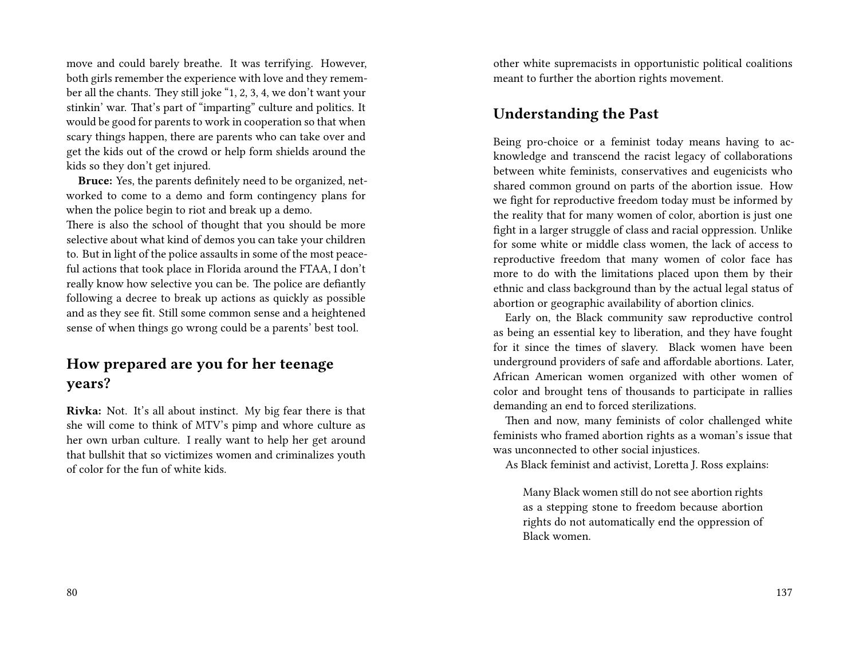move and could barely breathe. It was terrifying. However, both girls remember the experience with love and they remember all the chants. They still joke "1, 2, 3, 4, we don't want your stinkin' war. That's part of "imparting" culture and politics. It would be good for parents to work in cooperation so that when scary things happen, there are parents who can take over and get the kids out of the crowd or help form shields around the kids so they don't get injured.

**Bruce:** Yes, the parents definitely need to be organized, networked to come to a demo and form contingency plans for when the police begin to riot and break up a demo.

There is also the school of thought that you should be more selective about what kind of demos you can take your children to. But in light of the police assaults in some of the most peaceful actions that took place in Florida around the FTAA, I don't really know how selective you can be. The police are defiantly following a decree to break up actions as quickly as possible and as they see fit. Still some common sense and a heightened sense of when things go wrong could be a parents' best tool.

### **How prepared are you for her teenage years?**

**Rivka:** Not. It's all about instinct. My big fear there is that she will come to think of MTV's pimp and whore culture as her own urban culture. I really want to help her get around that bullshit that so victimizes women and criminalizes youth of color for the fun of white kids.

other white supremacists in opportunistic political coalitions meant to further the abortion rights movement.

#### **Understanding the Past**

Being pro-choice or a feminist today means having to acknowledge and transcend the racist legacy of collaborations between white feminists, conservatives and eugenicists who shared common ground on parts of the abortion issue. How we fight for reproductive freedom today must be informed by the reality that for many women of color, abortion is just one fight in a larger struggle of class and racial oppression. Unlike for some white or middle class women, the lack of access to reproductive freedom that many women of color face has more to do with the limitations placed upon them by their ethnic and class background than by the actual legal status of abortion or geographic availability of abortion clinics.

Early on, the Black community saw reproductive control as being an essential key to liberation, and they have fought for it since the times of slavery. Black women have been underground providers of safe and affordable abortions. Later, African American women organized with other women of color and brought tens of thousands to participate in rallies demanding an end to forced sterilizations.

Then and now, many feminists of color challenged white feminists who framed abortion rights as a woman's issue that was unconnected to other social injustices.

As Black feminist and activist, Loretta J. Ross explains:

Many Black women still do not see abortion rights as a stepping stone to freedom because abortion rights do not automatically end the oppression of Black women.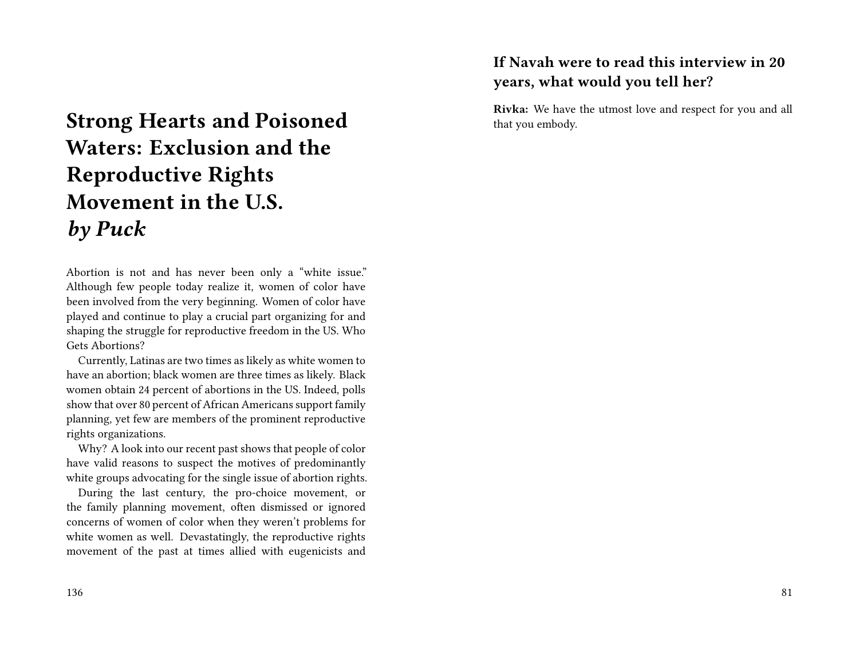# **Strong Hearts and Poisoned Waters: Exclusion and the Reproductive Rights Movement in the U.S.** *by Puck*

Abortion is not and has never been only a "white issue." Although few people today realize it, women of color have been involved from the very beginning. Women of color have played and continue to play a crucial part organizing for and shaping the struggle for reproductive freedom in the US. Who Gets Abortions?

Currently, Latinas are two times as likely as white women to have an abortion; black women are three times as likely. Black women obtain 24 percent of abortions in the US. Indeed, polls show that over 80 percent of African Americans support family planning, yet few are members of the prominent reproductive rights organizations.

Why? A look into our recent past shows that people of color have valid reasons to suspect the motives of predominantly white groups advocating for the single issue of abortion rights.

During the last century, the pro-choice movement, or the family planning movement, often dismissed or ignored concerns of women of color when they weren't problems for white women as well. Devastatingly, the reproductive rights movement of the past at times allied with eugenicists and

# **If Navah were to read this interview in 20 years, what would you tell her?**

**Rivka:** We have the utmost love and respect for you and all that you embody.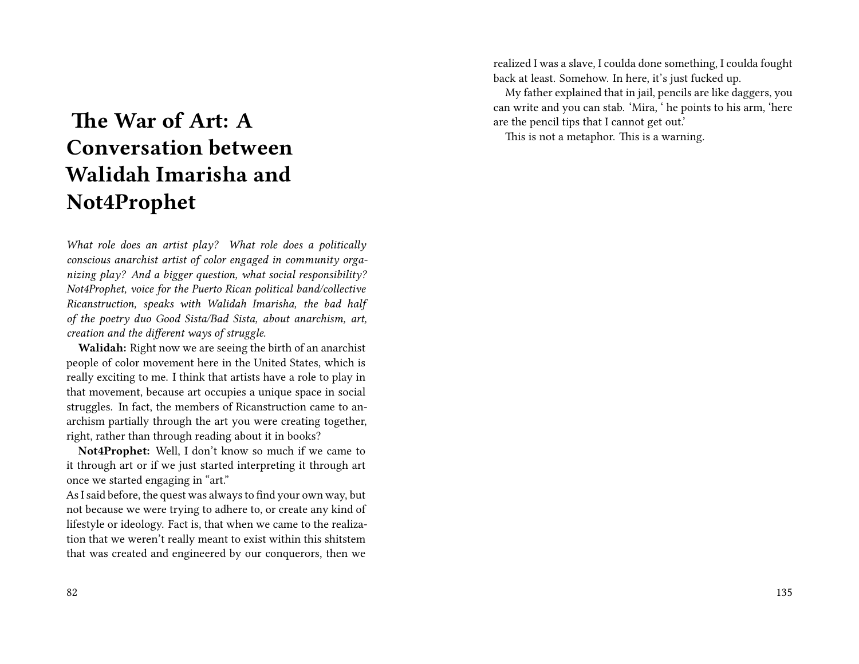# **The War of Art: A Conversation between Walidah Imarisha and Not4Prophet**

*What role does an artist play? What role does a politically conscious anarchist artist of color engaged in community organizing play? And a bigger question, what social responsibility? Not4Prophet, voice for the Puerto Rican political band/collective Ricanstruction, speaks with Walidah Imarisha, the bad half of the poetry duo Good Sista/Bad Sista, about anarchism, art, creation and the different ways of struggle.*

**Walidah:** Right now we are seeing the birth of an anarchist people of color movement here in the United States, which is really exciting to me. I think that artists have a role to play in that movement, because art occupies a unique space in social struggles. In fact, the members of Ricanstruction came to anarchism partially through the art you were creating together, right, rather than through reading about it in books?

**Not4Prophet:** Well, I don't know so much if we came to it through art or if we just started interpreting it through art once we started engaging in "art."

As I said before, the quest was always to find your own way, but not because we were trying to adhere to, or create any kind of lifestyle or ideology. Fact is, that when we came to the realization that we weren't really meant to exist within this shitstem that was created and engineered by our conquerors, then we

realized I was a slave, I coulda done something, I coulda fought back at least. Somehow. In here, it's just fucked up.

My father explained that in jail, pencils are like daggers, you can write and you can stab. 'Mira, ' he points to his arm, 'here are the pencil tips that I cannot get out.'

This is not a metaphor. This is a warning.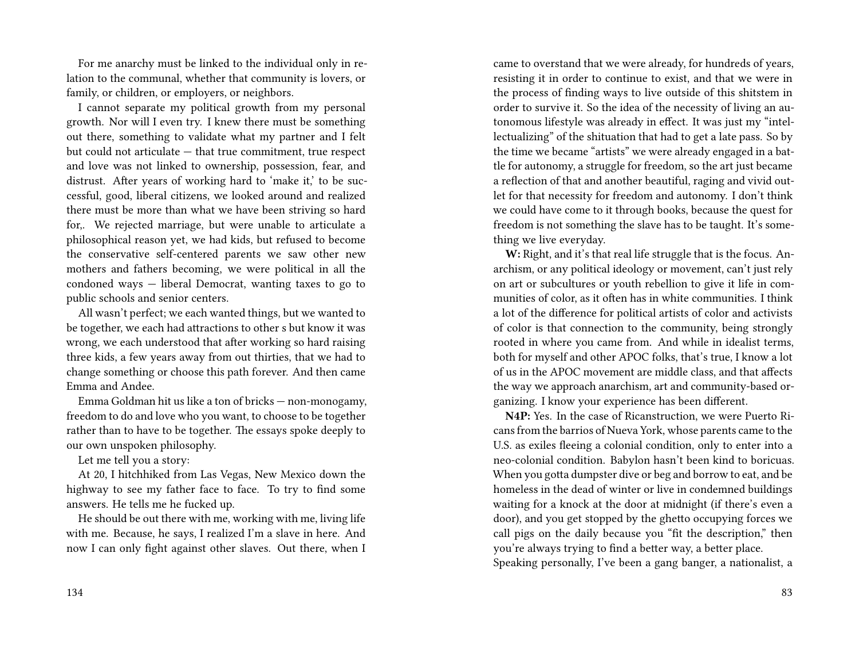For me anarchy must be linked to the individual only in relation to the communal, whether that community is lovers, or family, or children, or employers, or neighbors.

I cannot separate my political growth from my personal growth. Nor will I even try. I knew there must be something out there, something to validate what my partner and I felt but could not articulate — that true commitment, true respect and love was not linked to ownership, possession, fear, and distrust. After years of working hard to 'make it,' to be successful, good, liberal citizens, we looked around and realized there must be more than what we have been striving so hard for,. We rejected marriage, but were unable to articulate a philosophical reason yet, we had kids, but refused to become the conservative self-centered parents we saw other new mothers and fathers becoming, we were political in all the condoned ways — liberal Democrat, wanting taxes to go to public schools and senior centers.

All wasn't perfect; we each wanted things, but we wanted to be together, we each had attractions to other s but know it was wrong, we each understood that after working so hard raising three kids, a few years away from out thirties, that we had to change something or choose this path forever. And then came Emma and Andee.

Emma Goldman hit us like a ton of bricks — non-monogamy, freedom to do and love who you want, to choose to be together rather than to have to be together. The essays spoke deeply to our own unspoken philosophy.

Let me tell you a story:

At 20, I hitchhiked from Las Vegas, New Mexico down the highway to see my father face to face. To try to find some answers. He tells me he fucked up.

He should be out there with me, working with me, living life with me. Because, he says, I realized I'm a slave in here. And now I can only fight against other slaves. Out there, when I came to overstand that we were already, for hundreds of years, resisting it in order to continue to exist, and that we were in the process of finding ways to live outside of this shitstem in order to survive it. So the idea of the necessity of living an autonomous lifestyle was already in effect. It was just my "intellectualizing" of the shituation that had to get a late pass. So by the time we became "artists" we were already engaged in a battle for autonomy, a struggle for freedom, so the art just became a reflection of that and another beautiful, raging and vivid outlet for that necessity for freedom and autonomy. I don't think we could have come to it through books, because the quest for freedom is not something the slave has to be taught. It's something we live everyday.

**W:** Right, and it's that real life struggle that is the focus. Anarchism, or any political ideology or movement, can't just rely on art or subcultures or youth rebellion to give it life in communities of color, as it often has in white communities. I think a lot of the difference for political artists of color and activists of color is that connection to the community, being strongly rooted in where you came from. And while in idealist terms, both for myself and other APOC folks, that's true, I know a lot of us in the APOC movement are middle class, and that affects the way we approach anarchism, art and community-based organizing. I know your experience has been different.

**N4P:** Yes. In the case of Ricanstruction, we were Puerto Ricans from the barrios of Nueva York, whose parents came to the U.S. as exiles fleeing a colonial condition, only to enter into a neo-colonial condition. Babylon hasn't been kind to boricuas. When you gotta dumpster dive or beg and borrow to eat, and be homeless in the dead of winter or live in condemned buildings waiting for a knock at the door at midnight (if there's even a door), and you get stopped by the ghetto occupying forces we call pigs on the daily because you "fit the description," then you're always trying to find a better way, a better place.

Speaking personally, I've been a gang banger, a nationalist, a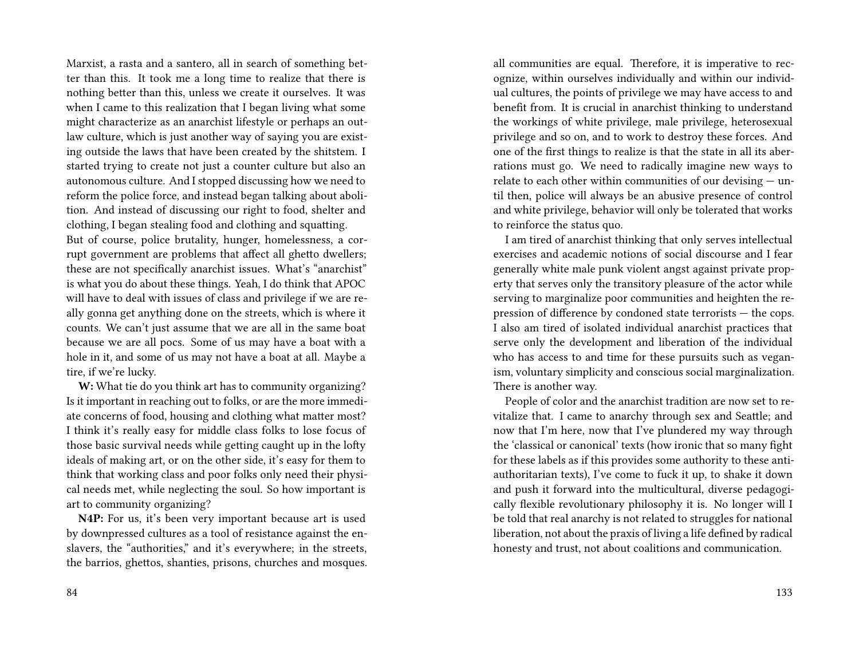Marxist, a rasta and a santero, all in search of something better than this. It took me a long time to realize that there is nothing better than this, unless we create it ourselves. It was when I came to this realization that I began living what some might characterize as an anarchist lifestyle or perhaps an outlaw culture, which is just another way of saying you are existing outside the laws that have been created by the shitstem. I started trying to create not just a counter culture but also an autonomous culture. And I stopped discussing how we need to reform the police force, and instead began talking about abolition. And instead of discussing our right to food, shelter and clothing, I began stealing food and clothing and squatting.

But of course, police brutality, hunger, homelessness, a corrupt government are problems that affect all ghetto dwellers; these are not specifically anarchist issues. What's "anarchist" is what you do about these things. Yeah, I do think that APOC will have to deal with issues of class and privilege if we are really gonna get anything done on the streets, which is where it counts. We can't just assume that we are all in the same boat because we are all pocs. Some of us may have a boat with a hole in it, and some of us may not have a boat at all. Maybe a tire, if we're lucky.

**W:** What tie do you think art has to community organizing? Is it important in reaching out to folks, or are the more immediate concerns of food, housing and clothing what matter most? I think it's really easy for middle class folks to lose focus of those basic survival needs while getting caught up in the lofty ideals of making art, or on the other side, it's easy for them to think that working class and poor folks only need their physical needs met, while neglecting the soul. So how important is art to community organizing?

**N4P:** For us, it's been very important because art is used by downpressed cultures as a tool of resistance against the enslavers, the "authorities," and it's everywhere; in the streets, the barrios, ghettos, shanties, prisons, churches and mosques. all communities are equal. Therefore, it is imperative to recognize, within ourselves individually and within our individual cultures, the points of privilege we may have access to and benefit from. It is crucial in anarchist thinking to understand the workings of white privilege, male privilege, heterosexual privilege and so on, and to work to destroy these forces. And one of the first things to realize is that the state in all its aberrations must go. We need to radically imagine new ways to relate to each other within communities of our devising — until then, police will always be an abusive presence of control and white privilege, behavior will only be tolerated that works to reinforce the status quo.

I am tired of anarchist thinking that only serves intellectual exercises and academic notions of social discourse and I fear generally white male punk violent angst against private property that serves only the transitory pleasure of the actor while serving to marginalize poor communities and heighten the repression of difference by condoned state terrorists — the cops. I also am tired of isolated individual anarchist practices that serve only the development and liberation of the individual who has access to and time for these pursuits such as veganism, voluntary simplicity and conscious social marginalization. There is another way.

People of color and the anarchist tradition are now set to revitalize that. I came to anarchy through sex and Seattle; and now that I'm here, now that I've plundered my way through the 'classical or canonical' texts (how ironic that so many fight for these labels as if this provides some authority to these antiauthoritarian texts), I've come to fuck it up, to shake it down and push it forward into the multicultural, diverse pedagogically flexible revolutionary philosophy it is. No longer will I be told that real anarchy is not related to struggles for national liberation, not about the praxis of living a life defined by radical honesty and trust, not about coalitions and communication.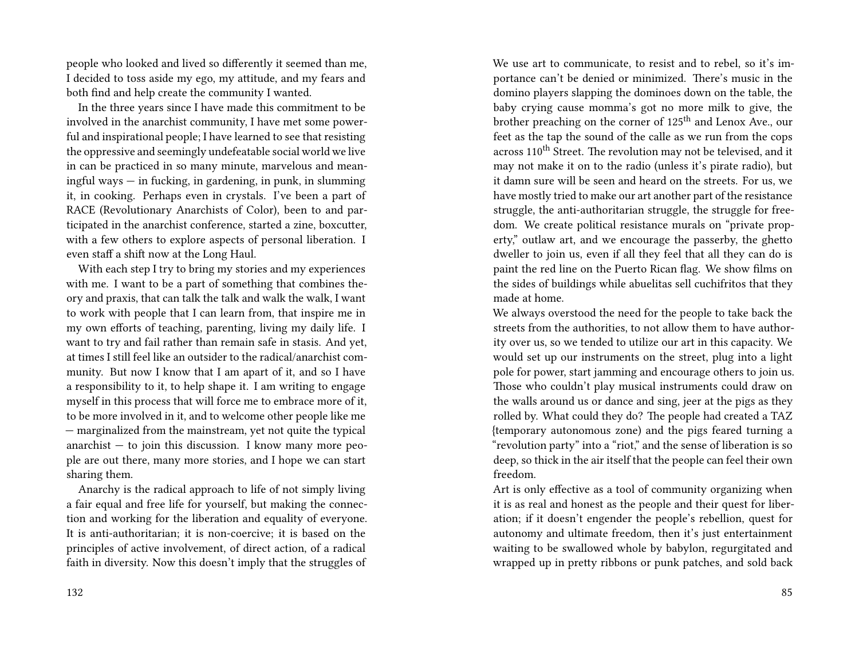people who looked and lived so differently it seemed than me, I decided to toss aside my ego, my attitude, and my fears and both find and help create the community I wanted.

In the three years since I have made this commitment to be involved in the anarchist community, I have met some powerful and inspirational people; I have learned to see that resisting the oppressive and seemingly undefeatable social world we live in can be practiced in so many minute, marvelous and meaningful ways — in fucking, in gardening, in punk, in slumming it, in cooking. Perhaps even in crystals. I've been a part of RACE (Revolutionary Anarchists of Color), been to and participated in the anarchist conference, started a zine, boxcutter, with a few others to explore aspects of personal liberation. I even staff a shift now at the Long Haul.

With each step I try to bring my stories and my experiences with me. I want to be a part of something that combines theory and praxis, that can talk the talk and walk the walk, I want to work with people that I can learn from, that inspire me in my own efforts of teaching, parenting, living my daily life. I want to try and fail rather than remain safe in stasis. And yet, at times I still feel like an outsider to the radical/anarchist community. But now I know that I am apart of it, and so I have a responsibility to it, to help shape it. I am writing to engage myself in this process that will force me to embrace more of it, to be more involved in it, and to welcome other people like me — marginalized from the mainstream, yet not quite the typical anarchist  $-$  to join this discussion. I know many more people are out there, many more stories, and I hope we can start sharing them.

Anarchy is the radical approach to life of not simply living a fair equal and free life for yourself, but making the connection and working for the liberation and equality of everyone. It is anti-authoritarian; it is non-coercive; it is based on the principles of active involvement, of direct action, of a radical faith in diversity. Now this doesn't imply that the struggles of We use art to communicate, to resist and to rebel, so it's importance can't be denied or minimized. There's music in the domino players slapping the dominoes down on the table, the baby crying cause momma's got no more milk to give, the brother preaching on the corner of 125<sup>th</sup> and Lenox Ave., our feet as the tap the sound of the calle as we run from the cops across 110<sup>th</sup> Street. The revolution may not be televised, and it may not make it on to the radio (unless it's pirate radio), but it damn sure will be seen and heard on the streets. For us, we have mostly tried to make our art another part of the resistance struggle, the anti-authoritarian struggle, the struggle for freedom. We create political resistance murals on "private property," outlaw art, and we encourage the passerby, the ghetto dweller to join us, even if all they feel that all they can do is paint the red line on the Puerto Rican flag. We show films on the sides of buildings while abuelitas sell cuchifritos that they made at home.

We always overstood the need for the people to take back the streets from the authorities, to not allow them to have authority over us, so we tended to utilize our art in this capacity. We would set up our instruments on the street, plug into a light pole for power, start jamming and encourage others to join us. Those who couldn't play musical instruments could draw on the walls around us or dance and sing, jeer at the pigs as they rolled by. What could they do? The people had created a TAZ {temporary autonomous zone) and the pigs feared turning a "revolution party" into a "riot," and the sense of liberation is so deep, so thick in the air itself that the people can feel their own freedom.

Art is only effective as a tool of community organizing when it is as real and honest as the people and their quest for liberation; if it doesn't engender the people's rebellion, quest for autonomy and ultimate freedom, then it's just entertainment waiting to be swallowed whole by babylon, regurgitated and wrapped up in pretty ribbons or punk patches, and sold back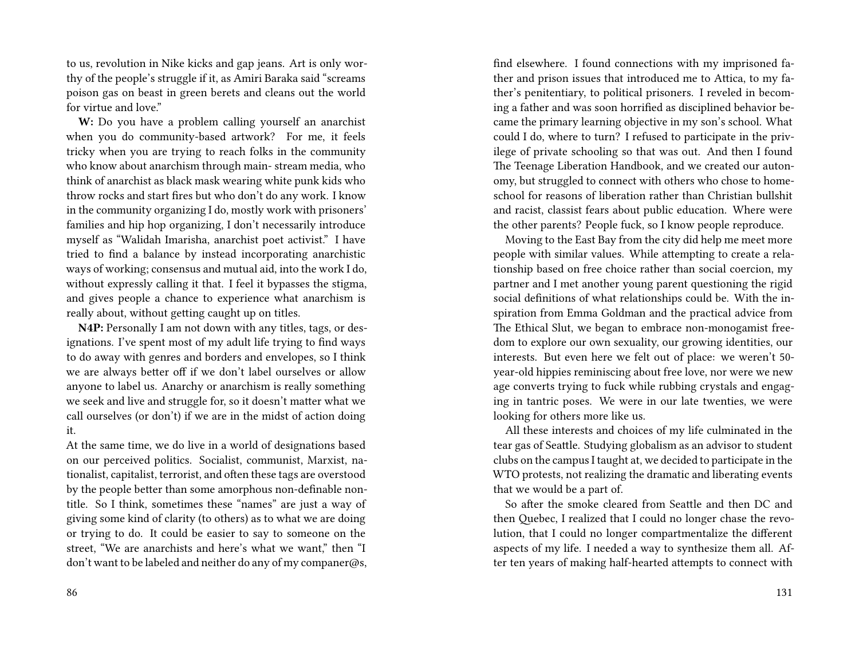to us, revolution in Nike kicks and gap jeans. Art is only worthy of the people's struggle if it, as Amiri Baraka said "screams poison gas on beast in green berets and cleans out the world for virtue and love."

**W:** Do you have a problem calling yourself an anarchist when you do community-based artwork? For me, it feels tricky when you are trying to reach folks in the community who know about anarchism through main- stream media, who think of anarchist as black mask wearing white punk kids who throw rocks and start fires but who don't do any work. I know in the community organizing I do, mostly work with prisoners' families and hip hop organizing, I don't necessarily introduce myself as "Walidah Imarisha, anarchist poet activist." I have tried to find a balance by instead incorporating anarchistic ways of working; consensus and mutual aid, into the work I do, without expressly calling it that. I feel it bypasses the stigma, and gives people a chance to experience what anarchism is really about, without getting caught up on titles.

**N4P:** Personally I am not down with any titles, tags, or designations. I've spent most of my adult life trying to find ways to do away with genres and borders and envelopes, so I think we are always better off if we don't label ourselves or allow anyone to label us. Anarchy or anarchism is really something we seek and live and struggle for, so it doesn't matter what we call ourselves (or don't) if we are in the midst of action doing it.

At the same time, we do live in a world of designations based on our perceived politics. Socialist, communist, Marxist, nationalist, capitalist, terrorist, and often these tags are overstood by the people better than some amorphous non-definable nontitle. So I think, sometimes these "names" are just a way of giving some kind of clarity (to others) as to what we are doing or trying to do. It could be easier to say to someone on the street, "We are anarchists and here's what we want," then "I don't want to be labeled and neither do any of my companer@s, find elsewhere. I found connections with my imprisoned father and prison issues that introduced me to Attica, to my father's penitentiary, to political prisoners. I reveled in becoming a father and was soon horrified as disciplined behavior became the primary learning objective in my son's school. What could I do, where to turn? I refused to participate in the privilege of private schooling so that was out. And then I found The Teenage Liberation Handbook, and we created our autonomy, but struggled to connect with others who chose to homeschool for reasons of liberation rather than Christian bullshit and racist, classist fears about public education. Where were the other parents? People fuck, so I know people reproduce.

Moving to the East Bay from the city did help me meet more people with similar values. While attempting to create a relationship based on free choice rather than social coercion, my partner and I met another young parent questioning the rigid social definitions of what relationships could be. With the inspiration from Emma Goldman and the practical advice from The Ethical Slut, we began to embrace non-monogamist freedom to explore our own sexuality, our growing identities, our interests. But even here we felt out of place: we weren't 50 year-old hippies reminiscing about free love, nor were we new age converts trying to fuck while rubbing crystals and engaging in tantric poses. We were in our late twenties, we were looking for others more like us.

All these interests and choices of my life culminated in the tear gas of Seattle. Studying globalism as an advisor to student clubs on the campus I taught at, we decided to participate in the WTO protests, not realizing the dramatic and liberating events that we would be a part of.

So after the smoke cleared from Seattle and then DC and then Quebec, I realized that I could no longer chase the revolution, that I could no longer compartmentalize the different aspects of my life. I needed a way to synthesize them all. After ten years of making half-hearted attempts to connect with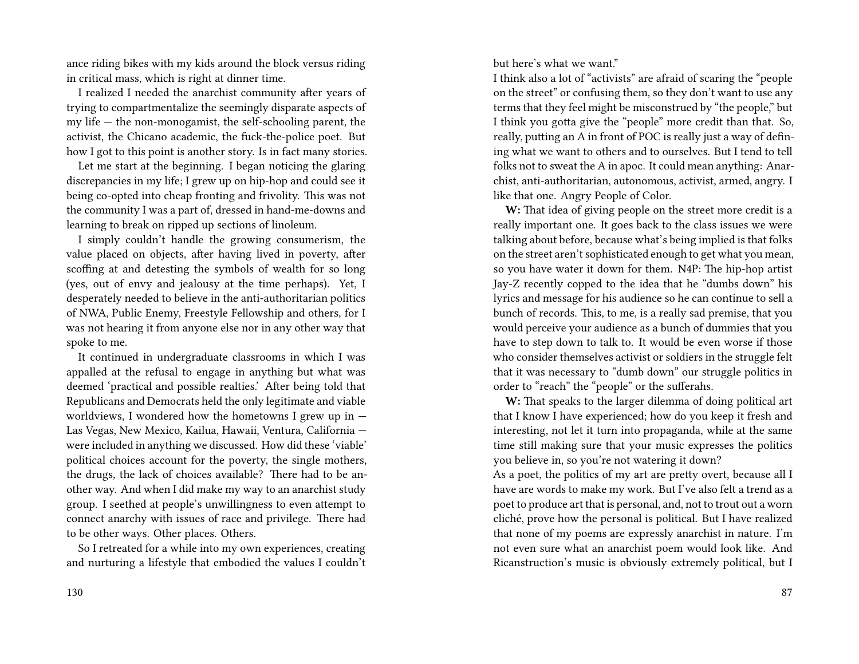ance riding bikes with my kids around the block versus riding in critical mass, which is right at dinner time.

I realized I needed the anarchist community after years of trying to compartmentalize the seemingly disparate aspects of my life — the non-monogamist, the self-schooling parent, the activist, the Chicano academic, the fuck-the-police poet. But how I got to this point is another story. Is in fact many stories.

Let me start at the beginning. I began noticing the glaring discrepancies in my life; I grew up on hip-hop and could see it being co-opted into cheap fronting and frivolity. This was not the community I was a part of, dressed in hand-me-downs and learning to break on ripped up sections of linoleum.

I simply couldn't handle the growing consumerism, the value placed on objects, after having lived in poverty, after scoffing at and detesting the symbols of wealth for so long (yes, out of envy and jealousy at the time perhaps). Yet, I desperately needed to believe in the anti-authoritarian politics of NWA, Public Enemy, Freestyle Fellowship and others, for I was not hearing it from anyone else nor in any other way that spoke to me.

It continued in undergraduate classrooms in which I was appalled at the refusal to engage in anything but what was deemed 'practical and possible realties.' After being told that Republicans and Democrats held the only legitimate and viable worldviews, I wondered how the hometowns I grew up in  $-$ Las Vegas, New Mexico, Kailua, Hawaii, Ventura, California were included in anything we discussed. How did these 'viable' political choices account for the poverty, the single mothers, the drugs, the lack of choices available? There had to be another way. And when I did make my way to an anarchist study group. I seethed at people's unwillingness to even attempt to connect anarchy with issues of race and privilege. There had to be other ways. Other places. Others.

So I retreated for a while into my own experiences, creating and nurturing a lifestyle that embodied the values I couldn't

but here's what we want."

I think also a lot of "activists" are afraid of scaring the "people on the street" or confusing them, so they don't want to use any terms that they feel might be misconstrued by "the people," but I think you gotta give the "people" more credit than that. So, really, putting an A in front of POC is really just a way of defining what we want to others and to ourselves. But I tend to tell folks not to sweat the A in apoc. It could mean anything: Anarchist, anti-authoritarian, autonomous, activist, armed, angry. I like that one. Angry People of Color.

**W:** That idea of giving people on the street more credit is a really important one. It goes back to the class issues we were talking about before, because what's being implied is that folks on the street aren't sophisticated enough to get what you mean, so you have water it down for them. N4P: The hip-hop artist Jay-Z recently copped to the idea that he "dumbs down" his lyrics and message for his audience so he can continue to sell a bunch of records. This, to me, is a really sad premise, that you would perceive your audience as a bunch of dummies that you have to step down to talk to. It would be even worse if those who consider themselves activist or soldiers in the struggle felt that it was necessary to "dumb down" our struggle politics in order to "reach" the "people" or the sufferahs.

**W:** That speaks to the larger dilemma of doing political art that I know I have experienced; how do you keep it fresh and interesting, not let it turn into propaganda, while at the same time still making sure that your music expresses the politics you believe in, so you're not watering it down?

As a poet, the politics of my art are pretty overt, because all I have are words to make my work. But I've also felt a trend as a poet to produce art that is personal, and, not to trout out a worn cliché, prove how the personal is political. But I have realized that none of my poems are expressly anarchist in nature. I'm not even sure what an anarchist poem would look like. And Ricanstruction's music is obviously extremely political, but I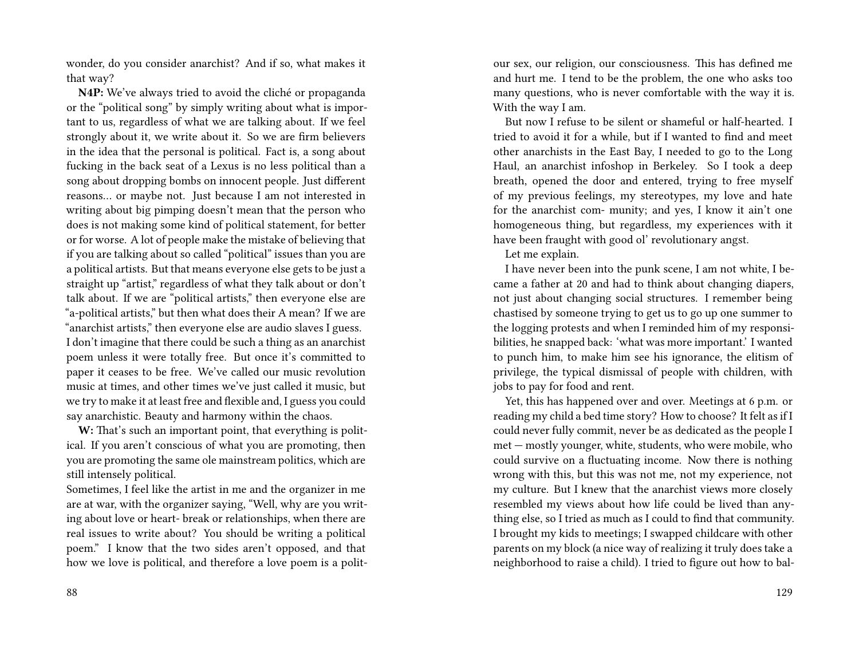wonder, do you consider anarchist? And if so, what makes it that way?

**N4P:** We've always tried to avoid the cliché or propaganda or the "political song" by simply writing about what is important to us, regardless of what we are talking about. If we feel strongly about it, we write about it. So we are firm believers in the idea that the personal is political. Fact is, a song about fucking in the back seat of a Lexus is no less political than a song about dropping bombs on innocent people. Just different reasons… or maybe not. Just because I am not interested in writing about big pimping doesn't mean that the person who does is not making some kind of political statement, for better or for worse. A lot of people make the mistake of believing that if you are talking about so called "political" issues than you are a political artists. But that means everyone else gets to be just a straight up "artist," regardless of what they talk about or don't talk about. If we are "political artists," then everyone else are "a-political artists," but then what does their A mean? If we are "anarchist artists," then everyone else are audio slaves I guess. I don't imagine that there could be such a thing as an anarchist poem unless it were totally free. But once it's committed to paper it ceases to be free. We've called our music revolution music at times, and other times we've just called it music, but we try to make it at least free and flexible and, I guess you could say anarchistic. Beauty and harmony within the chaos.

**W:** That's such an important point, that everything is political. If you aren't conscious of what you are promoting, then you are promoting the same ole mainstream politics, which are still intensely political.

Sometimes, I feel like the artist in me and the organizer in me are at war, with the organizer saying, "Well, why are you writing about love or heart- break or relationships, when there are real issues to write about? You should be writing a political poem." I know that the two sides aren't opposed, and that how we love is political, and therefore a love poem is a politour sex, our religion, our consciousness. This has defined me and hurt me. I tend to be the problem, the one who asks too many questions, who is never comfortable with the way it is. With the way I am.

But now I refuse to be silent or shameful or half-hearted. I tried to avoid it for a while, but if I wanted to find and meet other anarchists in the East Bay, I needed to go to the Long Haul, an anarchist infoshop in Berkeley. So I took a deep breath, opened the door and entered, trying to free myself of my previous feelings, my stereotypes, my love and hate for the anarchist com- munity; and yes, I know it ain't one homogeneous thing, but regardless, my experiences with it have been fraught with good ol' revolutionary angst.

Let me explain.

I have never been into the punk scene, I am not white, I became a father at 20 and had to think about changing diapers, not just about changing social structures. I remember being chastised by someone trying to get us to go up one summer to the logging protests and when I reminded him of my responsibilities, he snapped back: 'what was more important.' I wanted to punch him, to make him see his ignorance, the elitism of privilege, the typical dismissal of people with children, with jobs to pay for food and rent.

Yet, this has happened over and over. Meetings at 6 p.m. or reading my child a bed time story? How to choose? It felt as if I could never fully commit, never be as dedicated as the people I met — mostly younger, white, students, who were mobile, who could survive on a fluctuating income. Now there is nothing wrong with this, but this was not me, not my experience, not my culture. But I knew that the anarchist views more closely resembled my views about how life could be lived than anything else, so I tried as much as I could to find that community. I brought my kids to meetings; I swapped childcare with other parents on my block (a nice way of realizing it truly does take a neighborhood to raise a child). I tried to figure out how to bal-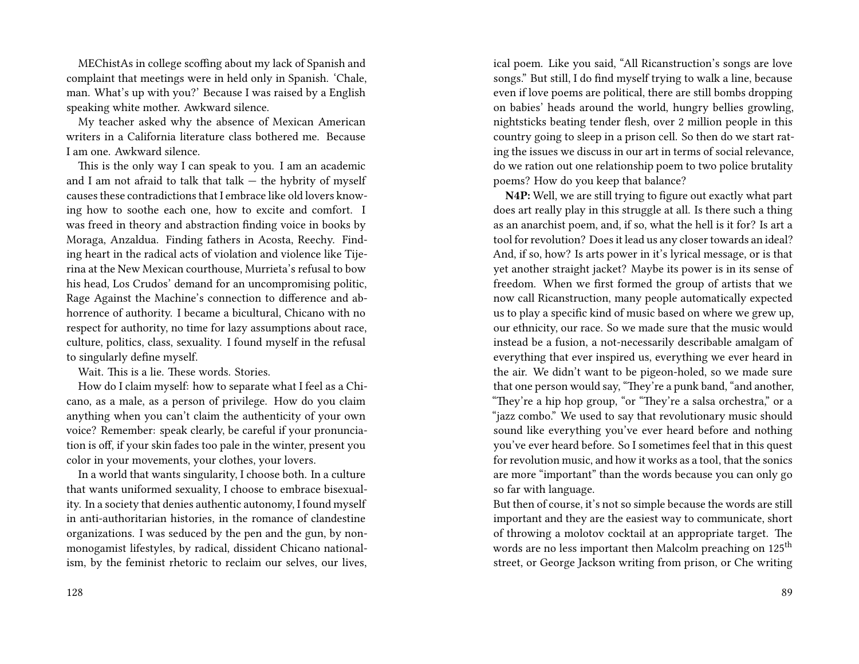MEChistAs in college scoffing about my lack of Spanish and complaint that meetings were in held only in Spanish. 'Chale, man. What's up with you?' Because I was raised by a English speaking white mother. Awkward silence.

My teacher asked why the absence of Mexican American writers in a California literature class bothered me. Because I am one. Awkward silence.

This is the only way I can speak to you. I am an academic and I am not afraid to talk that talk  $-$  the hybrity of myself causes these contradictions that I embrace like old lovers knowing how to soothe each one, how to excite and comfort. I was freed in theory and abstraction finding voice in books by Moraga, Anzaldua. Finding fathers in Acosta, Reechy. Finding heart in the radical acts of violation and violence like Tijerina at the New Mexican courthouse, Murrieta's refusal to bow his head, Los Crudos' demand for an uncompromising politic, Rage Against the Machine's connection to difference and abhorrence of authority. I became a bicultural, Chicano with no respect for authority, no time for lazy assumptions about race, culture, politics, class, sexuality. I found myself in the refusal to singularly define myself.

Wait. This is a lie. These words. Stories.

How do I claim myself: how to separate what I feel as a Chicano, as a male, as a person of privilege. How do you claim anything when you can't claim the authenticity of your own voice? Remember: speak clearly, be careful if your pronunciation is off, if your skin fades too pale in the winter, present you color in your movements, your clothes, your lovers.

In a world that wants singularity, I choose both. In a culture that wants uniformed sexuality, I choose to embrace bisexuality. In a society that denies authentic autonomy, I found myself in anti-authoritarian histories, in the romance of clandestine organizations. I was seduced by the pen and the gun, by nonmonogamist lifestyles, by radical, dissident Chicano nationalism, by the feminist rhetoric to reclaim our selves, our lives,

ical poem. Like you said, "All Ricanstruction's songs are love songs." But still, I do find myself trying to walk a line, because even if love poems are political, there are still bombs dropping on babies' heads around the world, hungry bellies growling, nightsticks beating tender flesh, over 2 million people in this country going to sleep in a prison cell. So then do we start rating the issues we discuss in our art in terms of social relevance, do we ration out one relationship poem to two police brutality poems? How do you keep that balance?

**N4P:** Well, we are still trying to figure out exactly what part does art really play in this struggle at all. Is there such a thing as an anarchist poem, and, if so, what the hell is it for? Is art a tool for revolution? Does it lead us any closer towards an ideal? And, if so, how? Is arts power in it's lyrical message, or is that yet another straight jacket? Maybe its power is in its sense of freedom. When we first formed the group of artists that we now call Ricanstruction, many people automatically expected us to play a specific kind of music based on where we grew up, our ethnicity, our race. So we made sure that the music would instead be a fusion, a not-necessarily describable amalgam of everything that ever inspired us, everything we ever heard in the air. We didn't want to be pigeon-holed, so we made sure that one person would say, "They're a punk band, "and another, "They're a hip hop group, "or "They're a salsa orchestra," or a "jazz combo." We used to say that revolutionary music should sound like everything you've ever heard before and nothing you've ever heard before. So I sometimes feel that in this quest for revolution music, and how it works as a tool, that the sonics are more "important" than the words because you can only go so far with language.

But then of course, it's not so simple because the words are still important and they are the easiest way to communicate, short of throwing a molotov cocktail at an appropriate target. The words are no less important then Malcolm preaching on 125<sup>th</sup> street, or George Jackson writing from prison, or Che writing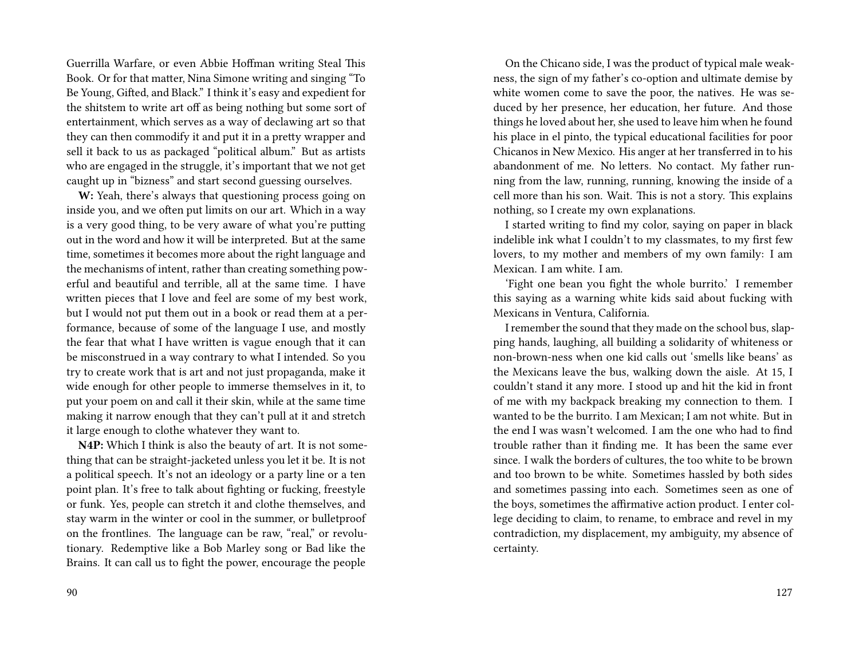Guerrilla Warfare, or even Abbie Hoffman writing Steal This Book. Or for that matter, Nina Simone writing and singing "To Be Young, Gifted, and Black." I think it's easy and expedient for the shitstem to write art off as being nothing but some sort of entertainment, which serves as a way of declawing art so that they can then commodify it and put it in a pretty wrapper and sell it back to us as packaged "political album." But as artists who are engaged in the struggle, it's important that we not get caught up in "bizness" and start second guessing ourselves.

**W:** Yeah, there's always that questioning process going on inside you, and we often put limits on our art. Which in a way is a very good thing, to be very aware of what you're putting out in the word and how it will be interpreted. But at the same time, sometimes it becomes more about the right language and the mechanisms of intent, rather than creating something powerful and beautiful and terrible, all at the same time. I have written pieces that I love and feel are some of my best work, but I would not put them out in a book or read them at a performance, because of some of the language I use, and mostly the fear that what I have written is vague enough that it can be misconstrued in a way contrary to what I intended. So you try to create work that is art and not just propaganda, make it wide enough for other people to immerse themselves in it, to put your poem on and call it their skin, while at the same time making it narrow enough that they can't pull at it and stretch it large enough to clothe whatever they want to.

**N4P:** Which I think is also the beauty of art. It is not something that can be straight-jacketed unless you let it be. It is not a political speech. It's not an ideology or a party line or a ten point plan. It's free to talk about fighting or fucking, freestyle or funk. Yes, people can stretch it and clothe themselves, and stay warm in the winter or cool in the summer, or bulletproof on the frontlines. The language can be raw, "real," or revolutionary. Redemptive like a Bob Marley song or Bad like the Brains. It can call us to fight the power, encourage the people

On the Chicano side, I was the product of typical male weakness, the sign of my father's co-option and ultimate demise by white women come to save the poor, the natives. He was seduced by her presence, her education, her future. And those things he loved about her, she used to leave him when he found his place in el pinto, the typical educational facilities for poor Chicanos in New Mexico. His anger at her transferred in to his abandonment of me. No letters. No contact. My father running from the law, running, running, knowing the inside of a cell more than his son. Wait. This is not a story. This explains nothing, so I create my own explanations.

I started writing to find my color, saying on paper in black indelible ink what I couldn't to my classmates, to my first few lovers, to my mother and members of my own family: I am Mexican. I am white. I am.

'Fight one bean you fight the whole burrito.' I remember this saying as a warning white kids said about fucking with Mexicans in Ventura, California.

I remember the sound that they made on the school bus, slapping hands, laughing, all building a solidarity of whiteness or non-brown-ness when one kid calls out 'smells like beans' as the Mexicans leave the bus, walking down the aisle. At 15, I couldn't stand it any more. I stood up and hit the kid in front of me with my backpack breaking my connection to them. I wanted to be the burrito. I am Mexican; I am not white. But in the end I was wasn't welcomed. I am the one who had to find trouble rather than it finding me. It has been the same ever since. I walk the borders of cultures, the too white to be brown and too brown to be white. Sometimes hassled by both sides and sometimes passing into each. Sometimes seen as one of the boys, sometimes the affirmative action product. I enter college deciding to claim, to rename, to embrace and revel in my contradiction, my displacement, my ambiguity, my absence of certainty.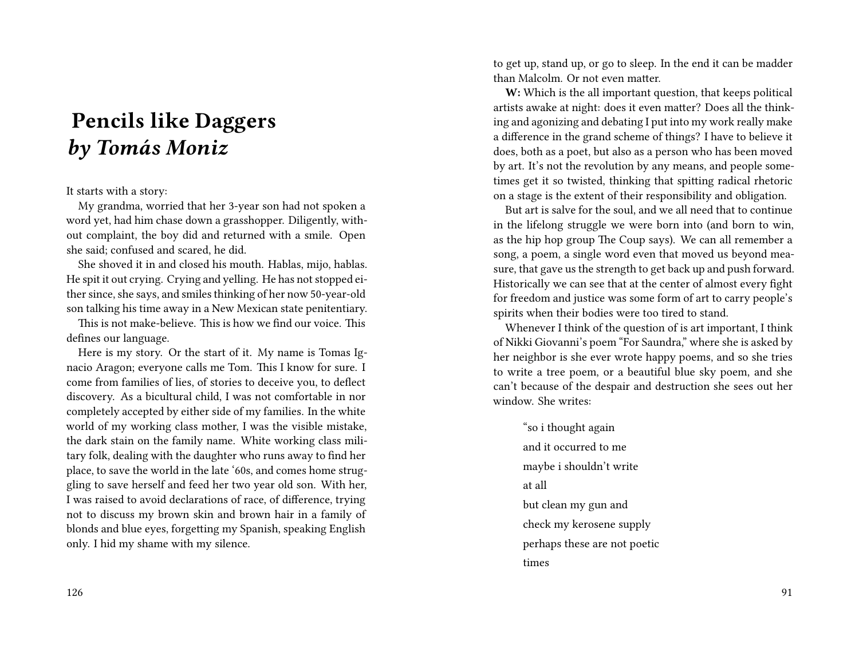# **Pencils like Daggers** *by Tomás Moniz*

#### It starts with a story:

My grandma, worried that her 3-year son had not spoken a word yet, had him chase down a grasshopper. Diligently, without complaint, the boy did and returned with a smile. Open she said; confused and scared, he did.

She shoved it in and closed his mouth. Hablas, mijo, hablas. He spit it out crying. Crying and yelling. He has not stopped either since, she says, and smiles thinking of her now 50-year-old son talking his time away in a New Mexican state penitentiary.

This is not make-believe. This is how we find our voice. This defines our language.

Here is my story. Or the start of it. My name is Tomas Ignacio Aragon; everyone calls me Tom. This I know for sure. I come from families of lies, of stories to deceive you, to deflect discovery. As a bicultural child, I was not comfortable in nor completely accepted by either side of my families. In the white world of my working class mother, I was the visible mistake, the dark stain on the family name. White working class military folk, dealing with the daughter who runs away to find her place, to save the world in the late '60s, and comes home struggling to save herself and feed her two year old son. With her, I was raised to avoid declarations of race, of difference, trying not to discuss my brown skin and brown hair in a family of blonds and blue eyes, forgetting my Spanish, speaking English only. I hid my shame with my silence.

to get up, stand up, or go to sleep. In the end it can be madder than Malcolm. Or not even matter.

**W:** Which is the all important question, that keeps political artists awake at night: does it even matter? Does all the thinking and agonizing and debating I put into my work really make a difference in the grand scheme of things? I have to believe it does, both as a poet, but also as a person who has been moved by art. It's not the revolution by any means, and people sometimes get it so twisted, thinking that spitting radical rhetoric on a stage is the extent of their responsibility and obligation.

But art is salve for the soul, and we all need that to continue in the lifelong struggle we were born into (and born to win, as the hip hop group The Coup says). We can all remember a song, a poem, a single word even that moved us beyond measure, that gave us the strength to get back up and push forward. Historically we can see that at the center of almost every fight for freedom and justice was some form of art to carry people's spirits when their bodies were too tired to stand.

Whenever I think of the question of is art important, I think of Nikki Giovanni's poem "For Saundra," where she is asked by her neighbor is she ever wrote happy poems, and so she tries to write a tree poem, or a beautiful blue sky poem, and she can't because of the despair and destruction she sees out her window. She writes:

"so i thought again and it occurred to me maybe i shouldn't write at all but clean my gun and check my kerosene supply perhaps these are not poetic times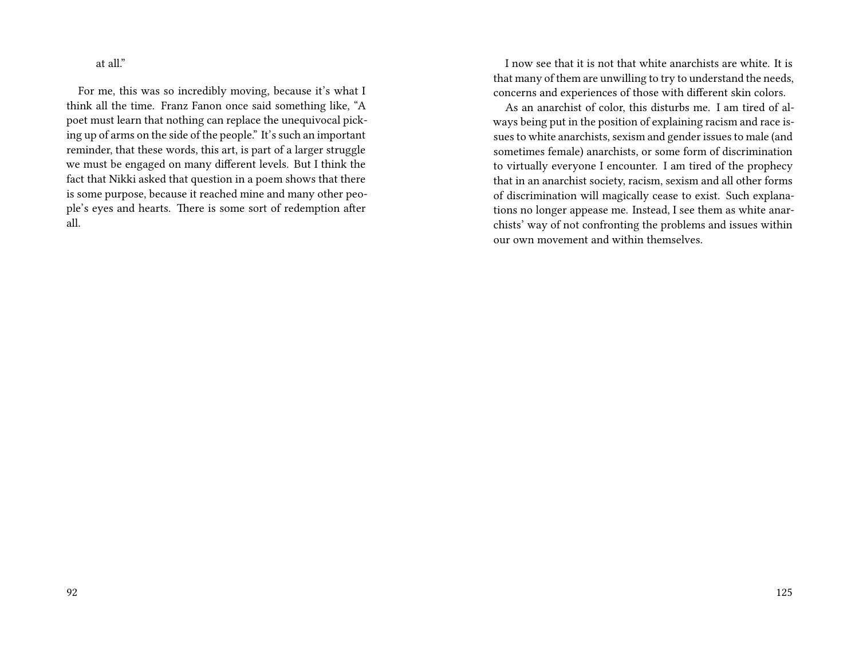at all."

For me, this was so incredibly moving, because it's what I think all the time. Franz Fanon once said something like, "A poet must learn that nothing can replace the unequivocal picking up of arms on the side of the people." It's such an important reminder, that these words, this art, is part of a larger struggle we must be engaged on many different levels. But I think the fact that Nikki asked that question in a poem shows that there is some purpose, because it reached mine and many other people's eyes and hearts. There is some sort of redemption after all.

I now see that it is not that white anarchists are white. It is that many of them are unwilling to try to understand the needs, concerns and experiences of those with different skin colors.

As an anarchist of color, this disturbs me. I am tired of always being put in the position of explaining racism and race issues to white anarchists, sexism and gender issues to male (and sometimes female) anarchists, or some form of discrimination to virtually everyone I encounter. I am tired of the prophecy that in an anarchist society, racism, sexism and all other forms of discrimination will magically cease to exist. Such explanations no longer appease me. Instead, I see them as white anarchists' way of not confronting the problems and issues within our own movement and within themselves.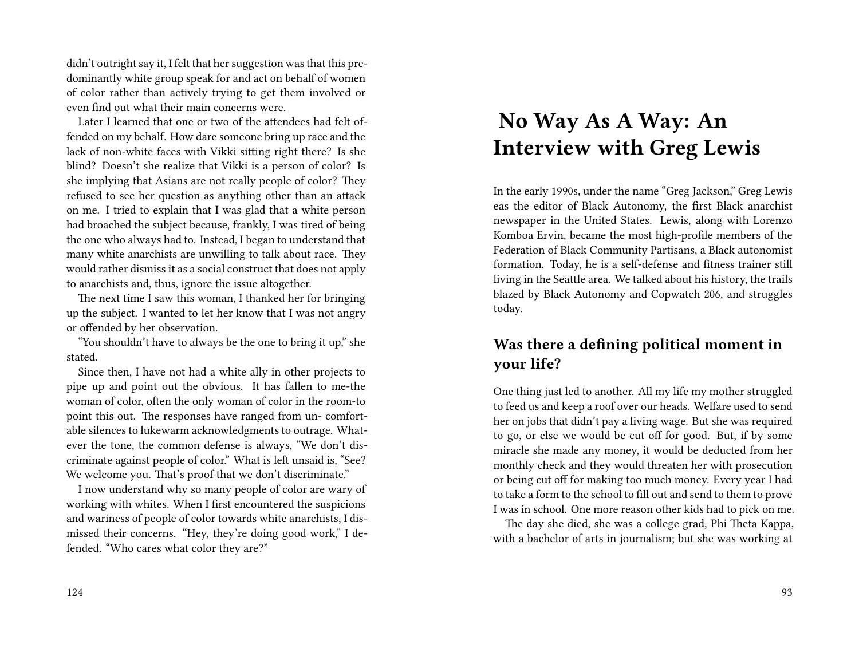didn't outright say it, I felt that her suggestion was that this predominantly white group speak for and act on behalf of women of color rather than actively trying to get them involved or even find out what their main concerns were.

Later I learned that one or two of the attendees had felt offended on my behalf. How dare someone bring up race and the lack of non-white faces with Vikki sitting right there? Is she blind? Doesn't she realize that Vikki is a person of color? Is she implying that Asians are not really people of color? They refused to see her question as anything other than an attack on me. I tried to explain that I was glad that a white person had broached the subject because, frankly, I was tired of being the one who always had to. Instead, I began to understand that many white anarchists are unwilling to talk about race. They would rather dismiss it as a social construct that does not apply to anarchists and, thus, ignore the issue altogether.

The next time I saw this woman, I thanked her for bringing up the subject. I wanted to let her know that I was not angry or offended by her observation.

"You shouldn't have to always be the one to bring it up," she stated.

Since then, I have not had a white ally in other projects to pipe up and point out the obvious. It has fallen to me-the woman of color, often the only woman of color in the room-to point this out. The responses have ranged from un- comfortable silences to lukewarm acknowledgments to outrage. Whatever the tone, the common defense is always, "We don't discriminate against people of color." What is left unsaid is, "See? We welcome you. That's proof that we don't discriminate."

I now understand why so many people of color are wary of working with whites. When I first encountered the suspicions and wariness of people of color towards white anarchists, I dismissed their concerns. "Hey, they're doing good work," I defended. "Who cares what color they are?"

#### 124

# **No Way As A Way: An Interview with Greg Lewis**

In the early 1990s, under the name "Greg Jackson," Greg Lewis eas the editor of Black Autonomy, the first Black anarchist newspaper in the United States. Lewis, along with Lorenzo Komboa Ervin, became the most high-profile members of the Federation of Black Community Partisans, a Black autonomist formation. Today, he is a self-defense and fitness trainer still living in the Seattle area. We talked about his history, the trails blazed by Black Autonomy and Copwatch 206, and struggles today.

### **Was there a defining political moment in your life?**

One thing just led to another. All my life my mother struggled to feed us and keep a roof over our heads. Welfare used to send her on jobs that didn't pay a living wage. But she was required to go, or else we would be cut off for good. But, if by some miracle she made any money, it would be deducted from her monthly check and they would threaten her with prosecution or being cut off for making too much money. Every year I had to take a form to the school to fill out and send to them to prove I was in school. One more reason other kids had to pick on me.

The day she died, she was a college grad, Phi Theta Kappa, with a bachelor of arts in journalism; but she was working at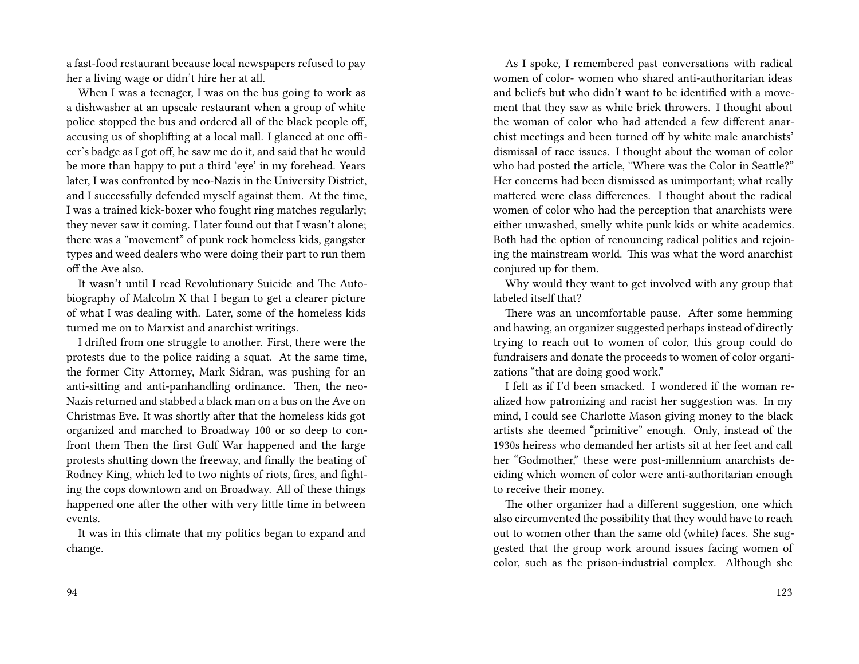a fast-food restaurant because local newspapers refused to pay her a living wage or didn't hire her at all.

When I was a teenager, I was on the bus going to work as a dishwasher at an upscale restaurant when a group of white police stopped the bus and ordered all of the black people off, accusing us of shoplifting at a local mall. I glanced at one officer's badge as I got off, he saw me do it, and said that he would be more than happy to put a third 'eye' in my forehead. Years later, I was confronted by neo-Nazis in the University District, and I successfully defended myself against them. At the time, I was a trained kick-boxer who fought ring matches regularly; they never saw it coming. I later found out that I wasn't alone; there was a "movement" of punk rock homeless kids, gangster types and weed dealers who were doing their part to run them off the Ave also.

It wasn't until I read Revolutionary Suicide and The Autobiography of Malcolm X that I began to get a clearer picture of what I was dealing with. Later, some of the homeless kids turned me on to Marxist and anarchist writings.

I drifted from one struggle to another. First, there were the protests due to the police raiding a squat. At the same time, the former City Attorney, Mark Sidran, was pushing for an anti-sitting and anti-panhandling ordinance. Then, the neo-Nazis returned and stabbed a black man on a bus on the Ave on Christmas Eve. It was shortly after that the homeless kids got organized and marched to Broadway 100 or so deep to confront them Then the first Gulf War happened and the large protests shutting down the freeway, and finally the beating of Rodney King, which led to two nights of riots, fires, and fighting the cops downtown and on Broadway. All of these things happened one after the other with very little time in between events.

It was in this climate that my politics began to expand and change.

As I spoke, I remembered past conversations with radical women of color- women who shared anti-authoritarian ideas and beliefs but who didn't want to be identified with a movement that they saw as white brick throwers. I thought about the woman of color who had attended a few different anarchist meetings and been turned off by white male anarchists' dismissal of race issues. I thought about the woman of color who had posted the article, "Where was the Color in Seattle?" Her concerns had been dismissed as unimportant; what really mattered were class differences. I thought about the radical women of color who had the perception that anarchists were either unwashed, smelly white punk kids or white academics. Both had the option of renouncing radical politics and rejoining the mainstream world. This was what the word anarchist conjured up for them.

Why would they want to get involved with any group that labeled itself that?

There was an uncomfortable pause. After some hemming and hawing, an organizer suggested perhaps instead of directly trying to reach out to women of color, this group could do fundraisers and donate the proceeds to women of color organizations "that are doing good work."

I felt as if I'd been smacked. I wondered if the woman realized how patronizing and racist her suggestion was. In my mind, I could see Charlotte Mason giving money to the black artists she deemed "primitive" enough. Only, instead of the 1930s heiress who demanded her artists sit at her feet and call her "Godmother," these were post-millennium anarchists deciding which women of color were anti-authoritarian enough to receive their money.

The other organizer had a different suggestion, one which also circumvented the possibility that they would have to reach out to women other than the same old (white) faces. She suggested that the group work around issues facing women of color, such as the prison-industrial complex. Although she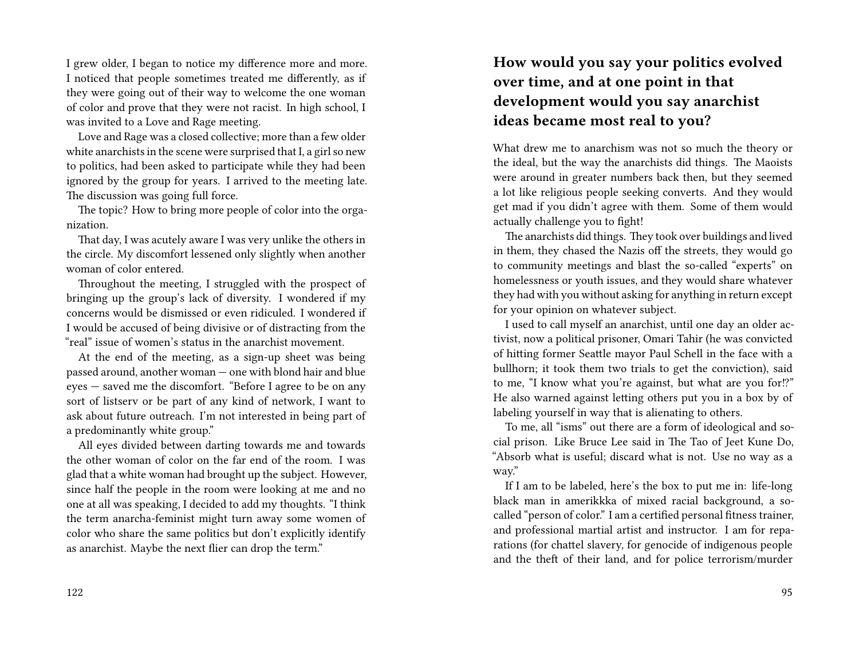I grew older, I began to notice my difference more and more. I noticed that people sometimes treated me differently, as if they were going out of their way to welcome the one woman of color and prove that they were not racist. In high school, I was invited to a Love and Rage meeting.

Love and Rage was a closed collective; more than a few older white anarchists in the scene were surprised that I, a girl so new to politics, had been asked to participate while they had been ignored by the group for years. I arrived to the meeting late. The discussion was going full force.

The topic? How to bring more people of color into the organization.

That day, I was acutely aware I was very unlike the others in the circle. My discomfort lessened only slightly when another woman of color entered.

Throughout the meeting, I struggled with the prospect of bringing up the group's lack of diversity. I wondered if my concerns would be dismissed or even ridiculed. I wondered if I would be accused of being divisive or of distracting from the "real" issue of women's status in the anarchist movement.

At the end of the meeting, as a sign-up sheet was being passed around, another woman — one with blond hair and blue eyes — saved me the discomfort. "Before I agree to be on any sort of listserv or be part of any kind of network, I want to ask about future outreach. I'm not interested in being part of a predominantly white group."

All eyes divided between darting towards me and towards the other woman of color on the far end of the room. I was glad that a white woman had brought up the subject. However, since half the people in the room were looking at me and no one at all was speaking, I decided to add my thoughts. "I think the term anarcha-feminist might turn away some women of color who share the same politics but don't explicitly identify as anarchist. Maybe the next flier can drop the term."

#### 122

## **How would you say your politics evolved over time, and at one point in that development would you say anarchist ideas became most real to you?**

What drew me to anarchism was not so much the theory or the ideal, but the way the anarchists did things. The Maoists were around in greater numbers back then, but they seemed a lot like religious people seeking converts. And they would get mad if you didn't agree with them. Some of them would actually challenge you to fight!

The anarchists did things. They took over buildings and lived in them, they chased the Nazis off the streets, they would go to community meetings and blast the so-called "experts" on homelessness or youth issues, and they would share whatever they had with you without asking for anything in return except for your opinion on whatever subject.

I used to call myself an anarchist, until one day an older activist, now a political prisoner, Omari Tahir (he was convicted of hitting former Seattle mayor Paul Schell in the face with a bullhorn; it took them two trials to get the conviction), said to me, "I know what you're against, but what are you for!?" He also warned against letting others put you in a box by of labeling yourself in way that is alienating to others.

To me, all "isms" out there are a form of ideological and social prison. Like Bruce Lee said in The Tao of Jeet Kune Do, "Absorb what is useful; discard what is not. Use no way as a way."

If I am to be labeled, here's the box to put me in: life-long black man in amerikkka of mixed racial background, a socalled "person of color." I am a certified personal fitness trainer, and professional martial artist and instructor. I am for reparations (for chattel slavery, for genocide of indigenous people and the theft of their land, and for police terrorism/murder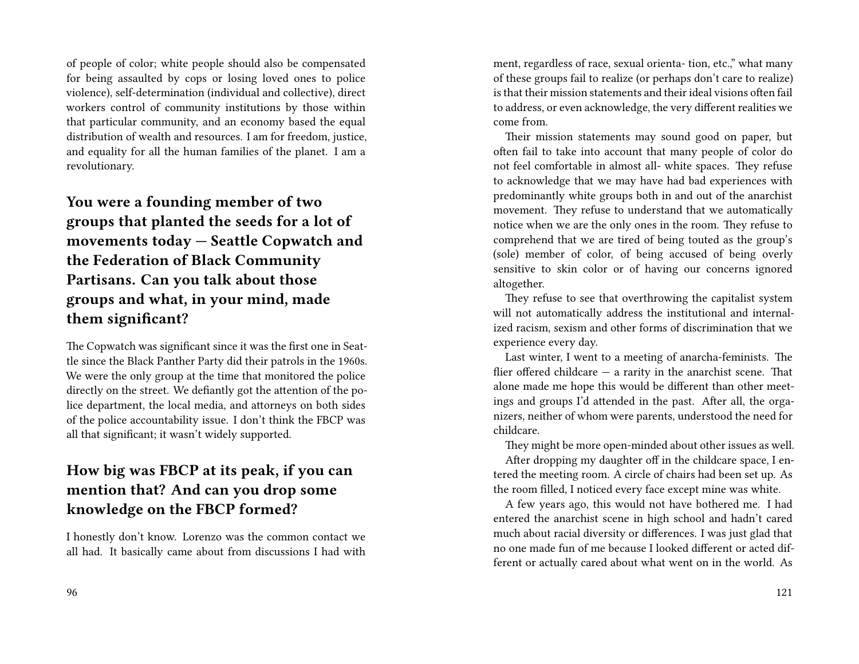of people of color; white people should also be compensated for being assaulted by cops or losing loved ones to police violence), self-determination (individual and collective), direct workers control of community institutions by those within that particular community, and an economy based the equal distribution of wealth and resources. I am for freedom, justice, and equality for all the human families of the planet. I am a revolutionary.

**You were a founding member of two groups that planted the seeds for a lot of movements today — Seattle Copwatch and the Federation of Black Community Partisans. Can you talk about those groups and what, in your mind, made them significant?**

The Copwatch was significant since it was the first one in Seattle since the Black Panther Party did their patrols in the 1960s. We were the only group at the time that monitored the police directly on the street. We defiantly got the attention of the police department, the local media, and attorneys on both sides of the police accountability issue. I don't think the FBCP was all that significant; it wasn't widely supported.

# **How big was FBCP at its peak, if you can mention that? And can you drop some knowledge on the FBCP formed?**

I honestly don't know. Lorenzo was the common contact we all had. It basically came about from discussions I had with ment, regardless of race, sexual orienta- tion, etc.," what many of these groups fail to realize (or perhaps don't care to realize) is that their mission statements and their ideal visions often fail to address, or even acknowledge, the very different realities we come from.

Their mission statements may sound good on paper, but often fail to take into account that many people of color do not feel comfortable in almost all- white spaces. They refuse to acknowledge that we may have had bad experiences with predominantly white groups both in and out of the anarchist movement. They refuse to understand that we automatically notice when we are the only ones in the room. They refuse to comprehend that we are tired of being touted as the group's (sole) member of color, of being accused of being overly sensitive to skin color or of having our concerns ignored altogether.

They refuse to see that overthrowing the capitalist system will not automatically address the institutional and internalized racism, sexism and other forms of discrimination that we experience every day.

Last winter, I went to a meeting of anarcha-feminists. The flier offered childcare — a rarity in the anarchist scene. That alone made me hope this would be different than other meetings and groups I'd attended in the past. After all, the organizers, neither of whom were parents, understood the need for childcare.

They might be more open-minded about other issues as well.

After dropping my daughter off in the childcare space, I entered the meeting room. A circle of chairs had been set up. As the room filled, I noticed every face except mine was white.

A few years ago, this would not have bothered me. I had entered the anarchist scene in high school and hadn't cared much about racial diversity or differences. I was just glad that no one made fun of me because I looked different or acted different or actually cared about what went on in the world. As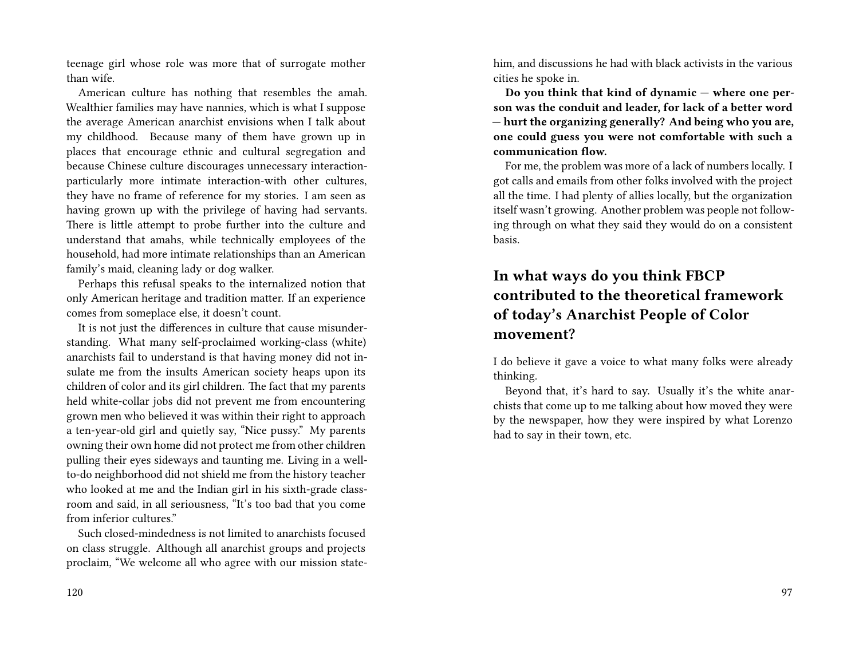teenage girl whose role was more that of surrogate mother than wife.

American culture has nothing that resembles the amah. Wealthier families may have nannies, which is what I suppose the average American anarchist envisions when I talk about my childhood. Because many of them have grown up in places that encourage ethnic and cultural segregation and because Chinese culture discourages unnecessary interactionparticularly more intimate interaction-with other cultures, they have no frame of reference for my stories. I am seen as having grown up with the privilege of having had servants. There is little attempt to probe further into the culture and understand that amahs, while technically employees of the household, had more intimate relationships than an American family's maid, cleaning lady or dog walker.

Perhaps this refusal speaks to the internalized notion that only American heritage and tradition matter. If an experience comes from someplace else, it doesn't count.

It is not just the differences in culture that cause misunderstanding. What many self-proclaimed working-class (white) anarchists fail to understand is that having money did not insulate me from the insults American society heaps upon its children of color and its girl children. The fact that my parents held white-collar jobs did not prevent me from encountering grown men who believed it was within their right to approach a ten-year-old girl and quietly say, "Nice pussy." My parents owning their own home did not protect me from other children pulling their eyes sideways and taunting me. Living in a wellto-do neighborhood did not shield me from the history teacher who looked at me and the Indian girl in his sixth-grade classroom and said, in all seriousness, "It's too bad that you come from inferior cultures."

Such closed-mindedness is not limited to anarchists focused on class struggle. Although all anarchist groups and projects proclaim, "We welcome all who agree with our mission statehim, and discussions he had with black activists in the various cities he spoke in.

**Do you think that kind of dynamic — where one person was the conduit and leader, for lack of a better word — hurt the organizing generally? And being who you are, one could guess you were not comfortable with such a communication flow.**

For me, the problem was more of a lack of numbers locally. I got calls and emails from other folks involved with the project all the time. I had plenty of allies locally, but the organization itself wasn't growing. Another problem was people not following through on what they said they would do on a consistent basis.

# **In what ways do you think FBCP contributed to the theoretical framework of today's Anarchist People of Color movement?**

I do believe it gave a voice to what many folks were already thinking.

Beyond that, it's hard to say. Usually it's the white anarchists that come up to me talking about how moved they were by the newspaper, how they were inspired by what Lorenzo had to say in their town, etc.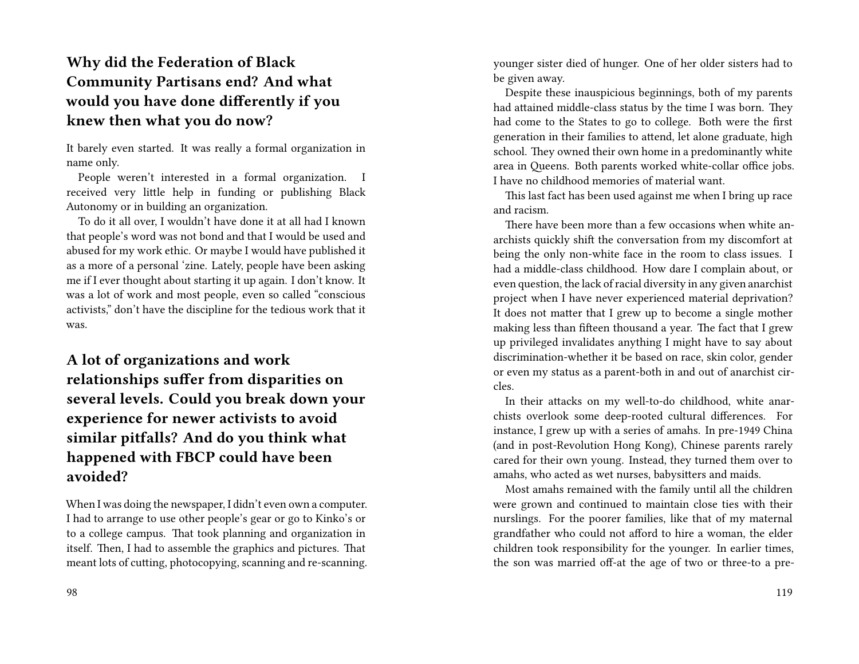# **Why did the Federation of Black Community Partisans end? And what would you have done differently if you knew then what you do now?**

It barely even started. It was really a formal organization in name only.

People weren't interested in a formal organization. I received very little help in funding or publishing Black Autonomy or in building an organization.

To do it all over, I wouldn't have done it at all had I known that people's word was not bond and that I would be used and abused for my work ethic. Or maybe I would have published it as a more of a personal 'zine. Lately, people have been asking me if I ever thought about starting it up again. I don't know. It was a lot of work and most people, even so called "conscious activists," don't have the discipline for the tedious work that it was.

**A lot of organizations and work relationships suffer from disparities on several levels. Could you break down your experience for newer activists to avoid similar pitfalls? And do you think what happened with FBCP could have been avoided?**

When I was doing the newspaper, I didn't even own a computer. I had to arrange to use other people's gear or go to Kinko's or to a college campus. That took planning and organization in itself. Then, I had to assemble the graphics and pictures. That meant lots of cutting, photocopying, scanning and re-scanning.

younger sister died of hunger. One of her older sisters had to be given away.

Despite these inauspicious beginnings, both of my parents had attained middle-class status by the time I was born. They had come to the States to go to college. Both were the first generation in their families to attend, let alone graduate, high school. They owned their own home in a predominantly white area in Queens. Both parents worked white-collar office jobs. I have no childhood memories of material want.

This last fact has been used against me when I bring up race and racism.

There have been more than a few occasions when white anarchists quickly shift the conversation from my discomfort at being the only non-white face in the room to class issues. I had a middle-class childhood. How dare I complain about, or even question, the lack of racial diversity in any given anarchist project when I have never experienced material deprivation? It does not matter that I grew up to become a single mother making less than fifteen thousand a year. The fact that I grew up privileged invalidates anything I might have to say about discrimination-whether it be based on race, skin color, gender or even my status as a parent-both in and out of anarchist circles.

In their attacks on my well-to-do childhood, white anarchists overlook some deep-rooted cultural differences. For instance, I grew up with a series of amahs. In pre-1949 China (and in post-Revolution Hong Kong), Chinese parents rarely cared for their own young. Instead, they turned them over to amahs, who acted as wet nurses, babysitters and maids.

Most amahs remained with the family until all the children were grown and continued to maintain close ties with their nurslings. For the poorer families, like that of my maternal grandfather who could not afford to hire a woman, the elder children took responsibility for the younger. In earlier times, the son was married off-at the age of two or three-to a pre-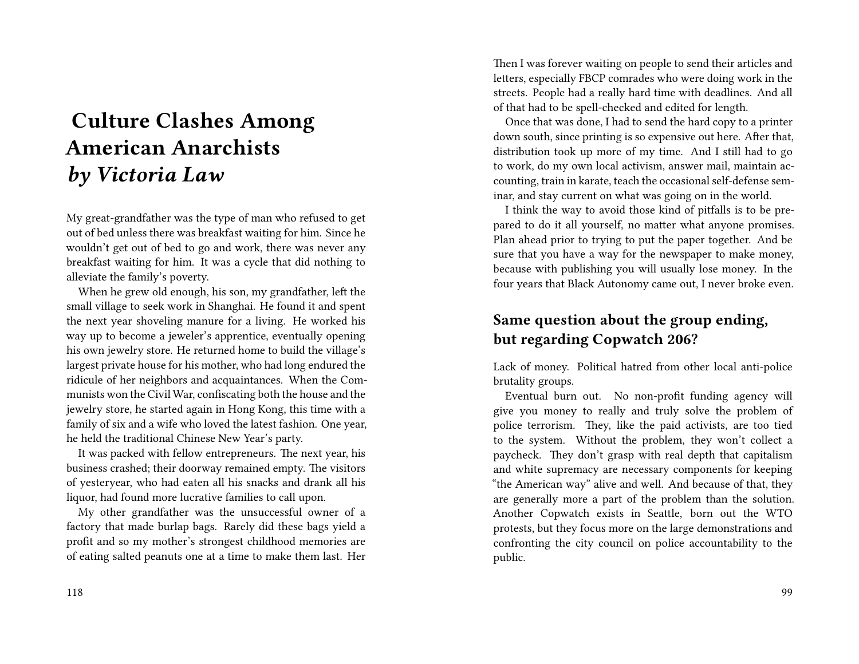# **Culture Clashes Among American Anarchists** *by Victoria Law*

My great-grandfather was the type of man who refused to get out of bed unless there was breakfast waiting for him. Since he wouldn't get out of bed to go and work, there was never any breakfast waiting for him. It was a cycle that did nothing to alleviate the family's poverty.

When he grew old enough, his son, my grandfather, left the small village to seek work in Shanghai. He found it and spent the next year shoveling manure for a living. He worked his way up to become a jeweler's apprentice, eventually opening his own jewelry store. He returned home to build the village's largest private house for his mother, who had long endured the ridicule of her neighbors and acquaintances. When the Communists won the Civil War, confiscating both the house and the jewelry store, he started again in Hong Kong, this time with a family of six and a wife who loved the latest fashion. One year, he held the traditional Chinese New Year's party.

It was packed with fellow entrepreneurs. The next year, his business crashed; their doorway remained empty. The visitors of yesteryear, who had eaten all his snacks and drank all his liquor, had found more lucrative families to call upon.

My other grandfather was the unsuccessful owner of a factory that made burlap bags. Rarely did these bags yield a profit and so my mother's strongest childhood memories are of eating salted peanuts one at a time to make them last. Her

Then I was forever waiting on people to send their articles and letters, especially FBCP comrades who were doing work in the streets. People had a really hard time with deadlines. And all of that had to be spell-checked and edited for length.

Once that was done, I had to send the hard copy to a printer down south, since printing is so expensive out here. After that, distribution took up more of my time. And I still had to go to work, do my own local activism, answer mail, maintain accounting, train in karate, teach the occasional self-defense seminar, and stay current on what was going on in the world.

I think the way to avoid those kind of pitfalls is to be prepared to do it all yourself, no matter what anyone promises. Plan ahead prior to trying to put the paper together. And be sure that you have a way for the newspaper to make money, because with publishing you will usually lose money. In the four years that Black Autonomy came out, I never broke even.

### **Same question about the group ending, but regarding Copwatch 206?**

Lack of money. Political hatred from other local anti-police brutality groups.

Eventual burn out. No non-profit funding agency will give you money to really and truly solve the problem of police terrorism. They, like the paid activists, are too tied to the system. Without the problem, they won't collect a paycheck. They don't grasp with real depth that capitalism and white supremacy are necessary components for keeping "the American way" alive and well. And because of that, they are generally more a part of the problem than the solution. Another Copwatch exists in Seattle, born out the WTO protests, but they focus more on the large demonstrations and confronting the city council on police accountability to the public.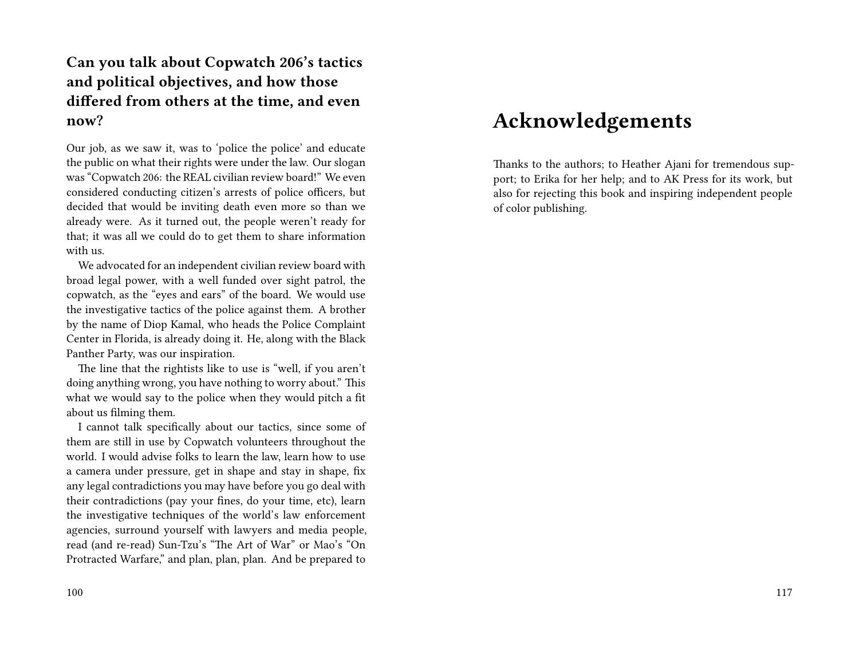# **Can you talk about Copwatch 206's tactics and political objectives, and how those differed from others at the time, and even now?**

Our job, as we saw it, was to 'police the police' and educate the public on what their rights were under the law. Our slogan was "Copwatch 206: the REAL civilian review board!" We even considered conducting citizen's arrests of police officers, but decided that would be inviting death even more so than we already were. As it turned out, the people weren't ready for that; it was all we could do to get them to share information with us.

We advocated for an independent civilian review board with broad legal power, with a well funded over sight patrol, the copwatch, as the "eyes and ears" of the board. We would use the investigative tactics of the police against them. A brother by the name of Diop Kamal, who heads the Police Complaint Center in Florida, is already doing it. He, along with the Black Panther Party, was our inspiration.

The line that the rightists like to use is "well, if you aren't doing anything wrong, you have nothing to worry about." This what we would say to the police when they would pitch a fit about us filming them.

I cannot talk specifically about our tactics, since some of them are still in use by Copwatch volunteers throughout the world. I would advise folks to learn the law, learn how to use a camera under pressure, get in shape and stay in shape, fix any legal contradictions you may have before you go deal with their contradictions (pay your fines, do your time, etc), learn the investigative techniques of the world's law enforcement agencies, surround yourself with lawyers and media people, read (and re-read) Sun-Tzu's "The Art of War" or Mao's "On Protracted Warfare," and plan, plan, plan. And be prepared to

# **Acknowledgements**

Thanks to the authors; to Heather Ajani for tremendous support; to Erika for her help; and to AK Press for its work, but also for rejecting this book and inspiring independent people of color publishing.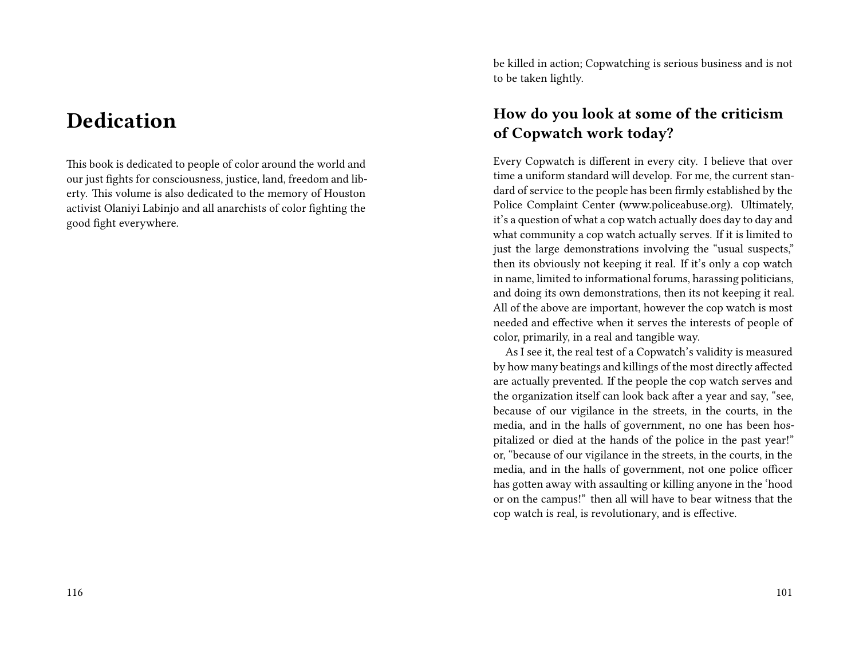# **Dedication**

This book is dedicated to people of color around the world and our just fights for consciousness, justice, land, freedom and liberty. This volume is also dedicated to the memory of Houston activist Olaniyi Labinjo and all anarchists of color fighting the good fight everywhere.

be killed in action; Copwatching is serious business and is not to be taken lightly.

### **How do you look at some of the criticism of Copwatch work today?**

Every Copwatch is different in every city. I believe that over time a uniform standard will develop. For me, the current standard of service to the people has been firmly established by the Police Complaint Center (www.policeabuse.org). Ultimately, it's a question of what a cop watch actually does day to day and what community a cop watch actually serves. If it is limited to just the large demonstrations involving the "usual suspects," then its obviously not keeping it real. If it's only a cop watch in name, limited to informational forums, harassing politicians, and doing its own demonstrations, then its not keeping it real. All of the above are important, however the cop watch is most needed and effective when it serves the interests of people of color, primarily, in a real and tangible way.

As I see it, the real test of a Copwatch's validity is measured by how many beatings and killings of the most directly affected are actually prevented. If the people the cop watch serves and the organization itself can look back after a year and say, "see, because of our vigilance in the streets, in the courts, in the media, and in the halls of government, no one has been hospitalized or died at the hands of the police in the past year!" or, "because of our vigilance in the streets, in the courts, in the media, and in the halls of government, not one police officer has gotten away with assaulting or killing anyone in the 'hood or on the campus!" then all will have to bear witness that the cop watch is real, is revolutionary, and is effective.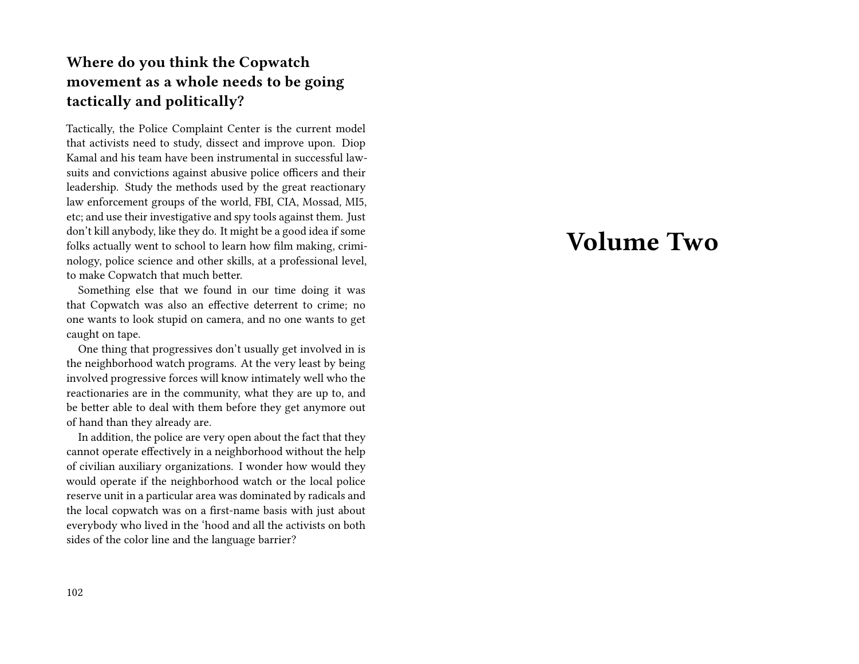# **Where do you think the Copwatch movement as a whole needs to be going tactically and politically?**

Tactically, the Police Complaint Center is the current model that activists need to study, dissect and improve upon. Diop Kamal and his team have been instrumental in successful lawsuits and convictions against abusive police officers and their leadership. Study the methods used by the great reactionary law enforcement groups of the world, FBI, CIA, Mossad, MI5, etc; and use their investigative and spy tools against them. Just don't kill anybody, like they do. It might be a good idea if some folks actually went to school to learn how film making, criminology, police science and other skills, at a professional level, to make Copwatch that much better.

Something else that we found in our time doing it was that Copwatch was also an effective deterrent to crime; no one wants to look stupid on camera, and no one wants to get caught on tape.

One thing that progressives don't usually get involved in is the neighborhood watch programs. At the very least by being involved progressive forces will know intimately well who the reactionaries are in the community, what they are up to, and be better able to deal with them before they get anymore out of hand than they already are.

In addition, the police are very open about the fact that they cannot operate effectively in a neighborhood without the help of civilian auxiliary organizations. I wonder how would they would operate if the neighborhood watch or the local police reserve unit in a particular area was dominated by radicals and the local copwatch was on a first-name basis with just about everybody who lived in the 'hood and all the activists on both sides of the color line and the language barrier?

# **Volume Two**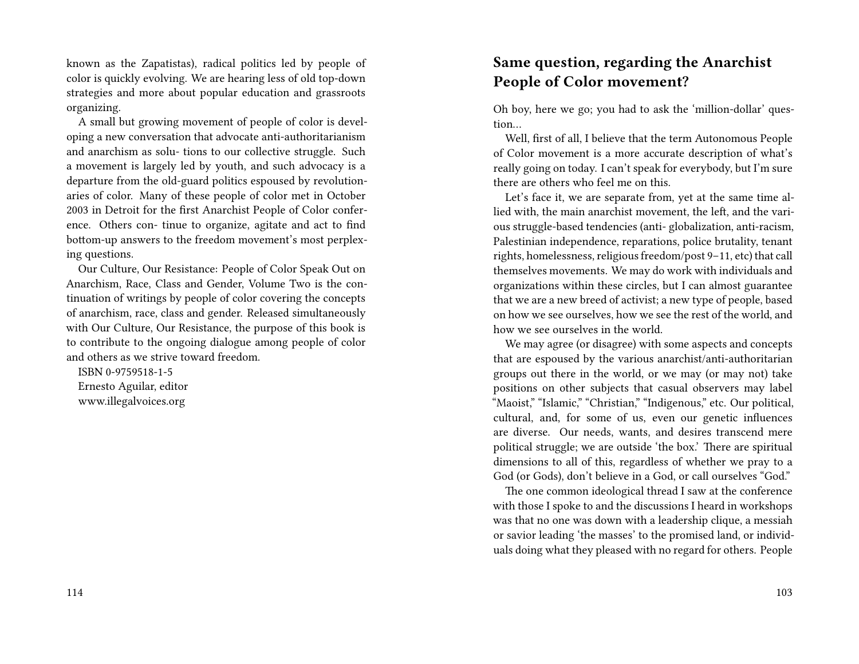known as the Zapatistas), radical politics led by people of color is quickly evolving. We are hearing less of old top-down strategies and more about popular education and grassroots organizing.

A small but growing movement of people of color is developing a new conversation that advocate anti-authoritarianism and anarchism as solu- tions to our collective struggle. Such a movement is largely led by youth, and such advocacy is a departure from the old-guard politics espoused by revolutionaries of color. Many of these people of color met in October 2003 in Detroit for the first Anarchist People of Color conference. Others con- tinue to organize, agitate and act to find bottom-up answers to the freedom movement's most perplexing questions.

Our Culture, Our Resistance: People of Color Speak Out on Anarchism, Race, Class and Gender, Volume Two is the continuation of writings by people of color covering the concepts of anarchism, race, class and gender. Released simultaneously with Our Culture, Our Resistance, the purpose of this book is to contribute to the ongoing dialogue among people of color and others as we strive toward freedom.

ISBN 0-9759518-1-5 Ernesto Aguilar, editor www.illegalvoices.org

### **Same question, regarding the Anarchist People of Color movement?**

Oh boy, here we go; you had to ask the 'million-dollar' question…

Well, first of all, I believe that the term Autonomous People of Color movement is a more accurate description of what's really going on today. I can't speak for everybody, but I'm sure there are others who feel me on this.

Let's face it, we are separate from, yet at the same time allied with, the main anarchist movement, the left, and the various struggle-based tendencies (anti- globalization, anti-racism, Palestinian independence, reparations, police brutality, tenant rights, homelessness, religious freedom/post 9–11, etc) that call themselves movements. We may do work with individuals and organizations within these circles, but I can almost guarantee that we are a new breed of activist; a new type of people, based on how we see ourselves, how we see the rest of the world, and how we see ourselves in the world.

We may agree (or disagree) with some aspects and concepts that are espoused by the various anarchist/anti-authoritarian groups out there in the world, or we may (or may not) take positions on other subjects that casual observers may label "Maoist," "Islamic," "Christian," "Indigenous," etc. Our political, cultural, and, for some of us, even our genetic influences are diverse. Our needs, wants, and desires transcend mere political struggle; we are outside 'the box.' There are spiritual dimensions to all of this, regardless of whether we pray to a God (or Gods), don't believe in a God, or call ourselves "God."

The one common ideological thread I saw at the conference with those I spoke to and the discussions I heard in workshops was that no one was down with a leadership clique, a messiah or savior leading 'the masses' to the promised land, or individuals doing what they pleased with no regard for others. People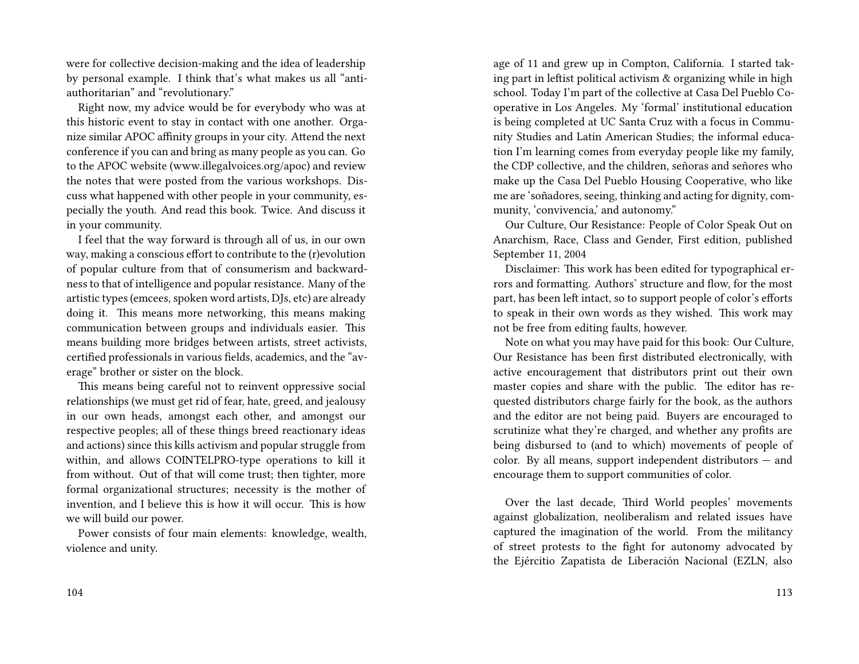were for collective decision-making and the idea of leadership by personal example. I think that's what makes us all "antiauthoritarian" and "revolutionary."

Right now, my advice would be for everybody who was at this historic event to stay in contact with one another. Organize similar APOC affinity groups in your city. Attend the next conference if you can and bring as many people as you can. Go to the APOC website (www.illegalvoices.org/apoc) and review the notes that were posted from the various workshops. Discuss what happened with other people in your community, especially the youth. And read this book. Twice. And discuss it in your community.

I feel that the way forward is through all of us, in our own way, making a conscious effort to contribute to the (r)evolution of popular culture from that of consumerism and backwardness to that of intelligence and popular resistance. Many of the artistic types (emcees, spoken word artists, DJs, etc) are already doing it. This means more networking, this means making communication between groups and individuals easier. This means building more bridges between artists, street activists, certified professionals in various fields, academics, and the "average" brother or sister on the block.

This means being careful not to reinvent oppressive social relationships (we must get rid of fear, hate, greed, and jealousy in our own heads, amongst each other, and amongst our respective peoples; all of these things breed reactionary ideas and actions) since this kills activism and popular struggle from within, and allows COINTELPRO-type operations to kill it from without. Out of that will come trust; then tighter, more formal organizational structures; necessity is the mother of invention, and I believe this is how it will occur. This is how we will build our power.

Power consists of four main elements: knowledge, wealth, violence and unity.

age of 11 and grew up in Compton, California. I started taking part in leftist political activism & organizing while in high school. Today I'm part of the collective at Casa Del Pueblo Cooperative in Los Angeles. My 'formal' institutional education is being completed at UC Santa Cruz with a focus in Community Studies and Latin American Studies; the informal education I'm learning comes from everyday people like my family, the CDP collective, and the children, señoras and señores who make up the Casa Del Pueblo Housing Cooperative, who like me are 'soñadores, seeing, thinking and acting for dignity, community, 'convivencia,' and autonomy."

Our Culture, Our Resistance: People of Color Speak Out on Anarchism, Race, Class and Gender, First edition, published September 11, 2004

Disclaimer: This work has been edited for typographical errors and formatting. Authors' structure and flow, for the most part, has been left intact, so to support people of color's efforts to speak in their own words as they wished. This work may not be free from editing faults, however.

Note on what you may have paid for this book: Our Culture, Our Resistance has been first distributed electronically, with active encouragement that distributors print out their own master copies and share with the public. The editor has requested distributors charge fairly for the book, as the authors and the editor are not being paid. Buyers are encouraged to scrutinize what they're charged, and whether any profits are being disbursed to (and to which) movements of people of color. By all means, support independent distributors — and encourage them to support communities of color.

Over the last decade, Third World peoples' movements against globalization, neoliberalism and related issues have captured the imagination of the world. From the militancy of street protests to the fight for autonomy advocated by the Ejércitio Zapatista de Liberación Nacional (EZLN, also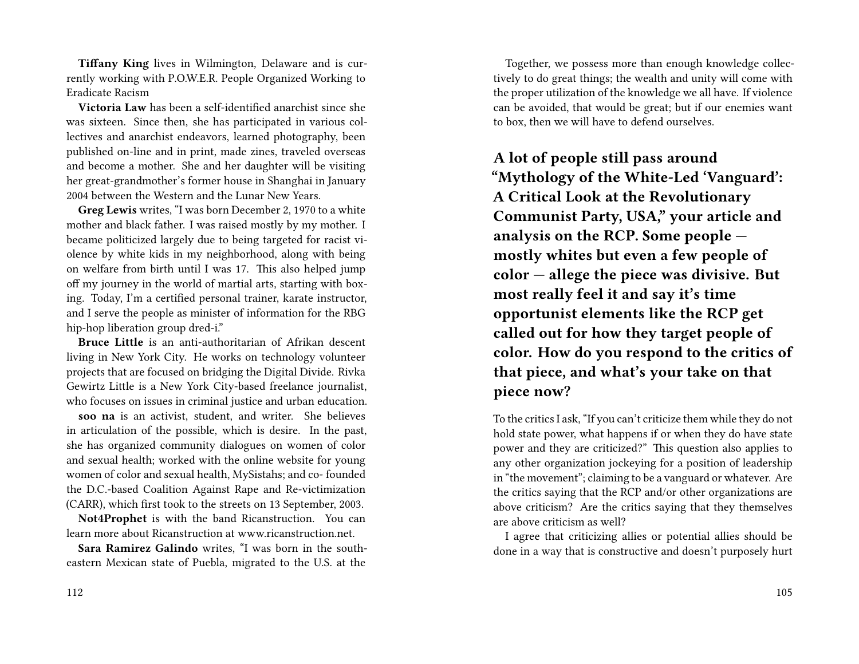**Tiffany King** lives in Wilmington, Delaware and is currently working with P.O.W.E.R. People Organized Working to Eradicate Racism

**Victoria Law** has been a self-identified anarchist since she was sixteen. Since then, she has participated in various collectives and anarchist endeavors, learned photography, been published on-line and in print, made zines, traveled overseas and become a mother. She and her daughter will be visiting her great-grandmother's former house in Shanghai in January 2004 between the Western and the Lunar New Years.

**Greg Lewis** writes, "I was born December 2, 1970 to a white mother and black father. I was raised mostly by my mother. I became politicized largely due to being targeted for racist violence by white kids in my neighborhood, along with being on welfare from birth until I was 17. This also helped jump off my journey in the world of martial arts, starting with boxing. Today, I'm a certified personal trainer, karate instructor, and I serve the people as minister of information for the RBG hip-hop liberation group dred-i."

**Bruce Little** is an anti-authoritarian of Afrikan descent living in New York City. He works on technology volunteer projects that are focused on bridging the Digital Divide. Rivka Gewirtz Little is a New York City-based freelance journalist, who focuses on issues in criminal justice and urban education.

**soo na** is an activist, student, and writer. She believes in articulation of the possible, which is desire. In the past, she has organized community dialogues on women of color and sexual health; worked with the online website for young women of color and sexual health, MySistahs; and co- founded the D.C.-based Coalition Against Rape and Re-victimization (CARR), which first took to the streets on 13 September, 2003.

**Not4Prophet** is with the band Ricanstruction. You can learn more about Ricanstruction at www.ricanstruction.net.

**Sara Ramirez Galindo** writes, "I was born in the southeastern Mexican state of Puebla, migrated to the U.S. at the

Together, we possess more than enough knowledge collectively to do great things; the wealth and unity will come with the proper utilization of the knowledge we all have. If violence can be avoided, that would be great; but if our enemies want to box, then we will have to defend ourselves.

**A lot of people still pass around**

**"Mythology of the White-Led 'Vanguard': A Critical Look at the Revolutionary Communist Party, USA," your article and analysis on the RCP. Some people mostly whites but even a few people of color — allege the piece was divisive. But most really feel it and say it's time opportunist elements like the RCP get called out for how they target people of color. How do you respond to the critics of that piece, and what's your take on that piece now?**

To the critics I ask, "If you can't criticize them while they do not hold state power, what happens if or when they do have state power and they are criticized?" This question also applies to any other organization jockeying for a position of leadership in "the movement"; claiming to be a vanguard or whatever. Are the critics saying that the RCP and/or other organizations are above criticism? Are the critics saying that they themselves are above criticism as well?

I agree that criticizing allies or potential allies should be done in a way that is constructive and doesn't purposely hurt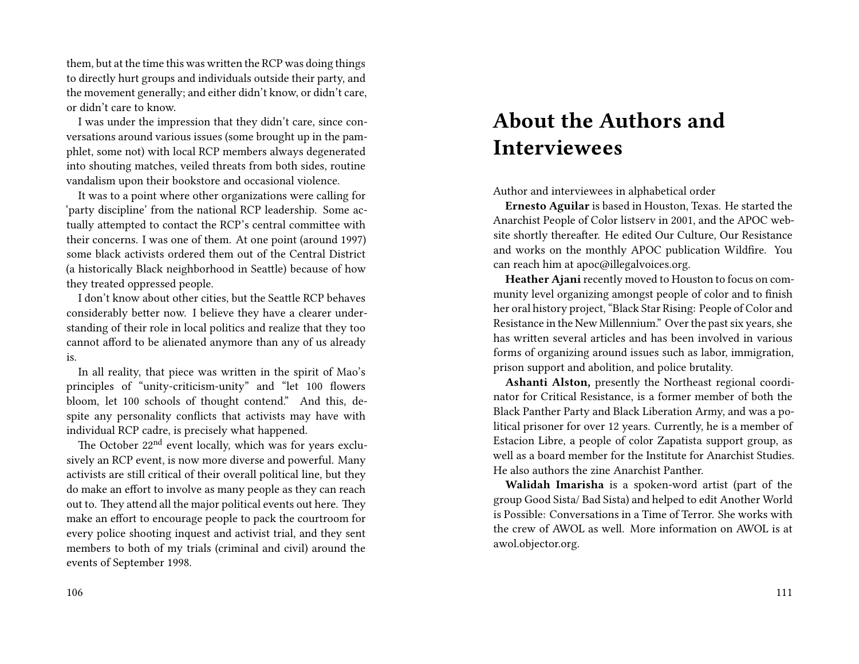them, but at the time this was written the RCP was doing things to directly hurt groups and individuals outside their party, and the movement generally; and either didn't know, or didn't care, or didn't care to know.

I was under the impression that they didn't care, since conversations around various issues (some brought up in the pamphlet, some not) with local RCP members always degenerated into shouting matches, veiled threats from both sides, routine vandalism upon their bookstore and occasional violence.

It was to a point where other organizations were calling for 'party discipline' from the national RCP leadership. Some actually attempted to contact the RCP's central committee with their concerns. I was one of them. At one point (around 1997) some black activists ordered them out of the Central District (a historically Black neighborhood in Seattle) because of how they treated oppressed people.

I don't know about other cities, but the Seattle RCP behaves considerably better now. I believe they have a clearer understanding of their role in local politics and realize that they too cannot afford to be alienated anymore than any of us already is.

In all reality, that piece was written in the spirit of Mao's principles of "unity-criticism-unity" and "let 100 flowers bloom, let 100 schools of thought contend." And this, despite any personality conflicts that activists may have with individual RCP cadre, is precisely what happened.

The October 22<sup>nd</sup> event locally, which was for years exclusively an RCP event, is now more diverse and powerful. Many activists are still critical of their overall political line, but they do make an effort to involve as many people as they can reach out to. They attend all the major political events out here. They make an effort to encourage people to pack the courtroom for every police shooting inquest and activist trial, and they sent members to both of my trials (criminal and civil) around the events of September 1998.

# **About the Authors and Interviewees**

Author and interviewees in alphabetical order

**Ernesto Aguilar** is based in Houston, Texas. He started the Anarchist People of Color listserv in 2001, and the APOC website shortly thereafter. He edited Our Culture, Our Resistance and works on the monthly APOC publication Wildfire. You can reach him at apoc@illegalvoices.org.

**Heather Ajani** recently moved to Houston to focus on community level organizing amongst people of color and to finish her oral history project, "Black Star Rising: People of Color and Resistance in the New Millennium." Over the past six years, she has written several articles and has been involved in various forms of organizing around issues such as labor, immigration, prison support and abolition, and police brutality.

**Ashanti Alston,** presently the Northeast regional coordinator for Critical Resistance, is a former member of both the Black Panther Party and Black Liberation Army, and was a political prisoner for over 12 years. Currently, he is a member of Estacion Libre, a people of color Zapatista support group, as well as a board member for the Institute for Anarchist Studies. He also authors the zine Anarchist Panther.

**Walidah Imarisha** is a spoken-word artist (part of the group Good Sista/ Bad Sista) and helped to edit Another World is Possible: Conversations in a Time of Terror. She works with the crew of AWOL as well. More information on AWOL is at awol.objector.org.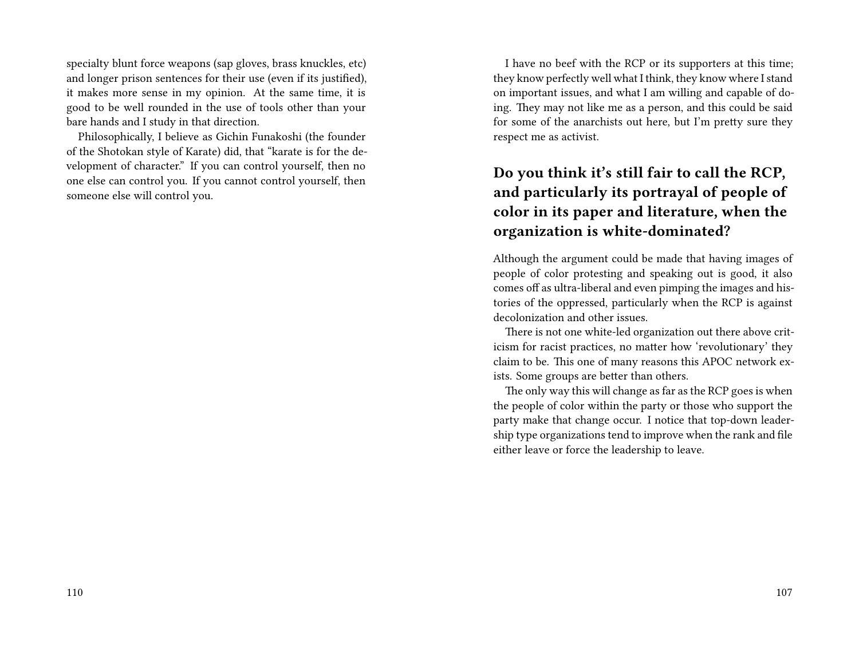specialty blunt force weapons (sap gloves, brass knuckles, etc) and longer prison sentences for their use (even if its justified), it makes more sense in my opinion. At the same time, it is good to be well rounded in the use of tools other than your bare hands and I study in that direction.

Philosophically, I believe as Gichin Funakoshi (the founder of the Shotokan style of Karate) did, that "karate is for the development of character." If you can control yourself, then no one else can control you. If you cannot control yourself, then someone else will control you.

I have no beef with the RCP or its supporters at this time; they know perfectly well what I think, they know where I stand on important issues, and what I am willing and capable of doing. They may not like me as a person, and this could be said for some of the anarchists out here, but I'm pretty sure they respect me as activist.

# **Do you think it's still fair to call the RCP, and particularly its portrayal of people of color in its paper and literature, when the organization is white-dominated?**

Although the argument could be made that having images of people of color protesting and speaking out is good, it also comes off as ultra-liberal and even pimping the images and histories of the oppressed, particularly when the RCP is against decolonization and other issues.

There is not one white-led organization out there above criticism for racist practices, no matter how 'revolutionary' they claim to be. This one of many reasons this APOC network exists. Some groups are better than others.

The only way this will change as far as the RCP goes is when the people of color within the party or those who support the party make that change occur. I notice that top-down leadership type organizations tend to improve when the rank and file either leave or force the leadership to leave.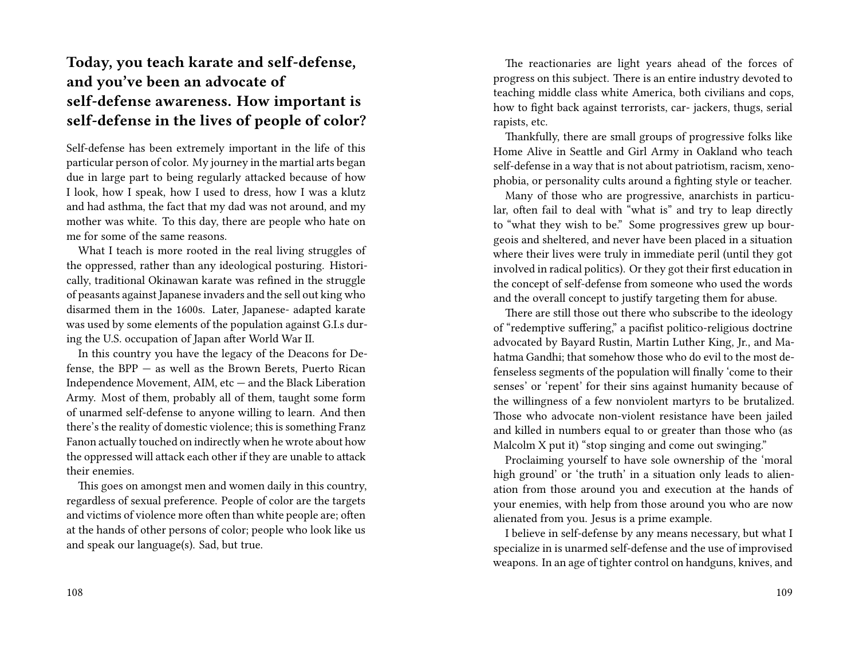# **Today, you teach karate and self-defense, and you've been an advocate of self-defense awareness. How important is self-defense in the lives of people of color?**

Self-defense has been extremely important in the life of this particular person of color. My journey in the martial arts began due in large part to being regularly attacked because of how I look, how I speak, how I used to dress, how I was a klutz and had asthma, the fact that my dad was not around, and my mother was white. To this day, there are people who hate on me for some of the same reasons.

What I teach is more rooted in the real living struggles of the oppressed, rather than any ideological posturing. Historically, traditional Okinawan karate was refined in the struggle of peasants against Japanese invaders and the sell out king who disarmed them in the 1600s. Later, Japanese- adapted karate was used by some elements of the population against G.I.s during the U.S. occupation of Japan after World War II.

In this country you have the legacy of the Deacons for Defense, the BPP — as well as the Brown Berets, Puerto Rican Independence Movement, AIM, etc — and the Black Liberation Army. Most of them, probably all of them, taught some form of unarmed self-defense to anyone willing to learn. And then there's the reality of domestic violence; this is something Franz Fanon actually touched on indirectly when he wrote about how the oppressed will attack each other if they are unable to attack their enemies.

This goes on amongst men and women daily in this country, regardless of sexual preference. People of color are the targets and victims of violence more often than white people are; often at the hands of other persons of color; people who look like us and speak our language(s). Sad, but true.

The reactionaries are light years ahead of the forces of progress on this subject. There is an entire industry devoted to teaching middle class white America, both civilians and cops, how to fight back against terrorists, car- jackers, thugs, serial rapists, etc.

Thankfully, there are small groups of progressive folks like Home Alive in Seattle and Girl Army in Oakland who teach self-defense in a way that is not about patriotism, racism, xenophobia, or personality cults around a fighting style or teacher.

Many of those who are progressive, anarchists in particular, often fail to deal with "what is" and try to leap directly to "what they wish to be." Some progressives grew up bourgeois and sheltered, and never have been placed in a situation where their lives were truly in immediate peril (until they got involved in radical politics). Or they got their first education in the concept of self-defense from someone who used the words and the overall concept to justify targeting them for abuse.

There are still those out there who subscribe to the ideology of "redemptive suffering," a pacifist politico-religious doctrine advocated by Bayard Rustin, Martin Luther King, Jr., and Mahatma Gandhi; that somehow those who do evil to the most defenseless segments of the population will finally 'come to their senses' or 'repent' for their sins against humanity because of the willingness of a few nonviolent martyrs to be brutalized. Those who advocate non-violent resistance have been jailed and killed in numbers equal to or greater than those who (as Malcolm X put it) "stop singing and come out swinging."

Proclaiming yourself to have sole ownership of the 'moral high ground' or 'the truth' in a situation only leads to alienation from those around you and execution at the hands of your enemies, with help from those around you who are now alienated from you. Jesus is a prime example.

I believe in self-defense by any means necessary, but what I specialize in is unarmed self-defense and the use of improvised weapons. In an age of tighter control on handguns, knives, and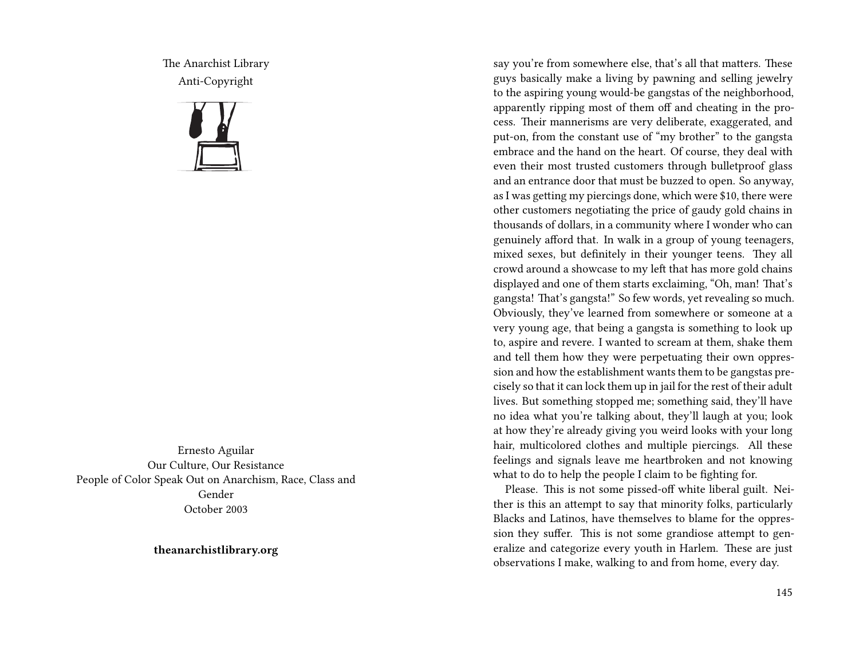The Anarchist Library Anti-Copyright



Ernesto Aguilar Our Culture, Our Resistance People of Color Speak Out on Anarchism, Race, Class and Gender October 2003

**theanarchistlibrary.org**

say you're from somewhere else, that's all that matters. These guys basically make a living by pawning and selling jewelry to the aspiring young would-be gangstas of the neighborhood, apparently ripping most of them off and cheating in the process. Their mannerisms are very deliberate, exaggerated, and put-on, from the constant use of "my brother" to the gangsta embrace and the hand on the heart. Of course, they deal with even their most trusted customers through bulletproof glass and an entrance door that must be buzzed to open. So anyway, as I was getting my piercings done, which were \$10, there were other customers negotiating the price of gaudy gold chains in thousands of dollars, in a community where I wonder who can genuinely afford that. In walk in a group of young teenagers, mixed sexes, but definitely in their younger teens. They all crowd around a showcase to my left that has more gold chains displayed and one of them starts exclaiming, "Oh, man! That's gangsta! That's gangsta!" So few words, yet revealing so much. Obviously, they've learned from somewhere or someone at a very young age, that being a gangsta is something to look up to, aspire and revere. I wanted to scream at them, shake them and tell them how they were perpetuating their own oppression and how the establishment wants them to be gangstas precisely so that it can lock them up in jail for the rest of their adult lives. But something stopped me; something said, they'll have no idea what you're talking about, they'll laugh at you; look at how they're already giving you weird looks with your long hair, multicolored clothes and multiple piercings. All these feelings and signals leave me heartbroken and not knowing what to do to help the people I claim to be fighting for.

Please. This is not some pissed-off white liberal guilt. Neither is this an attempt to say that minority folks, particularly Blacks and Latinos, have themselves to blame for the oppression they suffer. This is not some grandiose attempt to generalize and categorize every youth in Harlem. These are just observations I make, walking to and from home, every day.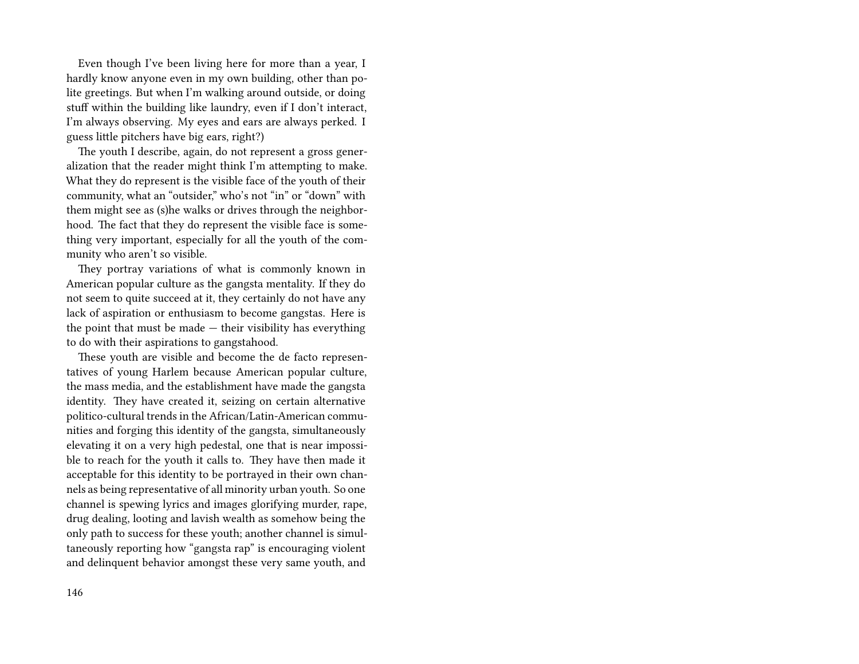Even though I've been living here for more than a year, I hardly know anyone even in my own building, other than polite greetings. But when I'm walking around outside, or doing stuff within the building like laundry, even if I don't interact, I'm always observing. My eyes and ears are always perked. I guess little pitchers have big ears, right?)

The youth I describe, again, do not represent a gross generalization that the reader might think I'm attempting to make. What they do represent is the visible face of the youth of their community, what an "outsider," who's not "in" or "down" with them might see as (s)he walks or drives through the neighborhood. The fact that they do represent the visible face is something very important, especially for all the youth of the community who aren't so visible.

They portray variations of what is commonly known in American popular culture as the gangsta mentality. If they do not seem to quite succeed at it, they certainly do not have any lack of aspiration or enthusiasm to become gangstas. Here is the point that must be made — their visibility has everything to do with their aspirations to gangstahood.

These youth are visible and become the de facto representatives of young Harlem because American popular culture, the mass media, and the establishment have made the gangsta identity. They have created it, seizing on certain alternative politico-cultural trends in the African/Latin-American communities and forging this identity of the gangsta, simultaneously elevating it on a very high pedestal, one that is near impossible to reach for the youth it calls to. They have then made it acceptable for this identity to be portrayed in their own channels as being representative of all minority urban youth. So one channel is spewing lyrics and images glorifying murder, rape, drug dealing, looting and lavish wealth as somehow being the only path to success for these youth; another channel is simultaneously reporting how "gangsta rap" is encouraging violent and delinquent behavior amongst these very same youth, and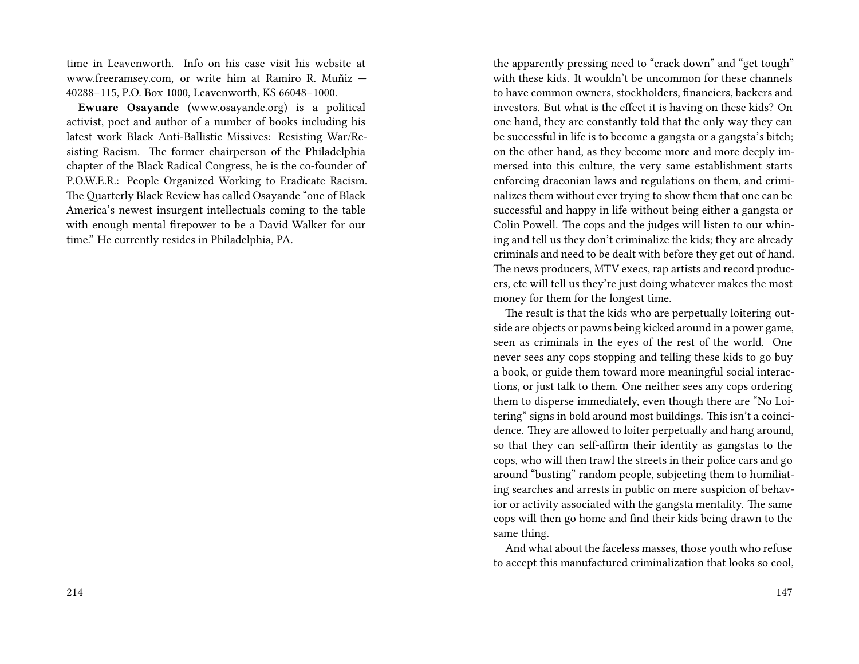time in Leavenworth. Info on his case visit his website at www.freeramsey.com, or write him at Ramiro R. Muñiz — 40288–115, P.O. Box 1000, Leavenworth, KS 66048–1000.

**Ewuare Osayande** (www.osayande.org) is a political activist, poet and author of a number of books including his latest work Black Anti-Ballistic Missives: Resisting War/Resisting Racism. The former chairperson of the Philadelphia chapter of the Black Radical Congress, he is the co-founder of P.O.W.E.R.: People Organized Working to Eradicate Racism. The Quarterly Black Review has called Osayande "one of Black America's newest insurgent intellectuals coming to the table with enough mental firepower to be a David Walker for our time." He currently resides in Philadelphia, PA.

the apparently pressing need to "crack down" and "get tough" with these kids. It wouldn't be uncommon for these channels to have common owners, stockholders, financiers, backers and investors. But what is the effect it is having on these kids? On one hand, they are constantly told that the only way they can be successful in life is to become a gangsta or a gangsta's bitch; on the other hand, as they become more and more deeply immersed into this culture, the very same establishment starts enforcing draconian laws and regulations on them, and criminalizes them without ever trying to show them that one can be successful and happy in life without being either a gangsta or Colin Powell. The cops and the judges will listen to our whining and tell us they don't criminalize the kids; they are already criminals and need to be dealt with before they get out of hand. The news producers, MTV execs, rap artists and record producers, etc will tell us they're just doing whatever makes the most money for them for the longest time.

The result is that the kids who are perpetually loitering outside are objects or pawns being kicked around in a power game, seen as criminals in the eyes of the rest of the world. One never sees any cops stopping and telling these kids to go buy a book, or guide them toward more meaningful social interactions, or just talk to them. One neither sees any cops ordering them to disperse immediately, even though there are "No Loitering" signs in bold around most buildings. This isn't a coincidence. They are allowed to loiter perpetually and hang around, so that they can self-affirm their identity as gangstas to the cops, who will then trawl the streets in their police cars and go around "busting" random people, subjecting them to humiliating searches and arrests in public on mere suspicion of behavior or activity associated with the gangsta mentality. The same cops will then go home and find their kids being drawn to the same thing.

And what about the faceless masses, those youth who refuse to accept this manufactured criminalization that looks so cool,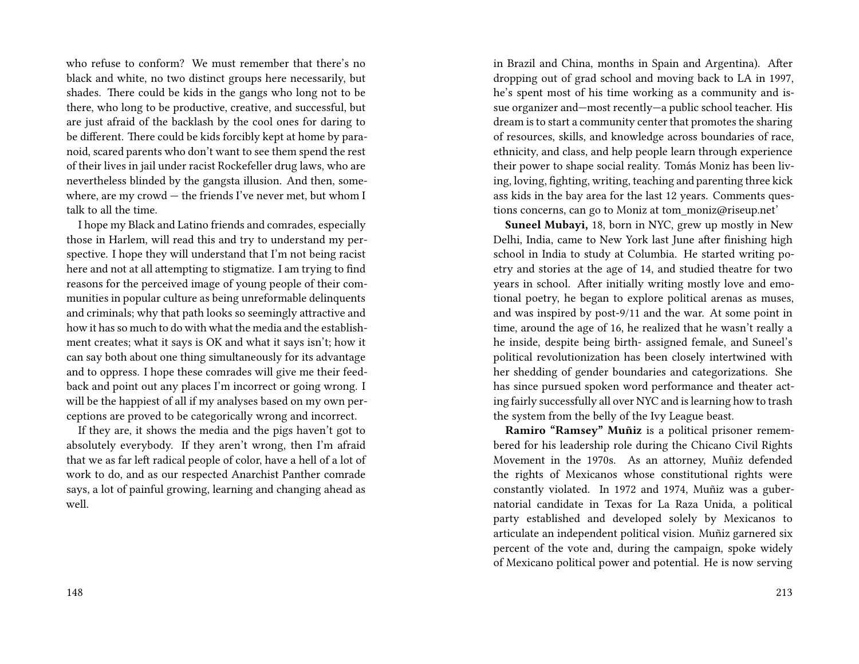who refuse to conform? We must remember that there's no black and white, no two distinct groups here necessarily, but shades. There could be kids in the gangs who long not to be there, who long to be productive, creative, and successful, but are just afraid of the backlash by the cool ones for daring to be different. There could be kids forcibly kept at home by paranoid, scared parents who don't want to see them spend the rest of their lives in jail under racist Rockefeller drug laws, who are nevertheless blinded by the gangsta illusion. And then, somewhere, are my crowd — the friends I've never met, but whom I talk to all the time.

I hope my Black and Latino friends and comrades, especially those in Harlem, will read this and try to understand my perspective. I hope they will understand that I'm not being racist here and not at all attempting to stigmatize. I am trying to find reasons for the perceived image of young people of their communities in popular culture as being unreformable delinquents and criminals; why that path looks so seemingly attractive and how it has so much to do with what the media and the establishment creates; what it says is OK and what it says isn't; how it can say both about one thing simultaneously for its advantage and to oppress. I hope these comrades will give me their feedback and point out any places I'm incorrect or going wrong. I will be the happiest of all if my analyses based on my own perceptions are proved to be categorically wrong and incorrect.

If they are, it shows the media and the pigs haven't got to absolutely everybody. If they aren't wrong, then I'm afraid that we as far left radical people of color, have a hell of a lot of work to do, and as our respected Anarchist Panther comrade says, a lot of painful growing, learning and changing ahead as well.

in Brazil and China, months in Spain and Argentina). After dropping out of grad school and moving back to LA in 1997, he's spent most of his time working as a community and issue organizer and—most recently—a public school teacher. His dream is to start a community center that promotes the sharing of resources, skills, and knowledge across boundaries of race, ethnicity, and class, and help people learn through experience their power to shape social reality. Tomás Moniz has been living, loving, fighting, writing, teaching and parenting three kick ass kids in the bay area for the last 12 years. Comments questions concerns, can go to Moniz at tom\_moniz@riseup.net'

**Suneel Mubayi,** 18, born in NYC, grew up mostly in New Delhi, India, came to New York last June after finishing high school in India to study at Columbia. He started writing poetry and stories at the age of 14, and studied theatre for two years in school. After initially writing mostly love and emotional poetry, he began to explore political arenas as muses, and was inspired by post-9/11 and the war. At some point in time, around the age of 16, he realized that he wasn't really a he inside, despite being birth- assigned female, and Suneel's political revolutionization has been closely intertwined with her shedding of gender boundaries and categorizations. She has since pursued spoken word performance and theater acting fairly successfully all over NYC and is learning how to trash the system from the belly of the Ivy League beast.

**Ramiro "Ramsey" Muñiz** is a political prisoner remembered for his leadership role during the Chicano Civil Rights Movement in the 1970s. As an attorney, Muñiz defended the rights of Mexicanos whose constitutional rights were constantly violated. In 1972 and 1974, Muñiz was a gubernatorial candidate in Texas for La Raza Unida, a political party established and developed solely by Mexicanos to articulate an independent political vision. Muñiz garnered six percent of the vote and, during the campaign, spoke widely of Mexicano political power and potential. He is now serving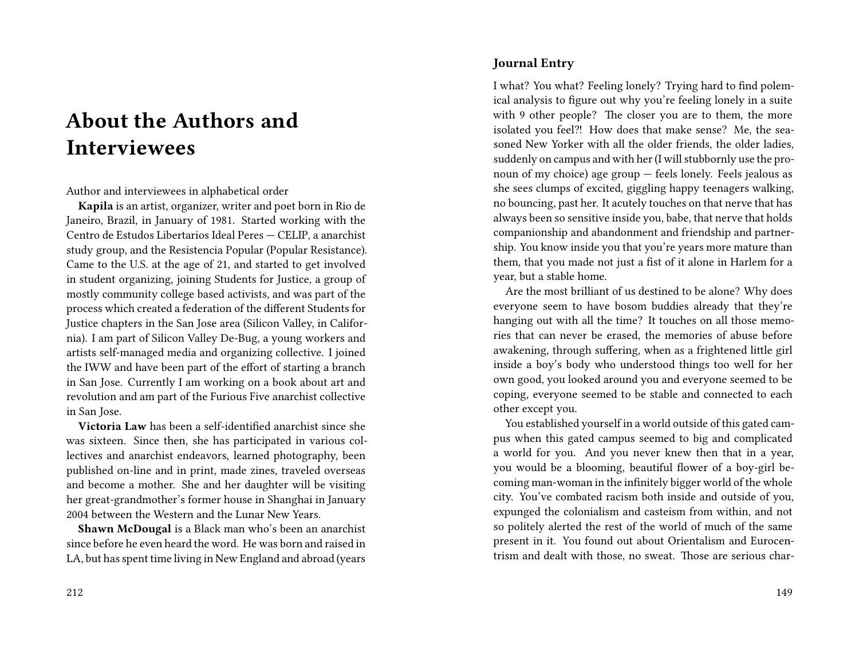# **About the Authors and Interviewees**

Author and interviewees in alphabetical order

**Kapila** is an artist, organizer, writer and poet born in Rio de Janeiro, Brazil, in January of 1981. Started working with the Centro de Estudos Libertarios Ideal Peres — CELIP, a anarchist study group, and the Resistencia Popular (Popular Resistance). Came to the U.S. at the age of 21, and started to get involved in student organizing, joining Students for Justice, a group of mostly community college based activists, and was part of the process which created a federation of the different Students for Justice chapters in the San Jose area (Silicon Valley, in California). I am part of Silicon Valley De-Bug, a young workers and artists self-managed media and organizing collective. I joined the IWW and have been part of the effort of starting a branch in San Jose. Currently I am working on a book about art and revolution and am part of the Furious Five anarchist collective in San Jose.

**Victoria Law** has been a self-identified anarchist since she was sixteen. Since then, she has participated in various collectives and anarchist endeavors, learned photography, been published on-line and in print, made zines, traveled overseas and become a mother. She and her daughter will be visiting her great-grandmother's former house in Shanghai in January 2004 between the Western and the Lunar New Years.

**Shawn McDougal** is a Black man who's been an anarchist since before he even heard the word. He was born and raised in LA, but has spent time living in New England and abroad (years

#### **Journal Entry**

I what? You what? Feeling lonely? Trying hard to find polemical analysis to figure out why you're feeling lonely in a suite with 9 other people? The closer you are to them, the more isolated you feel?! How does that make sense? Me, the seasoned New Yorker with all the older friends, the older ladies, suddenly on campus and with her (I will stubbornly use the pronoun of my choice) age group — feels lonely. Feels jealous as she sees clumps of excited, giggling happy teenagers walking, no bouncing, past her. It acutely touches on that nerve that has always been so sensitive inside you, babe, that nerve that holds companionship and abandonment and friendship and partnership. You know inside you that you're years more mature than them, that you made not just a fist of it alone in Harlem for a year, but a stable home.

Are the most brilliant of us destined to be alone? Why does everyone seem to have bosom buddies already that they're hanging out with all the time? It touches on all those memories that can never be erased, the memories of abuse before awakening, through suffering, when as a frightened little girl inside a boy's body who understood things too well for her own good, you looked around you and everyone seemed to be coping, everyone seemed to be stable and connected to each other except you.

You established yourself in a world outside of this gated campus when this gated campus seemed to big and complicated a world for you. And you never knew then that in a year, you would be a blooming, beautiful flower of a boy-girl becoming man-woman in the infinitely bigger world of the whole city. You've combated racism both inside and outside of you, expunged the colonialism and casteism from within, and not so politely alerted the rest of the world of much of the same present in it. You found out about Orientalism and Eurocentrism and dealt with those, no sweat. Those are serious char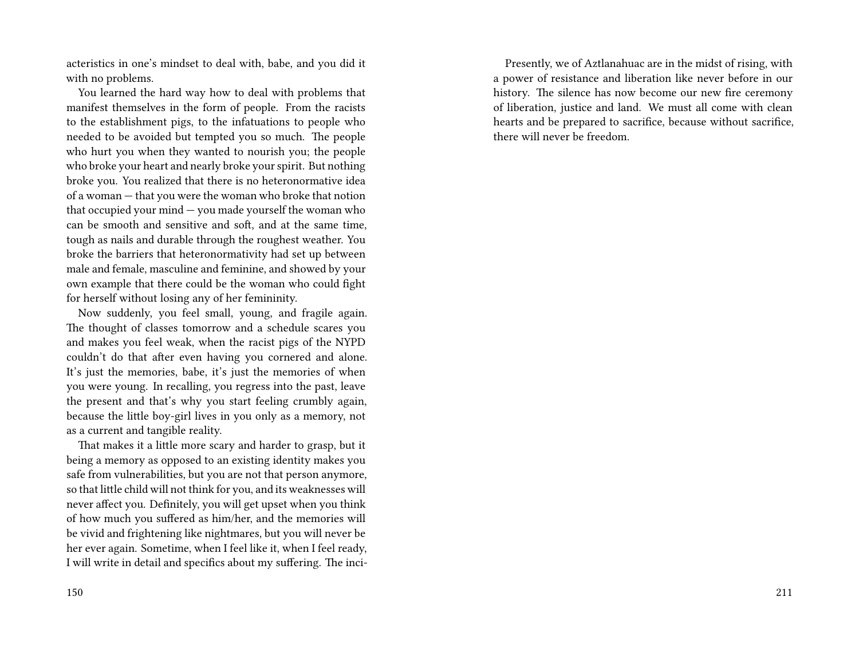acteristics in one's mindset to deal with, babe, and you did it with no problems.

You learned the hard way how to deal with problems that manifest themselves in the form of people. From the racists to the establishment pigs, to the infatuations to people who needed to be avoided but tempted you so much. The people who hurt you when they wanted to nourish you; the people who broke your heart and nearly broke your spirit. But nothing broke you. You realized that there is no heteronormative idea of a woman — that you were the woman who broke that notion that occupied your mind — you made yourself the woman who can be smooth and sensitive and soft, and at the same time, tough as nails and durable through the roughest weather. You broke the barriers that heteronormativity had set up between male and female, masculine and feminine, and showed by your own example that there could be the woman who could fight for herself without losing any of her femininity.

Now suddenly, you feel small, young, and fragile again. The thought of classes tomorrow and a schedule scares you and makes you feel weak, when the racist pigs of the NYPD couldn't do that after even having you cornered and alone. It's just the memories, babe, it's just the memories of when you were young. In recalling, you regress into the past, leave the present and that's why you start feeling crumbly again, because the little boy-girl lives in you only as a memory, not as a current and tangible reality.

That makes it a little more scary and harder to grasp, but it being a memory as opposed to an existing identity makes you safe from vulnerabilities, but you are not that person anymore, so that little child will not think for you, and its weaknesses will never affect you. Definitely, you will get upset when you think of how much you suffered as him/her, and the memories will be vivid and frightening like nightmares, but you will never be her ever again. Sometime, when I feel like it, when I feel ready, I will write in detail and specifics about my suffering. The inci-

Presently, we of Aztlanahuac are in the midst of rising, with a power of resistance and liberation like never before in our history. The silence has now become our new fire ceremony of liberation, justice and land. We must all come with clean hearts and be prepared to sacrifice, because without sacrifice, there will never be freedom.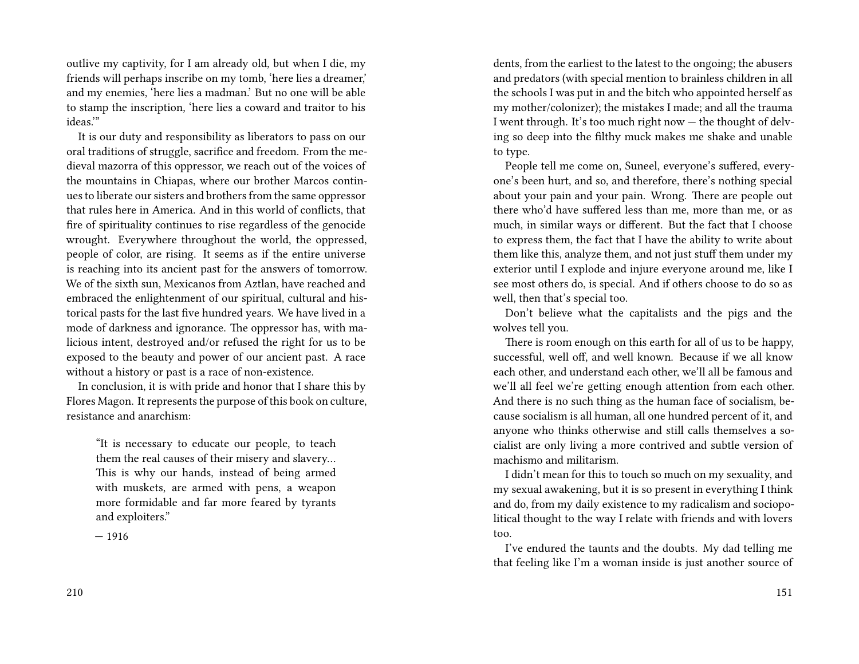outlive my captivity, for I am already old, but when I die, my friends will perhaps inscribe on my tomb, 'here lies a dreamer,' and my enemies, 'here lies a madman.' But no one will be able to stamp the inscription, 'here lies a coward and traitor to his ideas.'"

It is our duty and responsibility as liberators to pass on our oral traditions of struggle, sacrifice and freedom. From the medieval mazorra of this oppressor, we reach out of the voices of the mountains in Chiapas, where our brother Marcos continues to liberate our sisters and brothers from the same oppressor that rules here in America. And in this world of conflicts, that fire of spirituality continues to rise regardless of the genocide wrought. Everywhere throughout the world, the oppressed, people of color, are rising. It seems as if the entire universe is reaching into its ancient past for the answers of tomorrow. We of the sixth sun, Mexicanos from Aztlan, have reached and embraced the enlightenment of our spiritual, cultural and historical pasts for the last five hundred years. We have lived in a mode of darkness and ignorance. The oppressor has, with malicious intent, destroyed and/or refused the right for us to be exposed to the beauty and power of our ancient past. A race without a history or past is a race of non-existence.

In conclusion, it is with pride and honor that I share this by Flores Magon. It represents the purpose of this book on culture, resistance and anarchism:

"It is necessary to educate our people, to teach them the real causes of their misery and slavery… This is why our hands, instead of being armed with muskets, are armed with pens, a weapon more formidable and far more feared by tyrants and exploiters."

— 1916

dents, from the earliest to the latest to the ongoing; the abusers and predators (with special mention to brainless children in all the schools I was put in and the bitch who appointed herself as my mother/colonizer); the mistakes I made; and all the trauma I went through. It's too much right now — the thought of delving so deep into the filthy muck makes me shake and unable to type.

People tell me come on, Suneel, everyone's suffered, everyone's been hurt, and so, and therefore, there's nothing special about your pain and your pain. Wrong. There are people out there who'd have suffered less than me, more than me, or as much, in similar ways or different. But the fact that I choose to express them, the fact that I have the ability to write about them like this, analyze them, and not just stuff them under my exterior until I explode and injure everyone around me, like I see most others do, is special. And if others choose to do so as well, then that's special too.

Don't believe what the capitalists and the pigs and the wolves tell you.

There is room enough on this earth for all of us to be happy, successful, well off, and well known. Because if we all know each other, and understand each other, we'll all be famous and we'll all feel we're getting enough attention from each other. And there is no such thing as the human face of socialism, because socialism is all human, all one hundred percent of it, and anyone who thinks otherwise and still calls themselves a socialist are only living a more contrived and subtle version of machismo and militarism.

I didn't mean for this to touch so much on my sexuality, and my sexual awakening, but it is so present in everything I think and do, from my daily existence to my radicalism and sociopolitical thought to the way I relate with friends and with lovers too.

I've endured the taunts and the doubts. My dad telling me that feeling like I'm a woman inside is just another source of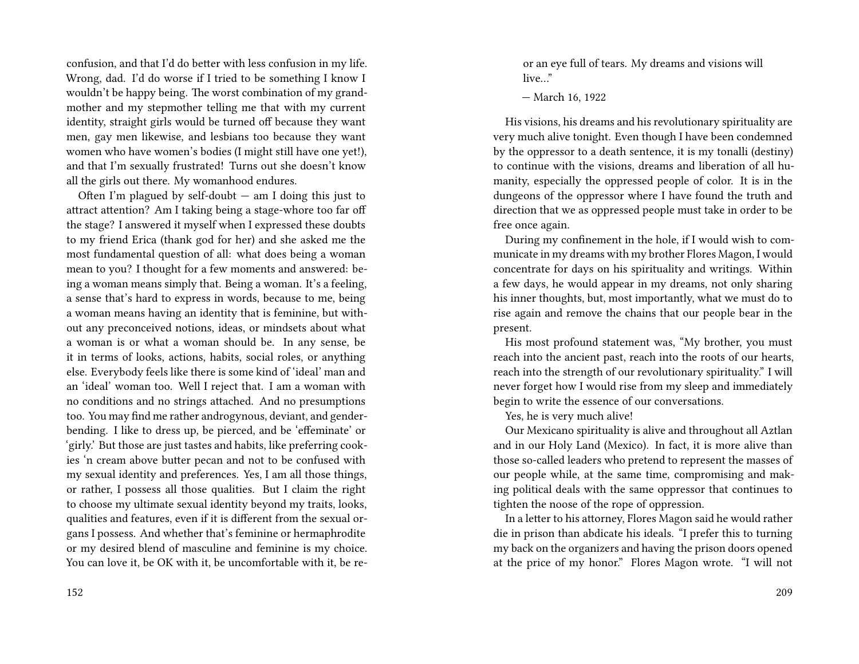confusion, and that I'd do better with less confusion in my life. Wrong, dad. I'd do worse if I tried to be something I know I wouldn't be happy being. The worst combination of my grandmother and my stepmother telling me that with my current identity, straight girls would be turned off because they want men, gay men likewise, and lesbians too because they want women who have women's bodies (I might still have one yet!), and that I'm sexually frustrated! Turns out she doesn't know all the girls out there. My womanhood endures.

Often I'm plagued by self-doubt  $-$  am I doing this just to attract attention? Am I taking being a stage-whore too far off the stage? I answered it myself when I expressed these doubts to my friend Erica (thank god for her) and she asked me the most fundamental question of all: what does being a woman mean to you? I thought for a few moments and answered: being a woman means simply that. Being a woman. It's a feeling, a sense that's hard to express in words, because to me, being a woman means having an identity that is feminine, but without any preconceived notions, ideas, or mindsets about what a woman is or what a woman should be. In any sense, be it in terms of looks, actions, habits, social roles, or anything else. Everybody feels like there is some kind of 'ideal' man and an 'ideal' woman too. Well I reject that. I am a woman with no conditions and no strings attached. And no presumptions too. You may find me rather androgynous, deviant, and genderbending. I like to dress up, be pierced, and be 'effeminate' or 'girly.' But those are just tastes and habits, like preferring cookies 'n cream above butter pecan and not to be confused with my sexual identity and preferences. Yes, I am all those things, or rather, I possess all those qualities. But I claim the right to choose my ultimate sexual identity beyond my traits, looks, qualities and features, even if it is different from the sexual organs I possess. And whether that's feminine or hermaphrodite or my desired blend of masculine and feminine is my choice. You can love it, be OK with it, be uncomfortable with it, be re-

152

or an eye full of tears. My dreams and visions will live…"

— March 16, 1922

His visions, his dreams and his revolutionary spirituality are very much alive tonight. Even though I have been condemned by the oppressor to a death sentence, it is my tonalli (destiny) to continue with the visions, dreams and liberation of all humanity, especially the oppressed people of color. It is in the dungeons of the oppressor where I have found the truth and direction that we as oppressed people must take in order to be free once again.

During my confinement in the hole, if I would wish to communicate in my dreams with my brother Flores Magon, I would concentrate for days on his spirituality and writings. Within a few days, he would appear in my dreams, not only sharing his inner thoughts, but, most importantly, what we must do to rise again and remove the chains that our people bear in the present.

His most profound statement was, "My brother, you must reach into the ancient past, reach into the roots of our hearts, reach into the strength of our revolutionary spirituality." I will never forget how I would rise from my sleep and immediately begin to write the essence of our conversations.

Yes, he is very much alive!

Our Mexicano spirituality is alive and throughout all Aztlan and in our Holy Land (Mexico). In fact, it is more alive than those so-called leaders who pretend to represent the masses of our people while, at the same time, compromising and making political deals with the same oppressor that continues to tighten the noose of the rope of oppression.

In a letter to his attorney, Flores Magon said he would rather die in prison than abdicate his ideals. "I prefer this to turning my back on the organizers and having the prison doors opened at the price of my honor." Flores Magon wrote. "I will not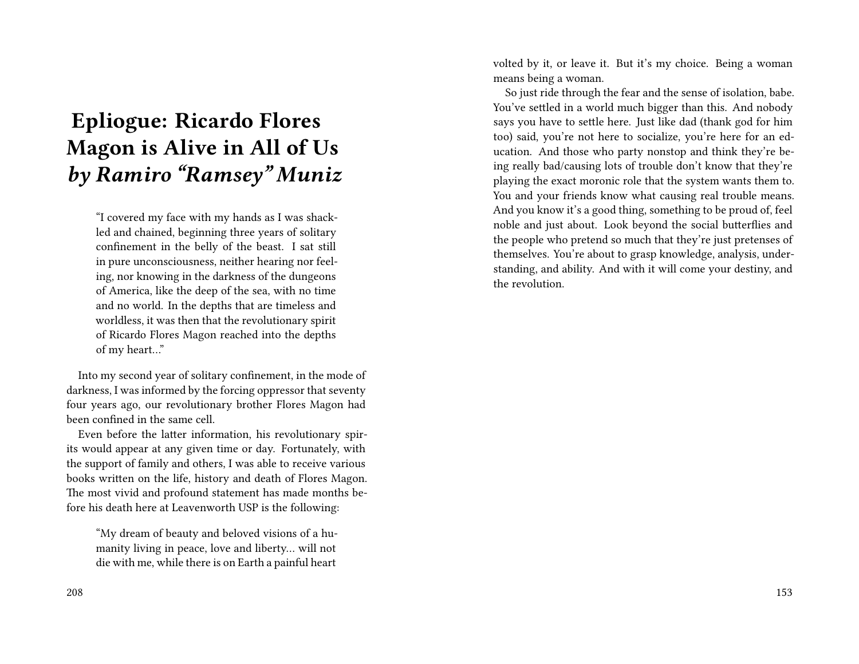# **Epliogue: Ricardo Flores Magon is Alive in All of Us** *by Ramiro "Ramsey" Muniz*

"I covered my face with my hands as I was shackled and chained, beginning three years of solitary confinement in the belly of the beast. I sat still in pure unconsciousness, neither hearing nor feeling, nor knowing in the darkness of the dungeons of America, like the deep of the sea, with no time and no world. In the depths that are timeless and worldless, it was then that the revolutionary spirit of Ricardo Flores Magon reached into the depths of my heart…"

Into my second year of solitary confinement, in the mode of darkness, I was informed by the forcing oppressor that seventy four years ago, our revolutionary brother Flores Magon had been confined in the same cell.

Even before the latter information, his revolutionary spirits would appear at any given time or day. Fortunately, with the support of family and others, I was able to receive various books written on the life, history and death of Flores Magon. The most vivid and profound statement has made months before his death here at Leavenworth USP is the following:

"My dream of beauty and beloved visions of a humanity living in peace, love and liberty… will not die with me, while there is on Earth a painful heart

volted by it, or leave it. But it's my choice. Being a woman means being a woman.

So just ride through the fear and the sense of isolation, babe. You've settled in a world much bigger than this. And nobody says you have to settle here. Just like dad (thank god for him too) said, you're not here to socialize, you're here for an education. And those who party nonstop and think they're being really bad/causing lots of trouble don't know that they're playing the exact moronic role that the system wants them to. You and your friends know what causing real trouble means. And you know it's a good thing, something to be proud of, feel noble and just about. Look beyond the social butterflies and the people who pretend so much that they're just pretenses of themselves. You're about to grasp knowledge, analysis, understanding, and ability. And with it will come your destiny, and the revolution.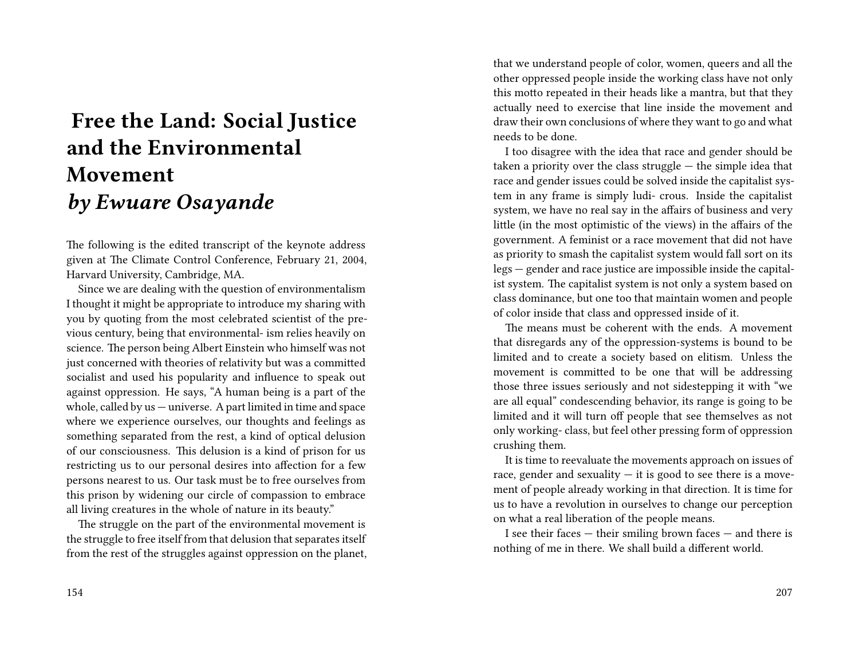# **Free the Land: Social Justice and the Environmental Movement** *by Ewuare Osayande*

The following is the edited transcript of the keynote address given at The Climate Control Conference, February 21, 2004, Harvard University, Cambridge, MA.

Since we are dealing with the question of environmentalism I thought it might be appropriate to introduce my sharing with you by quoting from the most celebrated scientist of the previous century, being that environmental- ism relies heavily on science. The person being Albert Einstein who himself was not just concerned with theories of relativity but was a committed socialist and used his popularity and influence to speak out against oppression. He says, "A human being is a part of the whole, called by us — universe. A part limited in time and space where we experience ourselves, our thoughts and feelings as something separated from the rest, a kind of optical delusion of our consciousness. This delusion is a kind of prison for us restricting us to our personal desires into affection for a few persons nearest to us. Our task must be to free ourselves from this prison by widening our circle of compassion to embrace all living creatures in the whole of nature in its beauty."

The struggle on the part of the environmental movement is the struggle to free itself from that delusion that separates itself from the rest of the struggles against oppression on the planet, that we understand people of color, women, queers and all the other oppressed people inside the working class have not only this motto repeated in their heads like a mantra, but that they actually need to exercise that line inside the movement and draw their own conclusions of where they want to go and what needs to be done.

I too disagree with the idea that race and gender should be taken a priority over the class struggle — the simple idea that race and gender issues could be solved inside the capitalist system in any frame is simply ludi- crous. Inside the capitalist system, we have no real say in the affairs of business and very little (in the most optimistic of the views) in the affairs of the government. A feminist or a race movement that did not have as priority to smash the capitalist system would fall sort on its legs — gender and race justice are impossible inside the capitalist system. The capitalist system is not only a system based on class dominance, but one too that maintain women and people of color inside that class and oppressed inside of it.

The means must be coherent with the ends. A movement that disregards any of the oppression-systems is bound to be limited and to create a society based on elitism. Unless the movement is committed to be one that will be addressing those three issues seriously and not sidestepping it with "we are all equal" condescending behavior, its range is going to be limited and it will turn off people that see themselves as not only working- class, but feel other pressing form of oppression crushing them.

It is time to reevaluate the movements approach on issues of race, gender and sexuality  $-$  it is good to see there is a movement of people already working in that direction. It is time for us to have a revolution in ourselves to change our perception on what a real liberation of the people means.

I see their faces — their smiling brown faces — and there is nothing of me in there. We shall build a different world.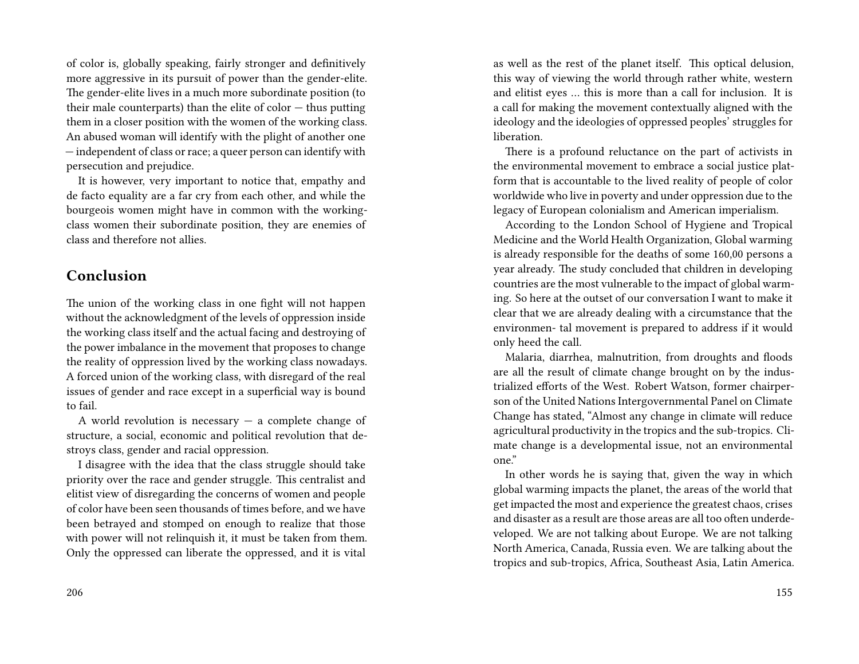of color is, globally speaking, fairly stronger and definitively more aggressive in its pursuit of power than the gender-elite. The gender-elite lives in a much more subordinate position (to their male counterparts) than the elite of  $color -$  thus putting them in a closer position with the women of the working class. An abused woman will identify with the plight of another one — independent of class or race; a queer person can identify with persecution and prejudice.

It is however, very important to notice that, empathy and de facto equality are a far cry from each other, and while the bourgeois women might have in common with the workingclass women their subordinate position, they are enemies of class and therefore not allies.

## **Conclusion**

The union of the working class in one fight will not happen without the acknowledgment of the levels of oppression inside the working class itself and the actual facing and destroying of the power imbalance in the movement that proposes to change the reality of oppression lived by the working class nowadays. A forced union of the working class, with disregard of the real issues of gender and race except in a superficial way is bound to fail.

A world revolution is necessary  $-$  a complete change of structure, a social, economic and political revolution that destroys class, gender and racial oppression.

I disagree with the idea that the class struggle should take priority over the race and gender struggle. This centralist and elitist view of disregarding the concerns of women and people of color have been seen thousands of times before, and we have been betrayed and stomped on enough to realize that those with power will not relinquish it, it must be taken from them. Only the oppressed can liberate the oppressed, and it is vital

as well as the rest of the planet itself. This optical delusion, this way of viewing the world through rather white, western and elitist eyes … this is more than a call for inclusion. It is a call for making the movement contextually aligned with the ideology and the ideologies of oppressed peoples' struggles for liberation.

There is a profound reluctance on the part of activists in the environmental movement to embrace a social justice platform that is accountable to the lived reality of people of color worldwide who live in poverty and under oppression due to the legacy of European colonialism and American imperialism.

According to the London School of Hygiene and Tropical Medicine and the World Health Organization, Global warming is already responsible for the deaths of some 160,00 persons a year already. The study concluded that children in developing countries are the most vulnerable to the impact of global warming. So here at the outset of our conversation I want to make it clear that we are already dealing with a circumstance that the environmen- tal movement is prepared to address if it would only heed the call.

Malaria, diarrhea, malnutrition, from droughts and floods are all the result of climate change brought on by the industrialized efforts of the West. Robert Watson, former chairperson of the United Nations Intergovernmental Panel on Climate Change has stated, "Almost any change in climate will reduce agricultural productivity in the tropics and the sub-tropics. Climate change is a developmental issue, not an environmental one."

In other words he is saying that, given the way in which global warming impacts the planet, the areas of the world that get impacted the most and experience the greatest chaos, crises and disaster as a result are those areas are all too often underdeveloped. We are not talking about Europe. We are not talking North America, Canada, Russia even. We are talking about the tropics and sub-tropics, Africa, Southeast Asia, Latin America.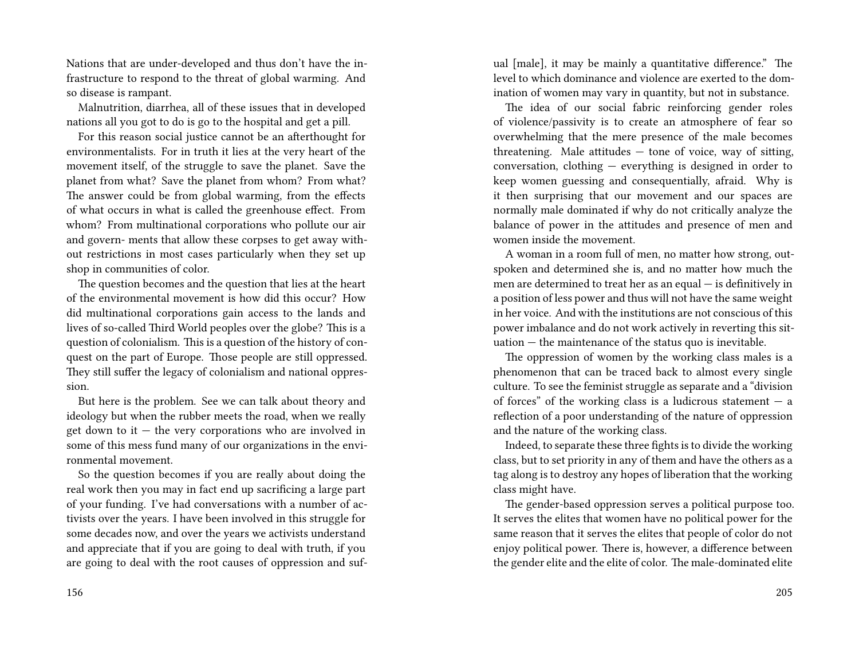Nations that are under-developed and thus don't have the infrastructure to respond to the threat of global warming. And so disease is rampant.

Malnutrition, diarrhea, all of these issues that in developed nations all you got to do is go to the hospital and get a pill.

For this reason social justice cannot be an afterthought for environmentalists. For in truth it lies at the very heart of the movement itself, of the struggle to save the planet. Save the planet from what? Save the planet from whom? From what? The answer could be from global warming, from the effects of what occurs in what is called the greenhouse effect. From whom? From multinational corporations who pollute our air and govern- ments that allow these corpses to get away without restrictions in most cases particularly when they set up shop in communities of color.

The question becomes and the question that lies at the heart of the environmental movement is how did this occur? How did multinational corporations gain access to the lands and lives of so-called Third World peoples over the globe? This is a question of colonialism. This is a question of the history of conquest on the part of Europe. Those people are still oppressed. They still suffer the legacy of colonialism and national oppression.

But here is the problem. See we can talk about theory and ideology but when the rubber meets the road, when we really get down to it  $-$  the very corporations who are involved in some of this mess fund many of our organizations in the environmental movement.

So the question becomes if you are really about doing the real work then you may in fact end up sacrificing a large part of your funding. I've had conversations with a number of activists over the years. I have been involved in this struggle for some decades now, and over the years we activists understand and appreciate that if you are going to deal with truth, if you are going to deal with the root causes of oppression and sufual [male], it may be mainly a quantitative difference." The level to which dominance and violence are exerted to the domination of women may vary in quantity, but not in substance.

The idea of our social fabric reinforcing gender roles of violence/passivity is to create an atmosphere of fear so overwhelming that the mere presence of the male becomes threatening. Male attitudes — tone of voice, way of sitting, conversation, clothing — everything is designed in order to keep women guessing and consequentially, afraid. Why is it then surprising that our movement and our spaces are normally male dominated if why do not critically analyze the balance of power in the attitudes and presence of men and women inside the movement.

A woman in a room full of men, no matter how strong, outspoken and determined she is, and no matter how much the men are determined to treat her as an equal — is definitively in a position of less power and thus will not have the same weight in her voice. And with the institutions are not conscious of this power imbalance and do not work actively in reverting this situation — the maintenance of the status quo is inevitable.

The oppression of women by the working class males is a phenomenon that can be traced back to almost every single culture. To see the feminist struggle as separate and a "division of forces" of the working class is a ludicrous statement  $-$  a reflection of a poor understanding of the nature of oppression and the nature of the working class.

Indeed, to separate these three fights is to divide the working class, but to set priority in any of them and have the others as a tag along is to destroy any hopes of liberation that the working class might have.

The gender-based oppression serves a political purpose too. It serves the elites that women have no political power for the same reason that it serves the elites that people of color do not enjoy political power. There is, however, a difference between the gender elite and the elite of color. The male-dominated elite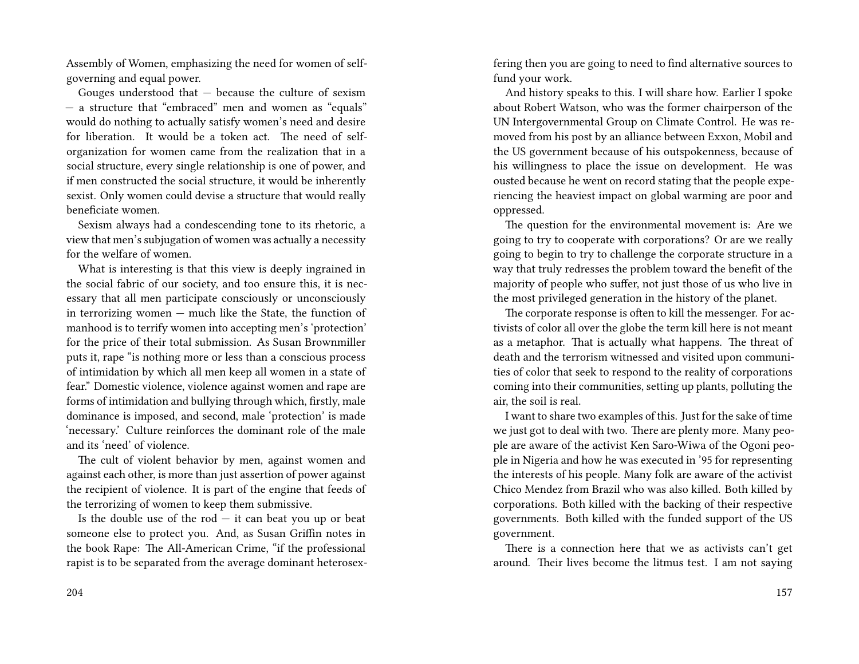Assembly of Women, emphasizing the need for women of selfgoverning and equal power.

Gouges understood that — because the culture of sexism — a structure that "embraced" men and women as "equals" would do nothing to actually satisfy women's need and desire for liberation. It would be a token act. The need of selforganization for women came from the realization that in a social structure, every single relationship is one of power, and if men constructed the social structure, it would be inherently sexist. Only women could devise a structure that would really beneficiate women.

Sexism always had a condescending tone to its rhetoric, a view that men's subjugation of women was actually a necessity for the welfare of women.

What is interesting is that this view is deeply ingrained in the social fabric of our society, and too ensure this, it is necessary that all men participate consciously or unconsciously in terrorizing women — much like the State, the function of manhood is to terrify women into accepting men's 'protection' for the price of their total submission. As Susan Brownmiller puts it, rape "is nothing more or less than a conscious process of intimidation by which all men keep all women in a state of fear." Domestic violence, violence against women and rape are forms of intimidation and bullying through which, firstly, male dominance is imposed, and second, male 'protection' is made 'necessary.' Culture reinforces the dominant role of the male and its 'need' of violence.

The cult of violent behavior by men, against women and against each other, is more than just assertion of power against the recipient of violence. It is part of the engine that feeds of the terrorizing of women to keep them submissive.

Is the double use of the  $rod - it$  can beat you up or beat someone else to protect you. And, as Susan Griffin notes in the book Rape: The All-American Crime, "if the professional rapist is to be separated from the average dominant heterosexfering then you are going to need to find alternative sources to fund your work.

And history speaks to this. I will share how. Earlier I spoke about Robert Watson, who was the former chairperson of the UN Intergovernmental Group on Climate Control. He was removed from his post by an alliance between Exxon, Mobil and the US government because of his outspokenness, because of his willingness to place the issue on development. He was ousted because he went on record stating that the people experiencing the heaviest impact on global warming are poor and oppressed.

The question for the environmental movement is: Are we going to try to cooperate with corporations? Or are we really going to begin to try to challenge the corporate structure in a way that truly redresses the problem toward the benefit of the majority of people who suffer, not just those of us who live in the most privileged generation in the history of the planet.

The corporate response is often to kill the messenger. For activists of color all over the globe the term kill here is not meant as a metaphor. That is actually what happens. The threat of death and the terrorism witnessed and visited upon communities of color that seek to respond to the reality of corporations coming into their communities, setting up plants, polluting the air, the soil is real.

I want to share two examples of this. Just for the sake of time we just got to deal with two. There are plenty more. Many people are aware of the activist Ken Saro-Wiwa of the Ogoni people in Nigeria and how he was executed in '95 for representing the interests of his people. Many folk are aware of the activist Chico Mendez from Brazil who was also killed. Both killed by corporations. Both killed with the backing of their respective governments. Both killed with the funded support of the US government.

There is a connection here that we as activists can't get around. Their lives become the litmus test. I am not saying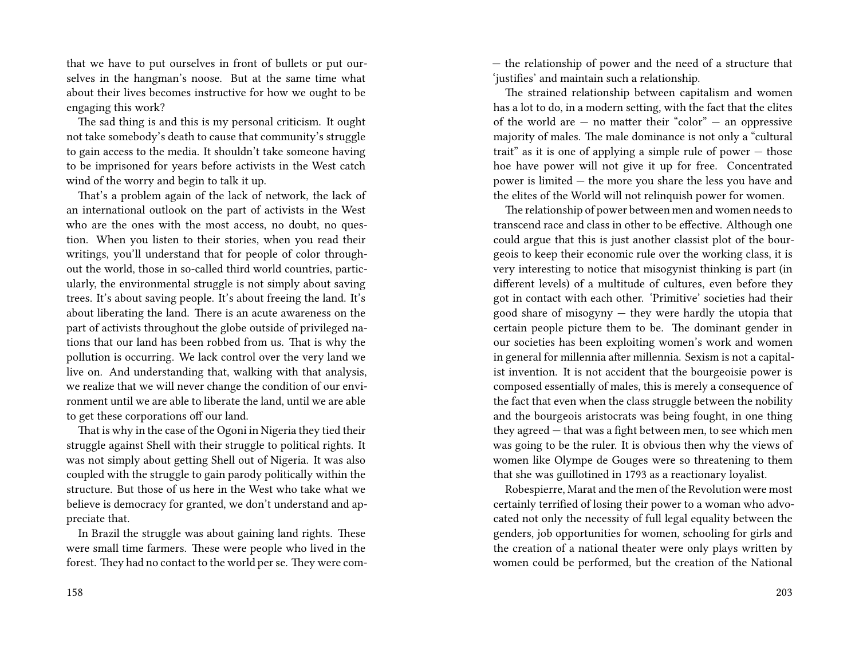that we have to put ourselves in front of bullets or put ourselves in the hangman's noose. But at the same time what about their lives becomes instructive for how we ought to be engaging this work?

The sad thing is and this is my personal criticism. It ought not take somebody's death to cause that community's struggle to gain access to the media. It shouldn't take someone having to be imprisoned for years before activists in the West catch wind of the worry and begin to talk it up.

That's a problem again of the lack of network, the lack of an international outlook on the part of activists in the West who are the ones with the most access, no doubt, no question. When you listen to their stories, when you read their writings, you'll understand that for people of color throughout the world, those in so-called third world countries, particularly, the environmental struggle is not simply about saving trees. It's about saving people. It's about freeing the land. It's about liberating the land. There is an acute awareness on the part of activists throughout the globe outside of privileged nations that our land has been robbed from us. That is why the pollution is occurring. We lack control over the very land we live on. And understanding that, walking with that analysis, we realize that we will never change the condition of our environment until we are able to liberate the land, until we are able to get these corporations off our land.

That is why in the case of the Ogoni in Nigeria they tied their struggle against Shell with their struggle to political rights. It was not simply about getting Shell out of Nigeria. It was also coupled with the struggle to gain parody politically within the structure. But those of us here in the West who take what we believe is democracy for granted, we don't understand and appreciate that.

In Brazil the struggle was about gaining land rights. These were small time farmers. These were people who lived in the forest. They had no contact to the world per se. They were com— the relationship of power and the need of a structure that 'justifies' and maintain such a relationship.

The strained relationship between capitalism and women has a lot to do, in a modern setting, with the fact that the elites of the world are  $-$  no matter their "color"  $-$  an oppressive majority of males. The male dominance is not only a "cultural trait" as it is one of applying a simple rule of power — those hoe have power will not give it up for free. Concentrated power is limited — the more you share the less you have and the elites of the World will not relinquish power for women.

The relationship of power between men and women needs to transcend race and class in other to be effective. Although one could argue that this is just another classist plot of the bourgeois to keep their economic rule over the working class, it is very interesting to notice that misogynist thinking is part (in different levels) of a multitude of cultures, even before they got in contact with each other. 'Primitive' societies had their good share of misogyny  $-$  they were hardly the utopia that certain people picture them to be. The dominant gender in our societies has been exploiting women's work and women in general for millennia after millennia. Sexism is not a capitalist invention. It is not accident that the bourgeoisie power is composed essentially of males, this is merely a consequence of the fact that even when the class struggle between the nobility and the bourgeois aristocrats was being fought, in one thing they agreed — that was a fight between men, to see which men was going to be the ruler. It is obvious then why the views of women like Olympe de Gouges were so threatening to them that she was guillotined in 1793 as a reactionary loyalist.

Robespierre, Marat and the men of the Revolution were most certainly terrified of losing their power to a woman who advocated not only the necessity of full legal equality between the genders, job opportunities for women, schooling for girls and the creation of a national theater were only plays written by women could be performed, but the creation of the National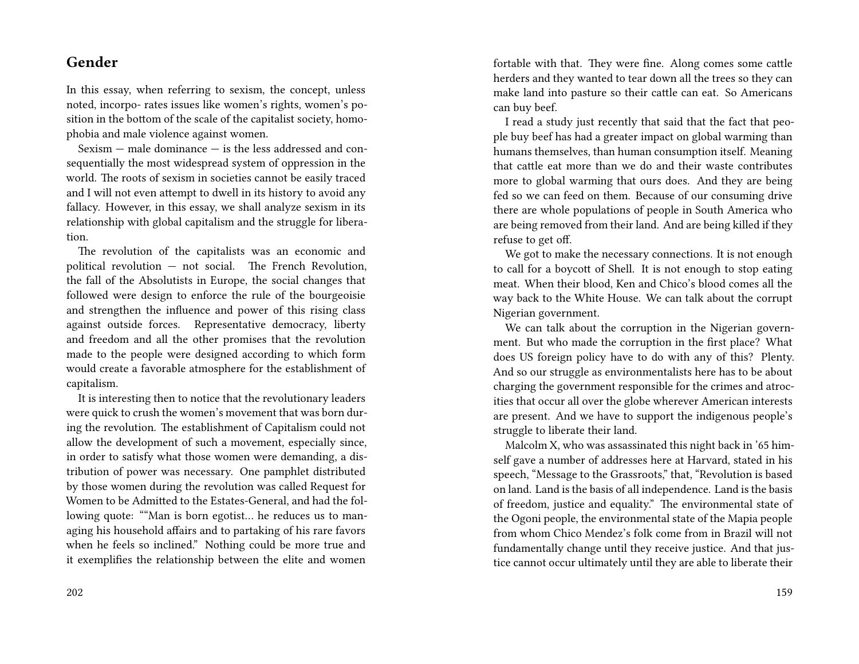## **Gender**

In this essay, when referring to sexism, the concept, unless noted, incorpo- rates issues like women's rights, women's position in the bottom of the scale of the capitalist society, homophobia and male violence against women.

Sexism — male dominance — is the less addressed and consequentially the most widespread system of oppression in the world. The roots of sexism in societies cannot be easily traced and I will not even attempt to dwell in its history to avoid any fallacy. However, in this essay, we shall analyze sexism in its relationship with global capitalism and the struggle for liberation.

The revolution of the capitalists was an economic and political revolution — not social. The French Revolution, the fall of the Absolutists in Europe, the social changes that followed were design to enforce the rule of the bourgeoisie and strengthen the influence and power of this rising class against outside forces. Representative democracy, liberty and freedom and all the other promises that the revolution made to the people were designed according to which form would create a favorable atmosphere for the establishment of capitalism.

It is interesting then to notice that the revolutionary leaders were quick to crush the women's movement that was born during the revolution. The establishment of Capitalism could not allow the development of such a movement, especially since, in order to satisfy what those women were demanding, a distribution of power was necessary. One pamphlet distributed by those women during the revolution was called Request for Women to be Admitted to the Estates-General, and had the following quote: ""Man is born egotist… he reduces us to managing his household affairs and to partaking of his rare favors when he feels so inclined." Nothing could be more true and it exemplifies the relationship between the elite and women

fortable with that. They were fine. Along comes some cattle herders and they wanted to tear down all the trees so they can make land into pasture so their cattle can eat. So Americans can buy beef.

I read a study just recently that said that the fact that people buy beef has had a greater impact on global warming than humans themselves, than human consumption itself. Meaning that cattle eat more than we do and their waste contributes more to global warming that ours does. And they are being fed so we can feed on them. Because of our consuming drive there are whole populations of people in South America who are being removed from their land. And are being killed if they refuse to get off.

We got to make the necessary connections. It is not enough to call for a boycott of Shell. It is not enough to stop eating meat. When their blood, Ken and Chico's blood comes all the way back to the White House. We can talk about the corrupt Nigerian government.

We can talk about the corruption in the Nigerian government. But who made the corruption in the first place? What does US foreign policy have to do with any of this? Plenty. And so our struggle as environmentalists here has to be about charging the government responsible for the crimes and atrocities that occur all over the globe wherever American interests are present. And we have to support the indigenous people's struggle to liberate their land.

Malcolm X, who was assassinated this night back in '65 himself gave a number of addresses here at Harvard, stated in his speech, "Message to the Grassroots," that, "Revolution is based on land. Land is the basis of all independence. Land is the basis of freedom, justice and equality." The environmental state of the Ogoni people, the environmental state of the Mapia people from whom Chico Mendez's folk come from in Brazil will not fundamentally change until they receive justice. And that justice cannot occur ultimately until they are able to liberate their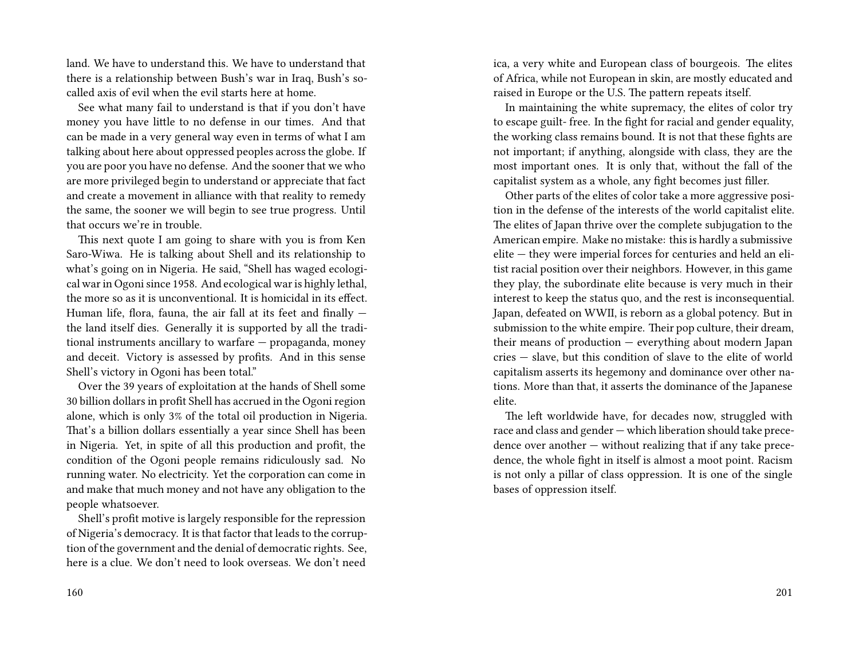land. We have to understand this. We have to understand that there is a relationship between Bush's war in Iraq, Bush's socalled axis of evil when the evil starts here at home.

See what many fail to understand is that if you don't have money you have little to no defense in our times. And that can be made in a very general way even in terms of what I am talking about here about oppressed peoples across the globe. If you are poor you have no defense. And the sooner that we who are more privileged begin to understand or appreciate that fact and create a movement in alliance with that reality to remedy the same, the sooner we will begin to see true progress. Until that occurs we're in trouble.

This next quote I am going to share with you is from Ken Saro-Wiwa. He is talking about Shell and its relationship to what's going on in Nigeria. He said, "Shell has waged ecological war in Ogoni since 1958. And ecological war is highly lethal, the more so as it is unconventional. It is homicidal in its effect. Human life, flora, fauna, the air fall at its feet and finally  $$ the land itself dies. Generally it is supported by all the traditional instruments ancillary to warfare — propaganda, money and deceit. Victory is assessed by profits. And in this sense Shell's victory in Ogoni has been total."

Over the 39 years of exploitation at the hands of Shell some 30 billion dollars in profit Shell has accrued in the Ogoni region alone, which is only 3% of the total oil production in Nigeria. That's a billion dollars essentially a year since Shell has been in Nigeria. Yet, in spite of all this production and profit, the condition of the Ogoni people remains ridiculously sad. No running water. No electricity. Yet the corporation can come in and make that much money and not have any obligation to the people whatsoever.

Shell's profit motive is largely responsible for the repression of Nigeria's democracy. It is that factor that leads to the corruption of the government and the denial of democratic rights. See, here is a clue. We don't need to look overseas. We don't need

ica, a very white and European class of bourgeois. The elites of Africa, while not European in skin, are mostly educated and raised in Europe or the U.S. The pattern repeats itself.

In maintaining the white supremacy, the elites of color try to escape guilt- free. In the fight for racial and gender equality, the working class remains bound. It is not that these fights are not important; if anything, alongside with class, they are the most important ones. It is only that, without the fall of the capitalist system as a whole, any fight becomes just filler.

Other parts of the elites of color take a more aggressive position in the defense of the interests of the world capitalist elite. The elites of Japan thrive over the complete subjugation to the American empire. Make no mistake: this is hardly a submissive elite — they were imperial forces for centuries and held an elitist racial position over their neighbors. However, in this game they play, the subordinate elite because is very much in their interest to keep the status quo, and the rest is inconsequential. Japan, defeated on WWII, is reborn as a global potency. But in submission to the white empire. Their pop culture, their dream, their means of production — everything about modern Japan cries — slave, but this condition of slave to the elite of world capitalism asserts its hegemony and dominance over other nations. More than that, it asserts the dominance of the Japanese elite.

The left worldwide have, for decades now, struggled with race and class and gender — which liberation should take precedence over another — without realizing that if any take precedence, the whole fight in itself is almost a moot point. Racism is not only a pillar of class oppression. It is one of the single bases of oppression itself.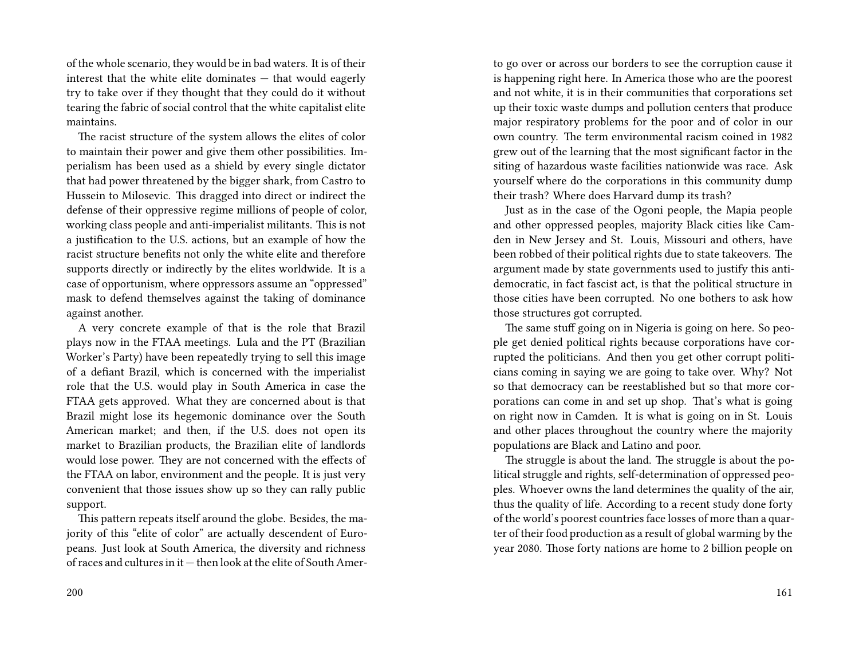of the whole scenario, they would be in bad waters. It is of their interest that the white elite dominates — that would eagerly try to take over if they thought that they could do it without tearing the fabric of social control that the white capitalist elite maintains.

The racist structure of the system allows the elites of color to maintain their power and give them other possibilities. Imperialism has been used as a shield by every single dictator that had power threatened by the bigger shark, from Castro to Hussein to Milosevic. This dragged into direct or indirect the defense of their oppressive regime millions of people of color, working class people and anti-imperialist militants. This is not a justification to the U.S. actions, but an example of how the racist structure benefits not only the white elite and therefore supports directly or indirectly by the elites worldwide. It is a case of opportunism, where oppressors assume an "oppressed" mask to defend themselves against the taking of dominance against another.

A very concrete example of that is the role that Brazil plays now in the FTAA meetings. Lula and the PT (Brazilian Worker's Party) have been repeatedly trying to sell this image of a defiant Brazil, which is concerned with the imperialist role that the U.S. would play in South America in case the FTAA gets approved. What they are concerned about is that Brazil might lose its hegemonic dominance over the South American market; and then, if the U.S. does not open its market to Brazilian products, the Brazilian elite of landlords would lose power. They are not concerned with the effects of the FTAA on labor, environment and the people. It is just very convenient that those issues show up so they can rally public support.

This pattern repeats itself around the globe. Besides, the majority of this "elite of color" are actually descendent of Europeans. Just look at South America, the diversity and richness of races and cultures in it — then look at the elite of South Amerto go over or across our borders to see the corruption cause it is happening right here. In America those who are the poorest and not white, it is in their communities that corporations set up their toxic waste dumps and pollution centers that produce major respiratory problems for the poor and of color in our own country. The term environmental racism coined in 1982 grew out of the learning that the most significant factor in the siting of hazardous waste facilities nationwide was race. Ask yourself where do the corporations in this community dump their trash? Where does Harvard dump its trash?

Just as in the case of the Ogoni people, the Mapia people and other oppressed peoples, majority Black cities like Camden in New Jersey and St. Louis, Missouri and others, have been robbed of their political rights due to state takeovers. The argument made by state governments used to justify this antidemocratic, in fact fascist act, is that the political structure in those cities have been corrupted. No one bothers to ask how those structures got corrupted.

The same stuff going on in Nigeria is going on here. So people get denied political rights because corporations have corrupted the politicians. And then you get other corrupt politicians coming in saying we are going to take over. Why? Not so that democracy can be reestablished but so that more corporations can come in and set up shop. That's what is going on right now in Camden. It is what is going on in St. Louis and other places throughout the country where the majority populations are Black and Latino and poor.

The struggle is about the land. The struggle is about the political struggle and rights, self-determination of oppressed peoples. Whoever owns the land determines the quality of the air, thus the quality of life. According to a recent study done forty of the world's poorest countries face losses of more than a quarter of their food production as a result of global warming by the year 2080. Those forty nations are home to 2 billion people on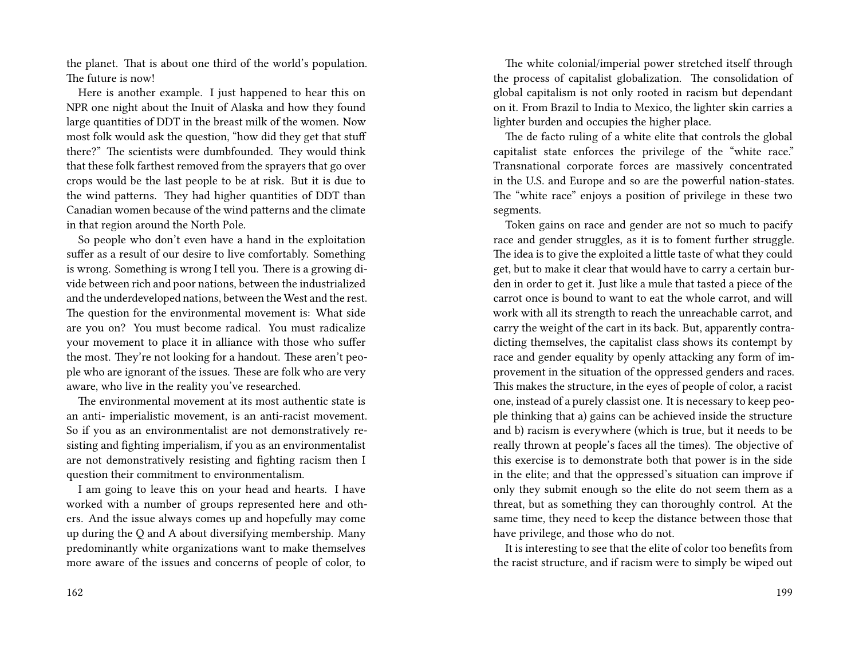the planet. That is about one third of the world's population. The future is now!

Here is another example. I just happened to hear this on NPR one night about the Inuit of Alaska and how they found large quantities of DDT in the breast milk of the women. Now most folk would ask the question, "how did they get that stuff there?" The scientists were dumbfounded. They would think that these folk farthest removed from the sprayers that go over crops would be the last people to be at risk. But it is due to the wind patterns. They had higher quantities of DDT than Canadian women because of the wind patterns and the climate in that region around the North Pole.

So people who don't even have a hand in the exploitation suffer as a result of our desire to live comfortably. Something is wrong. Something is wrong I tell you. There is a growing divide between rich and poor nations, between the industrialized and the underdeveloped nations, between the West and the rest. The question for the environmental movement is: What side are you on? You must become radical. You must radicalize your movement to place it in alliance with those who suffer the most. They're not looking for a handout. These aren't people who are ignorant of the issues. These are folk who are very aware, who live in the reality you've researched.

The environmental movement at its most authentic state is an anti- imperialistic movement, is an anti-racist movement. So if you as an environmentalist are not demonstratively resisting and fighting imperialism, if you as an environmentalist are not demonstratively resisting and fighting racism then I question their commitment to environmentalism.

I am going to leave this on your head and hearts. I have worked with a number of groups represented here and others. And the issue always comes up and hopefully may come up during the Q and A about diversifying membership. Many predominantly white organizations want to make themselves more aware of the issues and concerns of people of color, to

The white colonial/imperial power stretched itself through the process of capitalist globalization. The consolidation of global capitalism is not only rooted in racism but dependant on it. From Brazil to India to Mexico, the lighter skin carries a lighter burden and occupies the higher place.

The de facto ruling of a white elite that controls the global capitalist state enforces the privilege of the "white race." Transnational corporate forces are massively concentrated in the U.S. and Europe and so are the powerful nation-states. The "white race" enjoys a position of privilege in these two segments.

Token gains on race and gender are not so much to pacify race and gender struggles, as it is to foment further struggle. The idea is to give the exploited a little taste of what they could get, but to make it clear that would have to carry a certain burden in order to get it. Just like a mule that tasted a piece of the carrot once is bound to want to eat the whole carrot, and will work with all its strength to reach the unreachable carrot, and carry the weight of the cart in its back. But, apparently contradicting themselves, the capitalist class shows its contempt by race and gender equality by openly attacking any form of improvement in the situation of the oppressed genders and races. This makes the structure, in the eyes of people of color, a racist one, instead of a purely classist one. It is necessary to keep people thinking that a) gains can be achieved inside the structure and b) racism is everywhere (which is true, but it needs to be really thrown at people's faces all the times). The objective of this exercise is to demonstrate both that power is in the side in the elite; and that the oppressed's situation can improve if only they submit enough so the elite do not seem them as a threat, but as something they can thoroughly control. At the same time, they need to keep the distance between those that have privilege, and those who do not.

It is interesting to see that the elite of color too benefits from the racist structure, and if racism were to simply be wiped out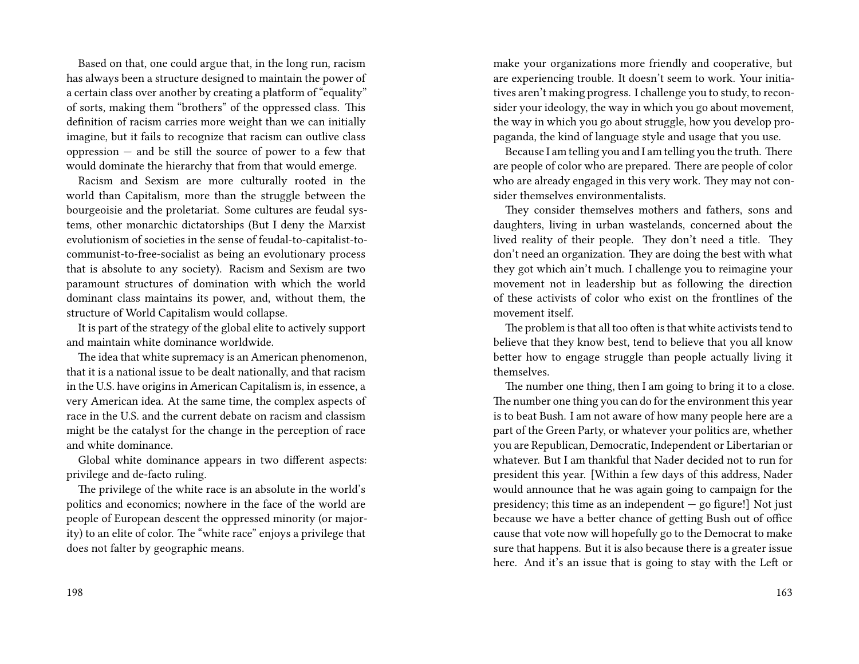Based on that, one could argue that, in the long run, racism has always been a structure designed to maintain the power of a certain class over another by creating a platform of "equality" of sorts, making them "brothers" of the oppressed class. This definition of racism carries more weight than we can initially imagine, but it fails to recognize that racism can outlive class oppression — and be still the source of power to a few that would dominate the hierarchy that from that would emerge.

Racism and Sexism are more culturally rooted in the world than Capitalism, more than the struggle between the bourgeoisie and the proletariat. Some cultures are feudal systems, other monarchic dictatorships (But I deny the Marxist evolutionism of societies in the sense of feudal-to-capitalist-tocommunist-to-free-socialist as being an evolutionary process that is absolute to any society). Racism and Sexism are two paramount structures of domination with which the world dominant class maintains its power, and, without them, the structure of World Capitalism would collapse.

It is part of the strategy of the global elite to actively support and maintain white dominance worldwide.

The idea that white supremacy is an American phenomenon, that it is a national issue to be dealt nationally, and that racism in the U.S. have origins in American Capitalism is, in essence, a very American idea. At the same time, the complex aspects of race in the U.S. and the current debate on racism and classism might be the catalyst for the change in the perception of race and white dominance.

Global white dominance appears in two different aspects: privilege and de-facto ruling.

The privilege of the white race is an absolute in the world's politics and economics; nowhere in the face of the world are people of European descent the oppressed minority (or majority) to an elite of color. The "white race" enjoys a privilege that does not falter by geographic means.

make your organizations more friendly and cooperative, but are experiencing trouble. It doesn't seem to work. Your initiatives aren't making progress. I challenge you to study, to reconsider your ideology, the way in which you go about movement, the way in which you go about struggle, how you develop propaganda, the kind of language style and usage that you use.

Because I am telling you and I am telling you the truth. There are people of color who are prepared. There are people of color who are already engaged in this very work. They may not consider themselves environmentalists.

They consider themselves mothers and fathers, sons and daughters, living in urban wastelands, concerned about the lived reality of their people. They don't need a title. They don't need an organization. They are doing the best with what they got which ain't much. I challenge you to reimagine your movement not in leadership but as following the direction of these activists of color who exist on the frontlines of the movement itself.

The problem is that all too often is that white activists tend to believe that they know best, tend to believe that you all know better how to engage struggle than people actually living it themselves.

The number one thing, then I am going to bring it to a close. The number one thing you can do for the environment this year is to beat Bush. I am not aware of how many people here are a part of the Green Party, or whatever your politics are, whether you are Republican, Democratic, Independent or Libertarian or whatever. But I am thankful that Nader decided not to run for president this year. [Within a few days of this address, Nader would announce that he was again going to campaign for the presidency; this time as an independent  $-$  go figure!] Not just because we have a better chance of getting Bush out of office cause that vote now will hopefully go to the Democrat to make sure that happens. But it is also because there is a greater issue here. And it's an issue that is going to stay with the Left or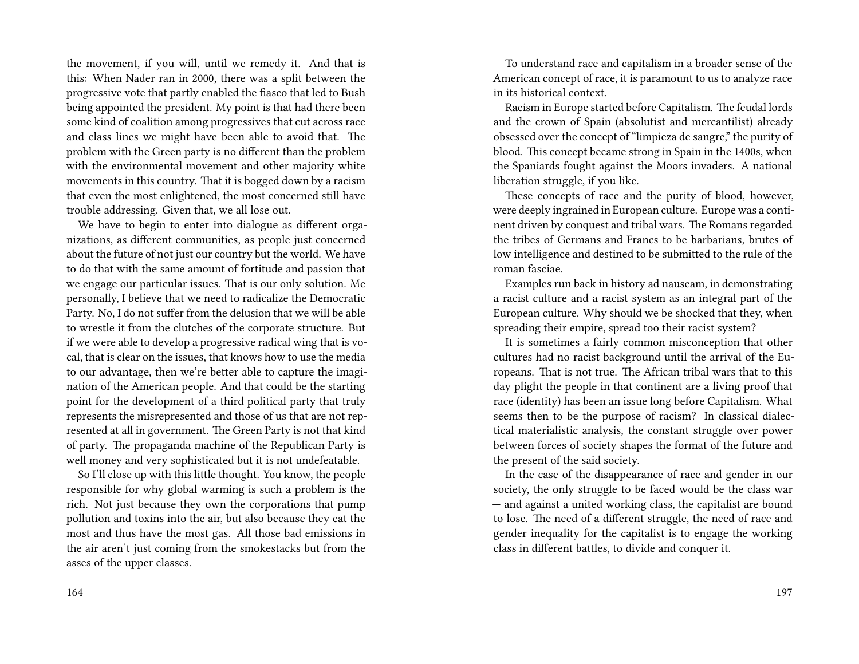the movement, if you will, until we remedy it. And that is this: When Nader ran in 2000, there was a split between the progressive vote that partly enabled the fiasco that led to Bush being appointed the president. My point is that had there been some kind of coalition among progressives that cut across race and class lines we might have been able to avoid that. The problem with the Green party is no different than the problem with the environmental movement and other majority white movements in this country. That it is bogged down by a racism that even the most enlightened, the most concerned still have trouble addressing. Given that, we all lose out.

We have to begin to enter into dialogue as different organizations, as different communities, as people just concerned about the future of not just our country but the world. We have to do that with the same amount of fortitude and passion that we engage our particular issues. That is our only solution. Me personally, I believe that we need to radicalize the Democratic Party. No, I do not suffer from the delusion that we will be able to wrestle it from the clutches of the corporate structure. But if we were able to develop a progressive radical wing that is vocal, that is clear on the issues, that knows how to use the media to our advantage, then we're better able to capture the imagination of the American people. And that could be the starting point for the development of a third political party that truly represents the misrepresented and those of us that are not represented at all in government. The Green Party is not that kind of party. The propaganda machine of the Republican Party is well money and very sophisticated but it is not undefeatable.

So I'll close up with this little thought. You know, the people responsible for why global warming is such a problem is the rich. Not just because they own the corporations that pump pollution and toxins into the air, but also because they eat the most and thus have the most gas. All those bad emissions in the air aren't just coming from the smokestacks but from the asses of the upper classes.

To understand race and capitalism in a broader sense of the American concept of race, it is paramount to us to analyze race in its historical context.

Racism in Europe started before Capitalism. The feudal lords and the crown of Spain (absolutist and mercantilist) already obsessed over the concept of "limpieza de sangre," the purity of blood. This concept became strong in Spain in the 1400s, when the Spaniards fought against the Moors invaders. A national liberation struggle, if you like.

These concepts of race and the purity of blood, however, were deeply ingrained in European culture. Europe was a continent driven by conquest and tribal wars. The Romans regarded the tribes of Germans and Francs to be barbarians, brutes of low intelligence and destined to be submitted to the rule of the roman fasciae.

Examples run back in history ad nauseam, in demonstrating a racist culture and a racist system as an integral part of the European culture. Why should we be shocked that they, when spreading their empire, spread too their racist system?

It is sometimes a fairly common misconception that other cultures had no racist background until the arrival of the Europeans. That is not true. The African tribal wars that to this day plight the people in that continent are a living proof that race (identity) has been an issue long before Capitalism. What seems then to be the purpose of racism? In classical dialectical materialistic analysis, the constant struggle over power between forces of society shapes the format of the future and the present of the said society.

In the case of the disappearance of race and gender in our society, the only struggle to be faced would be the class war — and against a united working class, the capitalist are bound to lose. The need of a different struggle, the need of race and gender inequality for the capitalist is to engage the working class in different battles, to divide and conquer it.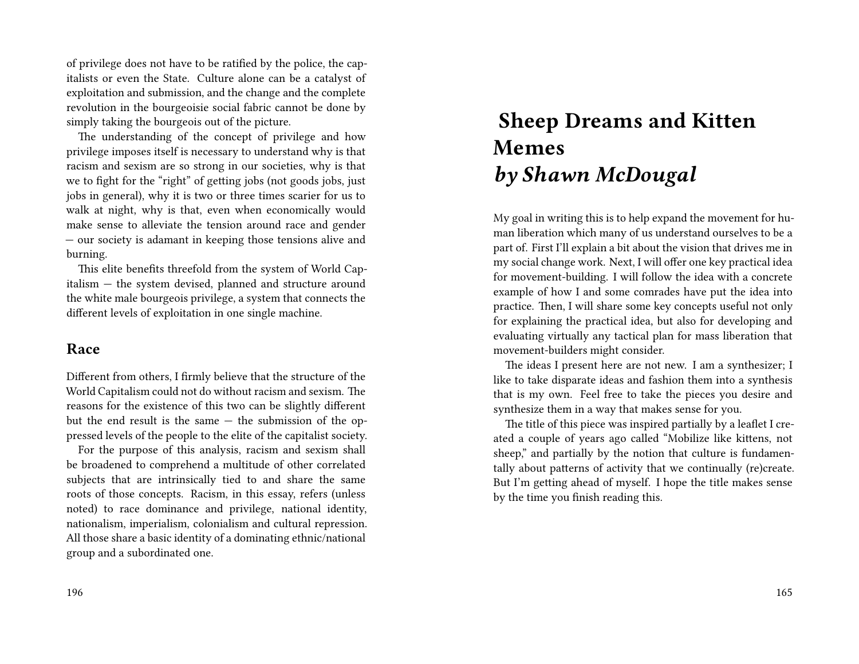of privilege does not have to be ratified by the police, the capitalists or even the State. Culture alone can be a catalyst of exploitation and submission, and the change and the complete revolution in the bourgeoisie social fabric cannot be done by simply taking the bourgeois out of the picture.

The understanding of the concept of privilege and how privilege imposes itself is necessary to understand why is that racism and sexism are so strong in our societies, why is that we to fight for the "right" of getting jobs (not goods jobs, just jobs in general), why it is two or three times scarier for us to walk at night, why is that, even when economically would make sense to alleviate the tension around race and gender — our society is adamant in keeping those tensions alive and burning.

This elite benefits threefold from the system of World Capitalism — the system devised, planned and structure around the white male bourgeois privilege, a system that connects the different levels of exploitation in one single machine.

### **Race**

Different from others, I firmly believe that the structure of the World Capitalism could not do without racism and sexism. The reasons for the existence of this two can be slightly different but the end result is the same — the submission of the oppressed levels of the people to the elite of the capitalist society.

For the purpose of this analysis, racism and sexism shall be broadened to comprehend a multitude of other correlated subjects that are intrinsically tied to and share the same roots of those concepts. Racism, in this essay, refers (unless noted) to race dominance and privilege, national identity, nationalism, imperialism, colonialism and cultural repression. All those share a basic identity of a dominating ethnic/national group and a subordinated one.

# **Sheep Dreams and Kitten Memes** *by Shawn McDougal*

My goal in writing this is to help expand the movement for human liberation which many of us understand ourselves to be a part of. First I'll explain a bit about the vision that drives me in my social change work. Next, I will offer one key practical idea for movement-building. I will follow the idea with a concrete example of how I and some comrades have put the idea into practice. Then, I will share some key concepts useful not only for explaining the practical idea, but also for developing and evaluating virtually any tactical plan for mass liberation that movement-builders might consider.

The ideas I present here are not new. I am a synthesizer; I like to take disparate ideas and fashion them into a synthesis that is my own. Feel free to take the pieces you desire and synthesize them in a way that makes sense for you.

The title of this piece was inspired partially by a leaflet I created a couple of years ago called "Mobilize like kittens, not sheep," and partially by the notion that culture is fundamentally about patterns of activity that we continually (re)create. But I'm getting ahead of myself. I hope the title makes sense by the time you finish reading this.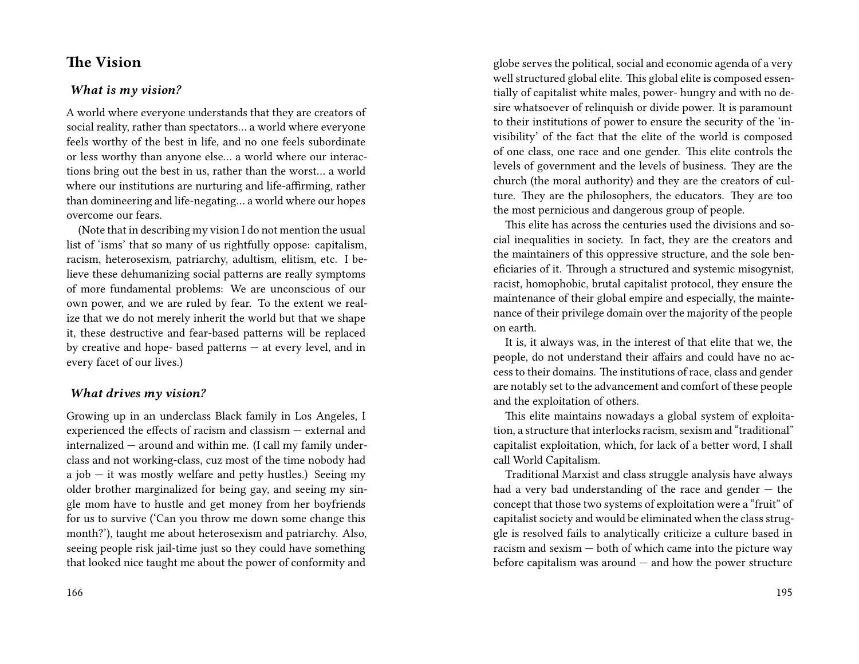### **The Vision**

#### *What is my vision?*

A world where everyone understands that they are creators of social reality, rather than spectators… a world where everyone feels worthy of the best in life, and no one feels subordinate or less worthy than anyone else… a world where our interactions bring out the best in us, rather than the worst… a world where our institutions are nurturing and life-affirming, rather than domineering and life-negating… a world where our hopes overcome our fears.

(Note that in describing my vision I do not mention the usual list of 'isms' that so many of us rightfully oppose: capitalism, racism, heterosexism, patriarchy, adultism, elitism, etc. I believe these dehumanizing social patterns are really symptoms of more fundamental problems: We are unconscious of our own power, and we are ruled by fear. To the extent we realize that we do not merely inherit the world but that we shape it, these destructive and fear-based patterns will be replaced by creative and hope- based patterns — at every level, and in every facet of our lives.)

#### *What drives my vision?*

Growing up in an underclass Black family in Los Angeles, I experienced the effects of racism and classism — external and internalized — around and within me. (I call my family underclass and not working-class, cuz most of the time nobody had a job  $-$  it was mostly welfare and petty hustles.) Seeing my older brother marginalized for being gay, and seeing my single mom have to hustle and get money from her boyfriends for us to survive ('Can you throw me down some change this month?'), taught me about heterosexism and patriarchy. Also, seeing people risk jail-time just so they could have something that looked nice taught me about the power of conformity and

globe serves the political, social and economic agenda of a very well structured global elite. This global elite is composed essentially of capitalist white males, power- hungry and with no desire whatsoever of relinquish or divide power. It is paramount to their institutions of power to ensure the security of the 'invisibility' of the fact that the elite of the world is composed of one class, one race and one gender. This elite controls the levels of government and the levels of business. They are the church (the moral authority) and they are the creators of culture. They are the philosophers, the educators. They are too the most pernicious and dangerous group of people.

This elite has across the centuries used the divisions and social inequalities in society. In fact, they are the creators and the maintainers of this oppressive structure, and the sole beneficiaries of it. Through a structured and systemic misogynist, racist, homophobic, brutal capitalist protocol, they ensure the maintenance of their global empire and especially, the maintenance of their privilege domain over the majority of the people on earth.

It is, it always was, in the interest of that elite that we, the people, do not understand their affairs and could have no access to their domains. The institutions of race, class and gender are notably set to the advancement and comfort of these people and the exploitation of others.

This elite maintains nowadays a global system of exploitation, a structure that interlocks racism, sexism and "traditional" capitalist exploitation, which, for lack of a better word, I shall call World Capitalism.

Traditional Marxist and class struggle analysis have always had a very bad understanding of the race and gender — the concept that those two systems of exploitation were a "fruit" of capitalist society and would be eliminated when the class struggle is resolved fails to analytically criticize a culture based in racism and sexism — both of which came into the picture way before capitalism was around  $-$  and how the power structure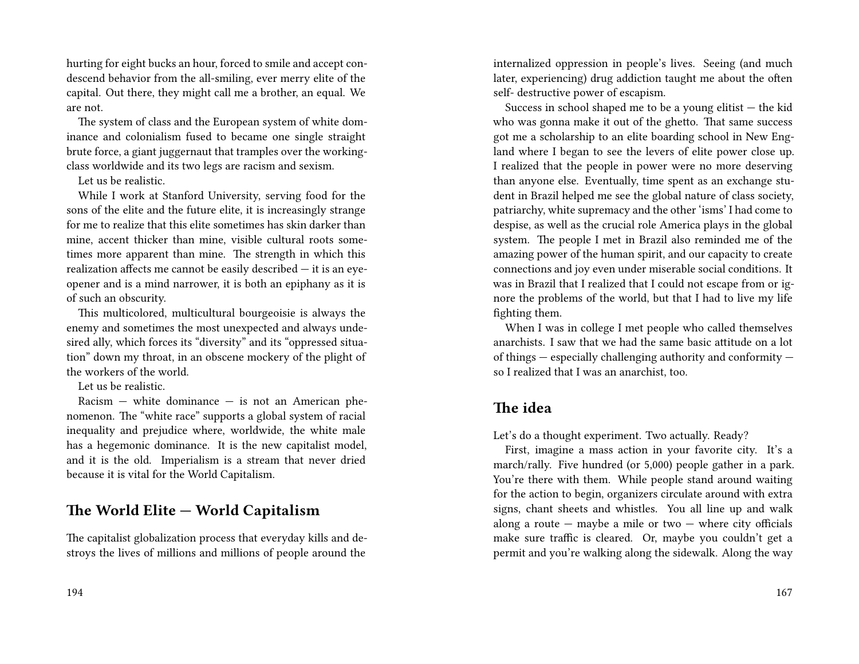hurting for eight bucks an hour, forced to smile and accept condescend behavior from the all-smiling, ever merry elite of the capital. Out there, they might call me a brother, an equal. We are not.

The system of class and the European system of white dominance and colonialism fused to became one single straight brute force, a giant juggernaut that tramples over the workingclass worldwide and its two legs are racism and sexism.

Let us be realistic.

While I work at Stanford University, serving food for the sons of the elite and the future elite, it is increasingly strange for me to realize that this elite sometimes has skin darker than mine, accent thicker than mine, visible cultural roots sometimes more apparent than mine. The strength in which this realization affects me cannot be easily described — it is an eyeopener and is a mind narrower, it is both an epiphany as it is of such an obscurity.

This multicolored, multicultural bourgeoisie is always the enemy and sometimes the most unexpected and always undesired ally, which forces its "diversity" and its "oppressed situation" down my throat, in an obscene mockery of the plight of the workers of the world.

Let us be realistic.

 $Racism$  — white dominance — is not an American phenomenon. The "white race" supports a global system of racial inequality and prejudice where, worldwide, the white male has a hegemonic dominance. It is the new capitalist model, and it is the old. Imperialism is a stream that never dried because it is vital for the World Capitalism.

## **The World Elite — World Capitalism**

The capitalist globalization process that everyday kills and destroys the lives of millions and millions of people around the

internalized oppression in people's lives. Seeing (and much later, experiencing) drug addiction taught me about the often self- destructive power of escapism.

Success in school shaped me to be a young elitist  $-$  the kid who was gonna make it out of the ghetto. That same success got me a scholarship to an elite boarding school in New England where I began to see the levers of elite power close up. I realized that the people in power were no more deserving than anyone else. Eventually, time spent as an exchange student in Brazil helped me see the global nature of class society, patriarchy, white supremacy and the other 'isms' I had come to despise, as well as the crucial role America plays in the global system. The people I met in Brazil also reminded me of the amazing power of the human spirit, and our capacity to create connections and joy even under miserable social conditions. It was in Brazil that I realized that I could not escape from or ignore the problems of the world, but that I had to live my life fighting them.

When I was in college I met people who called themselves anarchists. I saw that we had the same basic attitude on a lot of things — especially challenging authority and conformity so I realized that I was an anarchist, too.

## **The idea**

Let's do a thought experiment. Two actually. Ready?

First, imagine a mass action in your favorite city. It's a march/rally. Five hundred (or 5,000) people gather in a park. You're there with them. While people stand around waiting for the action to begin, organizers circulate around with extra signs, chant sheets and whistles. You all line up and walk along a route  $-$  maybe a mile or two  $-$  where city officials make sure traffic is cleared. Or, maybe you couldn't get a permit and you're walking along the sidewalk. Along the way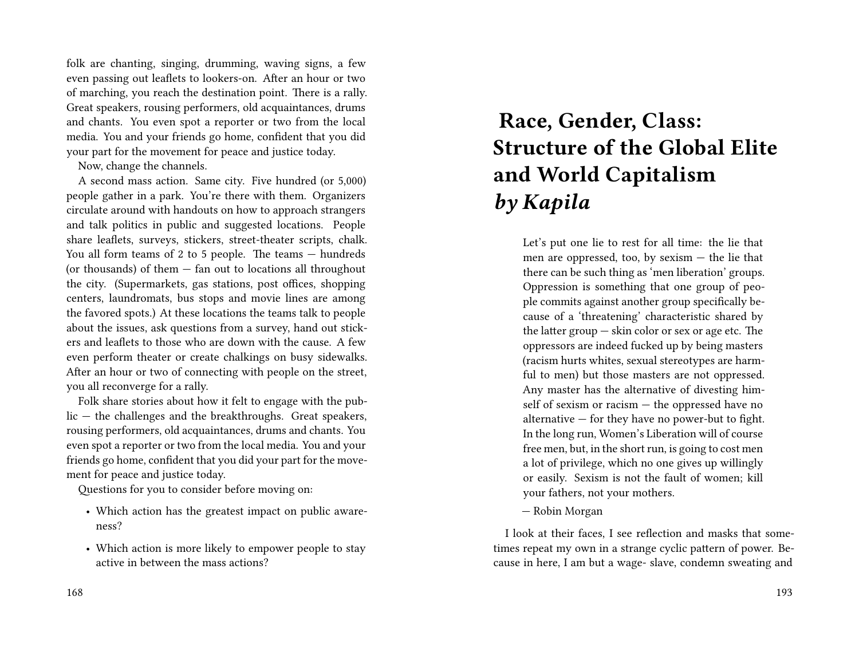folk are chanting, singing, drumming, waving signs, a few even passing out leaflets to lookers-on. After an hour or two of marching, you reach the destination point. There is a rally. Great speakers, rousing performers, old acquaintances, drums and chants. You even spot a reporter or two from the local media. You and your friends go home, confident that you did your part for the movement for peace and justice today.

Now, change the channels.

A second mass action. Same city. Five hundred (or 5,000) people gather in a park. You're there with them. Organizers circulate around with handouts on how to approach strangers and talk politics in public and suggested locations. People share leaflets, surveys, stickers, street-theater scripts, chalk. You all form teams of 2 to 5 people. The teams — hundreds (or thousands) of them — fan out to locations all throughout the city. (Supermarkets, gas stations, post offices, shopping centers, laundromats, bus stops and movie lines are among the favored spots.) At these locations the teams talk to people about the issues, ask questions from a survey, hand out stickers and leaflets to those who are down with the cause. A few even perform theater or create chalkings on busy sidewalks. After an hour or two of connecting with people on the street, you all reconverge for a rally.

Folk share stories about how it felt to engage with the public — the challenges and the breakthroughs. Great speakers, rousing performers, old acquaintances, drums and chants. You even spot a reporter or two from the local media. You and your friends go home, confident that you did your part for the movement for peace and justice today.

Questions for you to consider before moving on:

- Which action has the greatest impact on public awareness?
- Which action is more likely to empower people to stay active in between the mass actions?

#### 168

# **Race, Gender, Class: Structure of the Global Elite and World Capitalism** *by Kapila*

Let's put one lie to rest for all time: the lie that men are oppressed, too, by sexism — the lie that there can be such thing as 'men liberation' groups. Oppression is something that one group of people commits against another group specifically because of a 'threatening' characteristic shared by the latter group — skin color or sex or age etc. The oppressors are indeed fucked up by being masters (racism hurts whites, sexual stereotypes are harmful to men) but those masters are not oppressed. Any master has the alternative of divesting himself of sexism or racism — the oppressed have no alternative — for they have no power-but to fight. In the long run, Women's Liberation will of course free men, but, in the short run, is going to cost men a lot of privilege, which no one gives up willingly or easily. Sexism is not the fault of women; kill your fathers, not your mothers.

— Robin Morgan

I look at their faces, I see reflection and masks that sometimes repeat my own in a strange cyclic pattern of power. Because in here, I am but a wage- slave, condemn sweating and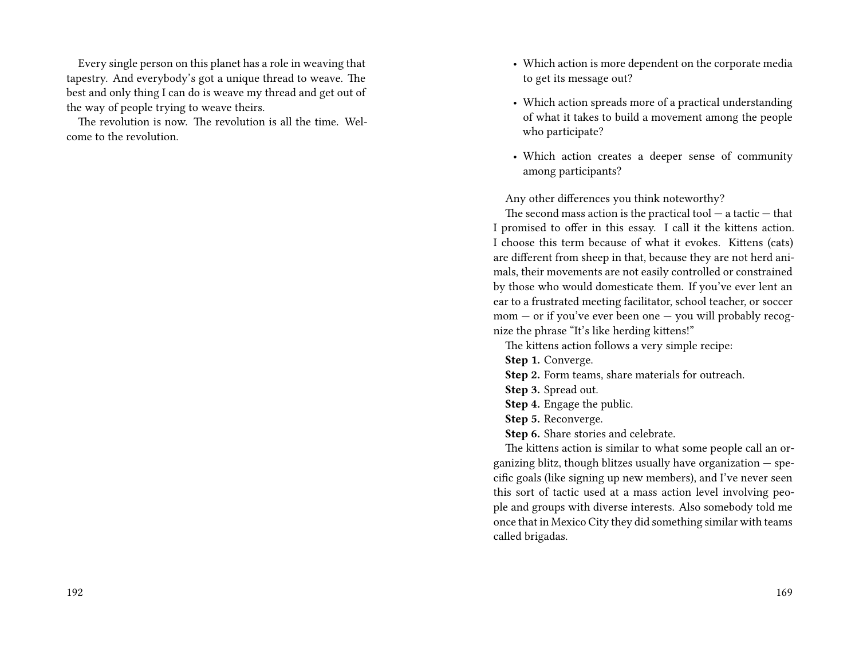Every single person on this planet has a role in weaving that tapestry. And everybody's got a unique thread to weave. The best and only thing I can do is weave my thread and get out of the way of people trying to weave theirs.

The revolution is now. The revolution is all the time. Welcome to the revolution.

- Which action is more dependent on the corporate media to get its message out?
- Which action spreads more of a practical understanding of what it takes to build a movement among the people who participate?
- Which action creates a deeper sense of community among participants?

Any other differences you think noteworthy?

The second mass action is the practical tool  $-$  a tactic  $-$  that I promised to offer in this essay. I call it the kittens action. I choose this term because of what it evokes. Kittens (cats) are different from sheep in that, because they are not herd animals, their movements are not easily controlled or constrained by those who would domesticate them. If you've ever lent an ear to a frustrated meeting facilitator, school teacher, or soccer mom — or if you've ever been one — you will probably recognize the phrase "It's like herding kittens!"

The kittens action follows a very simple recipe:

**Step 1.** Converge.

**Step 2.** Form teams, share materials for outreach.

**Step 3.** Spread out.

**Step 4.** Engage the public.

**Step 5.** Reconverge.

**Step 6.** Share stories and celebrate.

The kittens action is similar to what some people call an organizing blitz, though blitzes usually have organization  $-$  specific goals (like signing up new members), and I've never seen this sort of tactic used at a mass action level involving people and groups with diverse interests. Also somebody told me once that in Mexico City they did something similar with teams called brigadas.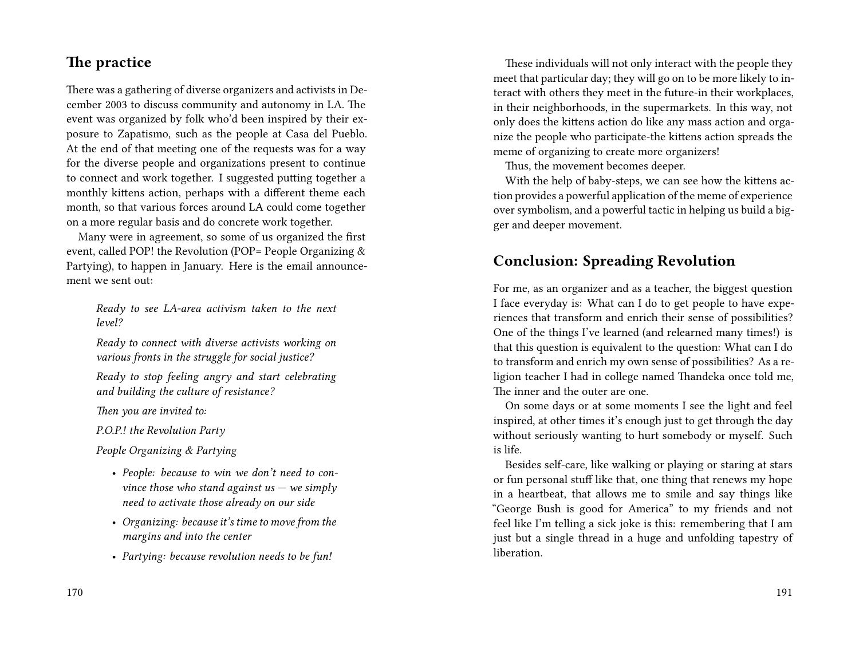## **The practice**

There was a gathering of diverse organizers and activists in December 2003 to discuss community and autonomy in LA. The event was organized by folk who'd been inspired by their exposure to Zapatismo, such as the people at Casa del Pueblo. At the end of that meeting one of the requests was for a way for the diverse people and organizations present to continue to connect and work together. I suggested putting together a monthly kittens action, perhaps with a different theme each month, so that various forces around LA could come together on a more regular basis and do concrete work together.

Many were in agreement, so some of us organized the first event, called POP! the Revolution (POP= People Organizing & Partying), to happen in January. Here is the email announcement we sent out:

*Ready to see LA-area activism taken to the next level?*

*Ready to connect with diverse activists working on various fronts in the struggle for social justice?*

*Ready to stop feeling angry and start celebrating and building the culture of resistance?*

*Then you are invited to:*

*P.O.P.! the Revolution Party*

*People Organizing & Partying*

- *People: because to win we don't need to convince those who stand against us — we simply need to activate those already on our side*
- *Organizing: because it's time to move from the margins and into the center*
- *Partying: because revolution needs to be fun!*

These individuals will not only interact with the people they meet that particular day; they will go on to be more likely to interact with others they meet in the future-in their workplaces, in their neighborhoods, in the supermarkets. In this way, not only does the kittens action do like any mass action and organize the people who participate-the kittens action spreads the meme of organizing to create more organizers!

Thus, the movement becomes deeper.

With the help of baby-steps, we can see how the kittens action provides a powerful application of the meme of experience over symbolism, and a powerful tactic in helping us build a bigger and deeper movement.

## **Conclusion: Spreading Revolution**

For me, as an organizer and as a teacher, the biggest question I face everyday is: What can I do to get people to have experiences that transform and enrich their sense of possibilities? One of the things I've learned (and relearned many times!) is that this question is equivalent to the question: What can I do to transform and enrich my own sense of possibilities? As a religion teacher I had in college named Thandeka once told me, The inner and the outer are one.

On some days or at some moments I see the light and feel inspired, at other times it's enough just to get through the day without seriously wanting to hurt somebody or myself. Such is life.

Besides self-care, like walking or playing or staring at stars or fun personal stuff like that, one thing that renews my hope in a heartbeat, that allows me to smile and say things like "George Bush is good for America" to my friends and not feel like I'm telling a sick joke is this: remembering that I am just but a single thread in a huge and unfolding tapestry of liberation.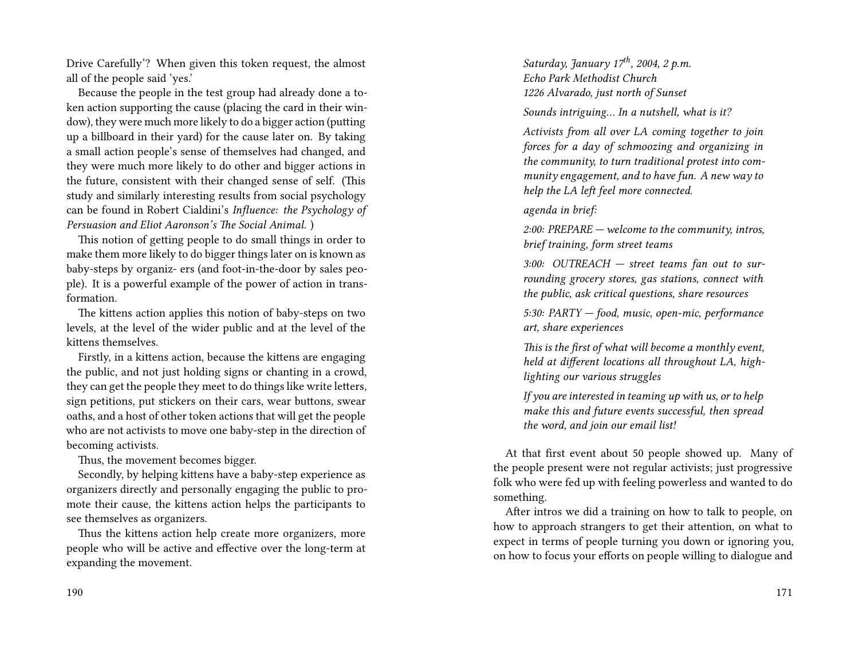Drive Carefully'? When given this token request, the almost all of the people said 'yes.'

Because the people in the test group had already done a token action supporting the cause (placing the card in their window), they were much more likely to do a bigger action (putting up a billboard in their yard) for the cause later on. By taking a small action people's sense of themselves had changed, and they were much more likely to do other and bigger actions in the future, consistent with their changed sense of self. (This study and similarly interesting results from social psychology can be found in Robert Cialdini's *Influence: the Psychology of Persuasion and Eliot Aaronson's The Social Animal.* )

This notion of getting people to do small things in order to make them more likely to do bigger things later on is known as baby-steps by organiz- ers (and foot-in-the-door by sales people). It is a powerful example of the power of action in transformation.

The kittens action applies this notion of baby-steps on two levels, at the level of the wider public and at the level of the kittens themselves.

Firstly, in a kittens action, because the kittens are engaging the public, and not just holding signs or chanting in a crowd, they can get the people they meet to do things like write letters, sign petitions, put stickers on their cars, wear buttons, swear oaths, and a host of other token actions that will get the people who are not activists to move one baby-step in the direction of becoming activists.

Thus, the movement becomes bigger.

Secondly, by helping kittens have a baby-step experience as organizers directly and personally engaging the public to promote their cause, the kittens action helps the participants to see themselves as organizers.

Thus the kittens action help create more organizers, more people who will be active and effective over the long-term at expanding the movement.

190

*Saturday, January 17th, 2004, 2 p.m. Echo Park Methodist Church 1226 Alvarado, just north of Sunset*

*Sounds intriguing… In a nutshell, what is it?*

*Activists from all over LA coming together to join forces for a day of schmoozing and organizing in the community, to turn traditional protest into community engagement, and to have fun. A new way to help the LA left feel more connected.*

*agenda in brief:*

*2:00: PREPARE — welcome to the community, intros, brief training, form street teams*

*3:00: OUTREACH — street teams fan out to surrounding grocery stores, gas stations, connect with the public, ask critical questions, share resources*

*5:30: PARTY — food, music, open-mic, performance art, share experiences*

*This is the first of what will become a monthly event, held at different locations all throughout LA, highlighting our various struggles*

*If you are interested in teaming up with us, or to help make this and future events successful, then spread the word, and join our email list!*

At that first event about 50 people showed up. Many of the people present were not regular activists; just progressive folk who were fed up with feeling powerless and wanted to do something.

After intros we did a training on how to talk to people, on how to approach strangers to get their attention, on what to expect in terms of people turning you down or ignoring you, on how to focus your efforts on people willing to dialogue and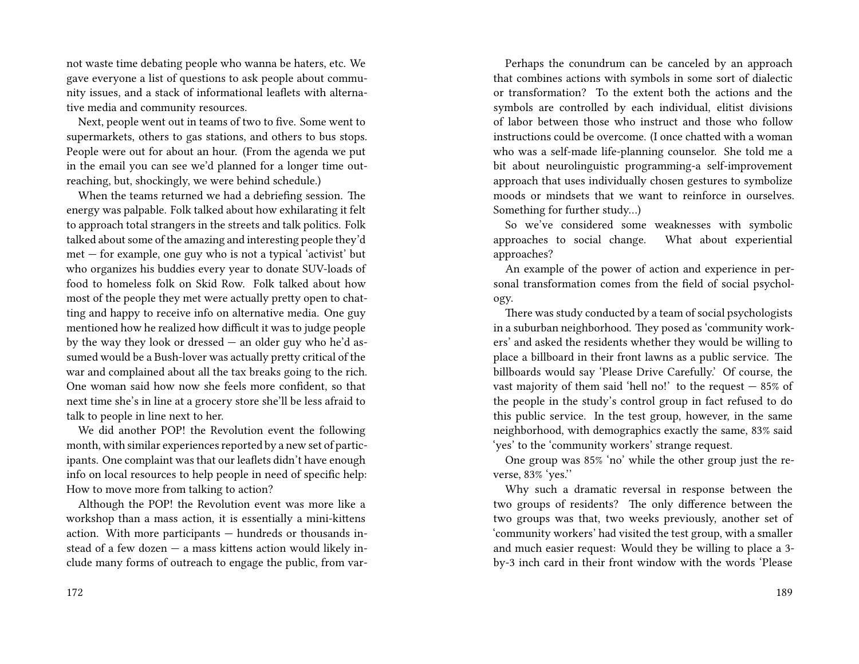not waste time debating people who wanna be haters, etc. We gave everyone a list of questions to ask people about community issues, and a stack of informational leaflets with alternative media and community resources.

Next, people went out in teams of two to five. Some went to supermarkets, others to gas stations, and others to bus stops. People were out for about an hour. (From the agenda we put in the email you can see we'd planned for a longer time outreaching, but, shockingly, we were behind schedule.)

When the teams returned we had a debriefing session. The energy was palpable. Folk talked about how exhilarating it felt to approach total strangers in the streets and talk politics. Folk talked about some of the amazing and interesting people they'd met — for example, one guy who is not a typical 'activist' but who organizes his buddies every year to donate SUV-loads of food to homeless folk on Skid Row. Folk talked about how most of the people they met were actually pretty open to chatting and happy to receive info on alternative media. One guy mentioned how he realized how difficult it was to judge people by the way they look or dressed — an older guy who he'd assumed would be a Bush-lover was actually pretty critical of the war and complained about all the tax breaks going to the rich. One woman said how now she feels more confident, so that next time she's in line at a grocery store she'll be less afraid to talk to people in line next to her.

We did another POP! the Revolution event the following month, with similar experiences reported by a new set of participants. One complaint was that our leaflets didn't have enough info on local resources to help people in need of specific help: How to move more from talking to action?

Although the POP! the Revolution event was more like a workshop than a mass action, it is essentially a mini-kittens action. With more participants — hundreds or thousands instead of a few dozen — a mass kittens action would likely include many forms of outreach to engage the public, from var-

Perhaps the conundrum can be canceled by an approach that combines actions with symbols in some sort of dialectic or transformation? To the extent both the actions and the symbols are controlled by each individual, elitist divisions of labor between those who instruct and those who follow instructions could be overcome. (I once chatted with a woman who was a self-made life-planning counselor. She told me a bit about neurolinguistic programming-a self-improvement approach that uses individually chosen gestures to symbolize moods or mindsets that we want to reinforce in ourselves. Something for further study…)

So we've considered some weaknesses with symbolic approaches to social change. What about experiential approaches?

An example of the power of action and experience in personal transformation comes from the field of social psychology.

There was study conducted by a team of social psychologists in a suburban neighborhood. They posed as 'community workers' and asked the residents whether they would be willing to place a billboard in their front lawns as a public service. The billboards would say 'Please Drive Carefully.' Of course, the vast majority of them said 'hell no!' to the request  $-85\%$  of the people in the study's control group in fact refused to do this public service. In the test group, however, in the same neighborhood, with demographics exactly the same, 83% said 'yes' to the 'community workers' strange request.

One group was 85% 'no' while the other group just the reverse, 83% 'yes.''

Why such a dramatic reversal in response between the two groups of residents? The only difference between the two groups was that, two weeks previously, another set of 'community workers' had visited the test group, with a smaller and much easier request: Would they be willing to place a 3 by-3 inch card in their front window with the words 'Please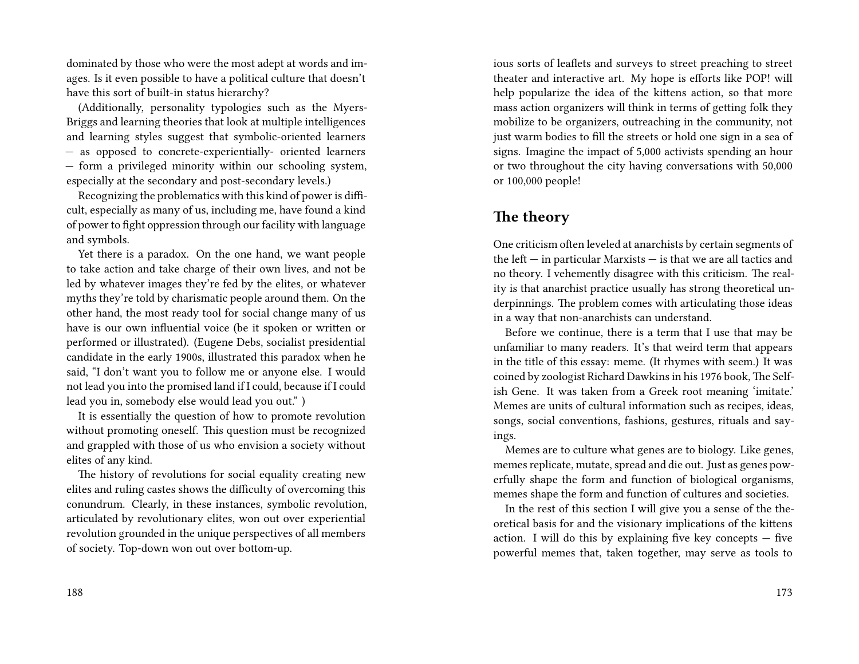dominated by those who were the most adept at words and images. Is it even possible to have a political culture that doesn't have this sort of built-in status hierarchy?

(Additionally, personality typologies such as the Myers-Briggs and learning theories that look at multiple intelligences and learning styles suggest that symbolic-oriented learners — as opposed to concrete-experientially- oriented learners — form a privileged minority within our schooling system, especially at the secondary and post-secondary levels.)

Recognizing the problematics with this kind of power is difficult, especially as many of us, including me, have found a kind of power to fight oppression through our facility with language and symbols.

Yet there is a paradox. On the one hand, we want people to take action and take charge of their own lives, and not be led by whatever images they're fed by the elites, or whatever myths they're told by charismatic people around them. On the other hand, the most ready tool for social change many of us have is our own influential voice (be it spoken or written or performed or illustrated). (Eugene Debs, socialist presidential candidate in the early 1900s, illustrated this paradox when he said, "I don't want you to follow me or anyone else. I would not lead you into the promised land if I could, because if I could lead you in, somebody else would lead you out." )

It is essentially the question of how to promote revolution without promoting oneself. This question must be recognized and grappled with those of us who envision a society without elites of any kind.

The history of revolutions for social equality creating new elites and ruling castes shows the difficulty of overcoming this conundrum. Clearly, in these instances, symbolic revolution, articulated by revolutionary elites, won out over experiential revolution grounded in the unique perspectives of all members of society. Top-down won out over bottom-up.

ious sorts of leaflets and surveys to street preaching to street theater and interactive art. My hope is efforts like POP! will help popularize the idea of the kittens action, so that more mass action organizers will think in terms of getting folk they mobilize to be organizers, outreaching in the community, not just warm bodies to fill the streets or hold one sign in a sea of signs. Imagine the impact of 5,000 activists spending an hour or two throughout the city having conversations with 50,000 or 100,000 people!

### **The theory**

One criticism often leveled at anarchists by certain segments of the left — in particular Marxists — is that we are all tactics and no theory. I vehemently disagree with this criticism. The reality is that anarchist practice usually has strong theoretical underpinnings. The problem comes with articulating those ideas in a way that non-anarchists can understand.

Before we continue, there is a term that I use that may be unfamiliar to many readers. It's that weird term that appears in the title of this essay: meme. (It rhymes with seem.) It was coined by zoologist Richard Dawkins in his 1976 book, The Selfish Gene. It was taken from a Greek root meaning 'imitate.' Memes are units of cultural information such as recipes, ideas, songs, social conventions, fashions, gestures, rituals and sayings.

Memes are to culture what genes are to biology. Like genes, memes replicate, mutate, spread and die out. Just as genes powerfully shape the form and function of biological organisms, memes shape the form and function of cultures and societies.

In the rest of this section I will give you a sense of the theoretical basis for and the visionary implications of the kittens action. I will do this by explaining five key concepts — five powerful memes that, taken together, may serve as tools to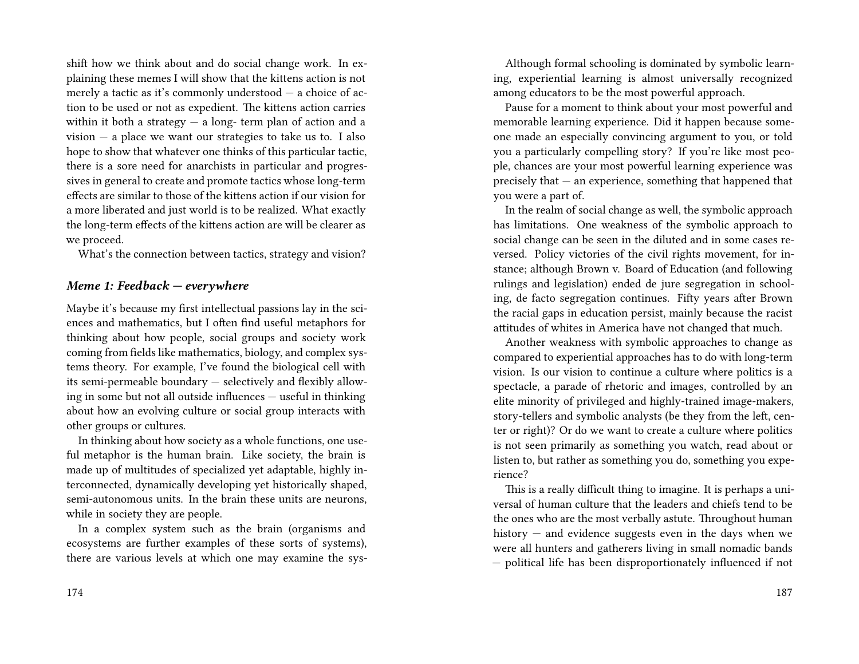shift how we think about and do social change work. In explaining these memes I will show that the kittens action is not merely a tactic as it's commonly understood — a choice of action to be used or not as expedient. The kittens action carries within it both a strategy  $-$  a long- term plan of action and a vision  $-$  a place we want our strategies to take us to. I also hope to show that whatever one thinks of this particular tactic, there is a sore need for anarchists in particular and progressives in general to create and promote tactics whose long-term effects are similar to those of the kittens action if our vision for a more liberated and just world is to be realized. What exactly the long-term effects of the kittens action are will be clearer as we proceed.

What's the connection between tactics, strategy and vision?

#### *Meme 1: Feedback — everywhere*

Maybe it's because my first intellectual passions lay in the sciences and mathematics, but I often find useful metaphors for thinking about how people, social groups and society work coming from fields like mathematics, biology, and complex systems theory. For example, I've found the biological cell with its semi-permeable boundary — selectively and flexibly allowing in some but not all outside influences — useful in thinking about how an evolving culture or social group interacts with other groups or cultures.

In thinking about how society as a whole functions, one useful metaphor is the human brain. Like society, the brain is made up of multitudes of specialized yet adaptable, highly interconnected, dynamically developing yet historically shaped, semi-autonomous units. In the brain these units are neurons, while in society they are people.

In a complex system such as the brain (organisms and ecosystems are further examples of these sorts of systems), there are various levels at which one may examine the sys-

Although formal schooling is dominated by symbolic learning, experiential learning is almost universally recognized among educators to be the most powerful approach.

Pause for a moment to think about your most powerful and memorable learning experience. Did it happen because someone made an especially convincing argument to you, or told you a particularly compelling story? If you're like most people, chances are your most powerful learning experience was precisely that — an experience, something that happened that you were a part of.

In the realm of social change as well, the symbolic approach has limitations. One weakness of the symbolic approach to social change can be seen in the diluted and in some cases reversed. Policy victories of the civil rights movement, for instance; although Brown v. Board of Education (and following rulings and legislation) ended de jure segregation in schooling, de facto segregation continues. Fifty years after Brown the racial gaps in education persist, mainly because the racist attitudes of whites in America have not changed that much.

Another weakness with symbolic approaches to change as compared to experiential approaches has to do with long-term vision. Is our vision to continue a culture where politics is a spectacle, a parade of rhetoric and images, controlled by an elite minority of privileged and highly-trained image-makers, story-tellers and symbolic analysts (be they from the left, center or right)? Or do we want to create a culture where politics is not seen primarily as something you watch, read about or listen to, but rather as something you do, something you experience?

This is a really difficult thing to imagine. It is perhaps a universal of human culture that the leaders and chiefs tend to be the ones who are the most verbally astute. Throughout human history — and evidence suggests even in the days when we were all hunters and gatherers living in small nomadic bands — political life has been disproportionately influenced if not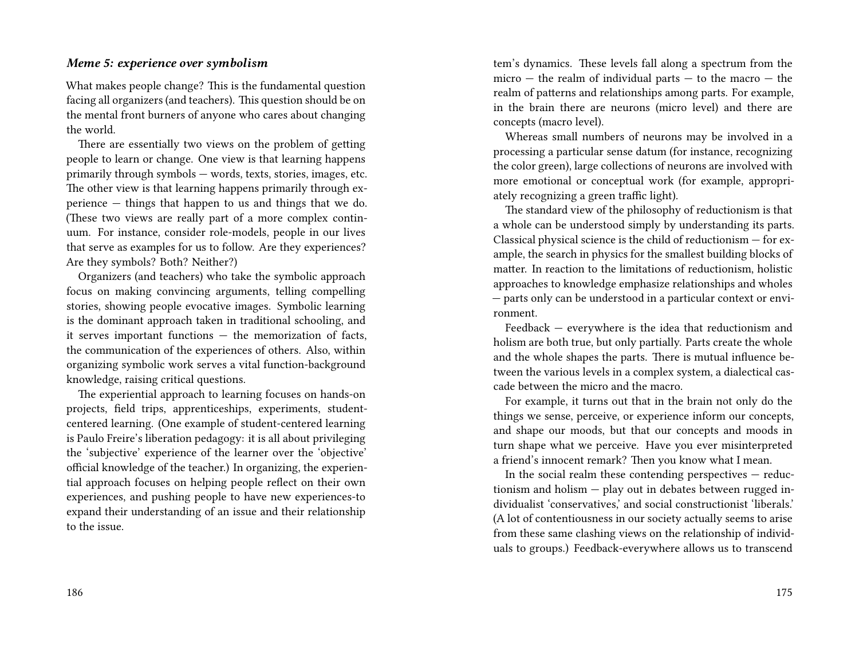#### *Meme 5: experience over symbolism*

What makes people change? This is the fundamental question facing all organizers (and teachers). This question should be on the mental front burners of anyone who cares about changing the world.

There are essentially two views on the problem of getting people to learn or change. One view is that learning happens primarily through symbols — words, texts, stories, images, etc. The other view is that learning happens primarily through experience — things that happen to us and things that we do. (These two views are really part of a more complex continuum. For instance, consider role-models, people in our lives that serve as examples for us to follow. Are they experiences? Are they symbols? Both? Neither?)

Organizers (and teachers) who take the symbolic approach focus on making convincing arguments, telling compelling stories, showing people evocative images. Symbolic learning is the dominant approach taken in traditional schooling, and it serves important functions — the memorization of facts, the communication of the experiences of others. Also, within organizing symbolic work serves a vital function-background knowledge, raising critical questions.

The experiential approach to learning focuses on hands-on projects, field trips, apprenticeships, experiments, studentcentered learning. (One example of student-centered learning is Paulo Freire's liberation pedagogy: it is all about privileging the 'subjective' experience of the learner over the 'objective' official knowledge of the teacher.) In organizing, the experiential approach focuses on helping people reflect on their own experiences, and pushing people to have new experiences-to expand their understanding of an issue and their relationship to the issue.

tem's dynamics. These levels fall along a spectrum from the  $micro - the realm of individual parts - to the macro - the$ realm of patterns and relationships among parts. For example, in the brain there are neurons (micro level) and there are concepts (macro level).

Whereas small numbers of neurons may be involved in a processing a particular sense datum (for instance, recognizing the color green), large collections of neurons are involved with more emotional or conceptual work (for example, appropriately recognizing a green traffic light).

The standard view of the philosophy of reductionism is that a whole can be understood simply by understanding its parts. Classical physical science is the child of reductionism — for example, the search in physics for the smallest building blocks of matter. In reaction to the limitations of reductionism, holistic approaches to knowledge emphasize relationships and wholes — parts only can be understood in a particular context or environment.

Feedback — everywhere is the idea that reductionism and holism are both true, but only partially. Parts create the whole and the whole shapes the parts. There is mutual influence between the various levels in a complex system, a dialectical cascade between the micro and the macro.

For example, it turns out that in the brain not only do the things we sense, perceive, or experience inform our concepts, and shape our moods, but that our concepts and moods in turn shape what we perceive. Have you ever misinterpreted a friend's innocent remark? Then you know what I mean.

In the social realm these contending perspectives — reductionism and holism — play out in debates between rugged individualist 'conservatives,' and social constructionist 'liberals.' (A lot of contentiousness in our society actually seems to arise from these same clashing views on the relationship of individuals to groups.) Feedback-everywhere allows us to transcend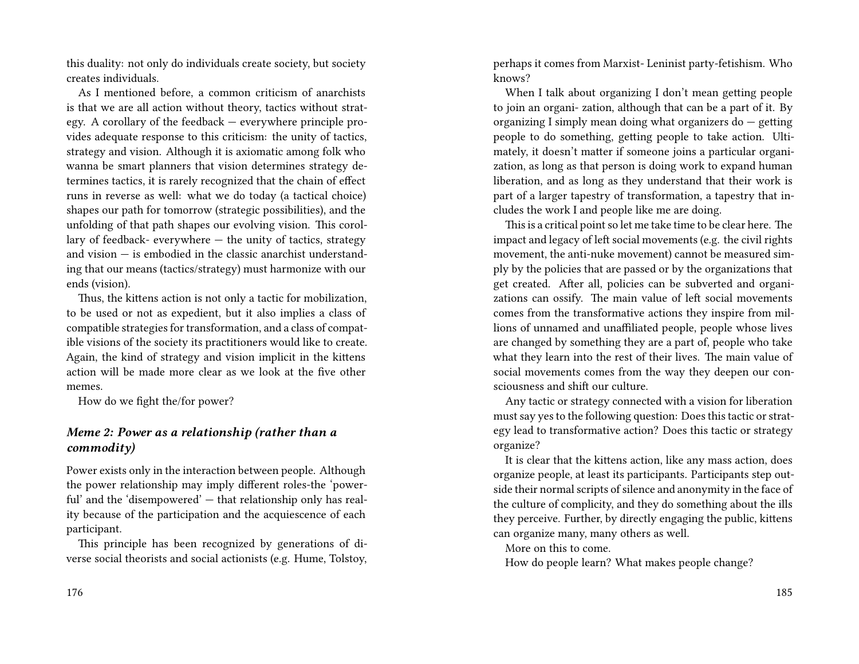this duality: not only do individuals create society, but society creates individuals.

As I mentioned before, a common criticism of anarchists is that we are all action without theory, tactics without strategy. A corollary of the feedback — everywhere principle provides adequate response to this criticism: the unity of tactics, strategy and vision. Although it is axiomatic among folk who wanna be smart planners that vision determines strategy determines tactics, it is rarely recognized that the chain of effect runs in reverse as well: what we do today (a tactical choice) shapes our path for tomorrow (strategic possibilities), and the unfolding of that path shapes our evolving vision. This corollary of feedback- everywhere — the unity of tactics, strategy and vision — is embodied in the classic anarchist understanding that our means (tactics/strategy) must harmonize with our ends (vision).

Thus, the kittens action is not only a tactic for mobilization, to be used or not as expedient, but it also implies a class of compatible strategies for transformation, and a class of compatible visions of the society its practitioners would like to create. Again, the kind of strategy and vision implicit in the kittens action will be made more clear as we look at the five other memes.

How do we fight the/for power?

### *Meme 2: Power as a relationship (rather than a commodity)*

Power exists only in the interaction between people. Although the power relationship may imply different roles-the 'powerful' and the 'disempowered' — that relationship only has reality because of the participation and the acquiescence of each participant.

This principle has been recognized by generations of diverse social theorists and social actionists (e.g. Hume, Tolstoy,

perhaps it comes from Marxist- Leninist party-fetishism. Who knows?

When I talk about organizing I don't mean getting people to join an organi- zation, although that can be a part of it. By organizing I simply mean doing what organizers do — getting people to do something, getting people to take action. Ultimately, it doesn't matter if someone joins a particular organization, as long as that person is doing work to expand human liberation, and as long as they understand that their work is part of a larger tapestry of transformation, a tapestry that includes the work I and people like me are doing.

This is a critical point so let me take time to be clear here. The impact and legacy of left social movements (e.g. the civil rights movement, the anti-nuke movement) cannot be measured simply by the policies that are passed or by the organizations that get created. After all, policies can be subverted and organizations can ossify. The main value of left social movements comes from the transformative actions they inspire from millions of unnamed and unaffiliated people, people whose lives are changed by something they are a part of, people who take what they learn into the rest of their lives. The main value of social movements comes from the way they deepen our consciousness and shift our culture.

Any tactic or strategy connected with a vision for liberation must say yes to the following question: Does this tactic or strategy lead to transformative action? Does this tactic or strategy organize?

It is clear that the kittens action, like any mass action, does organize people, at least its participants. Participants step outside their normal scripts of silence and anonymity in the face of the culture of complicity, and they do something about the ills they perceive. Further, by directly engaging the public, kittens can organize many, many others as well.

More on this to come.

How do people learn? What makes people change?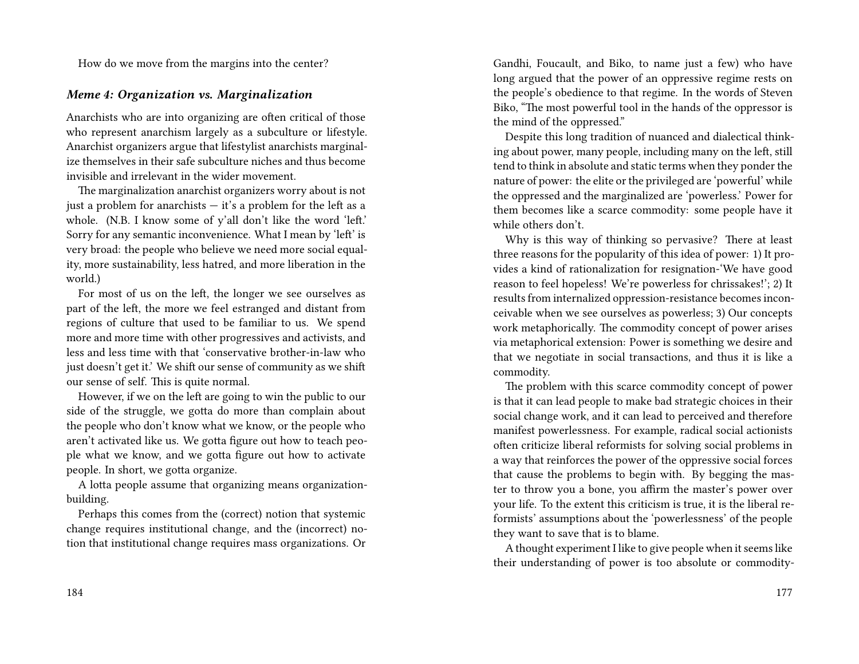How do we move from the margins into the center?

### *Meme 4: Organization vs. Marginalization*

Anarchists who are into organizing are often critical of those who represent anarchism largely as a subculture or lifestyle. Anarchist organizers argue that lifestylist anarchists marginalize themselves in their safe subculture niches and thus become invisible and irrelevant in the wider movement.

The marginalization anarchist organizers worry about is not just a problem for anarchists — it's a problem for the left as a whole. (N.B. I know some of y'all don't like the word 'left.' Sorry for any semantic inconvenience. What I mean by 'left' is very broad: the people who believe we need more social equality, more sustainability, less hatred, and more liberation in the world.)

For most of us on the left, the longer we see ourselves as part of the left, the more we feel estranged and distant from regions of culture that used to be familiar to us. We spend more and more time with other progressives and activists, and less and less time with that 'conservative brother-in-law who just doesn't get it.' We shift our sense of community as we shift our sense of self. This is quite normal.

However, if we on the left are going to win the public to our side of the struggle, we gotta do more than complain about the people who don't know what we know, or the people who aren't activated like us. We gotta figure out how to teach people what we know, and we gotta figure out how to activate people. In short, we gotta organize.

A lotta people assume that organizing means organizationbuilding.

Perhaps this comes from the (correct) notion that systemic change requires institutional change, and the (incorrect) notion that institutional change requires mass organizations. Or

184

Gandhi, Foucault, and Biko, to name just a few) who have long argued that the power of an oppressive regime rests on the people's obedience to that regime. In the words of Steven Biko, "The most powerful tool in the hands of the oppressor is the mind of the oppressed."

Despite this long tradition of nuanced and dialectical thinking about power, many people, including many on the left, still tend to think in absolute and static terms when they ponder the nature of power: the elite or the privileged are 'powerful' while the oppressed and the marginalized are 'powerless.' Power for them becomes like a scarce commodity: some people have it while others don't.

Why is this way of thinking so pervasive? There at least three reasons for the popularity of this idea of power: 1) It provides a kind of rationalization for resignation-'We have good reason to feel hopeless! We're powerless for chrissakes!'; 2) It results from internalized oppression-resistance becomes inconceivable when we see ourselves as powerless; 3) Our concepts work metaphorically. The commodity concept of power arises via metaphorical extension: Power is something we desire and that we negotiate in social transactions, and thus it is like a commodity.

The problem with this scarce commodity concept of power is that it can lead people to make bad strategic choices in their social change work, and it can lead to perceived and therefore manifest powerlessness. For example, radical social actionists often criticize liberal reformists for solving social problems in a way that reinforces the power of the oppressive social forces that cause the problems to begin with. By begging the master to throw you a bone, you affirm the master's power over your life. To the extent this criticism is true, it is the liberal reformists' assumptions about the 'powerlessness' of the people they want to save that is to blame.

A thought experiment I like to give people when it seems like their understanding of power is too absolute or commodity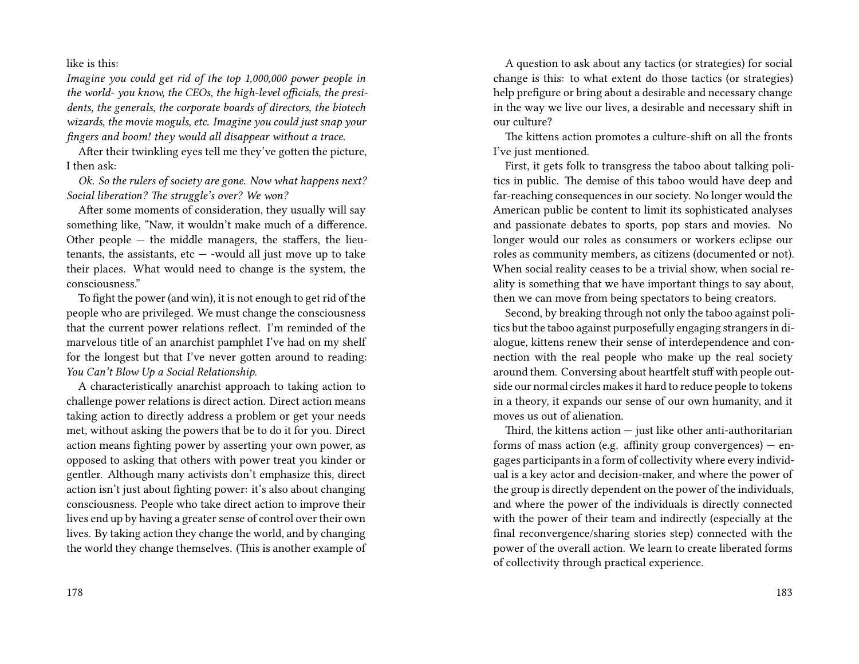like is this:

*Imagine you could get rid of the top 1,000,000 power people in the world- you know, the CEOs, the high-level officials, the presidents, the generals, the corporate boards of directors, the biotech wizards, the movie moguls, etc. Imagine you could just snap your fingers and boom! they would all disappear without a trace.*

After their twinkling eyes tell me they've gotten the picture, I then ask:

*Ok. So the rulers of society are gone. Now what happens next? Social liberation? The struggle's over? We won?*

After some moments of consideration, they usually will say something like, "Naw, it wouldn't make much of a difference. Other people — the middle managers, the staffers, the lieutenants, the assistants, etc  $-$  -would all just move up to take their places. What would need to change is the system, the consciousness."

To fight the power (and win), it is not enough to get rid of the people who are privileged. We must change the consciousness that the current power relations reflect. I'm reminded of the marvelous title of an anarchist pamphlet I've had on my shelf for the longest but that I've never gotten around to reading: *You Can't Blow Up a Social Relationship.*

A characteristically anarchist approach to taking action to challenge power relations is direct action. Direct action means taking action to directly address a problem or get your needs met, without asking the powers that be to do it for you. Direct action means fighting power by asserting your own power, as opposed to asking that others with power treat you kinder or gentler. Although many activists don't emphasize this, direct action isn't just about fighting power: it's also about changing consciousness. People who take direct action to improve their lives end up by having a greater sense of control over their own lives. By taking action they change the world, and by changing the world they change themselves. (This is another example of

A question to ask about any tactics (or strategies) for social change is this: to what extent do those tactics (or strategies) help prefigure or bring about a desirable and necessary change in the way we live our lives, a desirable and necessary shift in our culture?

The kittens action promotes a culture-shift on all the fronts I've just mentioned.

First, it gets folk to transgress the taboo about talking politics in public. The demise of this taboo would have deep and far-reaching consequences in our society. No longer would the American public be content to limit its sophisticated analyses and passionate debates to sports, pop stars and movies. No longer would our roles as consumers or workers eclipse our roles as community members, as citizens (documented or not). When social reality ceases to be a trivial show, when social reality is something that we have important things to say about, then we can move from being spectators to being creators.

Second, by breaking through not only the taboo against politics but the taboo against purposefully engaging strangers in dialogue, kittens renew their sense of interdependence and connection with the real people who make up the real society around them. Conversing about heartfelt stuff with people outside our normal circles makes it hard to reduce people to tokens in a theory, it expands our sense of our own humanity, and it moves us out of alienation.

Third, the kittens action  $-$  just like other anti-authoritarian forms of mass action (e.g. affinity group convergences)  $-$  engages participants in a form of collectivity where every individual is a key actor and decision-maker, and where the power of the group is directly dependent on the power of the individuals, and where the power of the individuals is directly connected with the power of their team and indirectly (especially at the final reconvergence/sharing stories step) connected with the power of the overall action. We learn to create liberated forms of collectivity through practical experience.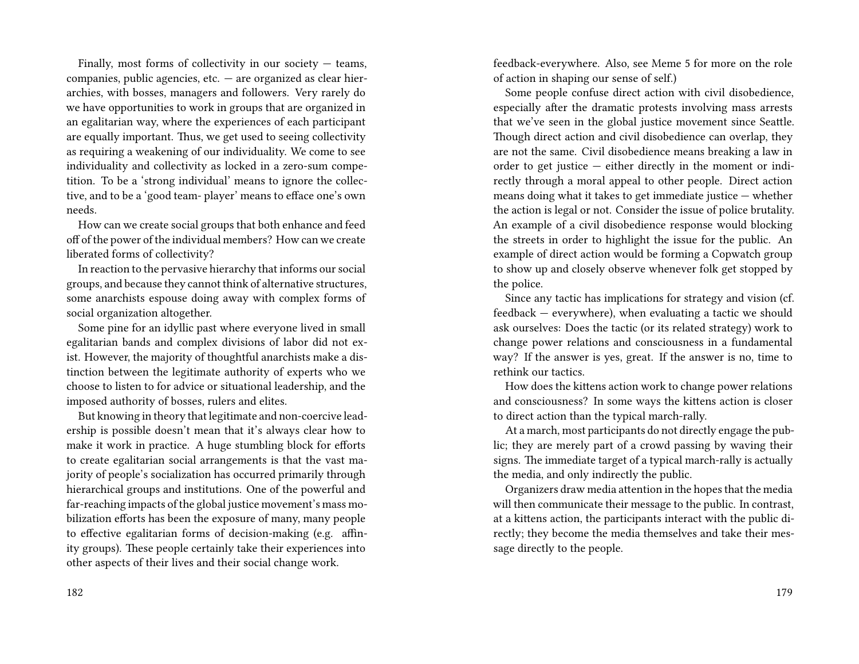Finally, most forms of collectivity in our society  $-$  teams, companies, public agencies, etc. — are organized as clear hierarchies, with bosses, managers and followers. Very rarely do we have opportunities to work in groups that are organized in an egalitarian way, where the experiences of each participant are equally important. Thus, we get used to seeing collectivity as requiring a weakening of our individuality. We come to see individuality and collectivity as locked in a zero-sum competition. To be a 'strong individual' means to ignore the collective, and to be a 'good team- player' means to efface one's own needs.

How can we create social groups that both enhance and feed off of the power of the individual members? How can we create liberated forms of collectivity?

In reaction to the pervasive hierarchy that informs our social groups, and because they cannot think of alternative structures, some anarchists espouse doing away with complex forms of social organization altogether.

Some pine for an idyllic past where everyone lived in small egalitarian bands and complex divisions of labor did not exist. However, the majority of thoughtful anarchists make a distinction between the legitimate authority of experts who we choose to listen to for advice or situational leadership, and the imposed authority of bosses, rulers and elites.

But knowing in theory that legitimate and non-coercive leadership is possible doesn't mean that it's always clear how to make it work in practice. A huge stumbling block for efforts to create egalitarian social arrangements is that the vast majority of people's socialization has occurred primarily through hierarchical groups and institutions. One of the powerful and far-reaching impacts of the global justice movement's mass mobilization efforts has been the exposure of many, many people to effective egalitarian forms of decision-making (e.g. affinity groups). These people certainly take their experiences into other aspects of their lives and their social change work.

182

feedback-everywhere. Also, see Meme 5 for more on the role of action in shaping our sense of self.)

Some people confuse direct action with civil disobedience, especially after the dramatic protests involving mass arrests that we've seen in the global justice movement since Seattle. Though direct action and civil disobedience can overlap, they are not the same. Civil disobedience means breaking a law in order to get justice — either directly in the moment or indirectly through a moral appeal to other people. Direct action means doing what it takes to get immediate justice — whether the action is legal or not. Consider the issue of police brutality. An example of a civil disobedience response would blocking the streets in order to highlight the issue for the public. An example of direct action would be forming a Copwatch group to show up and closely observe whenever folk get stopped by the police.

Since any tactic has implications for strategy and vision (cf. feedback — everywhere), when evaluating a tactic we should ask ourselves: Does the tactic (or its related strategy) work to change power relations and consciousness in a fundamental way? If the answer is yes, great. If the answer is no, time to rethink our tactics.

How does the kittens action work to change power relations and consciousness? In some ways the kittens action is closer to direct action than the typical march-rally.

At a march, most participants do not directly engage the public; they are merely part of a crowd passing by waving their signs. The immediate target of a typical march-rally is actually the media, and only indirectly the public.

Organizers draw media attention in the hopes that the media will then communicate their message to the public. In contrast, at a kittens action, the participants interact with the public directly; they become the media themselves and take their message directly to the people.